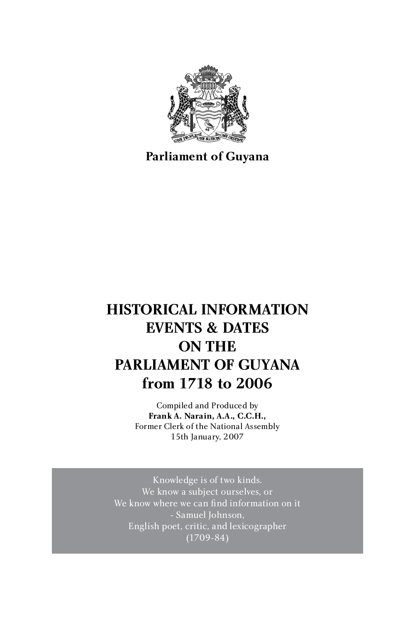

## **Parliament of Guyana**

# **HISTORICAL INFORMATION<br>EVENTS & DATES EXECUTE: PARLIAMENT OF GUYANA PARLIAMENT OF GUIANA from 1718 to 2006**

Compiled and Produced by<br>Frank A. Narain, A.A., C.C.H., **Frank A. Narain, A.A., C.C.H.,** Former Clerk of the National Assembly 15th January, 2007

Knowledge is of two kinds.<br>We know a subiect ourselves, or We know a subject ourselves, or We know where we can find information on it - Samuel Johnson, English poet, critic, and lexicographer (1709-84)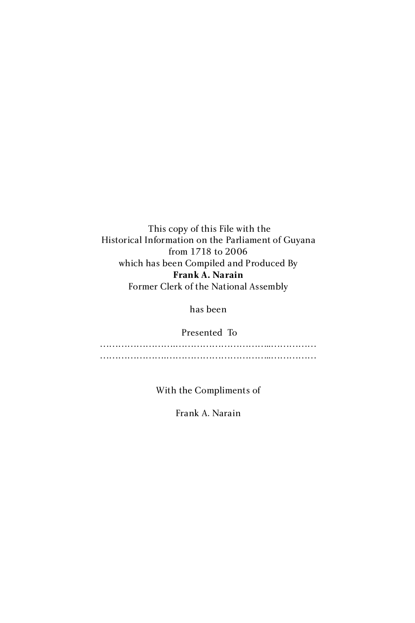This copy of this File with the Historical Information on the Parliament of Guyana from 1718 to 2006 which has been Compiled and Produced By **Frank A. Narain** Former Clerk of the National Assembly

has been

 Presented To …………………….…………………………..…………… ………………….……………………………..……………

With the Compliments of

Frank A. Narain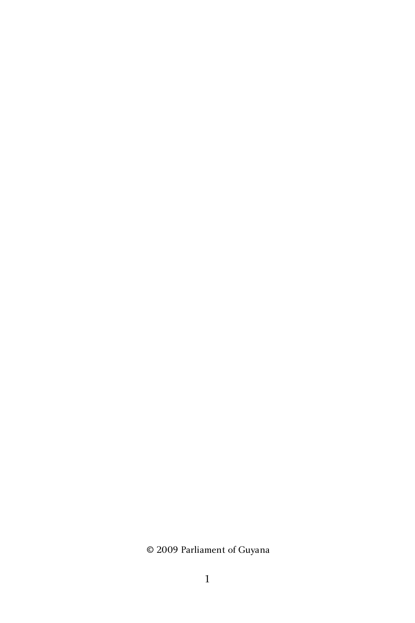© 2009 Parliament of Guyana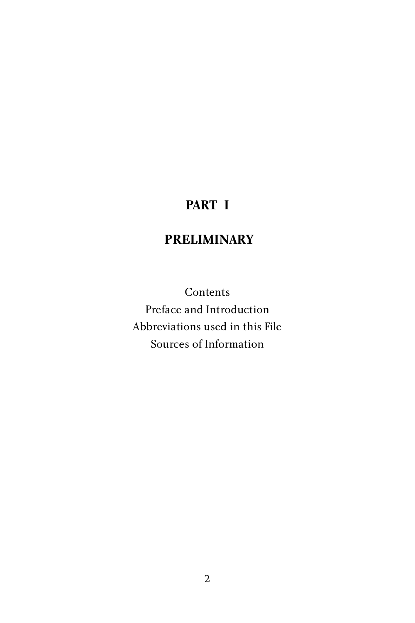# **PART I**

# **PRELIMINARY**

Contents<br>Preface and Introduction Abbreviations used in this File Abbreviations used in this File Sources of Information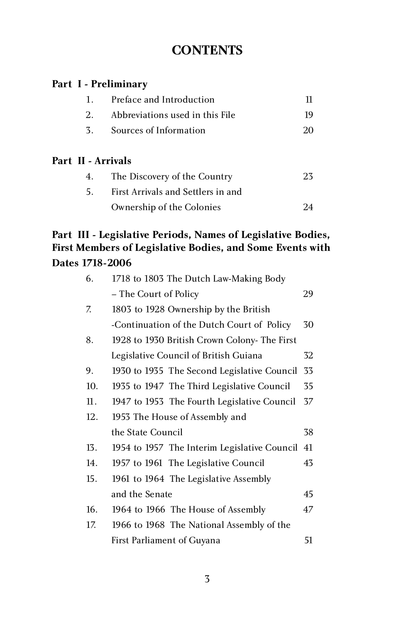### **Part I - Preliminary**

| 1. Preface and Introduction        |    |
|------------------------------------|----|
| 2. Abbreviations used in this File | 19 |
| 3. Sources of Information          | 20 |

#### **Part II - Arrivals**

| 4. | The Discovery of the Country       | 23 |
|----|------------------------------------|----|
|    | First Arrivals and Settlers in and |    |
|    | Ownership of the Colonies          |    |

#### **Part III - Legislative Periods, Names of Legislative Bodies, First Members of Legislative Bodies, and Some Events with Dates 1718-2006**

| 6.  | 1718 to 1803 The Dutch Law-Making Body          |    |
|-----|-------------------------------------------------|----|
|     | – The Court of Policy                           | 29 |
| 7.  | 1803 to 1928 Ownership by the British           |    |
|     | -Continuation of the Dutch Court of Policy      | 30 |
| 8.  | 1928 to 1930 British Crown Colony- The First    |    |
|     | Legislative Council of British Guiana           | 32 |
| 9.  | 1930 to 1935 The Second Legislative Council     | 33 |
| 10. | 1935 to 1947 The Third Legislative Council      | 35 |
| 11. | 1947 to 1953 The Fourth Legislative Council     | 37 |
| 12. | 1953 The House of Assembly and                  |    |
|     | the State Council                               | 38 |
| 13. | 1954 to 1957 The Interim Legislative Council 41 |    |
| 14. | 1957 to 1961 The Legislative Council            | 43 |
| 15. | 1961 to 1964 The Legislative Assembly           |    |
|     | and the Senate                                  | 45 |
| 16. | 1964 to 1966 The House of Assembly              | 47 |
| 17. | 1966 to 1968 The National Assembly of the       |    |
|     | First Parliament of Guyana                      | 51 |
|     |                                                 |    |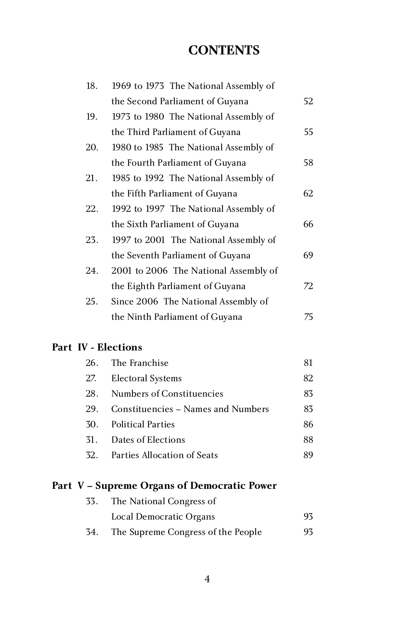| 18. | 1969 to 1973 The National Assembly of |    |
|-----|---------------------------------------|----|
|     | the Second Parliament of Guyana       | 52 |
| 19. | 1973 to 1980 The National Assembly of |    |
|     | the Third Parliament of Guyana        | 55 |
| 20. | 1980 to 1985 The National Assembly of |    |
|     | the Fourth Parliament of Guyana       | 58 |
| 21. | 1985 to 1992 The National Assembly of |    |
|     | the Fifth Parliament of Guyana        | 62 |
| 22. | 1992 to 1997 The National Assembly of |    |
|     | the Sixth Parliament of Guyana        | 66 |
| 23. | 1997 to 2001 The National Assembly of |    |
|     | the Seventh Parliament of Guyana      | 69 |
| 24. | 2001 to 2006 The National Assembly of |    |
|     | the Eighth Parliament of Guyana       | 72 |
| 25. | Since 2006 The National Assembly of   |    |
|     | the Ninth Parliament of Guyana        | 75 |
|     |                                       |    |

### **Part IV - Elections**

| 26. The Franchise                      | 81 |
|----------------------------------------|----|
| 27. Electoral Systems                  | 82 |
| 28. Numbers of Constituencies          | 83 |
| 29. Constituencies – Names and Numbers | 83 |
| 30. Political Parties                  | 86 |
| 31. Dates of Elections                 | 88 |
| 32. Parties Allocation of Seats        | 89 |
|                                        |    |

# **Part V – Supreme Organs of Democratic Power**

| The National Congress of           |     |
|------------------------------------|-----|
| Local Democratic Organs            | 93  |
| The Supreme Congress of the People | 93. |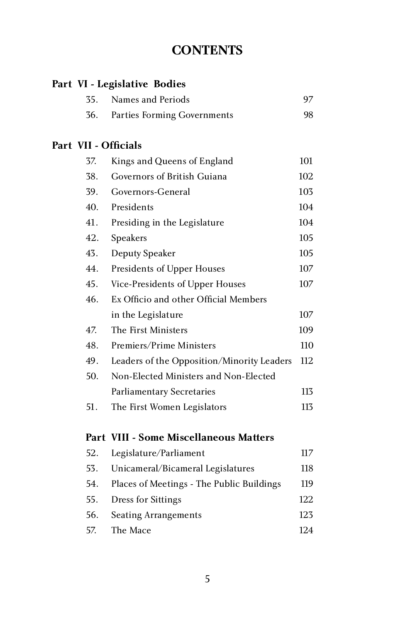## **Part VI - Legislative Bodies**

| 35. Names and Periods           |    |
|---------------------------------|----|
| 36. Parties Forming Governments | 98 |

#### **Part VII - Officials**

| 37. | Kings and Queens of England                   | 101 |
|-----|-----------------------------------------------|-----|
| 38. | Governors of British Guiana                   | 102 |
| 39. | Governors-General                             | 103 |
| 40. | Presidents                                    | 104 |
| 41. | Presiding in the Legislature                  | 104 |
| 42. | Speakers                                      | 105 |
| 43. | <b>Deputy Speaker</b>                         | 105 |
| 44. | Presidents of Upper Houses                    | 107 |
| 45. | Vice-Presidents of Upper Houses               | 107 |
| 46. | Ex Officio and other Official Members         |     |
|     | in the Legislature                            | 107 |
| 47. | The First Ministers                           | 109 |
| 48. | Premiers/Prime Ministers                      | 110 |
| 49. | Leaders of the Opposition/Minority Leaders    | 112 |
| 50. | Non-Elected Ministers and Non-Elected         |     |
|     | <b>Parliamentary Secretaries</b>              | 113 |
| 51. | The First Women Legislators                   | 113 |
|     |                                               |     |
|     | <b>Part VIII - Some Miscellaneous Matters</b> |     |
| 52. | Legislature/Parliament                        | 117 |
| 53. | Unicameral/Bicameral Legislatures             | 118 |
| 54. | Places of Meetings - The Public Buildings     | 119 |
| 55. | Dress for Sittings                            | 172 |

55. Dress for Sittings 122<br>56. Seating Arrangements 123 56. Seating Arrangements 123<br>57. The Mace 124  $\frac{121}{121}$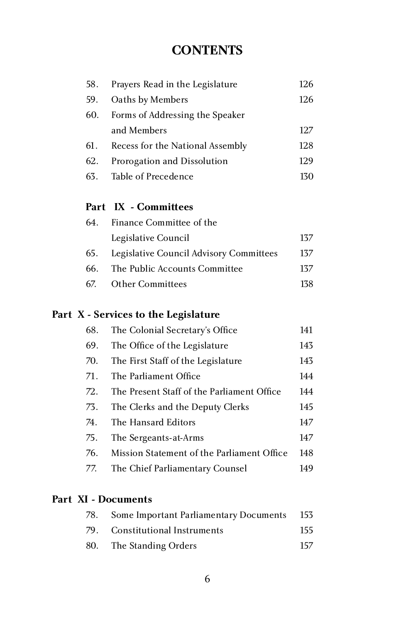| 58. | Prayers Read in the Legislature  | 126 |
|-----|----------------------------------|-----|
| 59. | Oaths by Members                 | 126 |
| 60. | Forms of Addressing the Speaker  |     |
|     | and Members                      | 127 |
| 61. | Recess for the National Assembly | 128 |
| 62. | Prorogation and Dissolution      | 129 |
| 63. | Table of Precedence              |     |
|     |                                  |     |

## **Part IX - Committees**

| 64. | <b>Finance Committee of the</b>             |     |
|-----|---------------------------------------------|-----|
|     | Legislative Council                         | 137 |
|     | 65. Legislative Council Advisory Committees | 137 |
| 66. | The Public Accounts Committee               | 137 |
| 67. | - Other Committees                          | 138 |
|     |                                             |     |

# **Part X - Services to the Legislature**

| 68. | The Colonial Secretary's Office            | 141 |
|-----|--------------------------------------------|-----|
| 69. | The Office of the Legislature              | 143 |
| 70. | The First Staff of the Legislature         | 143 |
| 71. | The Parliament Office                      | 144 |
| 72. | The Present Staff of the Parliament Office | 144 |
| 73. | The Clerks and the Deputy Clerks           | 145 |
| 74. | The Hansard Editors                        | 147 |
| 75. | The Sergeants-at-Arms                      | 147 |
| 76. | Mission Statement of the Parliament Office | 148 |
| 77. | The Chief Parliamentary Counsel            | 149 |
|     |                                            |     |

#### **Part XI - Documents**

| 78. Some Important Parliamentary Documents 153 |     |
|------------------------------------------------|-----|
| 79. Constitutional Instruments                 | 155 |
| 80. The Standing Orders                        | 157 |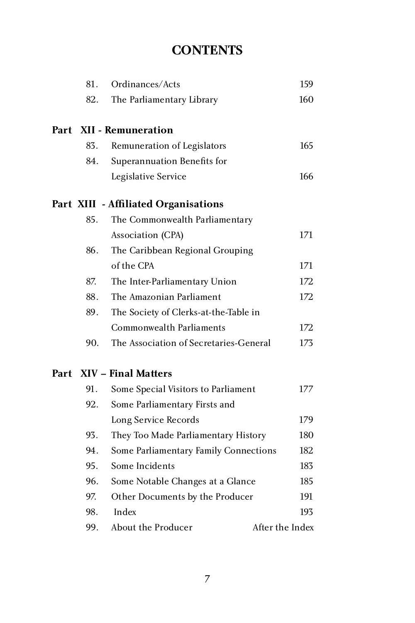| 81. | Ordinances/Acts                        | 159             |
|-----|----------------------------------------|-----------------|
| 82. | The Parliamentary Library              | 160             |
|     | Part XII - Remuneration                |                 |
| 83. | Remuneration of Legislators            | 165             |
| 84. | Superannuation Benefits for            |                 |
|     | Legislative Service                    | 166             |
|     | Part XIII - Affiliated Organisations   |                 |
| 85. | The Commonwealth Parliamentary         |                 |
|     | Association (CPA)                      | 171             |
| 86. | The Caribbean Regional Grouping        |                 |
|     | of the CPA                             | 171             |
| 87. | The Inter-Parliamentary Union          | 172             |
| 88. | The Amazonian Parliament               | 172             |
| 89. | The Society of Clerks-at-the-Table in  |                 |
|     | Commonwealth Parliaments               | 172             |
| 90. | The Association of Secretaries-General | 173             |
|     | <b>Part XIV - Final Matters</b>        |                 |
| 91. | Some Special Visitors to Parliament    | 177             |
| 92. | Some Parliamentary Firsts and          |                 |
|     | Long Service Records                   | 179             |
| 93. | They Too Made Parliamentary History    | 180             |
| 94. | Some Parliamentary Family Connections  | 182             |
| 95. | Some Incidents                         | 183             |
| 96. | Some Notable Changes at a Glance       | 185             |
| 97. | Other Documents by the Producer        | 191             |
| 98. | Index                                  | 193             |
| 99. | About the Producer                     | After the Index |
|     |                                        |                 |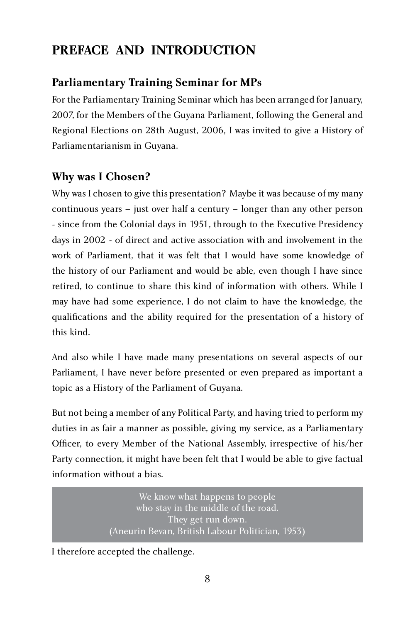# **PREFACE AND INTRODUCTION**

## **Parliamentary Training Seminar for MPs**

For the Parliamentary Training Seminar which has been arranged for January, 2007, for the Members of the Guyana Parliament, following the General and Regional Elections on 28th August, 2006, I was invited to give a History of Parliamentarianism in Guyana.

## **Why was I Chosen?**

Why was I chosen to give this presentation? Maybe it was because of my many continuous years – just over half a century – longer than any other person - since from the Colonial days in 1951, through to the Executive Presidency days in 2002 - of direct and active association with and involvement in the work of Parliament, that it was felt that I would have some knowledge of the history of our Parliament and would be able, even though I have since retired, to continue to share this kind of information with others. While I may have had some experience, I do not claim to have the knowledge, the qualifications and the ability required for the presentation of a history of this kind.

And also while I have made many presentations on several aspects of our Parliament, I have never before presented or even prepared as important a topic as a History of the Parliament of Guyana.

But not being a member of any Political Party, and having tried to perform my duties in as fair a manner as possible, giving my service, as a Parliamentary Officer, to every Member of the National Assembly, irrespective of his/her Party connection, it might have been felt that I would be able to give factual<br>information without a bias information without a bias.

> we know what happens to people who stay in the middle of the road. They get run down. (Aneurin Bevan, British Labour Politician, 1953)

I therefore accepted the challenge.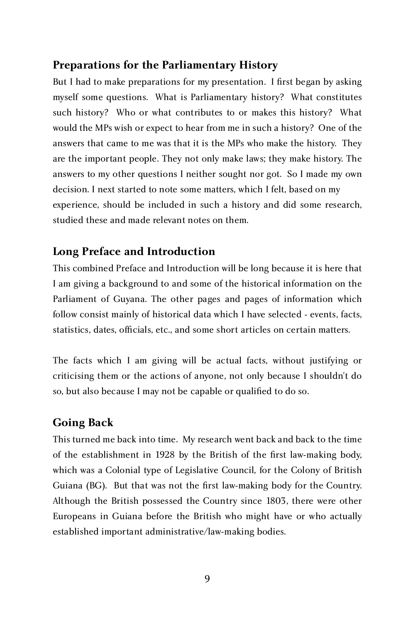#### **Preparations for the Parliamentary History**

But I had to make preparations for my presentation. I first began by asking myself some questions. What is Parliamentary history? What constitutes such history? Who or what contributes to or makes this history? What would the MPs wish or expect to hear from me in such a history? One of the answers that came to me was that it is the MPs who make the history. They are the important people. They not only make laws; they make history. The answers to my other questions I neither sought nor got. So I made my own decision. I next started to note some matters, which I felt, based on my experience, should be included in such a history and did some research, studied these and made relevant notes on them.

#### **Long Preface and Introduction**

This combined Preface and Introduction will be long because it is here that I am giving a background to and some of the historical information on the Parliament of Guyana. The other pages and pages of information which follow consist mainly of historical data which I have selected - events, facts, statistics, dates, officials, etc., and some short articles on certain matters.

The facts which I am giving will be actual facts, without justifying or criticising them or the actions of anyone, not only because I shouldn't do so, but also because I may not be capable or qualified to do so.

#### **Going Back**

This turned me back into time. My research went back and back to the time of the establishment in 1928 by the British of the first law-making body, which was a Colonial type of Legislative Council, for the Colony of British Guiana (BG). But that was not the first law-making body for the Country. Although the British possessed the Country since 1803, there were other Europeans in Guiana before the British who might have or who actually established important administrative/law-making bodies.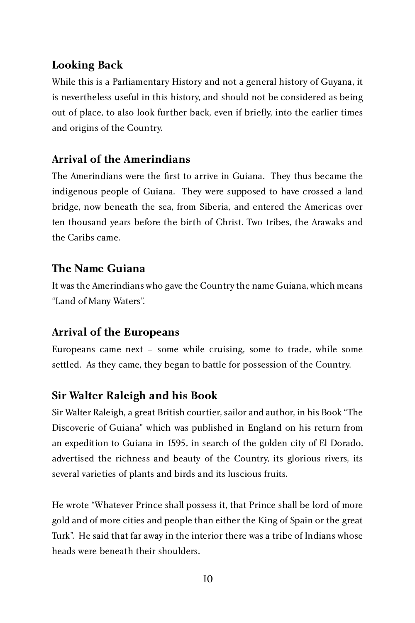## **Looking Back**

While this is a Parliamentary History and not a general history of Guyana, it is nevertheless useful in this history, and should not be considered as being out of place, to also look further back, even if briefly, into the earlier times and origins of the Country.

## **Arrival of the Amerindians**

The Amerindians were the first to arrive in Guiana. They thus became the indigenous people of Guiana. They were supposed to have crossed a land bridge, now beneath the sea, from Siberia, and entered the Americas over ten thousand years before the birth of Christ. Two tribes, the Arawaks and the Caribs came.

#### **The Name Guiana**

It was the Amerindians who gave the Country the name Guiana, which means "Land of Many Waters".

#### **Arrival of the Europeans**

Europeans came next – some while cruising, some to trade, while some settled. As they came, they began to battle for possession of the Country.

#### **Sir Walter Raleigh and his Book**

Sir Walter Raleigh, a great British courtier, sailor and author, in his Book "The Discoverie of Guiana" which was published in England on his return from an expedition to Guiana in 1595, in search of the golden city of El Dorado, advertised the richness and beauty of the Country, its glorious rivers, its several varieties of plants and birds and its luscious fruits.

He wrote "Whatever Prince shall possess it, that Prince shall be lord of more gold and of more cities and people than either the King of Spain or the great Turk". He said that far away in the interior there was a tribe of Indians whose<br>heads were beneath their shoulders heads were beneath their shoulders.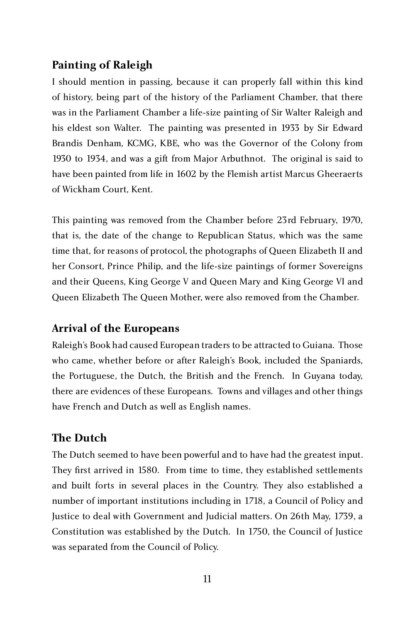## **Painting of Raleigh**

I should mention in passing, because it can properly fall within this kind of history, being part of the history of the Parliament Chamber, that there was in the Parliament Chamber a life-size painting of Sir Walter Raleigh and his eldest son Walter. The painting was presented in 1933 by Sir Edward Brandis Denham, KCMG, KBE, who was the Governor of the Colony from 1930 to 1934, and was a gift from Major Arbuthnot. The original is said to have been painted from life in 1602 by the Flemish artist Marcus Gheeraerts of Wickham Court, Kent.

This painting was removed from the Chamber before 23rd February, 1970, that is, the date of the change to Republican Status, which was the same time that, for reasons of protocol, the photographs of Queen Elizabeth II and her Consort, Prince Philip, and the life-size paintings of former Sovereigns and their Queens, King George V and Queen Mary and King George VI and Queen Elizabeth The Queen Mother, were also removed from the Chamber.

#### **Arrival of the Europeans**

Raleigh's Book had caused European traders to be attracted to Guiana. Those who came, whether before or after Raleigh's Book, included the Spaniards, the Portuguese, the Dutch, the British and the French. In Guyana today, there are evidences of these Europeans. Towns and villages and other things have French and Dutch as well as English names.

#### **The Dutch**

The Dutch seemed to have been powerful and to have had the greatest input. They first arrived in 1580. From time to time, they established settlements and built forts in several places in the Country. They also established a number of important institutions including in 1718, a Council of Policy and Justice to deal with Government and Judicial matters. On 26th May, 1739, a Constitution was established by the Dutch. In 1750, the Council of Justice was separated from the Council of Policy.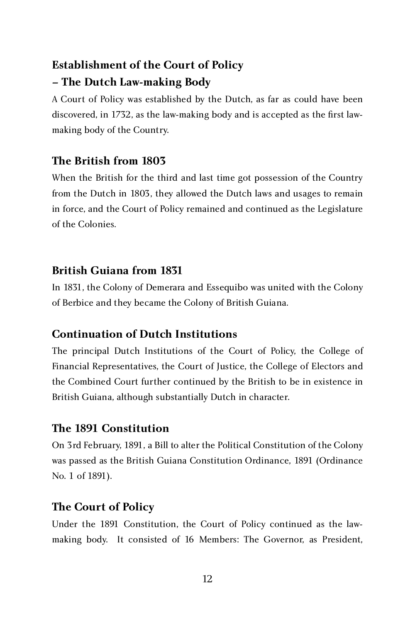# **Establishment of the Court of Policy – The Dutch Law-making Body**

A Court of Policy was established by the Dutch, as far as could have been discovered, in 1732, as the law-making body and is accepted as the first lawmaking body of the Country.

# **The British from 1803**

When the British for the third and last time got possession of the Country from the Dutch in 1803, they allowed the Dutch laws and usages to remain in force, and the Court of Policy remained and continued as the Legislature of the Colonies.

## **British Guiana from 1831**

In 1831, the Colony of Demerara and Essequibo was united with the Colony of Berbice and they became the Colony of British Guiana.

#### **Continuation of Dutch Institutions**

The principal Dutch Institutions of the Court of Policy, the College of Financial Representatives, the Court of Justice, the College of Electors and the Combined Court further continued by the British to be in existence in British Guiana, although substantially Dutch in character.

#### **The 1891 Constitution**

On 3rd February, 1891, a Bill to alter the Political Constitution of the Colony was passed as the British Guiana Constitution Ordinance, 1891 (Ordinance No. 1 of 1891).

## **The Court of Policy**

Under the 1891 Constitution, the Court of Policy continued as the lawmaking body. It consisted of 16 Members: The Governor, as President,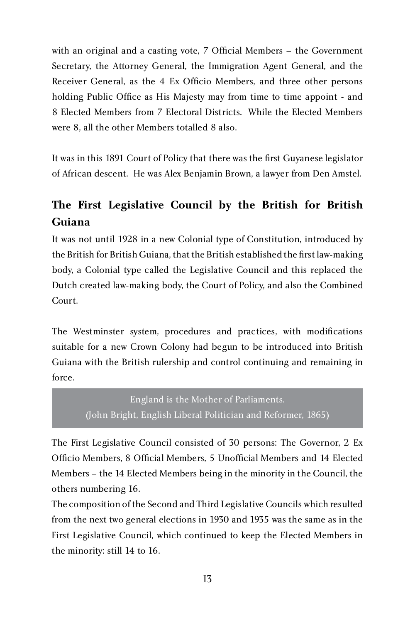with an original and a casting vote, 7 Official Members – the Government Secretary, the Attorney General, the Immigration Agent General, and the Receiver General, as the 4 Ex Officio Members, and three other persons holding Public Office as His Majesty may from time to time appoint - and 8 Elected Members from 7 Electoral Districts. While the Elected Members were 8, all the other Members totalled 8 also.

It was in this 1891 Court of Policy that there was the first Guyanese legislator of African descent. He was Alex Benjamin Brown, a lawyer from Den Amstel.

# **The First Legislative Council by the British for British Guiana**

It was not until 1928 in a new Colonial type of Constitution, introduced by the British for British Guiana, that the British established the first law-making body, a Colonial type called the Legislative Council and this replaced the Dutch created law-making body, the Court of Policy, and also the Combined Court.

The Westminster system, procedures and practices, with modifications suitable for a new Crown Colony had begun to be introduced into British Guiana with the British rulership and control continuing and remaining in force.

> England is the Mother of Parliaments. (John Bright, English Liberal Politician and Reformer, 1865)

The First Legislative Council consisted of 30 persons: The Governor, 2 Ex Officio Members, 8 Official Members, 5 Unofficial Members and 14 Elected Members – the 14 Elected Members being in the minority in the Council, the others numbering 16.

The composition of the Second and Third Legislative Councils which resulted from the next two general elections in 1930 and 1935 was the same as in the First Legislative Council, which continued to keep the Elected Members in the minority: still 14 to 16.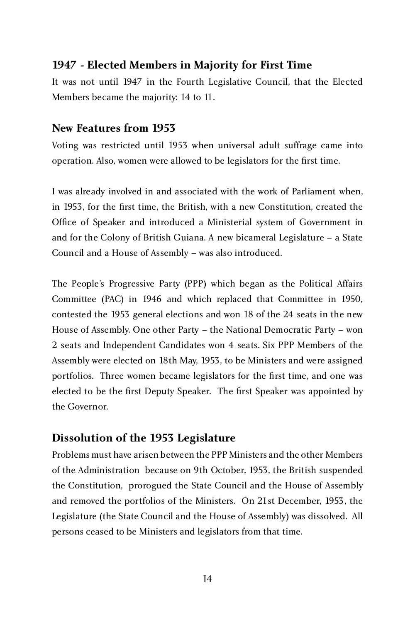#### **1947 - Elected Members in Majority for First Time**

It was not until 1947 in the Fourth Legislative Council, that the Elected Members became the majority: 14 to 11.

#### **New Features from 1953**

Voting was restricted until 1953 when universal adult suffrage came into operation. Also, women were allowed to be legislators for the first time.

I was already involved in and associated with the work of Parliament when, in 1953, for the first time, the British, with a new Constitution, created the Office of Speaker and introduced a Ministerial system of Government in and for the Colony of British Guiana. A new bicameral Legislature – a State Council and a House of Assembly – was also introduced.

The People's Progressive Party (PPP) which began as the Political Affairs Committee (PAC) in 1946 and which replaced that Committee in 1950, contested the 1953 general elections and won 18 of the 24 seats in the new House of Assembly. One other Party – the National Democratic Party – won 2 seats and Independent Candidates won 4 seats. Six PPP Members of the Assembly were elected on 18th May, 1953, to be Ministers and were assigned portfolios. Three women became legislators for the first time, and one was elected to be the first Deputy Speaker. The first Speaker was appointed by the Governor.

#### **Dissolution of the 1953 Legislature**

Problems must have arisen between the PPP Ministers and the other Members of the Administration because on 9th October, 1953, the British suspended the Constitution, prorogued the State Council and the House of Assembly and removed the portfolios of the Ministers. On 21st December, 1953, the Legislature (the State Council and the House of Assembly) was dissolved. All persons ceased to be Ministers and legislators from that time.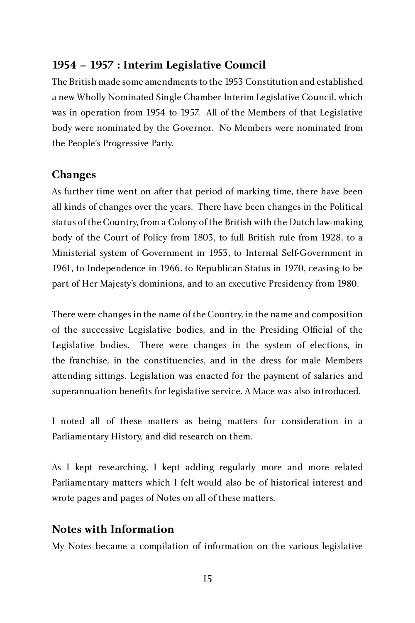#### **1954 – 1957 : Interim Legislative Council**

The British made some amendments to the 1953 Constitution and established a new Wholly Nominated Single Chamber Interim Legislative Council, which was in operation from 1954 to 1957. All of the Members of that Legislative body were nominated by the Governor. No Members were nominated from the People's Progressive Party.

#### **Changes**

As further time went on after that period of marking time, there have been all kinds of changes over the years. There have been changes in the Political status of the Country, from a Colony of the British with the Dutch law-making body of the Court of Policy from 1803, to full British rule from 1928, to a Ministerial system of Government in 1953, to Internal Self-Government in 1961, to Independence in 1966, to Republican Status in 1970, ceasing to be part of Her Majesty's dominions, and to an executive Presidency from 1980.

There were changes in the name of the Country, in the name and composition of the successive Legislative bodies, and in the Presiding Official of the Legislative bodies. There were changes in the system of elections, in the franchise, in the constituencies, and in the dress for male Members attending sittings. Legislation was enacted for the payment of salaries and superannuation benefits for legislative service. A Mace was also introduced.

I noted all of these matters as being matters for consideration in a Parliamentary History, and did research on them.

As I kept researching, I kept adding regularly more and more related Parliamentary matters which I felt would also be of historical interest and wrote pages and pages of Notes on all of these matters.

#### **Notes with Information**

My Notes became a compilation of information on the various legislative

15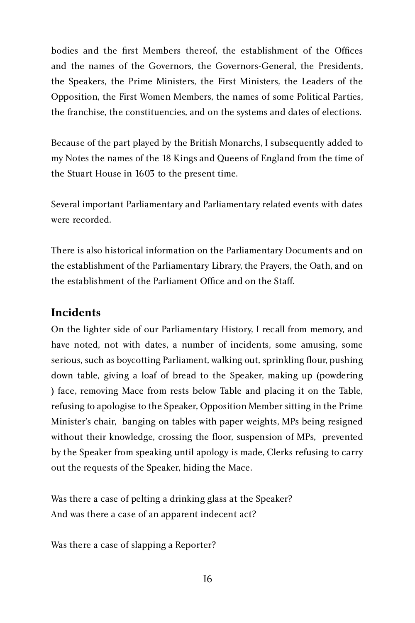bodies and the first Members thereof, the establishment of the Offices and the names of the Governors, the Governors-General, the Presidents, the Speakers, the Prime Ministers, the First Ministers, the Leaders of the Opposition, the First Women Members, the names of some Political Parties, the franchise, the constituencies, and on the systems and dates of elections.

Because of the part played by the British Monarchs, I subsequently added to my Notes the names of the 18 Kings and Queens of England from the time of the Stuart House in 1603 to the present time.

Several important Parliamentary and Parliamentary related events with dates were recorded.

There is also historical information on the Parliamentary Documents and on the establishment of the Parliamentary Library, the Prayers, the Oath, and on the establishment of the Parliament Office and on the Staff.

#### **Incidents**

On the lighter side of our Parliamentary History, I recall from memory, and have noted, not with dates, a number of incidents, some amusing, some serious, such as boycotting Parliament, walking out, sprinkling flour, pushing down table, giving a loaf of bread to the Speaker, making up (powdering ) face, removing Mace from rests below Table and placing it on the Table, refusing to apologise to the Speaker, Opposition Member sitting in the Prime Minister's chair, banging on tables with paper weights, MPs being resigned without their knowledge, crossing the floor, suspension of MPs, prevented by the Speaker from speaking until apology is made, Clerks refusing to carry out the requests of the Speaker, hiding the Mace.

Was there a case of pelting a drinking glass at the Speaker? And was there a case of an apparent indecent act?

Was there a case of slapping a Reporter?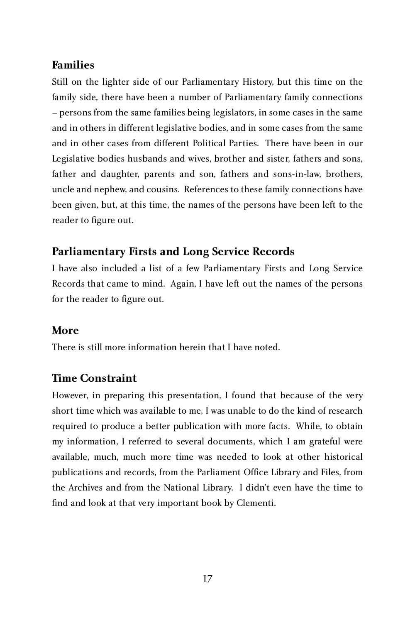## **Families**

Still on the lighter side of our Parliamentary History, but this time on the family side, there have been a number of Parliamentary family connections – persons from the same families being legislators, in some cases in the same and in others in different legislative bodies, and in some cases from the same and in other cases from different Political Parties. There have been in our Legislative bodies husbands and wives, brother and sister, fathers and sons, father and daughter, parents and son, fathers and sons-in-law, brothers, uncle and nephew, and cousins. References to these family connections have been given, but, at this time, the names of the persons have been left to the reader to figure out.

## **Parliamentary Firsts and Long Service Records**

I have also included a list of a few Parliamentary Firsts and Long Service Records that came to mind. Again, I have left out the names of the persons for the reader to figure out.

#### **More**

There is still more information herein that I have noted.

#### **Time Constraint**

However, in preparing this presentation, I found that because of the very short time which was available to me, I was unable to do the kind of research required to produce a better publication with more facts. While, to obtain my information, I referred to several documents, which I am grateful were available, much, much more time was needed to look at other historical publications and records, from the Parliament Office Library and Files, from the Archives and from the National Library. I didn't even have the time to find and look at that very important book by Clementi.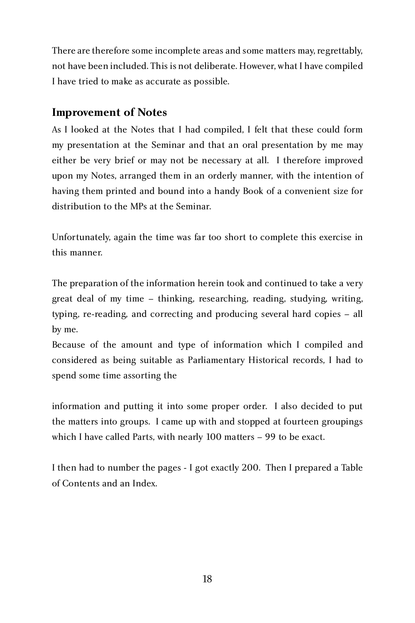There are therefore some incomplete areas and some matters may, regrettably, not have been included. This is not deliberate. However, what I have compiled I have tried to make as accurate as possible.

### **Improvement of Notes**

As I looked at the Notes that I had compiled, I felt that these could form my presentation at the Seminar and that an oral presentation by me may either be very brief or may not be necessary at all. I therefore improved upon my Notes, arranged them in an orderly manner, with the intention of having them printed and bound into a handy Book of a convenient size for distribution to the MPs at the Seminar.

Unfortunately, again the time was far too short to complete this exercise in this manner.

The preparation of the information herein took and continued to take a very great deal of my time – thinking, researching, reading, studying, writing, typing, re-reading, and correcting and producing several hard copies – all by me.

Because of the amount and type of information which I compiled and considered as being suitable as Parliamentary Historical records, I had to spend some time assorting the

information and putting it into some proper order. I also decided to put the matters into groups. I came up with and stopped at fourteen groupings which I have called Parts, with nearly 100 matters – 99 to be exact.

I then had to number the pages - I got exactly 200. Then I prepared a Table of Contents and an Index.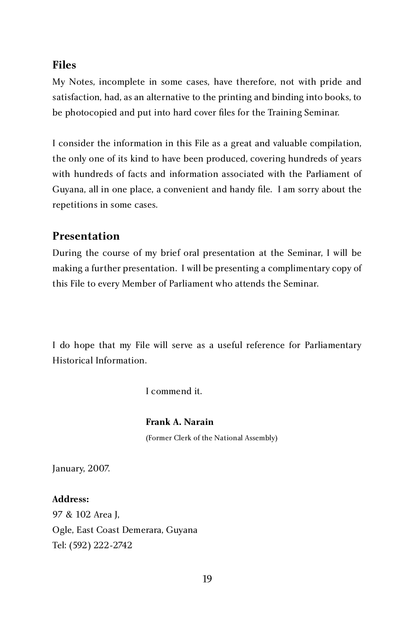#### **Files**

My Notes, incomplete in some cases, have therefore, not with pride and satisfaction, had, as an alternative to the printing and binding into books, to be photocopied and put into hard cover files for the Training Seminar.

I consider the information in this File as a great and valuable compilation, the only one of its kind to have been produced, covering hundreds of years with hundreds of facts and information associated with the Parliament of Guyana, all in one place, a convenient and handy file. I am sorry about the repetitions in some cases.

#### **Presentation**

During the course of my brief oral presentation at the Seminar, I will be making a further presentation. I will be presenting a complimentary copy of this File to every Member of Parliament who attends the Seminar.

I do hope that my File will serve as a useful reference for Parliamentary<br>Historical Information Historical Information.

I commend it.

#### **Frank A. Narain**

(Former Clerk of the National Assembly)

January, 2007.

# **Address:**

97 & 102 Area J, Ogle, East Coast Demerara, Guyana Tel: (592) 222-2742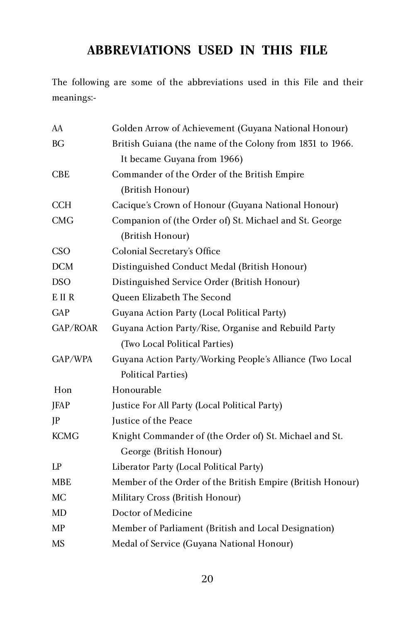# **ABBREVIATIONS USED IN THIS FILE**

The following are some of the abbreviations used in this File and their meanings:-

| AA          | Golden Arrow of Achievement (Guyana National Honour)                              |
|-------------|-----------------------------------------------------------------------------------|
| BG          | British Guiana (the name of the Colony from 1831 to 1966.                         |
|             | It became Guyana from 1966)                                                       |
| <b>CBE</b>  | Commander of the Order of the British Empire                                      |
|             | (British Honour)                                                                  |
| <b>CCH</b>  | Cacique's Crown of Honour (Guyana National Honour)                                |
| <b>CMG</b>  | Companion of (the Order of) St. Michael and St. George                            |
|             | (British Honour)                                                                  |
| <b>CSO</b>  | Colonial Secretary's Office                                                       |
| <b>DCM</b>  | Distinguished Conduct Medal (British Honour)                                      |
| <b>DSO</b>  | Distinguished Service Order (British Honour)                                      |
| E II R      | Queen Elizabeth The Second                                                        |
| <b>GAP</b>  | Guyana Action Party (Local Political Party)                                       |
| GAP/ROAR    | Guyana Action Party/Rise, Organise and Rebuild Party                              |
|             | (Two Local Political Parties)                                                     |
| GAP/WPA     | Guyana Action Party/Working People's Alliance (Two Local                          |
|             | <b>Political Parties)</b>                                                         |
| Hon         | Honourable                                                                        |
| JFAP        | Justice For All Party (Local Political Party)                                     |
| JP          | Justice of the Peace                                                              |
| <b>KCMG</b> | Knight Commander of (the Order of) St. Michael and St.<br>George (British Honour) |
| LP          | Liberator Party (Local Political Party)                                           |
| MBE         | Member of the Order of the British Empire (British Honour)                        |
| МC          | Military Cross (British Honour)                                                   |
| MD          | Doctor of Medicine                                                                |
| MP          | Member of Parliament (British and Local Designation)                              |
| MS          | Medal of Service (Guyana National Honour)                                         |
|             |                                                                                   |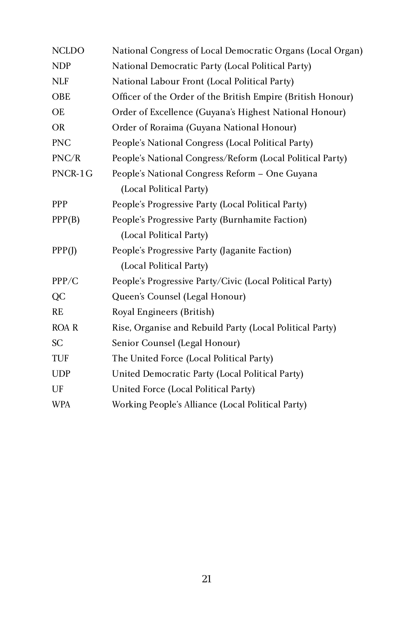| <b>NCLDO</b> | National Congress of Local Democratic Organs (Local Organ)  |  |
|--------------|-------------------------------------------------------------|--|
| <b>NDP</b>   | National Democratic Party (Local Political Party)           |  |
| <b>NLF</b>   | National Labour Front (Local Political Party)               |  |
| OBE          | Officer of the Order of the British Empire (British Honour) |  |
| OE           | Order of Excellence (Guyana's Highest National Honour)      |  |
| <b>OR</b>    | Order of Roraima (Guyana National Honour)                   |  |
| <b>PNC</b>   | People's National Congress (Local Political Party)          |  |
| PNC/R        | People's National Congress/Reform (Local Political Party)   |  |
| PNCR-1G      | People's National Congress Reform - One Guyana              |  |
|              | (Local Political Party)                                     |  |
| <b>PPP</b>   | People's Progressive Party (Local Political Party)          |  |
| PPP(B)       | People's Progressive Party (Burnhamite Faction)             |  |
|              | (Local Political Party)                                     |  |
| PPP(J)       | People's Progressive Party (Jaganite Faction)               |  |
|              | (Local Political Party)                                     |  |
| PPP/C        | People's Progressive Party/Civic (Local Political Party)    |  |
| QC           | Queen's Counsel (Legal Honour)                              |  |
| RE           | Royal Engineers (British)                                   |  |
| <b>ROAR</b>  | Rise, Organise and Rebuild Party (Local Political Party)    |  |
| <b>SC</b>    | Senior Counsel (Legal Honour)                               |  |
| TUF          | The United Force (Local Political Party)                    |  |
| <b>UDP</b>   | United Democratic Party (Local Political Party)             |  |
| UF           | United Force (Local Political Party)                        |  |
| <b>WPA</b>   | Working People's Alliance (Local Political Party)           |  |
|              |                                                             |  |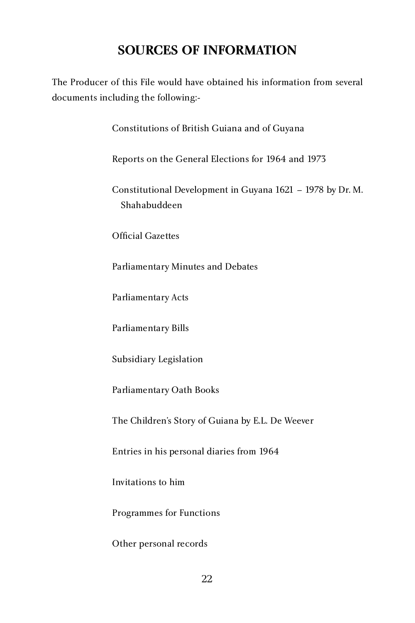# **SOURCES OF INFORMATION**

The Producer of this File would have obtained his information from several documents including the following:-

Constitutions of British Guiana and of Guyana

Reports on the General Elections for 1964 and 1973

Constitutional Development in Guyana 1621 – 1978 by Dr. M. Shahabuddeen

Official Gazettes

Parliamentary Minutes and Debates

Parliamentary Acts

Parliamentary Bills

Subsidiary Legislation

Parliamentary Oath Books

The Children's Story of Guiana by E.L. De Weever

Entries in his personal diaries from 1964

Invitations to him

Programmes for Functions

Other personal records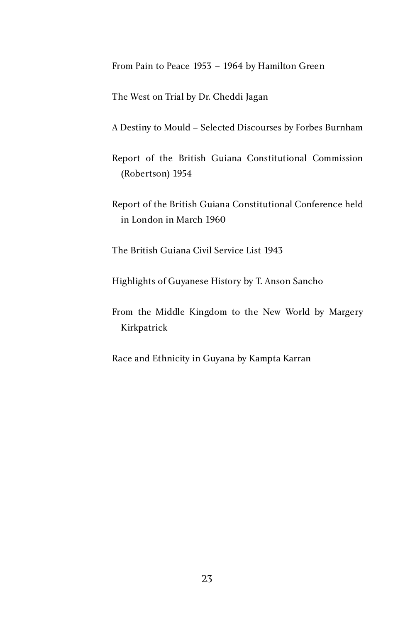From Pain to Peace 1953 – 1964 by Hamilton Green

The West on Trial by Dr. Cheddi Jagan

A Destiny to Mould – Selected Discourses by Forbes Burnham

Report of the British Guiana Constitutional Commission (Robertson) 1954

Report of the British Guiana Constitutional Conference held in London in March 1960

The British Guiana Civil Service List 1943

Highlights of Guyanese History by T. Anson Sancho

From the Middle Kingdom to the New World by Margery Kirkpatrick

Race and Ethnicity in Guyana by Kampta Karran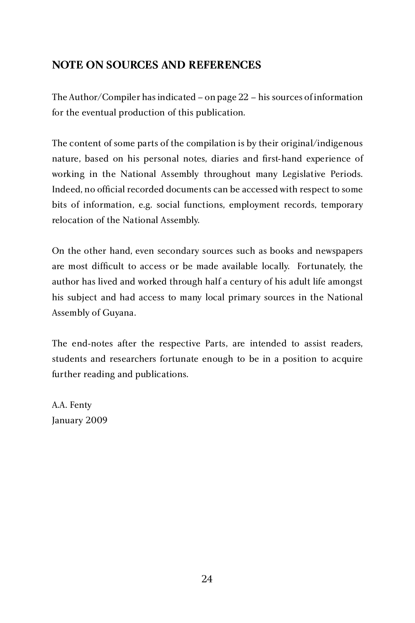## **NOTE ON SOURCES AND REFERENCES**

The Author/Compiler has indicated – on page 22 – his sources of information for the eventual production of this publication.

The content of some parts of the compilation is by their original/indigenous nature, based on his personal notes, diaries and first-hand experience of working in the National Assembly throughout many Legislative Periods. Indeed, no official recorded documents can be accessed with respect to some bits of information, e.g. social functions, employment records, temporary relocation of the National Assembly.

On the other hand, even secondary sources such as books and newspapers are most difficult to access or be made available locally. Fortunately, the author has lived and worked through half a century of his adult life amongst his subject and had access to many local primary sources in the National Assembly of Guyana.

The end-notes after the respective Parts, are intended to assist readers, students and researchers fortunate enough to be in a position to acquire further reading and publications.

A.A. Fenty January 2009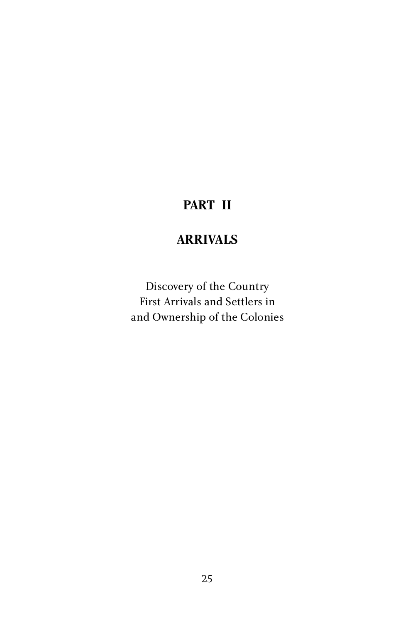# **PART II**

# **ARRIVALS**

Discovery of the Country<br>First Arrivals and Settlers in First Arrivals and Settlers in and Ownership of the Colonies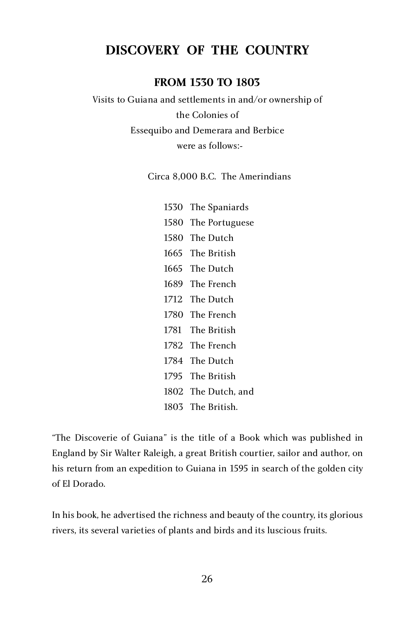## **DISCOVERY OF THE COUNTRY**

# **FROM 1530 TO 1803**

Visits to Guiana and settlements in and/or ownership of the Colonies of Essequibo and Demerara and Berbice were as follows.

Circa 8,000 B.C. The Amerindians

 The Spaniards The Portuguese The Dutch The British The Dutch The French The Dutch The French The British The French 1784 The Dutch<br>1795 The British  $1/22$  The British The Dutch, and The British.

"The Discoverie of Guiana" is the title of a Book which was published in England by Sir Walter Raleigh, a great British courtier, sailor and author, on his return from an expedition to Guiana in 1595 in search of the golden city of El Dorado.

In his book, he advertised the richness and beauty of the country, its glorious rivers, its several varieties of plants and birds and its luscious fruits.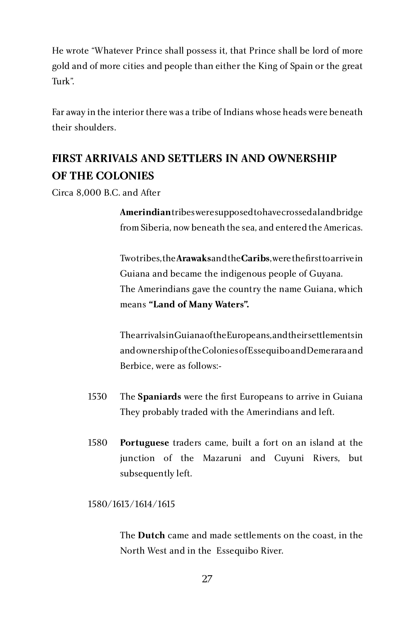He wrote "Whatever Prince shall possess it, that Prince shall be lord of more gold and of more cities and people than either the King of Spain or the great Turk".

Far away in the interior there was a tribe of Indians whose heads were beneath their shoulders.

# **FIRST ARRIVALS AND SETTLERS IN AND OWNERSHIP OF THE COLONIES**

Circa 8,000 B.C. and After

 **Amerindian** tribes were supposed to have crossed a land bridge from Siberia, now beneath the sea, and entered the Americas.

 Two tribes, the **Arawaks** and the **Caribs**, were the first to arrive in Guiana and became the indigenous people of Guyana. The Amerindians gave the country the name Guiana, which means **"Land of Many Waters".**

 The arrivals in Guiana of the Europeans, and their settlements in and ownership of the Colonies of Essequibo and Demerara and<br>Berbice, were as follows:-Berbice, were as follows:-

- 1530 The **Spaniards** were the first Europeans to arrive in Guiana They probably traded with the Amerindians and left.
- 1580 **Portuguese** traders came, built a fort on an island at the junction of the Mazaruni and Cuyuni Rivers, but subsequently left.

#### 1580/1613/1614/1615

 The **Dutch** came and made settlements on the coast, in the North West and in the Essequibo River.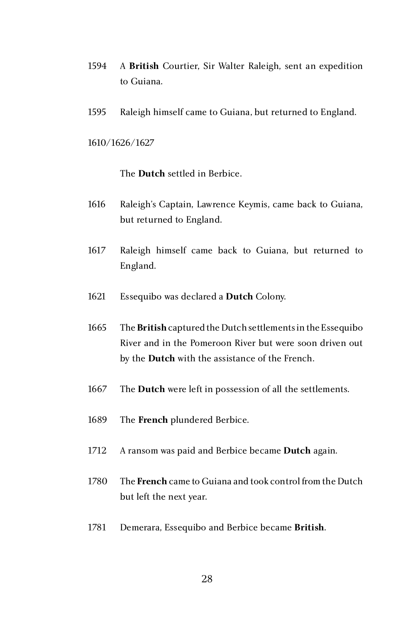- 1594 A **British** Courtier, Sir Walter Raleigh, sent an expedition to Guiana.
	- 1595 Raleigh himself came to Guiana, but returned to England.

1610/1626/1627

The **Dutch** settled in Berbice.

- 1616 Raleigh's Captain, Lawrence Keymis, came back to Guiana, but returned to England.
- 1617 Raleigh himself came back to Guiana, but returned to England.
	- 1621 Essequibo was declared a **Dutch** Colony.
	- 1665 The **British** captured the Dutch settlements in the Essequibo River and in the Pomeroon River but were soon driven out by the **Dutch** with the assistance of the French.
	- 1667 The **Dutch** were left in possession of all the settlements.
	- 1689 The **French** plundered Berbice.
	- 1712 A ransom was paid and Berbice became **Dutch** again.
	- 1780 The **French** came to Guiana and took control from the Dutch but left the next year.
	- 1781 Demerara, Essequibo and Berbice became **British**.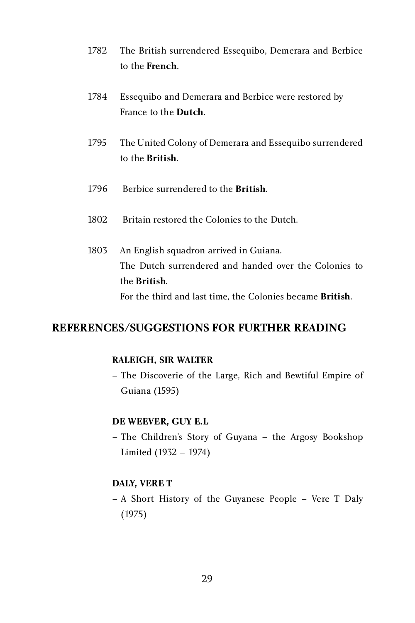- 1782 The British surrendered Essequibo, Demerara and Berbice<br>to the French. to the **French**.
- 1784 Essequibo and Demerara and Berbice were restored by<br>France to the **Dutch**. France to the **Dutch**.
- 1795 The United Colony of Demerara and Essequibo surrendered<br>to the **British**. to the **British**.
	- 1796 Berbice surrendered to the **British**.
	- 1802 Britain restored the Colonies to the Dutch.
- 1803 An English squadron arrived in Guiana.<br>The Dutch surrendered and handed over the Colonies to The Dutch surrendered and handed over the Colonies to the **British**. For the third and last time, the Colonies became **British**.

#### **REFERENCES/SUGGESTIONS FOR FURTHER READING**

#### **RALEIGH, SIR WALTER**

– The Discoverie of the Large, Rich and Bewtiful Empire of Guiana (1595)

#### **DE WEEVER, GUY E.L**

– The Children's Story of Guyana – the Argosy Bookshop Limited (1932 – 1974)

#### **DALY, VERE T**

– A Short History of the Guyanese People – Vere T Daly (1975)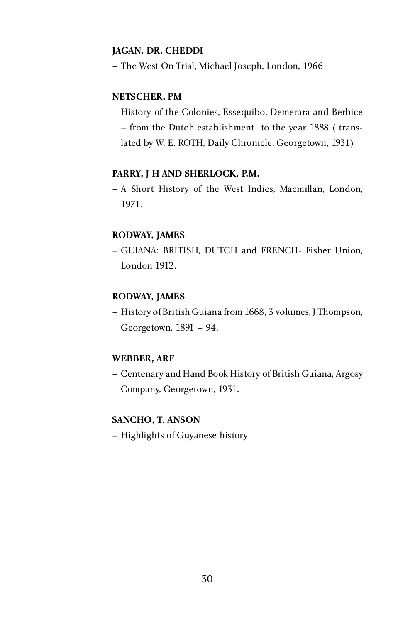#### **JAGAN, DR. CHEDDI**

– The West On Trial, Michael Joseph, London, 1966

#### **NETSCHER, PM**

– History of the Colonies, Essequibo, Demerara and Berbice – from the Dutch establishment to the year 1888 ( translated by W. E. ROTH, Daily Chronicle, Georgetown, 1931)

#### **PARRY, J H AND SHERLOCK, P.M.**

– A Short History of the West Indies, Macmillan, London, 1971.

#### **RODWAY, JAMES**

– GUIANA: BRITISH, DUTCH and FRENCH- Fisher Union, London 1912.

#### **RODWAY, JAMES**

– History of British Guiana from 1668, 3 volumes, J Thompson, Georgetown, 1891 – 94.

#### **WEBBER, ARF**

– Centenary and Hand Book History of British Guiana, Argosy Company, Georgetown, 1931.

#### **SANCHO, T. ANSON**

– Highlights of Guyanese history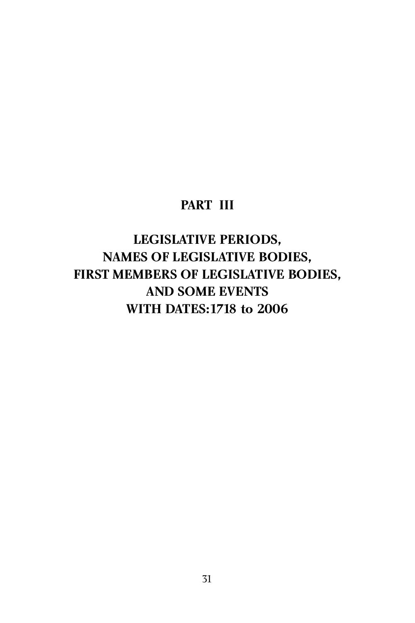# **PART III**

# **LEGIOLATIVE L'ENTODS,**<br>Es ofit doisi imite don **NAMES OF LEGISLATIVE BODIES, FIRST MEMBERS OF LEGISLATIVE BODIES,<br>AND SOME EVENTS AND SOME EVENTS WITH DATES:1718 to 2006**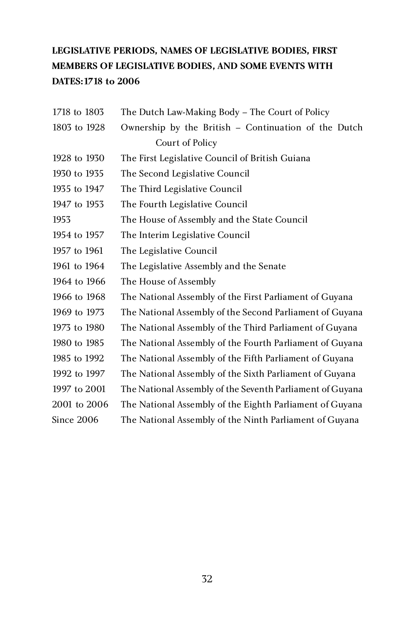## **LEGISLATIVE PERIODS, NAMES OF LEGISLATIVE BODIES, FIRST MEMBERS OF LEGISLATIVE BODIES, AND SOME EVENTS WITH DATES:1718 to 2006**

| 1718 to 1803      | The Dutch Law-Making Body - The Court of Policy           |
|-------------------|-----------------------------------------------------------|
| 1803 to 1928      | Ownership by the British - Continuation of the Dutch      |
|                   | Court of Policy                                           |
| 1928 to 1930      | The First Legislative Council of British Guiana           |
| 1930 to 1935      | The Second Legislative Council                            |
| 1935 to 1947      | The Third Legislative Council                             |
| 1947 to 1953      | The Fourth Legislative Council                            |
| 1953              | The House of Assembly and the State Council               |
| 1954 to 1957      | The Interim Legislative Council                           |
| 1957 to 1961      | The Legislative Council                                   |
| 1961 to 1964      | The Legislative Assembly and the Senate                   |
| 1964 to 1966      | The House of Assembly                                     |
| 1966 to 1968      | The National Assembly of the First Parliament of Guyana   |
| 1969 to 1973      | The National Assembly of the Second Parliament of Guyana  |
| 1973 to 1980      | The National Assembly of the Third Parliament of Guyana   |
| 1980 to 1985      | The National Assembly of the Fourth Parliament of Guyana  |
| 1985 to 1992      | The National Assembly of the Fifth Parliament of Guyana   |
| 1992 to 1997      | The National Assembly of the Sixth Parliament of Guyana   |
| 1997 to 2001      | The National Assembly of the Seventh Parliament of Guyana |
| 2001 to 2006      | The National Assembly of the Eighth Parliament of Guyana  |
| <b>Since 2006</b> | The National Assembly of the Ninth Parliament of Guyana   |
|                   |                                                           |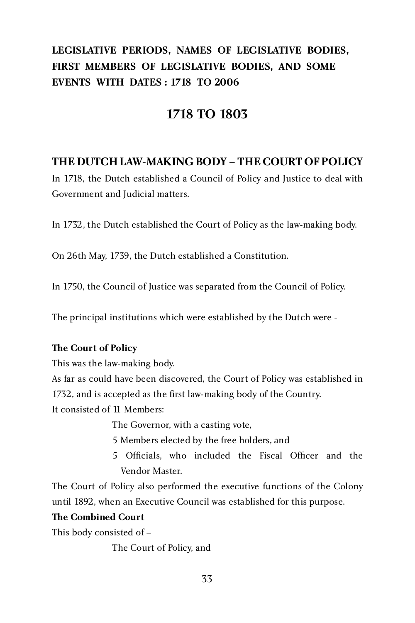# **LEGISLATIVE PERIODS, NAMES OF LEGISLATIVE BODIES, FIRST MEMBERS OF LEGISLATIVE BODIES, AND SOME EVENTS WITH DATES : 1718 TO 2006**

# **1718 TO 1803**

## **THE DUTCH LAW-MAKING BODY – THE COURT OF POLICY**

In 1718, the Dutch established a Council of Policy and Justice to deal with Government and Judicial matters.

In 1732, the Dutch established the Court of Policy as the law-making body.

On 26th May, 1739, the Dutch established a Constitution.

In 1750, the Council of Justice was separated from the Council of Policy.

The principal institutions which were established by the Dutch were -

#### **The Court of Policy**

This was the law-making body.

As far as could have been discovered, the Court of Policy was established in 1732, and is accepted as the first law-making body of the Country.<br>It consisted of 11 Members:

It consisted of 11 Members:

The Governor, with a casting vote,

5 Members elected by the free holders, and

5 Officials, who included the Fiscal Officer and the Vendor Master.

The Court of Policy also performed the executive functions of the Colony until 1892, when an Executive Council was established for this purpose.

#### **The Combined Court**

This body consisted of –

The Court of Policy, and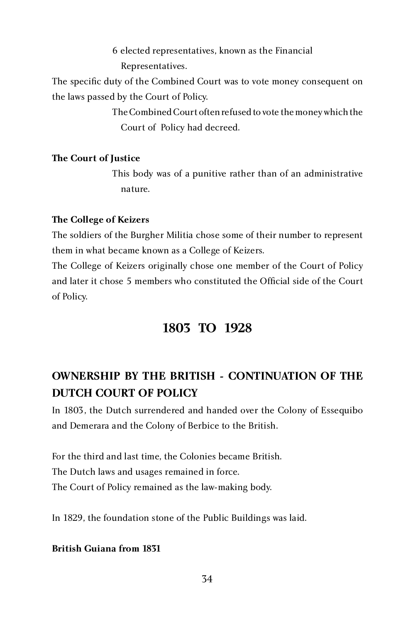6 elected representatives, known as the Financial Representatives.

The specific duty of the Combined Court was to vote money consequent on the laws passed by the Court of Policy.

> The Combined Court often refused to vote the money which the Court of Policy had decreed.

#### **The Court of Justice**

This body was of a punitive rather than of an administrative nature.

#### **The College of Keizers**

The soldiers of the Burgher Militia chose some of their number to represent them in what became known as a College of Keizers.

The College of Keizers originally chose one member of the Court of Policy and later it chose 5 members who constituted the Official side of the Court of Policy.

## **1803 TO 1928**

# **OWNERSHIP BY THE BRITISH - CONTINUATION OF THE DUTCH COURT OF POLICY**

In 1803, the Dutch surrendered and handed over the Colony of Essequibo and Demerara and the Colony of Berbice to the British.

For the third and last time, the Colonies became British. The Dutch laws and usages remained in force. The Court of Policy remained as the law-making body.

In 1829, the foundation stone of the Public Buildings was laid.

#### **British Guiana from 1831**

34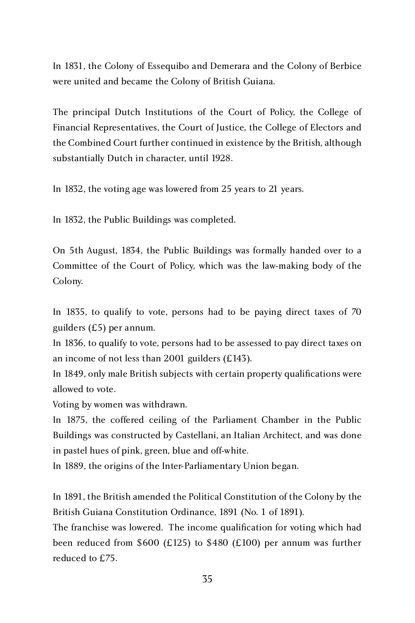In 1831, the Colony of Essequibo and Demerara and the Colony of Berbice were united and became the Colony of British Guiana.

The principal Dutch Institutions of the Court of Policy, the College of Financial Representatives, the Court of Justice, the College of Electors and the Combined Court further continued in existence by the British, although substantially Dutch in character, until 1928.

In 1832, the voting age was lowered from 25 years to 21 years.

In 1832, the Public Buildings was completed.

On 5th August, 1834, the Public Buildings was formally handed over to a Committee of the Court of Policy, which was the law-making body of the Colony.

In 1835, to qualify to vote, persons had to be paying direct taxes of 70 guilders (£5) per annum.

In 1836, to qualify to vote, persons had to be assessed to pay direct taxes on an income of not less than 2001 guilders (£143).

In 1849, only male British subjects with certain property qualifications were allowed to vote.

Voting by women was withdrawn.

In 1875, the coffered ceiling of the Parliament Chamber in the Public Buildings was constructed by Castellani, an Italian Architect, and was done in pastel hues of pink, green, blue and off-white.

In 1889, the origins of the Inter-Parliamentary Union began.

In 1891, the British amended the Political Constitution of the Colony by the British Guiana Constitution Ordinance, 1891 (No. 1 of 1891).

The franchise was lowered. The income qualification for voting which had been reduced from \$600 (£125) to \$480 (£100) per annum was further reduced to £75.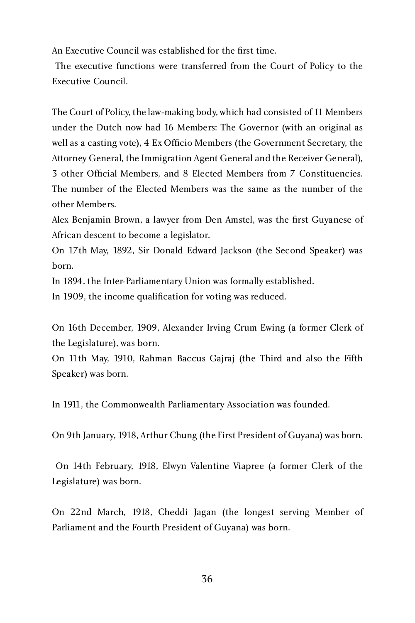An Executive Council was established for the first time.

 The executive functions were transferred from the Court of Policy to the Executive Council.

The Court of Policy, the law-making body, which had consisted of 11 Members under the Dutch now had 16 Members: The Governor (with an original as well as a casting vote), 4 Ex Officio Members (the Government Secretary, the Attorney General, the Immigration Agent General and the Receiver General), 3 other Official Members, and 8 Elected Members from 7 Constituencies. The number of the Elected Members was the same as the number of the other Members.

Alex Benjamin Brown, a lawyer from Den Amstel, was the first Guyanese of African descent to become a legislator.

On 17th May, 1892, Sir Donald Edward Jackson (the Second Speaker) was born.

In 1894, the Inter-Parliamentary Union was formally established.

In 1909, the income qualification for voting was reduced.

On 16th December, 1909, Alexander Irving Crum Ewing (a former Clerk of the Legislature), was born.

On 11th May, 1910, Rahman Baccus Gajraj (the Third and also the Fifth Speaker) was born.

In 1911, the Commonwealth Parliamentary Association was founded.

On 9th January, 1918, Arthur Chung (the First President of Guyana) was born.

 On 14th February, 1918, Elwyn Valentine Viapree (a former Clerk of the Legislature) was born.

On 22nd March, 1918, Cheddi Jagan (the longest serving Member of Parliament and the Fourth President of Guyana) was born.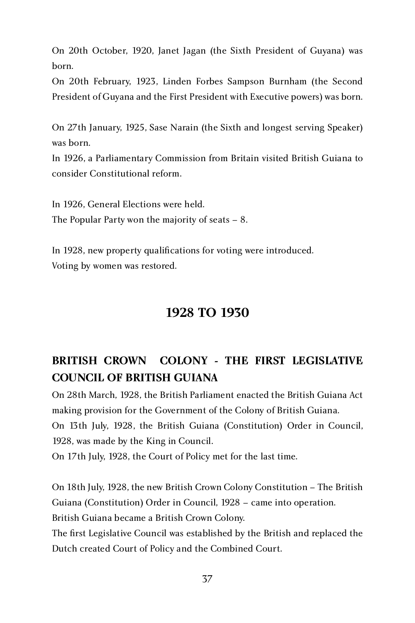On 20th October, 1920, Janet Jagan (the Sixth President of Guyana) was born.

On 20th February, 1923, Linden Forbes Sampson Burnham (the Second President of Guyana and the First President with Executive powers) was born.

On 27th January, 1925, Sase Narain (the Sixth and longest serving Speaker) was born.

In 1926, a Parliamentary Commission from Britain visited British Guiana to consider Constitutional reform.

In 1926, General Elections were held. The Popular Party won the majority of seats – 8.

In 1928, new property qualifications for voting were introduced. Voting by women was restored.

# **1928 TO 1930**

# **BRITISH CROWN COLONY - THE FIRST LEGISLATIVE COUNCIL OF BRITISH GUIANA**

On 28th March, 1928, the British Parliament enacted the British Guiana Act making provision for the Government of the Colony of British Guiana.

On 13th July, 1928, the British Guiana (Constitution) Order in Council, 1928, was made by the King in Council.

On 17th July, 1928, the Court of Policy met for the last time.

On 18th July, 1928, the new British Crown Colony Constitution – The British Guiana (Constitution) Order in Council, 1928 – came into operation. British Guiana became a British Crown Colony.

The first Legislative Council was established by the British and replaced the Dutch created Court of Policy and the Combined Court.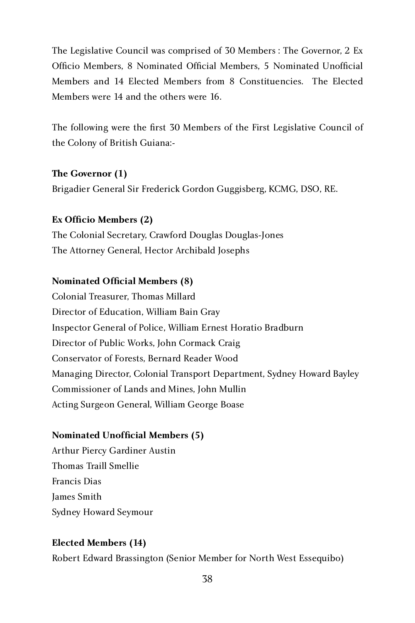The Legislative Council was comprised of 30 Members : The Governor, 2 Ex Officio Members, 8 Nominated Official Members, 5 Nominated Unofficial Members and 14 Elected Members from 8 Constituencies. The Elected Members were 14 and the others were 16.

The following were the first 30 Members of the First Legislative Council of the Colony of British Guiana:-

### **The Governor (1)**

Brigadier General Sir Frederick Gordon Guggisberg, KCMG, DSO, RE.

### **Ex Officio Members (2)**

The Colonial Secretary, Crawford Douglas Douglas-Jones The Attorney General, Hector Archibald Josephs

### **Nominated Official Members (8)**

Colonial Treasurer, Thomas Millard Director of Education, William Bain Gray Inspector General of Police, William Ernest Horatio Bradburn Director of Public Works, John Cormack Craig Conservator of Forests, Bernard Reader Wood Managing Director, Colonial Transport Department, Sydney Howard Bayley Commissioner of Lands and Mines, John Mullin Acting Surgeon General, William George Boase

### **Nominated Unofficial Members (5)**

Arthur Piercy Gardiner Austin Thomas Traill Smellie Francis Dias James Smith Sydney Howard Seymour

### **Elected Members (14)**

Robert Edward Brassington (Senior Member for North West Essequibo)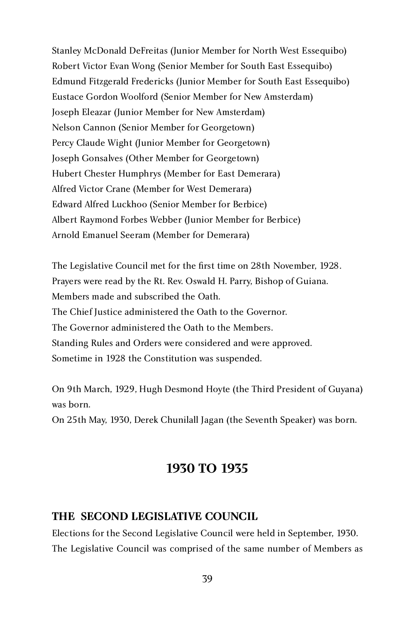Stanley McDonald DeFreitas (Junior Member for North West Essequibo) Robert Victor Evan Wong (Senior Member for South East Essequibo) Edmund Fitzgerald Fredericks (Junior Member for South East Essequibo) Eustace Gordon Woolford (Senior Member for New Amsterdam) Joseph Eleazar (Junior Member for New Amsterdam) Nelson Cannon (Senior Member for Georgetown) Percy Claude Wight (Junior Member for Georgetown) Joseph Gonsalves (Other Member for Georgetown) Hubert Chester Humphrys (Member for East Demerara) Alfred Victor Crane (Member for West Demerara) Edward Alfred Luckhoo (Senior Member for Berbice) Albert Raymond Forbes Webber (Junior Member for Berbice) Arnold Emanuel Seeram (Member for Demerara)

The Legislative Council met for the first time on 28th November, 1928. Prayers were read by the Rt. Rev. Oswald H. Parry, Bishop of Guiana. Members made and subscribed the Oath. The Chief Justice administered the Oath to the Governor. The Governor administered the Oath to the Members. Standing Rules and Orders were considered and were approved. Sometime in 1928 the Constitution was suspended.

On 9th March, 1929, Hugh Desmond Hoyte (the Third President of Guyana) was born.

On 25th May, 1930, Derek Chunilall Jagan (the Seventh Speaker) was born.

# **1930 TO 1935**

# **THE SECOND LEGISLATIVE COUNCIL**

Elections for the Second Legislative Council were held in September, 1930. The Legislative Council was comprised of the same number of Members as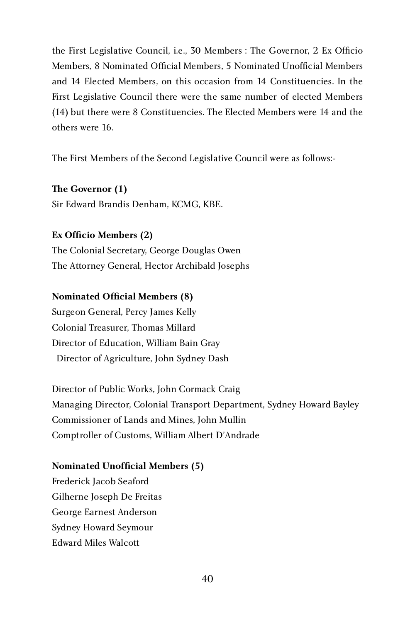the First Legislative Council, i.e., 30 Members : The Governor, 2 Ex Officio Members, 8 Nominated Official Members, 5 Nominated Unofficial Members and 14 Elected Members, on this occasion from 14 Constituencies. In the First Legislative Council there were the same number of elected Members (14) but there were 8 Constituencies. The Elected Members were 14 and the others were 16.

The First Members of the Second Legislative Council were as follows:-

**The Governor (1)** Sir Edward Brandis Denham, KCMG, KBE.

#### **Ex Officio Members (2)**

The Colonial Secretary, George Douglas Owen The Attorney General, Hector Archibald Josephs

#### **Nominated Official Members (8)**

Surgeon General, Percy James Kelly Colonial Treasurer, Thomas Millard Director of Education, William Bain Gray Director of Agriculture, John Sydney Dash

Director of Public Works, John Cormack Craig Managing Director, Colonial Transport Department, Sydney Howard Bayley Commissioner of Lands and Mines, John Mullin Comptroller of Customs, William Albert D'Andrade

#### **Nominated Unofficial Members (5)**

Frederick Jacob Seaford Gilherne Joseph De Freitas George Earnest Anderson Sydney Howard Seymour Edward Miles Walcott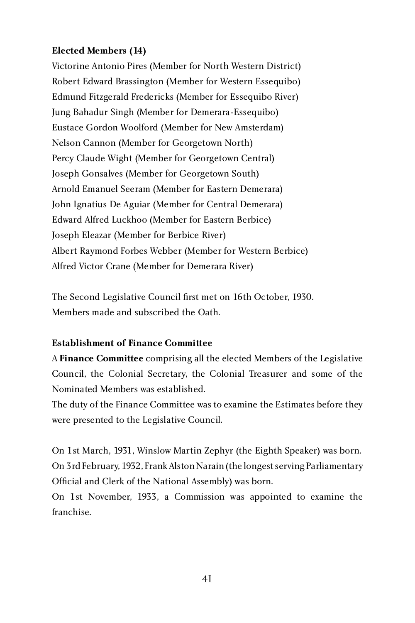### **Elected Members (14)**

Victorine Antonio Pires (Member for North Western District) Robert Edward Brassington (Member for Western Essequibo) Edmund Fitzgerald Fredericks (Member for Essequibo River) Jung Bahadur Singh (Member for Demerara-Essequibo) Eustace Gordon Woolford (Member for New Amsterdam) Nelson Cannon (Member for Georgetown North) Percy Claude Wight (Member for Georgetown Central) Joseph Gonsalves (Member for Georgetown South) Arnold Emanuel Seeram (Member for Eastern Demerara) John Ignatius De Aguiar (Member for Central Demerara) Edward Alfred Luckhoo (Member for Eastern Berbice) Joseph Eleazar (Member for Berbice River) Albert Raymond Forbes Webber (Member for Western Berbice) Alfred Victor Crane (Member for Demerara River)

The Second Legislative Council first met on 16th October, 1930. Members made and subscribed the Oath.

### **Establishment of Finance Committee**

A **Finance Committee** comprising all the elected Members of the Legislative Council, the Colonial Secretary, the Colonial Treasurer and some of the Nominated Members was established.

The duty of the Finance Committee was to examine the Estimates before they were presented to the Legislative Council.

On 1st March, 1931, Winslow Martin Zephyr (the Eighth Speaker) was born. On 3rd February, 1932, Frank Alston Narain (the longest serving Parliamentary Official and Clerk of the National Assembly) was born.

On 1st November, 1933, a Commission was appointed to examine the franchise.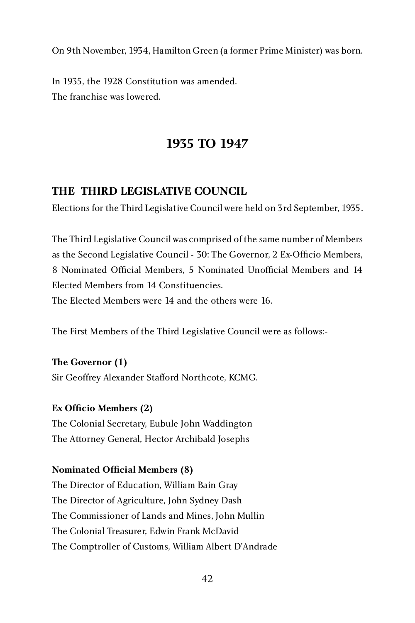On 9th November, 1934, Hamilton Green (a former Prime Minister) was born.

In 1935, the 1928 Constitution was amended. The franchise was lowered.

# **1935 TO 1947**

# **THE THIRD LEGISLATIVE COUNCIL**

Elections for the Third Legislative Council were held on 3rd September, 1935.

The Third Legislative Council was comprised of the same number of Members as the Second Legislative Council - 30: The Governor, 2 Ex-Officio Members, 8 Nominated Official Members, 5 Nominated Unofficial Members and 14 Elected Members from 14 Constituencies. The Elected Members were 14 and the others were 16.

The First Members of the Third Legislative Council were as follows:-

**The Governor (1)** Sir Geoffrey Alexander Stafford Northcote, KCMG.

# **Ex Officio Members (2)**

The Colonial Secretary, Eubule John Waddington The Attorney General, Hector Archibald Josephs

# **Nominated Official Members (8)**

The Director of Education, William Bain Gray The Director of Agriculture, John Sydney Dash The Commissioner of Lands and Mines, John Mullin The Colonial Treasurer, Edwin Frank McDavid The Comptroller of Customs, William Albert D'Andrade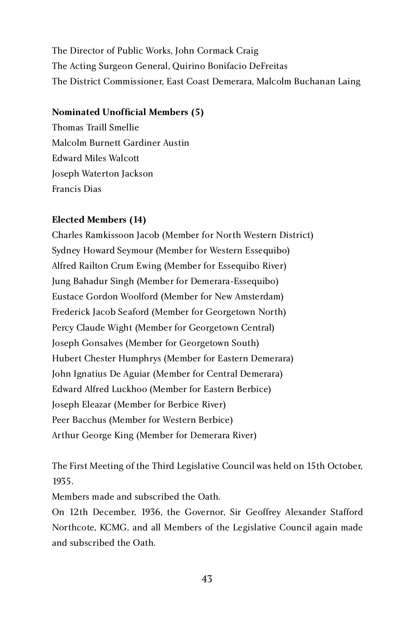The Director of Public Works, John Cormack Craig The Acting Surgeon General, Quirino Bonifacio DeFreitas The District Commissioner, East Coast Demerara, Malcolm Buchanan Laing

#### **Nominated Unofficial Members (5)**

Thomas Traill Smellie Malcolm Burnett Gardiner Austin Edward Miles Walcott Joseph Waterton Jackson Francis Dias

#### **Elected Members (14)**

Charles Ramkissoon Jacob (Member for North Western District) Sydney Howard Seymour (Member for Western Essequibo) Alfred Railton Crum Ewing (Member for Essequibo River) Jung Bahadur Singh (Member for Demerara-Essequibo) Eustace Gordon Woolford (Member for New Amsterdam) Frederick Jacob Seaford (Member for Georgetown North) Percy Claude Wight (Member for Georgetown Central) Joseph Gonsalves (Member for Georgetown South) Hubert Chester Humphrys (Member for Eastern Demerara) John Ignatius De Aguiar (Member for Central Demerara) Edward Alfred Luckhoo (Member for Eastern Berbice) Joseph Eleazar (Member for Berbice River) Peer Bacchus (Member for Western Berbice) Arthur George King (Member for Demerara River)

The First Meeting of the Third Legislative Council was held on 15th October, 1935.

Members made and subscribed the Oath.

On 12th December, 1936, the Governor, Sir Geoffrey Alexander Stafford Northcote, KCMG, and all Members of the Legislative Council again made and subscribed the Oath.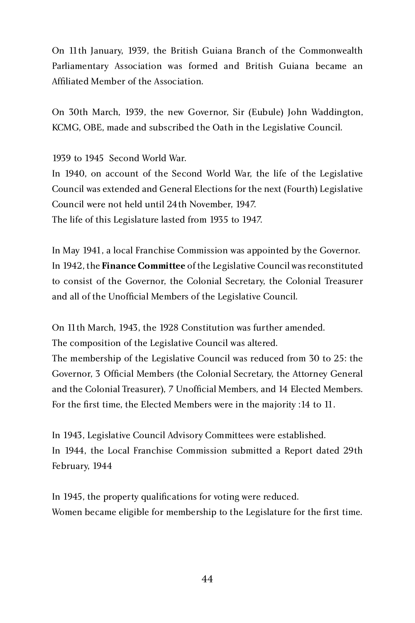On 11th January, 1939, the British Guiana Branch of the Commonwealth Parliamentary Association was formed and British Guiana became an Affiliated Member of the Association.

On 30th March, 1939, the new Governor, Sir (Eubule) John Waddington, KCMG, OBE, made and subscribed the Oath in the Legislative Council.

1939 to 1945 Second World War. In 1940, on account of the Second World War, the life of the Legislative Council was extended and General Elections for the next (Fourth) Legislative Council were not held until 24th November, 1947. The life of this Legislature lasted from 1935 to 1947.

In May 1941, a local Franchise Commission was appointed by the Governor. In 1942, the **Finance Committee** of the Legislative Council was reconstituted to consist of the Governor, the Colonial Secretary, the Colonial Treasurer and all of the Unofficial Members of the Legislative Council.

On 11th March, 1943, the 1928 Constitution was further amended. The composition of the Legislative Council was altered.

The membership of the Legislative Council was reduced from 30 to 25: the Governor, 3 Official Members (the Colonial Secretary, the Attorney General and the Colonial Treasurer), 7 Unofficial Members, and 14 Elected Members. For the first time, the Elected Members were in the majority :14 to 11.

In 1943, Legislative Council Advisory Committees were established. In 1944, the Local Franchise Commission submitted a Report dated 29th February, 1944

In 1945, the property qualifications for voting were reduced. Women became eligible for membership to the Legislature for the first time.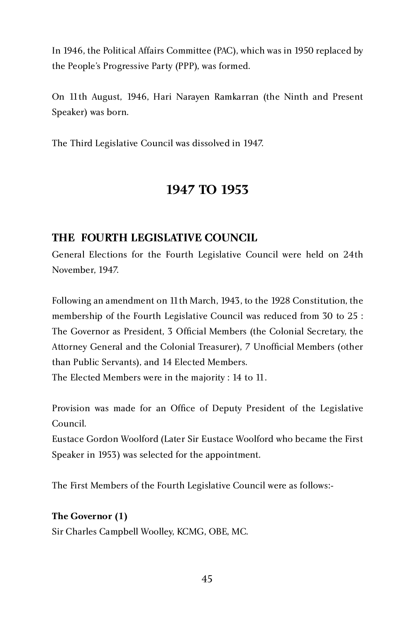In 1946, the Political Affairs Committee (PAC), which was in 1950 replaced by the People's Progressive Party (PPP), was formed.

On 11th August, 1946, Hari Narayen Ramkarran (the Ninth and Present Speaker) was born.

The Third Legislative Council was dissolved in 1947.

# **1947 TO 1953**

# **THE FOURTH LEGISLATIVE COUNCIL**

General Elections for the Fourth Legislative Council were held on 24th November, 1947.

Following an amendment on 11th March, 1943, to the 1928 Constitution, the membership of the Fourth Legislative Council was reduced from 30 to 25 : The Governor as President, 3 Official Members (the Colonial Secretary, the Attorney General and the Colonial Treasurer), 7 Unofficial Members (other than Public Servants), and 14 Elected Members.

The Elected Members were in the majority : 14 to 11.

Provision was made for an Office of Deputy President of the Legislative Council.

Eustace Gordon Woolford (Later Sir Eustace Woolford who became the First Speaker in 1953) was selected for the appointment.

The First Members of the Fourth Legislative Council were as follows:-

### **The Governor (1)**

Sir Charles Campbell Woolley, KCMG, OBE, MC.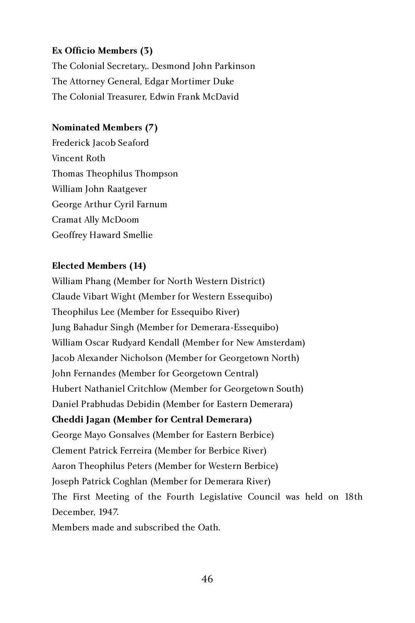### **Ex Officio Members (3)**

The Colonial Secretary,. Desmond John Parkinson The Attorney General, Edgar Mortimer Duke The Colonial Treasurer, Edwin Frank McDavid

### **Nominated Members (7)**

Frederick Jacob Seaford Vincent Roth Thomas Theophilus Thompson William John Raatgever George Arthur Cyril Farnum Cramat Ally McDoom Geoffrey Haward Smellie

# **Elected Members (14)**

William Phang (Member for North Western District) Claude Vibart Wight (Member for Western Essequibo) Theophilus Lee (Member for Essequibo River) Jung Bahadur Singh (Member for Demerara-Essequibo) William Oscar Rudyard Kendall (Member for New Amsterdam) Jacob Alexander Nicholson (Member for Georgetown North) John Fernandes (Member for Georgetown Central) Hubert Nathaniel Critchlow (Member for Georgetown South) Daniel Prabhudas Debidin (Member for Eastern Demerara) **Cheddi Jagan (Member for Central Demerara)** George Mayo Gonsalves (Member for Eastern Berbice) Clement Patrick Ferreira (Member for Berbice River) Aaron Theophilus Peters (Member for Western Berbice) Joseph Patrick Coghlan (Member for Demerara River) The First Meeting of the Fourth Legislative Council was held on 18th December, 1947. Members made and subscribed the Oath.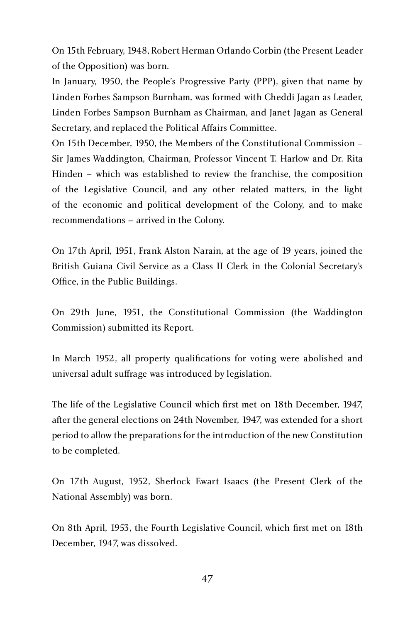On 15th February, 1948, Robert Herman Orlando Corbin (the Present Leader of the Opposition) was born.

In January, 1950, the People's Progressive Party (PPP), given that name by Linden Forbes Sampson Burnham, was formed with Cheddi Jagan as Leader, Linden Forbes Sampson Burnham as Chairman, and Janet Jagan as General Secretary, and replaced the Political Affairs Committee.

On 15th December, 1950, the Members of the Constitutional Commission – Sir James Waddington, Chairman, Professor Vincent T. Harlow and Dr. Rita Hinden – which was established to review the franchise, the composition of the Legislative Council, and any other related matters, in the light of the economic and political development of the Colony, and to make recommendations – arrived in the Colony.

On 17th April, 1951, Frank Alston Narain, at the age of 19 years, joined the British Guiana Civil Service as a Class II Clerk in the Colonial Secretary's Office, in the Public Buildings.

On 29th June, 1951, the Constitutional Commission (the Waddington Commission) submitted its Report.

In March 1952, all property qualifications for voting were abolished and universal adult suffrage was introduced by legislation.

The life of the Legislative Council which first met on 18th December, 1947, after the general elections on 24th November, 1947, was extended for a short period to allow the preparations for the introduction of the new Constitution to be completed.

On 17th August, 1952, Sherlock Ewart Isaacs (the Present Clerk of the National Assembly) was born.

On 8th April, 1953, the Fourth Legislative Council, which first met on 18th December, 1947, was dissolved.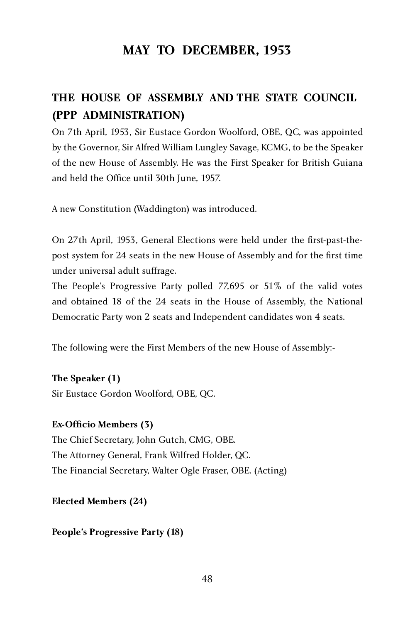# **MAY TO DECEMBER, 1953**

# **THE HOUSE OF ASSEMBLY AND THE STATE COUNCIL (PPP ADMINISTRATION)**

On 7th April, 1953, Sir Eustace Gordon Woolford, OBE, QC, was appointed by the Governor, Sir Alfred William Lungley Savage, KCMG, to be the Speaker of the new House of Assembly. He was the First Speaker for British Guiana and held the Office until 30th June, 1957.

A new Constitution (Waddington) was introduced.

On 27th April, 1953, General Elections were held under the first-past-thepost system for 24 seats in the new House of Assembly and for the first time under universal adult suffrage.

The People's Progressive Party polled 77,695 or 51% of the valid votes and obtained 18 of the 24 seats in the House of Assembly, the National Democratic Party won 2 seats and Independent candidates won 4 seats.

The following were the First Members of the new House of Assembly:-

#### **The Speaker (1)**

Sir Eustace Gordon Woolford, OBE, QC.

#### **Ex-Officio Members (3)**

The Chief Secretary, John Gutch, CMG, OBE. The Attorney General, Frank Wilfred Holder, QC. The Financial Secretary, Walter Ogle Fraser, OBE. (Acting)

#### **Elected Members (24)**

#### **People's Progressive Party (18)**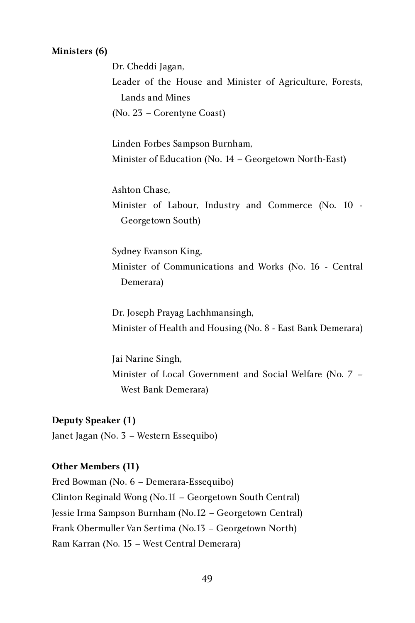#### **Ministers (6)**

Dr. Cheddi Jagan, Leader of the House and Minister of Agriculture, Forests, Lands and Mines (No. 23 – Corentyne Coast)

Linden Forbes Sampson Burnham, Minister of Education (No. 14 – Georgetown North-East)

Ashton Chase, Minister of Labour, Industry and Commerce (No. 10 - Georgetown South)

Sydney Evanson King, Minister of Communications and Works (No. 16 - Central Demerara)

Dr. Joseph Prayag Lachhmansingh, Minister of Health and Housing (No. 8 - East Bank Demerara)

Jai Narine Singh, Minister of Local Government and Social Welfare (No. 7 – West Bank Demerara)

#### **Deputy Speaker (1)**

Janet Jagan (No. 3 – Western Essequibo)

#### **Other Members (11)**

Fred Bowman (No. 6 – Demerara-Essequibo) Clinton Reginald Wong (No.11 – Georgetown South Central) Jessie Irma Sampson Burnham (No.12 – Georgetown Central) Frank Obermuller Van Sertima (No.13 – Georgetown North) Ram Karran (No. 15 – West Central Demerara)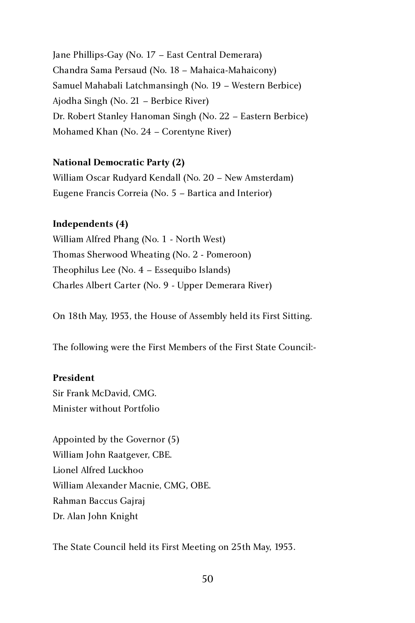Jane Phillips-Gay (No. 17 – East Central Demerara) Chandra Sama Persaud (No. 18 – Mahaica-Mahaicony) Samuel Mahabali Latchmansingh (No. 19 – Western Berbice) Ajodha Singh (No. 21 – Berbice River) Dr. Robert Stanley Hanoman Singh (No. 22 – Eastern Berbice) Mohamed Khan (No. 24 – Corentyne River)

#### **National Democratic Party (2)**

William Oscar Rudyard Kendall (No. 20 – New Amsterdam) Eugene Francis Correia (No. 5 – Bartica and Interior)

#### **Independents (4)**

William Alfred Phang (No. 1 - North West) Thomas Sherwood Wheating (No. 2 - Pomeroon) Theophilus Lee (No. 4 – Essequibo Islands) Charles Albert Carter (No. 9 - Upper Demerara River)

On 18th May, 1953, the House of Assembly held its First Sitting.

The following were the First Members of the First State Council:-

#### **President**

Sir Frank McDavid, CMG. Minister without Portfolio

Appointed by the Governor (5) William John Raatgever, CBE. Lionel Alfred Luckhoo William Alexander Macnie, CMG, OBE. Rahman Baccus Gajraj Dr. Alan John Knight

The State Council held its First Meeting on 25th May, 1953.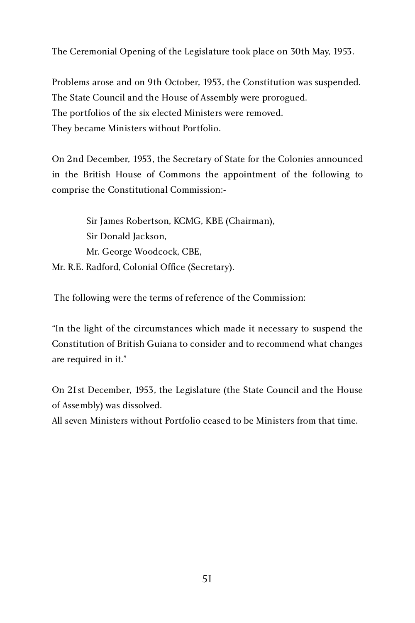The Ceremonial Opening of the Legislature took place on 30th May, 1953.

Problems arose and on 9th October, 1953, the Constitution was suspended. The State Council and the House of Assembly were prorogued. The portfolios of the six elected Ministers were removed. They became Ministers without Portfolio.

On 2nd December, 1953, the Secretary of State for the Colonies announced in the British House of Commons the appointment of the following to comprise the Constitutional Commission:-

Sir James Robertson, KCMG, KBE (Chairman), Sir Donald Jackson, Mr. George Woodcock, CBE, Mr. R.E. Radford, Colonial Office (Secretary).

The following were the terms of reference of the Commission:

"In the light of the circumstances which made it necessary to suspend the Constitution of British Guiana to consider and to recommend what changes are required in it."

On 21st December, 1953, the Legislature (the State Council and the House of Assembly) was dissolved.

All seven Ministers without Portfolio ceased to be Ministers from that time.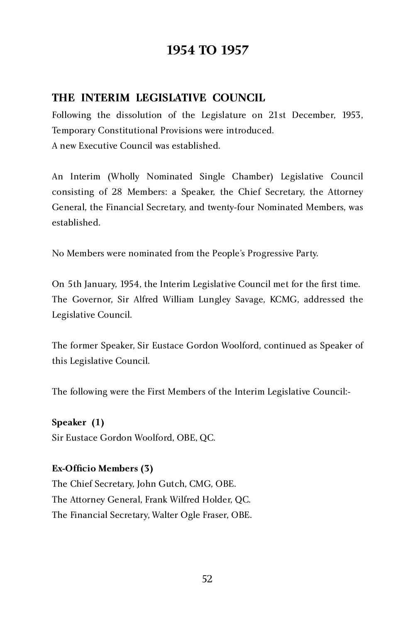# **1954 TO 1957**

# **THE INTERIM LEGISLATIVE COUNCIL**

Following the dissolution of the Legislature on 21st December, 1953, Temporary Constitutional Provisions were introduced. A new Executive Council was established.

An Interim (Wholly Nominated Single Chamber) Legislative Council consisting of 28 Members: a Speaker, the Chief Secretary, the Attorney General, the Financial Secretary, and twenty-four Nominated Members, was established.

No Members were nominated from the People's Progressive Party.

On 5th January, 1954, the Interim Legislative Council met for the first time. The Governor, Sir Alfred William Lungley Savage, KCMG, addressed the Legislative Council.

The former Speaker, Sir Eustace Gordon Woolford, continued as Speaker of this Legislative Council.

The following were the First Members of the Interim Legislative Council:-

**Speaker (1)** Sir Eustace Gordon Woolford, OBE, QC.

### **Ex-Officio Members (3)**

The Chief Secretary, John Gutch, CMG, OBE. The Attorney General, Frank Wilfred Holder, QC. The Financial Secretary, Walter Ogle Fraser, OBE.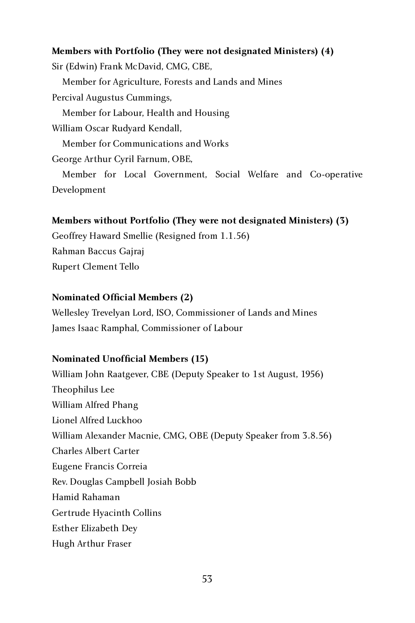### **Members with Portfolio (They were not designated Ministers) (4)**

Sir (Edwin) Frank McDavid, CMG, CBE, Member for Agriculture, Forests and Lands and Mines Percival Augustus Cummings, Member for Labour, Health and Housing William Oscar Rudyard Kendall, Member for Communications and Works George Arthur Cyril Farnum, OBE, Member for Local Government, Social Welfare and Co-operative Development

#### **Members without Portfolio (They were not designated Ministers) (3)**

Geoffrey Haward Smellie (Resigned from 1.1.56)

Rahman Baccus Gajraj

Rupert Clement Tello

#### **Nominated Official Members (2)**

Wellesley Trevelyan Lord, ISO, Commissioner of Lands and Mines James Isaac Ramphal, Commissioner of Labour

### **Nominated Unofficial Members (15)**

William John Raatgever, CBE (Deputy Speaker to 1st August, 1956) Theophilus Lee Lionel Alfred Luckhoo Lionel Alfred Luckhoo William Alexander Macnie, CMG, OBE (Deputy Speaker from 3.8.56) Charles Albert Carter Eugene Francis Correia Rev. Douglas Campbell Josiah Bobb Hamid Rahaman Gertrude Hyacinth Collins Esther Elizabeth Dey Hugh Arthur Fraser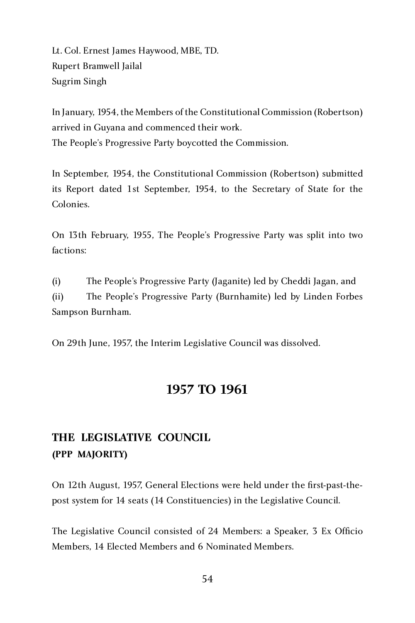Lt. Col. Ernest James Haywood, MBE, TD. Rupert Bramwell Jailal Sugrim Singh

In January, 1954, the Members of the Constitutional Commission (Robertson) arrived in Guyana and commenced their work. The People's Progressive Party boycotted the Commission.

In September, 1954, the Constitutional Commission (Robertson) submitted its Report dated 1st September, 1954, to the Secretary of State for the Colonies.

On 13th February, 1955, The People's Progressive Party was split into two factions:

(i) The People's Progressive Party (Jaganite) led by Cheddi Jagan, and The People's Progressive Party (Burnhamite) led by Linden Forbes Sampson Burnham.

On 29th June, 1957, the Interim Legislative Council was dissolved.

# **1957 TO 1961**

# **THE LEGISLATIVE COUNCIL (PPP MAJORITY)**

On 12th August, 1957, General Elections were held under the first-past-thepost system for 14 seats (14 Constituencies) in the Legislative Council.

The Legislative Council consisted of 24 Members: a Speaker, 3 Ex Officio Members, 14 Elected Members and 6 Nominated Members.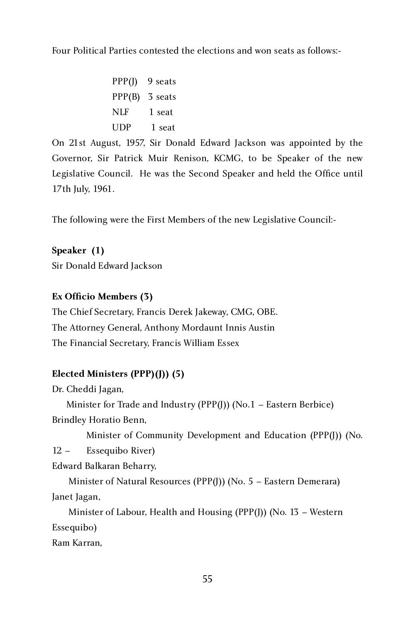Four Political Parties contested the elections and won seats as follows:-

PPP(J) 9 seats PPP(B) 3 seats<br>NLF 1 seat  $NLL$  1 seat  $U_{\text{DL}}$  1 seat

On 21st August, 1957, Sir Donald Edward Jackson was appointed by the Governor, Sir Patrick Muir Renison, KCMG, to be Speaker of the new Legislative Council. He was the Second Speaker and held the Office until 17th July, 1961.

The following were the First Members of the new Legislative Council:-

**Speaker (1)** Sir Donald Edward Jackson

### **Ex Officio Members (3)**

The Chief Secretary, Francis Derek Jakeway, CMG, OBE. The Attorney General, Anthony Mordaunt Innis Austin The Financial Secretary, Francis William Essex

# **Elected Ministers (PPP)(J)) (5)**

Dr. Cheddi Jagan,

 Minister for Trade and Industry (PPP(J)) (No.1 – Eastern Berbice) Brindley Horatio Benn,

Minister of Community Development and Education (PPP(J)) (No.

12 – Essequibo River)

Edward Balkaran Beharry,

 Minister of Natural Resources (PPP(J)) (No. 5 – Eastern Demerara) Janet Jagan,

 Minister of Labour, Health and Housing (PPP(J)) (No. 13 – Western Essequibo)<br>Ram Karran.

Ram Karran,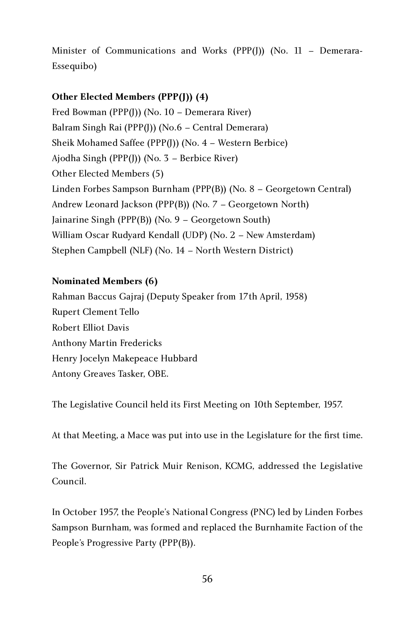Minister of Communications and Works (PPP(J)) (No. 11 – Demerara-Essequibo)

### **Other Elected Members (PPP(J)) (4)**

Fred Bowman (PPP(J)) (No. 10 – Demerara River) Balram Singh Rai (PPP(J)) (No.6 – Central Demerara) Sheik Mohamed Saffee (PPP(J)) (No. 4 – Western Berbice) Ajodha Singh (PPP(J)) (No. 3 – Berbice River) Other Elected Members (5) Linden Forbes Sampson Burnham (PPP(B)) (No. 8 – Georgetown Central) Andrew Leonard Jackson (PPP(B)) (No. 7 – Georgetown North) Jainarine Singh (PPP(B)) (No. 9 – Georgetown South) William Oscar Rudyard Kendall (UDP) (No. 2 – New Amsterdam) Stephen Campbell (NLF) (No. 14 – North Western District)

### **Nominated Members (6)**

Rahman Baccus Gajraj (Deputy Speaker from 17th April, 1958) Rupert Clement Tello Robert Elliot Davis Anthony Martin Fredericks Henry Jocelyn Makepeace Hubbard Antony Greaves Tasker, OBE.

The Legislative Council held its First Meeting on 10th September, 1957.

At that Meeting, a Mace was put into use in the Legislature for the first time.

The Governor, Sir Patrick Muir Renison, KCMG, addressed the Legislative Council.

In October 1957, the People's National Congress (PNC) led by Linden Forbes Sampson Burnham, was formed and replaced the Burnhamite Faction of the People's Progressive Party (PPP(B)).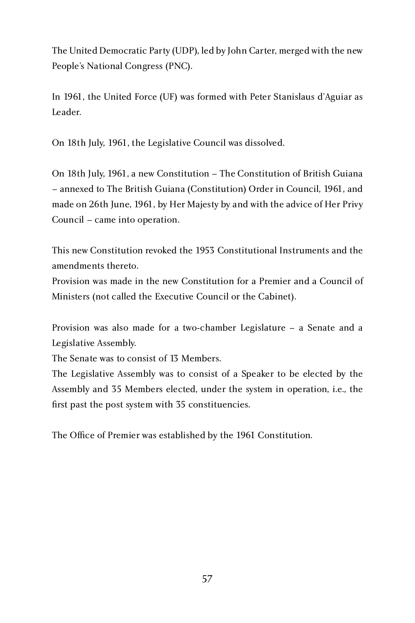The United Democratic Party (UDP), led by John Carter, merged with the new People's National Congress (PNC).

In 1961, the United Force (UF) was formed with Peter Stanislaus d'Aguiar as Leader.

On 18th July, 1961, the Legislative Council was dissolved.

On 18th July, 1961, a new Constitution – The Constitution of British Guiana – annexed to The British Guiana (Constitution) Order in Council, 1961, and made on 26th June, 1961, by Her Majesty by and with the advice of Her Privy Council – came into operation.

This new Constitution revoked the 1953 Constitutional Instruments and the amendments thereto.

Provision was made in the new Constitution for a Premier and a Council of Ministers (not called the Executive Council or the Cabinet).

Provision was also made for a two-chamber Legislature – a Senate and a Legislative Assembly.

The Senate was to consist of 13 Members.

The Legislative Assembly was to consist of a Speaker to be elected by the Assembly and 35 Members elected, under the system in operation, i.e., the first past the post system with 35 constituencies.

The Office of Premier was established by the 1961 Constitution.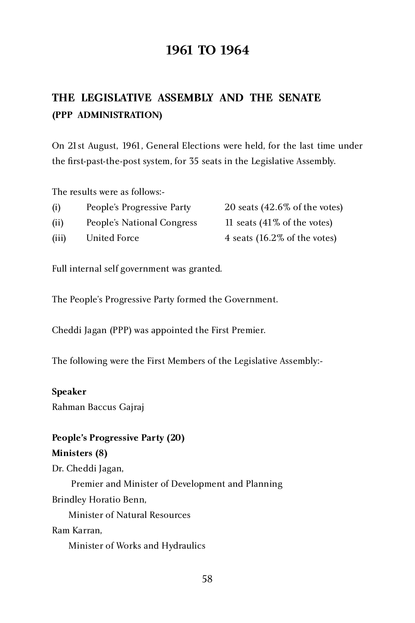# **1961 TO 1964**

# **THE LEGISLATIVE ASSEMBLY AND THE SENATE (PPP ADMINISTRATION)**

On 21st August, 1961, General Elections were held, for the last time under the first-past-the-post system, for 35 seats in the Legislative Assembly.

The results were as follows:-

| (i)   | People's Progressive Party | 20 seats $(42.6\% \text{ of the votes})$ |
|-------|----------------------------|------------------------------------------|
| (ii)  | People's National Congress | 11 seats $(41\% \text{ of the votes})$   |
| (iii) | United Force               | 4 seats $(16.2\% \text{ of the votes})$  |

Full internal self government was granted.

The People's Progressive Party formed the Government.

Cheddi Jagan (PPP) was appointed the First Premier.

The following were the First Members of the Legislative Assembly:-

#### **Speaker**

Rahman Baccus Gajraj

#### **People's Progressive Party (20)**

#### **Ministers (8)**

Dr. Cheddi Jagan,

 Premier and Minister of Development and Planning Brindley Horatio Benn,

Minister of Natural Resources

Ram Karran,

Minister of Works and Hydraulics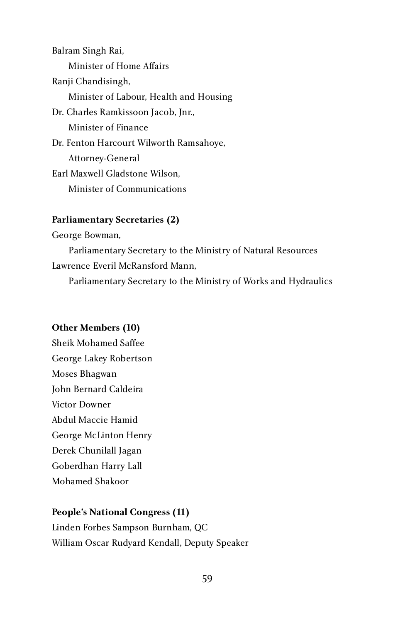Balram Singh Rai, Minister of Home Affairs Ranji Chandisingh, Minister of Labour, Health and Housing Dr. Charles Ramkissoon Jacob, Jnr., Minister of Finance Dr. Fenton Harcourt Wilworth Ramsahoye, Attorney-General Earl Maxwell Gladstone Wilson, Minister of Communications

#### **Parliamentary Secretaries (2)**

George Bowman,

 Parliamentary Secretary to the Ministry of Natural Resources Lawrence Everil McRansford Mann,

Parliamentary Secretary to the Ministry of Works and Hydraulics

#### **Other Members (10)**

Sheik Mohamed Saffee George Lakey Robertson Moses Bhagwan John Bernard Caldeira Victor Downer Abdul Maccie Hamid George McLinton Henry Derek Chunilall Jagan Goberdhan Harry Lall Mohamed Shakoor

#### **People's National Congress (11)**

Linden Forbes Sampson Burnham, QC William Oscar Rudyard Kendall, Deputy Speaker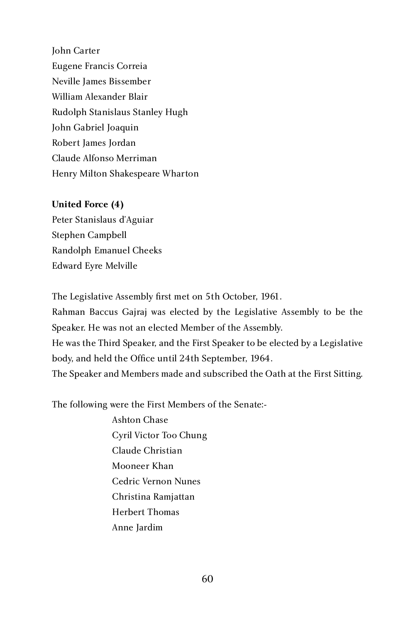John Carter Eugene Francis Correia Neville James Bissember William Alexander Blair Rudolph Stanislaus Stanley Hugh John Gabriel Joaquin Robert James Jordan Claude Alfonso Merriman Henry Milton Shakespeare Wharton

#### **United Force (4)**

Peter Stanislaus d'Aguiar Stephen Campbell Randolph Emanuel Cheeks Edward Eyre Melville

The Legislative Assembly first met on 5th October, 1961. Rahman Baccus Gajraj was elected by the Legislative Assembly to be the Speaker. He was not an elected Member of the Assembly. He was the Third Speaker, and the First Speaker to be elected by a Legislative body, and held the Office until 24th September, 1964. The Speaker and Members made and subscribed the Oath at the First Sitting.

The following were the First Members of the Senate:-

Ashton Chase Cyril Victor Too Chung Claude Christian Mooneer Khan Cedric Vernon Nunes Christina Ramjattan Herbert Thomas Anne Jardim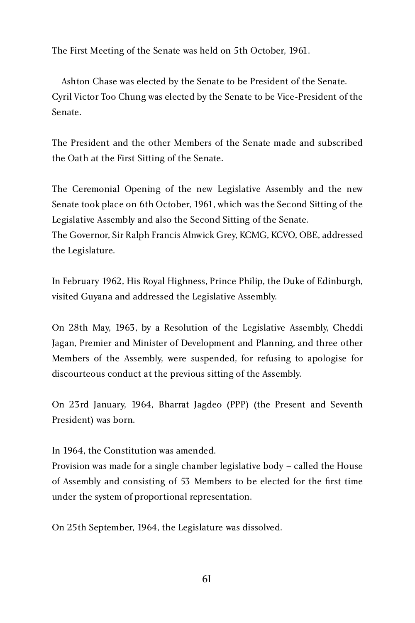The First Meeting of the Senate was held on 5th October, 1961.

 Ashton Chase was elected by the Senate to be President of the Senate. Cyril Victor Too Chung was elected by the Senate to be Vice-President of the Senate.

The President and the other Members of the Senate made and subscribed the Oath at the First Sitting of the Senate.

The Ceremonial Opening of the new Legislative Assembly and the new Senate took place on 6th October, 1961, which was the Second Sitting of the Legislative Assembly and also the Second Sitting of the Senate. The Governor, Sir Ralph Francis Alnwick Grey, KCMG, KCVO, OBE, addressed the Legislature.

In February 1962, His Royal Highness, Prince Philip, the Duke of Edinburgh, visited Guyana and addressed the Legislative Assembly.

On 28th May, 1963, by a Resolution of the Legislative Assembly, Cheddi Jagan, Premier and Minister of Development and Planning, and three other Members of the Assembly, were suspended, for refusing to apologise for discourteous conduct at the previous sitting of the Assembly.

On 23rd January, 1964, Bharrat Jagdeo (PPP) (the Present and Seventh President) was born.

In 1964, the Constitution was amended.

Provision was made for a single chamber legislative body – called the House of Assembly and consisting of 53 Members to be elected for the first time under the system of proportional representation.

On 25th September, 1964, the Legislature was dissolved.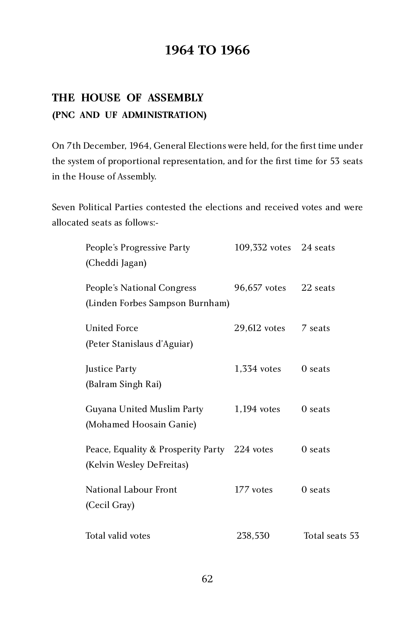# **1964 TO 1966**

# **THE HOUSE OF ASSEMBLY (PNC AND UF ADMINISTRATION)**

On 7th December, 1964, General Elections were held, for the first time under the system of proportional representation, and for the first time for 53 seats in the House of Assembly.

Seven Political Parties contested the elections and received votes and were allocated seats as follows:-

| People's Progressive Party                   | 109,332 votes 24 seats |                |
|----------------------------------------------|------------------------|----------------|
| (Cheddi Jagan)                               |                        |                |
| People's National Congress                   | 96,657 votes           | 22 seats       |
| (Linden Forbes Sampson Burnham)              |                        |                |
| <b>United Force</b>                          | 29,612 votes           | 7 seats        |
| (Peter Stanislaus d'Aguiar)                  |                        |                |
| Justice Party                                | 1,334 votes            | 0 seats        |
| (Balram Singh Rai)                           |                        |                |
| Guyana United Muslim Party                   | $1,194$ votes          | 0 seats        |
| (Mohamed Hoosain Ganie)                      |                        |                |
| Peace, Equality & Prosperity Party 224 votes |                        | 0 seats        |
| (Kelvin Wesley DeFreitas)                    |                        |                |
| National Labour Front                        | 177 votes              | 0 seats        |
| (Cecil Gray)                                 |                        |                |
| Total valid votes                            | 238,530                | Total seats 53 |
|                                              |                        |                |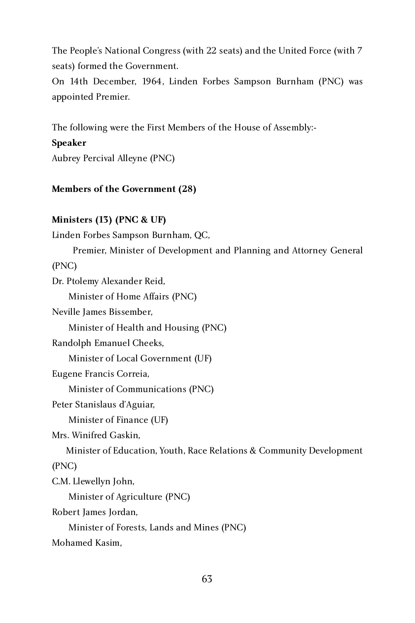The People's National Congress (with 22 seats) and the United Force (with 7 seats) formed the Government.

On 14th December, 1964, Linden Forbes Sampson Burnham (PNC) was appointed Premier.

The following were the First Members of the House of Assembly:-

#### **Speaker**

Aubrey Percival Alleyne (PNC)

### **Members of the Government (28)**

### **Ministers (13) (PNC & UF)**

Linden Forbes Sampson Burnham, QC,

 Premier, Minister of Development and Planning and Attorney General (PNC)

Dr. Ptolemy Alexander Reid,

Minister of Home Affairs (PNC)

Neville James Bissember,

Minister of Health and Housing (PNC)

Randolph Emanuel Cheeks,

Minister of Local Government (UF)

Eugene Francis Correia,

Minister of Communications (PNC)

Peter Stanislaus d'Aguiar,

Minister of Finance (UF)

Mrs. Winifred Gaskin,

 Minister of Education, Youth, Race Relations & Community Development (PNC)

C.M. Llewellyn John,

Minister of Agriculture (PNC)

Robert James Jordan,

Minister of Forests, Lands and Mines (PNC)

Mohamed Kasim,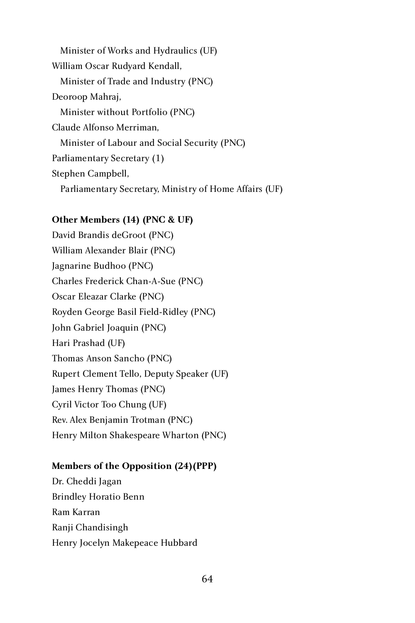Minister of Works and Hydraulics (UF) William Oscar Rudyard Kendall, Minister of Trade and Industry (PNC) Deoroop Mahraj, Minister without Portfolio (PNC) Claude Alfonso Merriman, Minister of Labour and Social Security (PNC) Parliamentary Secretary (1) Stephen Campbell, Parliamentary Secretary, Ministry of Home Affairs (UF)

#### **Other Members (14) (PNC & UF)**

David Brandis deGroot (PNC) William Alexander Blair (PNC) Jagnarine Budhoo (PNC) Charles Frederick Chan-A-Sue (PNC) Oscar Eleazar Clarke (PNC) Royden George Basil Field-Ridley (PNC) John Gabriel Joaquin (PNC) Hari Prashad (UF) Thomas Anson Sancho (PNC) Rupert Clement Tello, Deputy Speaker (UF) James Henry Thomas (PNC) Cyril Victor Too Chung (UF) Rev. Alex Benjamin Trotman (PNC) Henry Milton Shakespeare Wharton (PNC)

#### **Members of the Opposition (24)(PPP)**

Dr. Cheddi Jagan Brindley Horatio Benn Ram Karran Ranji Chandisingh Henry Jocelyn Makepeace Hubbard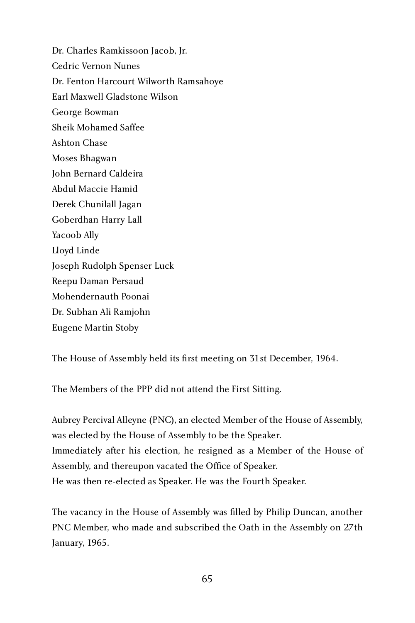Dr. Charles Ramkissoon Jacob, Jr. Cedric Vernon Nunes Dr. Fenton Harcourt Wilworth Ramsahoye Earl Maxwell Gladstone Wilson George Bowman Sheik Mohamed Saffee Ashton Chase Moses Bhagwan John Bernard Caldeira Abdul Maccie Hamid Derek Chunilall Jagan Goberdhan Harry Lall Yacoob Ally Lloyd Linde Joseph Rudolph Spenser Luck Reepu Daman Persaud Mohendernauth Poonai Dr. Subhan Ali Ramjohn Eugene Martin Stoby

The House of Assembly held its first meeting on 31st December, 1964.

The Members of the PPP did not attend the First Sitting.

Aubrey Percival Alleyne (PNC), an elected Member of the House of Assembly, was elected by the House of Assembly to be the Speaker. Immediately after his election, he resigned as a Member of the House of Assembly, and thereupon vacated the Office of Speaker. He was then re-elected as Speaker. He was the Fourth Speaker.

The vacancy in the House of Assembly was filled by Philip Duncan, another PNC Member, who made and subscribed the Oath in the Assembly on 27th January, 1965.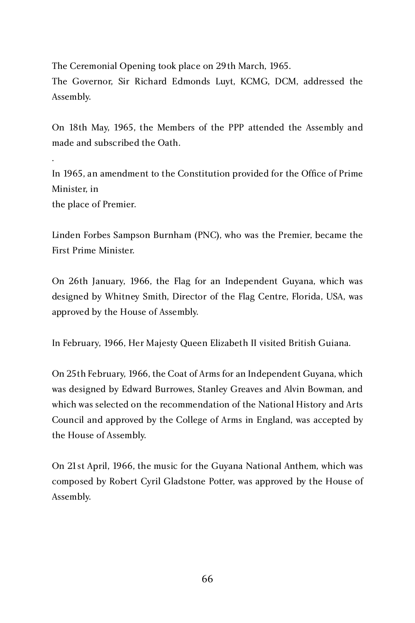The Ceremonial Opening took place on 29th March, 1965. The Governor, Sir Richard Edmonds Luyt, KCMG, DCM, addressed the Assembly.

On 18th May, 1965, the Members of the PPP attended the Assembly and made and subscribed the Oath.

. In 1965, an amendment to the Constitution provided for the Office of Prime Minister, in the place of Premier.

Linden Forbes Sampson Burnham (PNC), who was the Premier, became the First Prime Minister.

On 26th January, 1966, the Flag for an Independent Guyana, which was designed by Whitney Smith, Director of the Flag Centre, Florida, USA, was approved by the House of Assembly.

In February, 1966, Her Majesty Queen Elizabeth II visited British Guiana.

On 25th February, 1966, the Coat of Arms for an Independent Guyana, which was designed by Edward Burrowes, Stanley Greaves and Alvin Bowman, and which was selected on the recommendation of the National History and Arts Council and approved by the College of Arms in England, was accepted by the House of Assembly.

On 21st April, 1966, the music for the Guyana National Anthem, which was composed by Robert Cyril Gladstone Potter, was approved by the House of Assembly.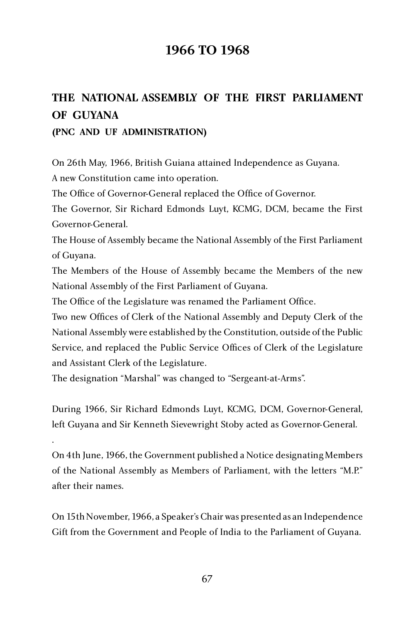# **1966 TO 1968**

# **THE NATIONAL ASSEMBLY OF THE FIRST PARLIAMENT OF GUYANA**

### **(PNC AND UF ADMINISTRATION)**

On 26th May, 1966, British Guiana attained Independence as Guyana.

A new Constitution came into operation.

The Office of Governor-General replaced the Office of Governor.

The Governor, Sir Richard Edmonds Luyt, KCMG, DCM, became the First Governor-General.

The House of Assembly became the National Assembly of the First Parliament of Guyana.

The Members of the House of Assembly became the Members of the new National Assembly of the First Parliament of Guyana.

The Office of the Legislature was renamed the Parliament Office.

Two new Offices of Clerk of the National Assembly and Deputy Clerk of the National Assembly were established by the Constitution, outside of the Public Service, and replaced the Public Service Offices of Clerk of the Legislature and Assistant Clerk of the Legislature.

The designation "Marshal" was changed to "Sergeant-at-Arms".

During 1966, Sir Richard Edmonds Luyt, KCMG, DCM, Governor-General, left Guyana and Sir Kenneth Sievewright Stoby acted as Governor-General.

. On 4th June, 1966, the Government published a Notice designating Members of the National Assembly as Members of Parliament, with the letters "M.P."<br>after their names after their names.

On 15th November, 1966, a Speaker's Chair was presented as an Independence Gift from the Government and People of India to the Parliament of Guyana.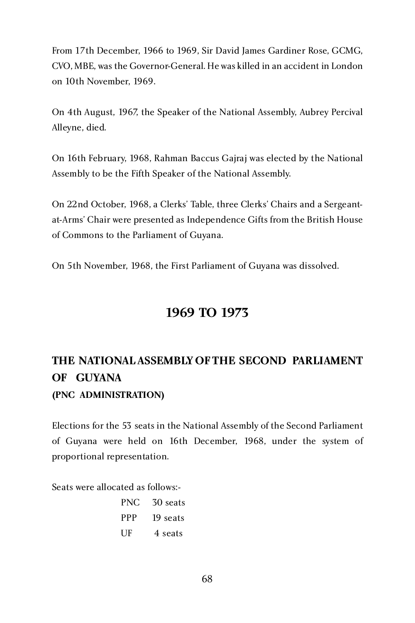From 17th December, 1966 to 1969, Sir David James Gardiner Rose, GCMG, CVO, MBE, was the Governor-General. He was killed in an accident in London on 10th November, 1969.

On 4th August, 1967, the Speaker of the National Assembly, Aubrey Percival Alleyne, died.

On 16th February, 1968, Rahman Baccus Gajraj was elected by the National Assembly to be the Fifth Speaker of the National Assembly.

On 22nd October, 1968, a Clerks' Table, three Clerks' Chairs and a Sergeantat-Arms' Chair were presented as Independence Gifts from the British House of Commons to the Parliament of Guyana.

On 5th November, 1968, the First Parliament of Guyana was dissolved.

# **1969 TO 1973**

# **THE NATIONAL ASSEMBLY OF THE SECOND PARLIAMENT OF GUYANA (PNC ADMINISTRATION)**

Elections for the 53 seats in the National Assembly of the Second Parliament of Guyana were held on 16th December, 1968, under the system of proportional representation.

Seats were allocated as follows:-

| PNC. | 30 seats |
|------|----------|
| PPP  | 19 seats |
| UE   | 4 seats  |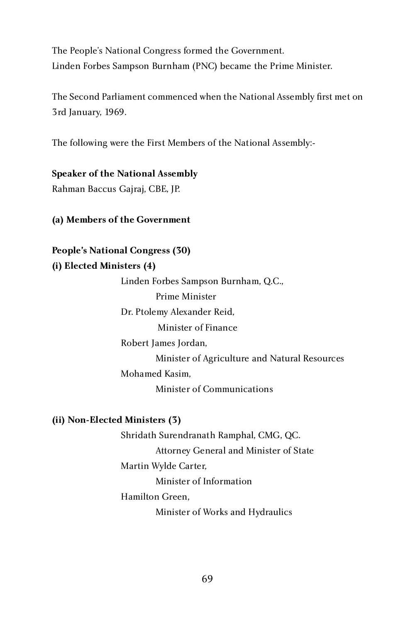The People's National Congress formed the Government. Linden Forbes Sampson Burnham (PNC) became the Prime Minister.

The Second Parliament commenced when the National Assembly first met on 3rd January, 1969.

The following were the First Members of the National Assembly:-

**Speaker of the National Assembly** Rahman Baccus Gajraj, CBE, JP.

#### **(a) Members of the Government**

#### **People's National Congress (30)**

**(i) Elected Ministers (4)**

Linden Forbes Sampson Burnham, Q.C., Prime Minister Dr. Ptolemy Alexander Reid,

Minister of Finance

Robert James Jordan,

 Minister of Agriculture and Natural Resources Mohamed Kasim, Minister of Communications

**(ii) Non-Elected Ministers (3)**

Shridath Surendranath Ramphal, CMG, QC. Attorney General and Minister of State Martin Wylde Carter, Minister of Information Hamilton Green, Minister of Works and Hydraulics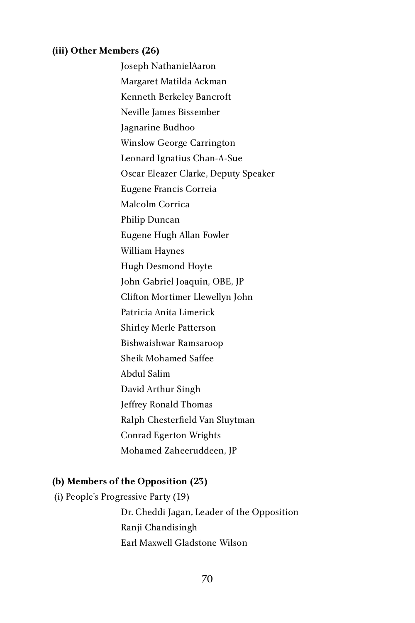#### **(iii) Other Members (26)**

Joseph NathanielAaron Margaret Matilda Ackman Kenneth Berkeley Bancroft Neville James Bissember Jagnarine Budhoo Winslow George Carrington Leonard Ignatius Chan-A-Sue Oscar Eleazer Clarke, Deputy Speaker Eugene Francis Correia Malcolm Corrica Philip Duncan Eugene Hugh Allan Fowler William Haynes Hugh Desmond Hoyte John Gabriel Joaquin, OBE, JP Clifton Mortimer Llewellyn John Patricia Anita Limerick Shirley Merle Patterson Bishwaishwar Ramsaroop Sheik Mohamed Saffee Abdul Salim David Arthur Singh Jeffrey Ronald Thomas Ralph Chesterfield Van Sluytman Conrad Egerton Wrights Mohamed Zaheeruddeen, JP

#### **(b) Members of the Opposition (23)**

(i) People's Progressive Party (19) Dr. Cheddi Jagan, Leader of the Opposition Ranji Chandisingh<br>Earl Maxwell Gladstone Wilson Earl Maxwell Gladstone Wilson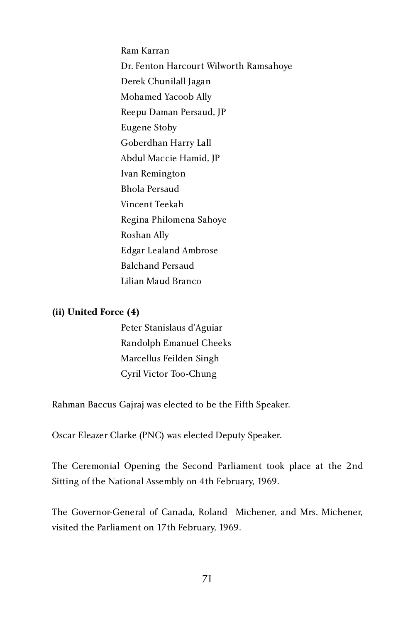Ram Karran Dr. Fenton Harcourt Wilworth Ramsahoye Derek Chunilall Jagan Mohamed Yacoob Ally Reepu Daman Persaud, JP Eugene Stoby Goberdhan Harry Lall Abdul Maccie Hamid, JP Ivan Remington Bhola Persaud Vincent Teekah Regina Philomena Sahoye Roshan Ally Edgar Lealand Ambrose Balchand Persaud Lilian Maud Branco

#### **(ii) United Force (4)**

Peter Stanislaus d'Aguiar Randolph Emanuel Cheeks Marcellus Feilden Singh Cyril Victor Too-Chung

Rahman Baccus Gajraj was elected to be the Fifth Speaker.

Oscar Eleazer Clarke (PNC) was elected Deputy Speaker.

The Ceremonial Opening the Second Parliament took place at the 2nd Sitting of the National Assembly on 4th February, 1969.

The Governor-General of Canada, Roland Michener, and Mrs. Michener, visited the Parliament on 17th February, 1969.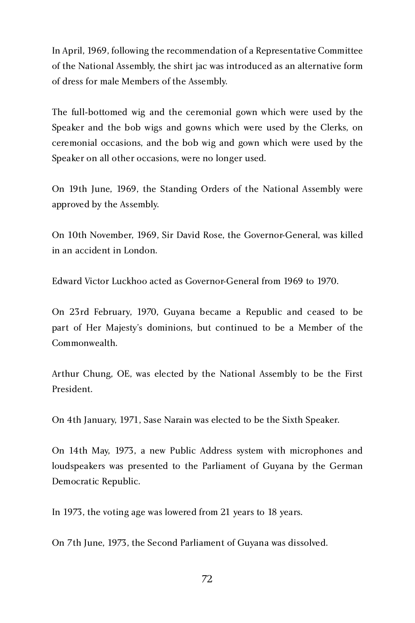In April, 1969, following the recommendation of a Representative Committee of the National Assembly, the shirt jac was introduced as an alternative form of dress for male Members of the Assembly.

The full-bottomed wig and the ceremonial gown which were used by the Speaker and the bob wigs and gowns which were used by the Clerks, on ceremonial occasions, and the bob wig and gown which were used by the Speaker on all other occasions, were no longer used.

On 19th June, 1969, the Standing Orders of the National Assembly were approved by the Assembly.

On 10th November, 1969, Sir David Rose, the Governor-General, was killed in an accident in London.

Edward Victor Luckhoo acted as Governor-General from 1969 to 1970.

On 23rd February, 1970, Guyana became a Republic and ceased to be part of Her Majesty's dominions, but continued to be a Member of the Commonwealth.

Arthur Chung, OE, was elected by the National Assembly to be the First President.

On 4th January, 1971, Sase Narain was elected to be the Sixth Speaker.

On 14th May, 1973, a new Public Address system with microphones and loudspeakers was presented to the Parliament of Guyana by the German Democratic Republic.

In 1973, the voting age was lowered from 21 years to 18 years.

On 7th June, 1973, the Second Parliament of Guyana was dissolved.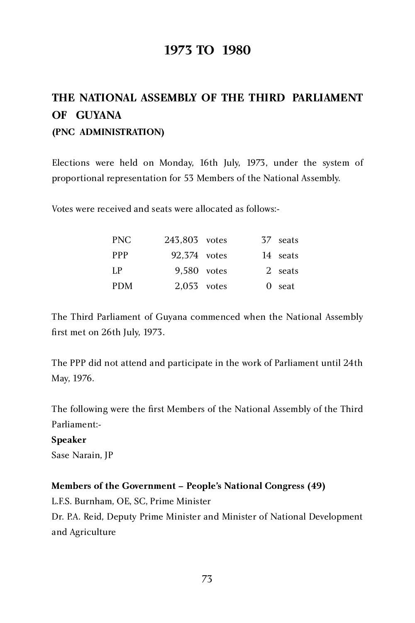# **1973 TO 1980**

# **THE NATIONAL ASSEMBLY OF THE THIRD PARLIAMENT OF GUYANA (PNC ADMINISTRATION)**

Elections were held on Monday, 16th July, 1973, under the system of proportional representation for 53 Members of the National Assembly.

Votes were received and seats were allocated as follows:-

| <b>PNC</b> | 243.803 votes |  | 37 seats |
|------------|---------------|--|----------|
| <b>PPP</b> | 92.374 votes  |  | 14 seats |
| LP.        | 9.580 votes   |  | 2 seats  |
| <b>PDM</b> | 2.053 votes   |  | 0 seat   |
|            |               |  |          |

The Third Parliament of Guyana commenced when the National Assembly first met on 26th July, 1973.

The PPP did not attend and participate in the work of Parliament until 24th May, 1976.

The following were the first Members of the National Assembly of the Third Parliament:-

#### **Speaker**

Sase Narain, JP

#### **Members of the Government – People's National Congress (49)**

L.F.S. Burnham, OE, SC, Prime Minister Dr. P.A. Reid, Deputy Prime Minister and Minister of National Development and Agriculture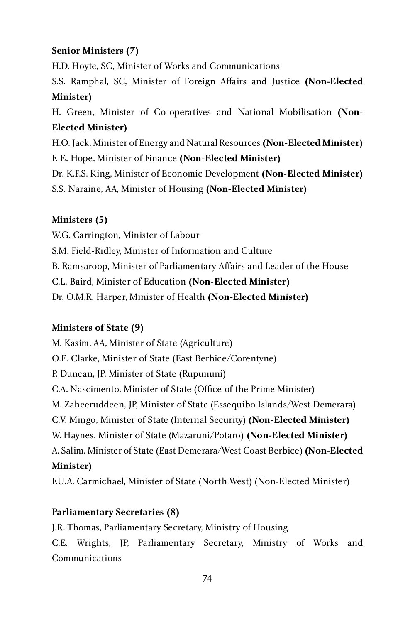### **Senior Ministers (7)**

H.D. Hoyte, SC, Minister of Works and Communications S.S. Ramphal, SC, Minister of Foreign Affairs and Justice **(Non-Elected Minister)**

H. Green, Minister of Co-operatives and National Mobilisation **(Non-Elected Minister)**

H.O. Jack, Minister of Energy and Natural Resources **(Non-Elected Minister)** F. E. Hope, Minister of Finance **(Non-Elected Minister)** Dr. K.F.S. King, Minister of Economic Development **(Non-Elected Minister)** S.S. Naraine, AA, Minister of Housing **(Non-Elected Minister)**

### **Ministers (5)**

W.G. Carrington, Minister of Labour S.M. Field-Ridley, Minister of Information and Culture B. Ramsaroop, Minister of Parliamentary Affairs and Leader of the House C.L. Baird, Minister of Education **(Non-Elected Minister)** Dr. O.M.R. Harper, Minister of Health **(Non-Elected Minister)**

### **Ministers of State (9)**

M. Kasim, AA, Minister of State (Agriculture) O.E. Clarke, Minister of State (East Berbice/Corentyne) P. Duncan, JP, Minister of State (Rupununi) C.A. Nascimento, Minister of State (Office of the Prime Minister) M. Zaheeruddeen, JP, Minister of State (Essequibo Islands/West Demerara) C.V. Mingo, Minister of State (Internal Security) **(Non-Elected Minister)** W. Haynes, Minister of State (Mazaruni/Potaro) **(Non-Elected Minister)** A. Salim, Minister of State (East Demerara/West Coast Berbice) **(Non-Elected Minister)**

F.U.A. Carmichael, Minister of State (North West) (Non-Elected Minister)

## **Parliamentary Secretaries (8)**

J.R. Thomas, Parliamentary Secretary, Ministry of Housing C.E. Wrights, JP, Parliamentary Secretary, Ministry of Works and Communications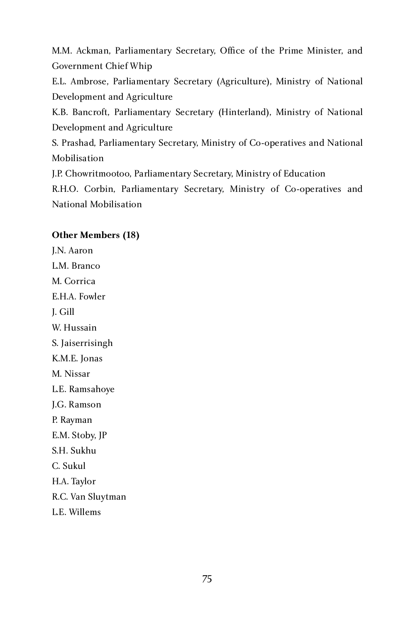M.M. Ackman, Parliamentary Secretary, Office of the Prime Minister, and Government Chief Whip

E.L. Ambrose, Parliamentary Secretary (Agriculture), Ministry of National Development and Agriculture

K.B. Bancroft, Parliamentary Secretary (Hinterland), Ministry of National Development and Agriculture

S. Prashad, Parliamentary Secretary, Ministry of Co-operatives and National Mobilisation

J.P. Chowritmootoo, Parliamentary Secretary, Ministry of Education

R.H.O. Corbin, Parliamentary Secretary, Ministry of Co-operatives and National Mobilisation

#### **Other Members (18)**

J.N. Aaron L.M. Branco M. Corrica E.H.A. Fowler J. Gill W. Hussain S. Jaiserrisingh K.M.E. Jonas M. Nissar L.E. Ramsahoye J.G. Ramson P. Rayman E.M. Stoby, JP S.H. Sukhu C. Sukul H.A. Taylor R.C. Van Sluytman L.E. Willems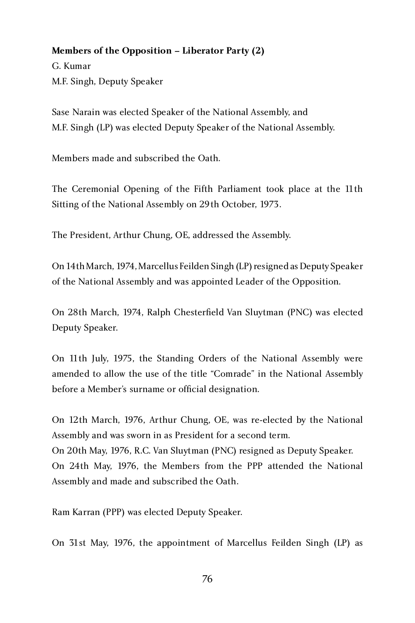### **Members of the Opposition – Liberator Party (2)**

G. Kumar M.F. Singh, Deputy Speaker

Sase Narain was elected Speaker of the National Assembly, and M.F. Singh (LP) was elected Deputy Speaker of the National Assembly.

Members made and subscribed the Oath.

The Ceremonial Opening of the Fifth Parliament took place at the 11th Sitting of the National Assembly on 29th October, 1973.

The President, Arthur Chung, OE, addressed the Assembly.

On 14th March, 1974, Marcellus Feilden Singh (LP) resigned as Deputy Speaker of the National Assembly and was appointed Leader of the Opposition.

On 28th March, 1974, Ralph Chesterfield Van Sluytman (PNC) was elected Deputy Speaker.

On 11th July, 1975, the Standing Orders of the National Assembly were amended to allow the use of the title "Comrade" in the National Assembly before a Member's surname or official designation.

On 12th March, 1976, Arthur Chung, OE, was re-elected by the National Assembly and was sworn in as President for a second term. On 20th May, 1976, R.C. Van Sluytman (PNC) resigned as Deputy Speaker. On 24th May, 1976, the Members from the PPP attended the National Assembly and made and subscribed the Oath.

Ram Karran (PPP) was elected Deputy Speaker.

On 31st May, 1976, the appointment of Marcellus Feilden Singh (LP) as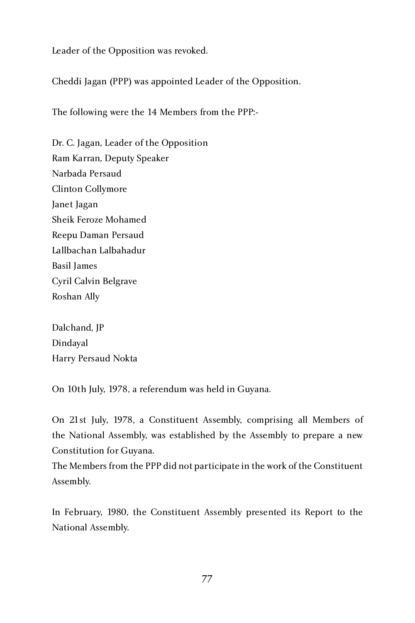Leader of the Opposition was revoked.

Cheddi Jagan (PPP) was appointed Leader of the Opposition.

The following were the 14 Members from the PPP:-

Dr. C. Jagan, Leader of the Opposition Ram Karran, Deputy Speaker Narbada Persaud Clinton Collymore Janet Jagan<br>Sheik Feroze Mohamed Sheik Feroze Mohamed Reepu Daman Persaud Lallbachan Lalbahadur Basil James Cyril Calvin Belgrave Roshan Ally

Dalchand, JP Dindayal Harry Persaud Nokta

On 10th July, 1978, a referendum was held in Guyana.

On 21st July, 1978, a Constituent Assembly, comprising all Members of the National Assembly, was established by the Assembly to prepare a new Constitution for Guyana.

The Members from the PPP did not participate in the work of the Constituent Assembly.

In February, 1980, the Constituent Assembly presented its Report to the National Assembly.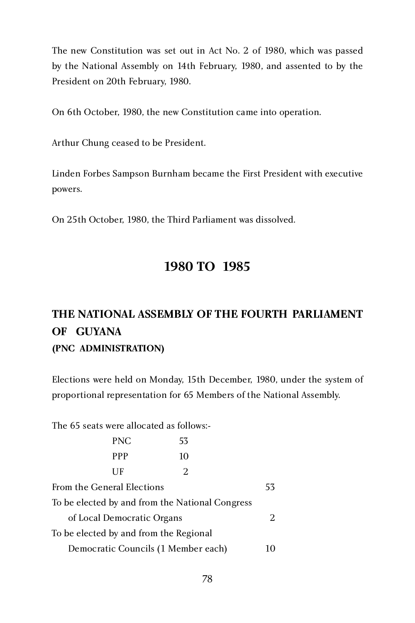The new Constitution was set out in Act No. 2 of 1980, which was passed by the National Assembly on 14th February, 1980, and assented to by the President on 20th February, 1980.

On 6th October, 1980, the new Constitution came into operation.

Arthur Chung ceased to be President.

Linden Forbes Sampson Burnham became the First President with executive powers.

On 25th October, 1980, the Third Parliament was dissolved.

# **1980 TO 1985**

# **THE NATIONAL ASSEMBLY OF THE FOURTH PARLIAMENT OF GUYANA**

# **(PNC ADMINISTRATION)**

Elections were held on Monday, 15th December, 1980, under the system of proportional representation for 65 Members of the National Assembly.

The 65 seats were allocated as follows:-

|                                                 | <b>PNC</b> | 53 |    |
|-------------------------------------------------|------------|----|----|
|                                                 | <b>PPP</b> | 10 |    |
|                                                 | UЕ         | 2  |    |
| From the General Elections                      |            |    | 53 |
| To be elected by and from the National Congress |            |    |    |
| of Local Democratic Organs                      |            |    | 2  |
| To be elected by and from the Regional          |            |    |    |
| Democratic Councils (1 Member each)             |            |    | 10 |
|                                                 |            |    |    |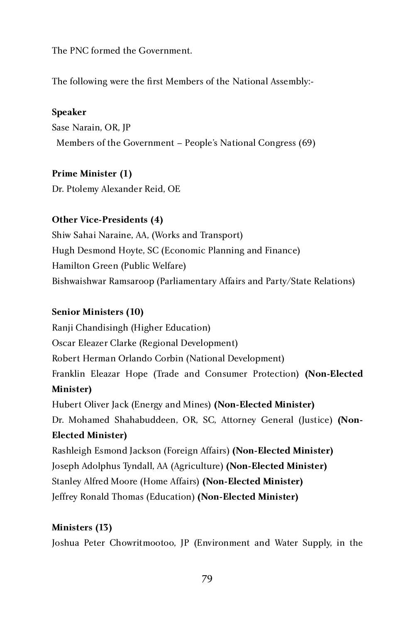The PNC formed the Government.

The following were the first Members of the National Assembly:-

#### **Speaker**

Sase Narain, OR, JP Members of the Government – People's National Congress (69)

**Prime Minister (1)**

Dr. Ptolemy Alexander Reid, OE

### **Other Vice-Presidents (4)**

Shiw Sahai Naraine, AA, (Works and Transport) Hugh Desmond Hoyte, SC (Economic Planning and Finance) Hamilton Green (Public Welfare) Bishwaishwar Ramsaroop (Parliamentary Affairs and Party/State Relations)

### **Senior Ministers (10)**

Ranji Chandisingh (Higher Education) Oscar Eleazer Clarke (Regional Development) Robert Herman Orlando Corbin (National Development) Franklin Eleazar Hope (Trade and Consumer Protection) **(Non-Elected Minister)** Hubert Oliver Jack (Energy and Mines) **(Non-Elected Minister)** Dr. Mohamed Shahabuddeen, OR, SC, Attorney General (Justice) **(Non-Elected Minister)** Rashleigh Esmond Jackson (Foreign Affairs) **(Non-Elected Minister)** Joseph Adolphus Tyndall, AA (Agriculture) **(Non-Elected Minister)**

Stanley Alfred Moore (Home Affairs) **(Non-Elected Minister)**

Jeffrey Ronald Thomas (Education) **(Non-Elected Minister)**

### **Ministers (13)**

Joshua Peter Chowritmootoo, JP (Environment and Water Supply, in the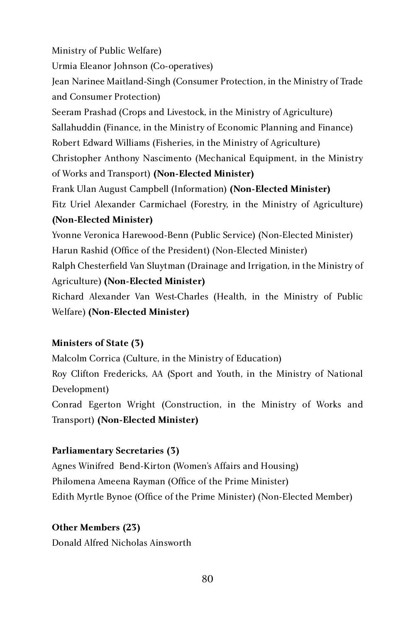Ministry of Public Welfare) Urmia Eleanor Johnson (Co-operatives) Jean Narinee Maitland-Singh (Consumer Protection, in the Ministry of Trade and Consumer Protection) Seeram Prashad (Crops and Livestock, in the Ministry of Agriculture) Sallahuddin (Finance, in the Ministry of Economic Planning and Finance) Robert Edward Williams (Fisheries, in the Ministry of Agriculture) Christopher Anthony Nascimento (Mechanical Equipment, in the Ministry of Works and Transport) **(Non-Elected Minister)** Frank Ulan August Campbell (Information) **(Non-Elected Minister)** Fitz Uriel Alexander Carmichael (Forestry, in the Ministry of Agriculture) **(Non-Elected Minister)** Yvonne Veronica Harewood-Benn (Public Service) (Non-Elected Minister) Harun Rashid (Office of the President) (Non-Elected Minister) Ralph Chesterfield Van Sluytman (Drainage and Irrigation, in the Ministry of Agriculture) **(Non-Elected Minister)** Richard Alexander Van West-Charles (Health, in the Ministry of Public Welfare) **(Non-Elected Minister)**

### **Ministers of State (3)**

Malcolm Corrica (Culture, in the Ministry of Education) Roy Clifton Fredericks, AA (Sport and Youth, in the Ministry of National Development) Conrad Egerton Wright (Construction, in the Ministry of Works and Transport) **(Non-Elected Minister)**

### **Parliamentary Secretaries (3)**

Agnes Winifred Bend-Kirton (Women's Affairs and Housing) Philomena Ameena Rayman (Office of the Prime Minister) Edith Myrtle Bynoe (Office of the Prime Minister) (Non-Elected Member)

### **Other Members (23)**

Donald Alfred Nicholas Ainsworth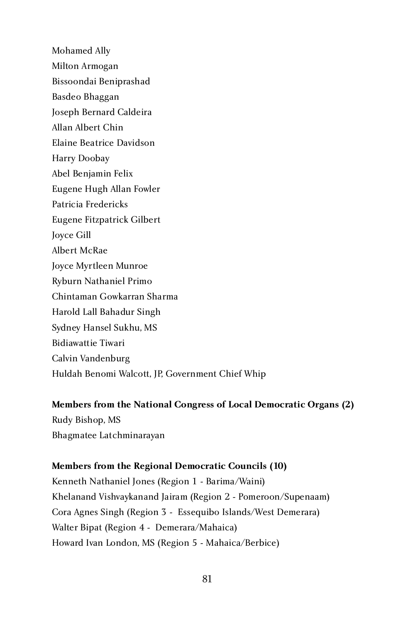Mohamed Ally Milton Armogan Bissoondai Beniprashad Basdeo Bhaggan Joseph Bernard Caldeira Allan Albert Chin Elaine Beatrice Davidson Harry Doobay Abel Benjamin Felix Eugene Hugh Allan Fowler Patricia Fredericks Eugene Fitzpatrick Gilbert Joyce Gill Albert McRae Joyce Myrtleen Munroe Ryburn Nathaniel Primo Chintaman Gowkarran Sharma Harold Lall Bahadur Singh Sydney Hansel Sukhu, MS Bidiawattie Tiwari Calvin Vandenburg Huldah Benomi Walcott, JP, Government Chief Whip

#### **Members from the National Congress of Local Democratic Organs (2)**

Rudy Bishop, MS Bhagmatee Latchminarayan

#### **Members from the Regional Democratic Councils (10)**

Kenneth Nathaniel Jones (Region 1 - Barima/Waini) Khelanand Vishvaykanand Jairam (Region 2 - Pomeroon/Supenaam) Cora Agnes Singh (Region 3 - Essequibo Islands/West Demerara) Walter Bipat (Region 4 - Demerara/Mahaica) Howard Ivan London, MS (Region 5 - Mahaica/Berbice)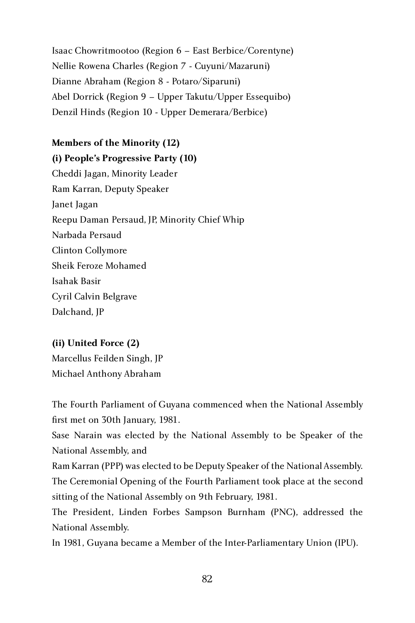Isaac Chowritmootoo (Region 6 – East Berbice/Corentyne) Nellie Rowena Charles (Region 7 - Cuyuni/Mazaruni) Dianne Abraham (Region 8 - Potaro/Siparuni) Abel Dorrick (Region 9 – Upper Takutu/Upper Essequibo) Denzil Hinds (Region 10 - Upper Demerara/Berbice)

# **Members of the Minority (12) (i) People's Progressive Party (10)** Cheddi Jagan, Minority Leader Ram Karran, Deputy Speaker Janet Jagan Reepu Daman Persaud, JP, Minority Chief Whip Narbada Persaud Clinton Collymore Sheik Feroze Mohamed Isahak Basir Cyril Calvin Belgrave Dalchand, JP

### **(ii) United Force (2)**

Marcellus Feilden Singh, JP Michael Anthony Abraham

The Fourth Parliament of Guyana commenced when the National Assembly first met on 30th January, 1981.

Sase Narain was elected by the National Assembly to be Speaker of the National Assembly, and

Ram Karran (PPP) was elected to be Deputy Speaker of the National Assembly. The Ceremonial Opening of the Fourth Parliament took place at the second sitting of the National Assembly on 9th February, 1981.

The President, Linden Forbes Sampson Burnham (PNC), addressed the National Assembly.

In 1981, Guyana became a Member of the Inter-Parliamentary Union (IPU).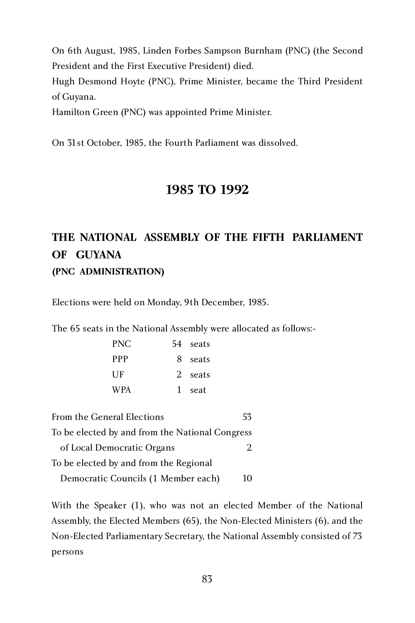On 6th August, 1985, Linden Forbes Sampson Burnham (PNC) (the Second President and the First Executive President) died. Hugh Desmond Hoyte (PNC), Prime Minister, became the Third President of Guyana.

Hamilton Green (PNC) was appointed Prime Minister.

On 31st October, 1985, the Fourth Parliament was dissolved.

# **1985 TO 1992**

# **THE NATIONAL ASSEMBLY OF THE FIFTH PARLIAMENT OF GUYANA (PNC ADMINISTRATION)**

Elections were held on Monday, 9th December, 1985.

The 65 seats in the National Assembly were allocated as follows:-

| PNC.       | 54 seats |
|------------|----------|
| <b>PPP</b> | 8 seats  |
| UE         | 2 seats  |
| <b>WPA</b> | 1 seat   |
|            |          |

| <b>From the General Elections</b>               | 53 |
|-------------------------------------------------|----|
| To be elected by and from the National Congress |    |
| of Local Democratic Organs                      |    |
| To be elected by and from the Regional          |    |
| Democratic Councils (1 Member each)             | 10 |
|                                                 |    |

With the Speaker (1), who was not an elected Member of the National Assembly, the Elected Members (65), the Non-Elected Ministers (6), and the Non-Elected Parliamentary Secretary, the National Assembly consisted of 73 persons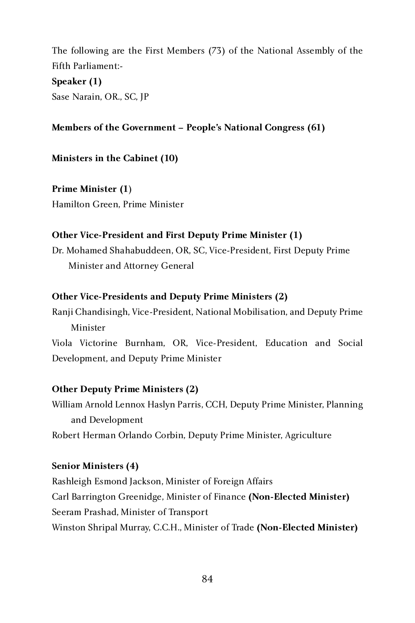The following are the First Members (73) of the National Assembly of the Fifth Parliament:-

### **Speaker (1)**

Sase Narain, OR., SC, JP

### **Members of the Government – People's National Congress (61)**

#### **Ministers in the Cabinet (10)**

**Prime Minister (1**) Hamilton Green, Prime Minister

#### **Other Vice-President and First Deputy Prime Minister (1)**

Dr. Mohamed Shahabuddeen, OR, SC, Vice-President, First Deputy Prime Minister and Attorney General

#### **Other Vice-Presidents and Deputy Prime Ministers (2)**

Ranji Chandisingh, Vice-President, National Mobilisation, and Deputy Prime Minister Viola Victorine Burnham, OR, Vice-President, Education and Social

Development, and Deputy Prime Minister

### **Other Deputy Prime Ministers (2)**

William Arnold Lennox Haslyn Parris, CCH, Deputy Prime Minister, Planning and Development Robert Herman Orlando Corbin, Deputy Prime Minister, Agriculture

### **Senior Ministers (4)**

Rashleigh Esmond Jackson, Minister of Foreign Affairs Carl Barrington Greenidge, Minister of Finance **(Non-Elected Minister)** Seeram Prashad, Minister of Transport Winston Shripal Murray, C.C.H., Minister of Trade **(Non-Elected Minister)**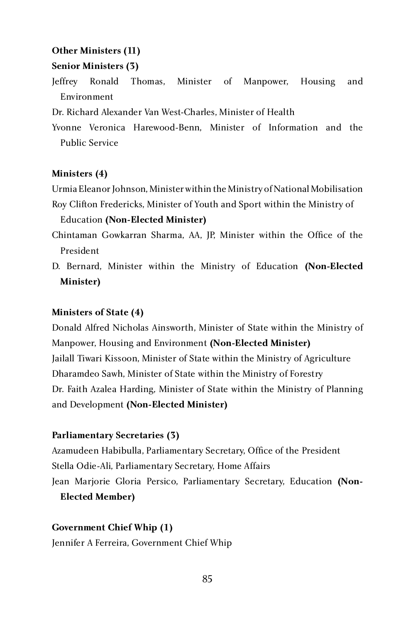### **Other Ministers (11)**

### **Senior Ministers (3)**

Jeffrey Ronald Thomas, Minister of Manpower, Housing and Environment

Dr. Richard Alexander Van West-Charles, Minister of Health

Yvonne Veronica Harewood-Benn, Minister of Information and the Public Service

#### **Ministers (4)**

Urmia Eleanor Johnson, Minister within the Ministry of National Mobilisation Roy Clifton Fredericks, Minister of Youth and Sport within the Ministry of

### Education **(Non-Elected Minister)**

- Chintaman Gowkarran Sharma, AA, JP, Minister within the Office of the President
- D. Bernard, Minister within the Ministry of Education **(Non-Elected Minister)**

#### **Ministers of State (4)**

Donald Alfred Nicholas Ainsworth, Minister of State within the Ministry of Manpower, Housing and Environment **(Non-Elected Minister)** Jailall Tiwari Kissoon, Minister of State within the Ministry of Agriculture Dharamdeo Sawh, Minister of State within the Ministry of Forestry Dr. Faith Azalea Harding, Minister of State within the Ministry of Planning and Development **(Non-Elected Minister)**

#### **Parliamentary Secretaries (3)**

Azamudeen Habibulla, Parliamentary Secretary, Office of the President Stella Odie-Ali, Parliamentary Secretary, Home Affairs Jean Marjorie Gloria Persico, Parliamentary Secretary, Education **(Non-Elected Member)**

#### **Government Chief Whip (1)**

Jennifer A Ferreira, Government Chief Whip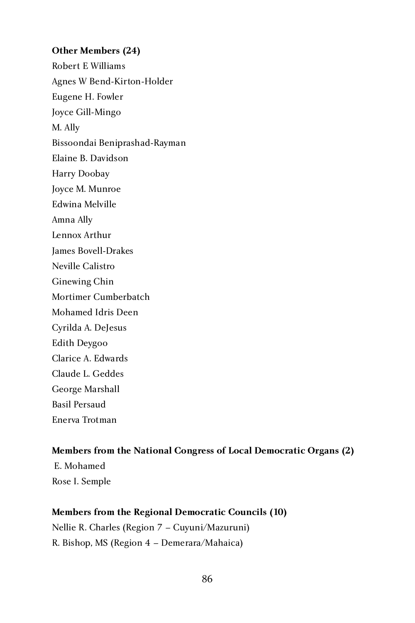#### **Other Members (24)**

Robert E Williams Agnes W Bend-Kirton-Holder Eugene H. Fowler Joyce Gill-Mingo M. Ally Bissoondai Beniprashad-Rayman Elaine B. Davidson Harry Doobay Joyce M. Munroe Edwina Melville Amna Ally Lennox Arthur James Bovell-Drakes Neville Calistro Ginewing Chin Mortimer Cumberbatch Mohamed Idris Deen Cyrilda A. DeJesus Edith Deygoo Clarice A. Edwards Claude L. Geddes George Marshall Basil Persaud Enerva Trotman

#### **Members from the National Congress of Local Democratic Organs (2)**

 E. Mohamed Rose I. Semple

#### **Members from the Regional Democratic Councils (10)**

Nellie R. Charles (Region 7 – Cuyuni/Mazuruni) R. Bishop, MS (Region 4 – Demerara/Mahaica)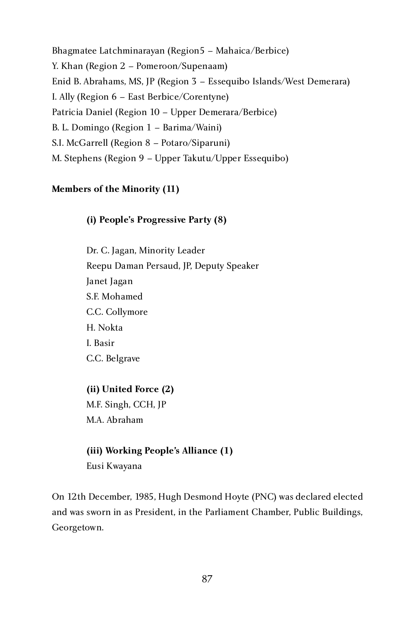Bhagmatee Latchminarayan (Region5 – Mahaica/Berbice) Y. Khan (Region 2 – Pomeroon/Supenaam) Enid B. Abrahams, MS, JP (Region 3 – Essequibo Islands/West Demerara) I. Ally (Region 6 – East Berbice/Corentyne) Patricia Daniel (Region 10 – Upper Demerara/Berbice) B. L. Domingo (Region 1 – Barima/Waini) S.I. McGarrell (Region 8 – Potaro/Siparuni) M. Stephens (Region 9 – Upper Takutu/Upper Essequibo)

### **Members of the Minority (11)**

**(i) People's Progressive Party (8)**

Dr. C. Jagan, Minority Leader Reepu Daman Persaud, JP, Deputy Speaker Janet Jagan S.F. Mohamed C.C. Collymore H. Nokta I. Basir C.C. Belgrave

#### **(ii) United Force (2)**

M.F. Singh, CCH, JP M.A. Abraham

#### **(iii) Working People's Alliance (1)**

Eusi Kwayana

On 12th December, 1985, Hugh Desmond Hoyte (PNC) was declared elected and was sworn in as President, in the Parliament Chamber, Public Buildings, Georgetown.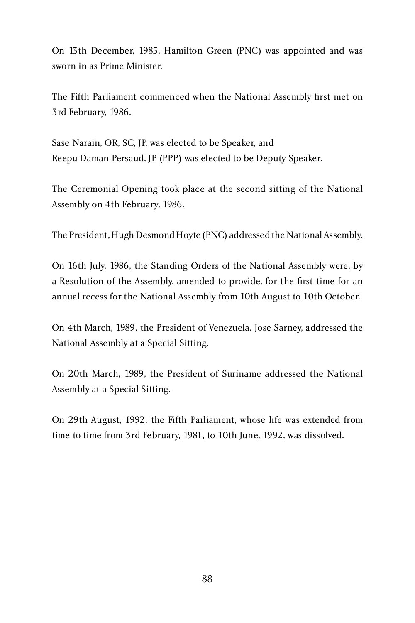On 13th December, 1985, Hamilton Green (PNC) was appointed and was sworn in as Prime Minister.

The Fifth Parliament commenced when the National Assembly first met on 3rd February, 1986.

Sase Narain, OR, SC, JP, was elected to be Speaker, and Reepu Daman Persaud, JP (PPP) was elected to be Deputy Speaker.

The Ceremonial Opening took place at the second sitting of the National Assembly on 4th February, 1986.

The President, Hugh Desmond Hoyte (PNC) addressed the National Assembly.

On 16th July, 1986, the Standing Orders of the National Assembly were, by a Resolution of the Assembly, amended to provide, for the first time for an annual recess for the National Assembly from 10th August to 10th October.

On 4th March, 1989, the President of Venezuela, Jose Sarney, addressed the National Assembly at a Special Sitting.

On 20th March, 1989, the President of Suriname addressed the National Assembly at a Special Sitting.

On 29th August, 1992, the Fifth Parliament, whose life was extended from time to time from 3rd February, 1981, to 10th June, 1992, was dissolved.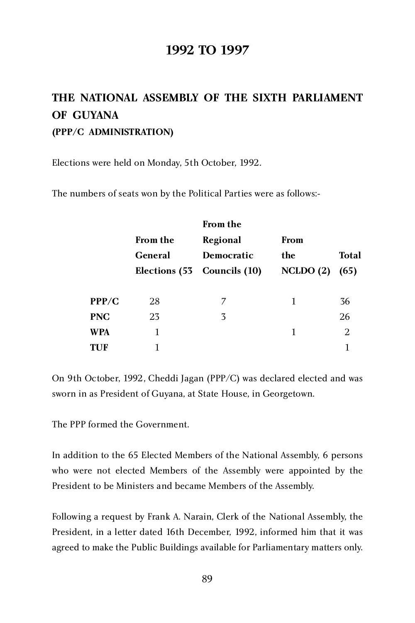# **1992 TO 1997**

# **THE NATIONAL ASSEMBLY OF THE SIXTH PARLIAMENT OF GUYANA (PPP/C ADMINISTRATION)**

Elections were held on Monday, 5th October, 1992.

The numbers of seats won by the Political Parties were as follows:-

|            |                 | <b>From the</b>             |          |       |
|------------|-----------------|-----------------------------|----------|-------|
|            | <b>From the</b> | Regional                    | From     |       |
|            | General         | <b>Democratic</b>           | the      | Total |
|            |                 | Elections (53 Councils (10) | NCLDO(2) | (65)  |
|            |                 |                             |          |       |
| PPP/C      | 28              |                             | 1        | 36    |
| <b>PNC</b> | 23              | 3                           |          | 26    |
| <b>WPA</b> | 1               |                             | 1        | 2     |
| <b>TUF</b> | 1               |                             |          |       |
|            |                 |                             |          |       |

On 9th October, 1992, Cheddi Jagan (PPP/C) was declared elected and was sworn in as President of Guyana, at State House, in Georgetown.

The PPP formed the Government.

In addition to the 65 Elected Members of the National Assembly, 6 persons who were not elected Members of the Assembly were appointed by the President to be Ministers and became Members of the Assembly.

Following a request by Frank A. Narain, Clerk of the National Assembly, the President, in a letter dated 16th December, 1992, informed him that it was agreed to make the Public Buildings available for Parliamentary matters only.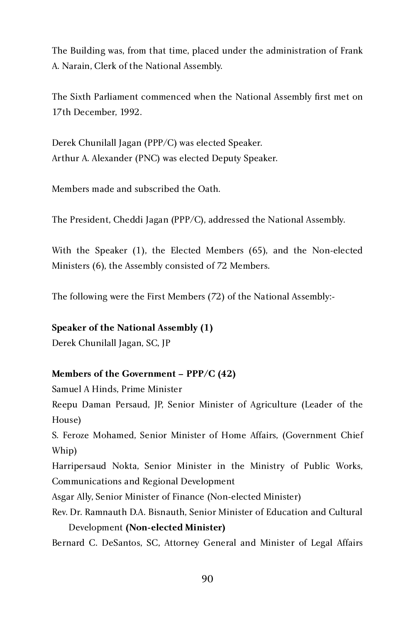The Building was, from that time, placed under the administration of Frank A. Narain, Clerk of the National Assembly.

The Sixth Parliament commenced when the National Assembly first met on 17th December, 1992.

Derek Chunilall Jagan (PPP/C) was elected Speaker. Arthur A. Alexander (PNC) was elected Deputy Speaker.

Members made and subscribed the Oath.

The President, Cheddi Jagan (PPP/C), addressed the National Assembly.

With the Speaker (1), the Elected Members (65), and the Non-elected Ministers (6), the Assembly consisted of 72 Members.

The following were the First Members (72) of the National Assembly:-

#### **Speaker of the National Assembly (1)**

Derek Chunilall Jagan, SC, JP

#### **Members of the Government – PPP/C (42)**

Samuel A Hinds, Prime Minister

Reepu Daman Persaud, JP, Senior Minister of Agriculture (Leader of the House)

S. Feroze Mohamed, Senior Minister of Home Affairs, (Government Chief Whip)

Harripersaud Nokta, Senior Minister in the Ministry of Public Works, Communications and Regional Development

Asgar Ally, Senior Minister of Finance (Non-elected Minister)

Rev. Dr. Ramnauth D.A. Bisnauth, Senior Minister of Education and Cultural Development **(Non-elected Minister)**

Bernard C. DeSantos, SC, Attorney General and Minister of Legal Affairs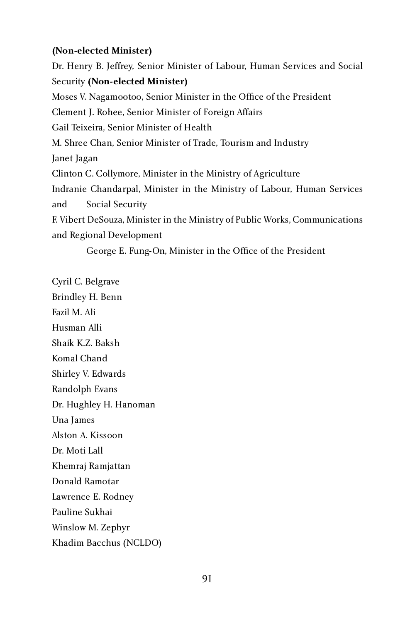#### **(Non-elected Minister)**

Dr. Henry B. Jeffrey, Senior Minister of Labour, Human Services and Social Security **(Non-elected Minister)** Moses V. Nagamootoo, Senior Minister in the Office of the President Clement J. Rohee, Senior Minister of Foreign Affairs Gail Teixeira, Senior Minister of Health M. Shree Chan, Senior Minister of Trade, Tourism and Industry Janet Jagan Clinton C. Collymore, Minister in the Ministry of Agriculture Indranie Chandarpal, Minister in the Ministry of Labour, Human Services Social Security F. Vibert DeSouza, Minister in the Ministry of Public Works, Communications and Regional Development George E. Fung-On, Minister in the Office of the President

Cyril C. Belgrave Brindley H. Benn<br>Fazil M. Ali Fazil M. Ali Husman Alli Shaik K.Z. Baksh Komal Chand Shirley V. Edwards Randolph Evans Dr. Hughley H. Hanoman Una James Alston A. Kissoon Dr. Moti Lall Khemraj Ramjattan Donald Ramotar Lawrence E. Rodney Pauline Sukhai Winslow M. Zephyr Khadim Bacchus (NCLDO)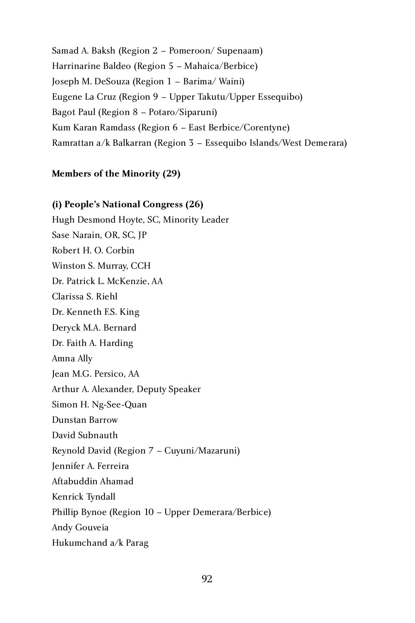Samad A. Baksh (Region 2 – Pomeroon/ Supenaam) Harrinarine Baldeo (Region 5 – Mahaica/Berbice) Joseph M. DeSouza (Region 1 – Barima/ Waini) Eugene La Cruz (Region 9 – Upper Takutu/Upper Essequibo) Bagot Paul (Region 8 – Potaro/Siparuni) Kum Karan Ramdass (Region 6 – East Berbice/Corentyne) Ramrattan a/k Balkarran (Region 3 – Essequibo Islands/West Demerara)

#### **Members of the Minority (29)**

**(i) People's National Congress (26)**  Hugh Desmond Hoyte, SC, Minority Leader Sase Narain, OR, SC, JP Robert H. O. Corbin Winston S. Murray, CCH Dr. Patrick L. McKenzie, AA Clarissa S. Riehl Dr. Kenneth F.S. King Deryck M.A. Bernard Dr. Faith A. Harding Amna Ally Jean M.G. Persico, AA Arthur A. Alexander, Deputy Speaker Simon H. Ng-See-Quan Dunstan Barrow David Subnauth Reynold David (Region 7 – Cuyuni/Mazaruni) Jennifer A. Ferreira Aftabuddin Ahamad Kenrick Tyndall Phillip Bynoe (Region 10 – Upper Demerara/Berbice) Andy Gouveia Hukumchand a/k Parag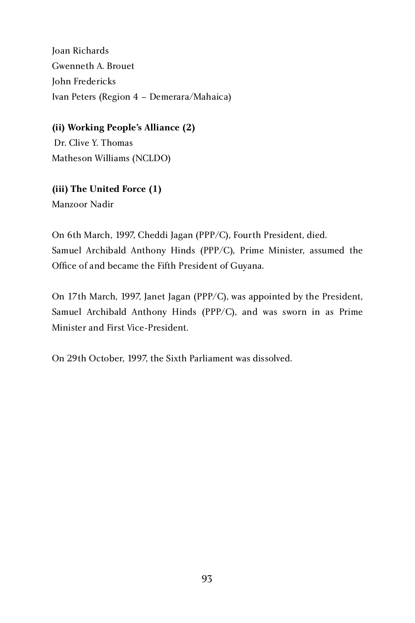Joan Richards Gwenneth A. Brouet John Fredericks Ivan Peters (Region 4 – Demerara/Mahaica)

**(ii) Working People's Alliance (2)** Dr. Clive Y. Thomas Matheson Williams (NCLDO)

**(iii) The United Force (1)**

Manzoor Nadir

On 6th March, 1997, Cheddi Jagan (PPP/C), Fourth President, died. Samuel Archibald Anthony Hinds (PPP/C), Prime Minister, assumed the Office of and became the Fifth President of Guyana.

On 17th March, 1997, Janet Jagan (PPP/C), was appointed by the President, Samuel Archibald Anthony Hinds (PPP/C), and was sworn in as Prime Minister and First Vice-President.

On 29th October, 1997, the Sixth Parliament was dissolved.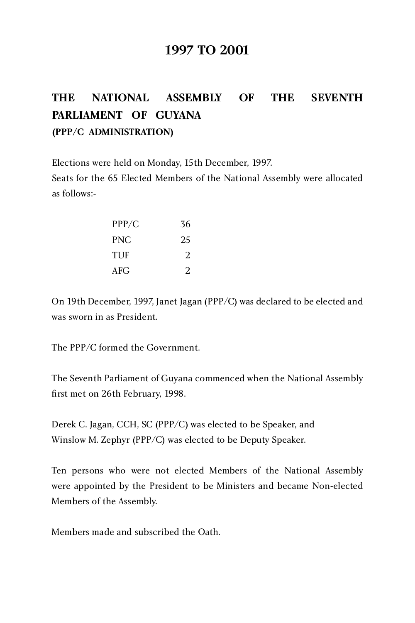# **1997 TO 2001**

# **THE NATIONAL ASSEMBLY OF THE SEVENTH PARLIAMENT OF GUYANA (PPP/C ADMINISTRATION)**

Elections were held on Monday, 15th December, 1997. Seats for the 65 Elected Members of the National Assembly were allocated as follows:-

| PPP/C | 36 |
|-------|----|
| PNC.  | 25 |
| TUF   | 2  |
| AFG.  | 2  |
|       |    |

On 19th December, 1997, Janet Jagan (PPP/C) was declared to be elected and was sworn in as President.

The FFF/C formed the Government.

The Seventh Parliament of Guyana commenced when the National Assembly first met on 26th February, 1998.

Derek C. Jagan, CCH, SC (PPP/C) was elected to be Speaker, and Winslow M. Zephyr (PPP/C) was elected to be Deputy Speaker.

Ten persons who were not elected Members of the National Assembly were appointed by the President to be Ministers and became Non-elected Members of the Assembly.

Members made and subscribed the Oath.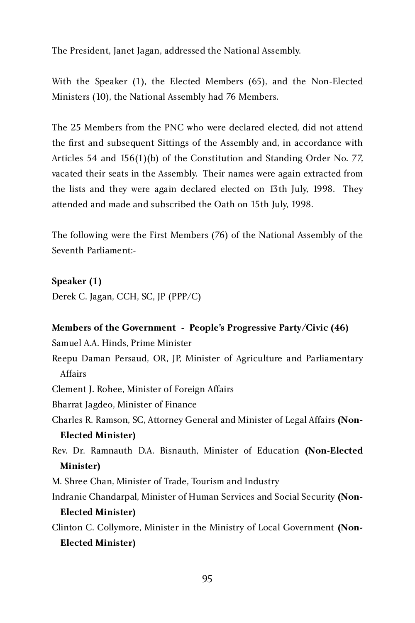The President, Janet Jagan, addressed the National Assembly.

With the Speaker (1), the Elected Members (65), and the Non-Elected Ministers (10), the National Assembly had 76 Members.

The 25 Members from the PNC who were declared elected, did not attend the first and subsequent Sittings of the Assembly and, in accordance with Articles 54 and 156(1)(b) of the Constitution and Standing Order No. 77, vacated their seats in the Assembly. Their names were again extracted from the lists and they were again declared elected on 13th July, 1998. They attended and made and subscribed the Oath on 15th July, 1998.

The following were the First Members (76) of the National Assembly of the Seventh Parliament:-

#### **Speaker (1)**

Derek C. Jagan, CCH, SC, JP (PPP/C)

#### **Members of the Government - People's Progressive Party/Civic (46)**

Samuel A.A. Hinds, Prime Minister

Reepu Daman Persaud, OR, JP, Minister of Agriculture and Parliamentary Affairs

Clement J. Rohee, Minister of Foreign Affairs

Bharrat Jagdeo, Minister of Finance

Charles R. Ramson, SC, Attorney General and Minister of Legal Affairs **(Non-Elected Minister)**

Rev. Dr. Ramnauth D.A. Bisnauth, Minister of Education **(Non-Elected Minister)**

M. Shree Chan, Minister of Trade, Tourism and Industry

Indranie Chandarpal, Minister of Human Services and Social Security **(Non-Elected Minister)**

Clinton C. Collymore, Minister in the Ministry of Local Government **(Non-Elected Minister)**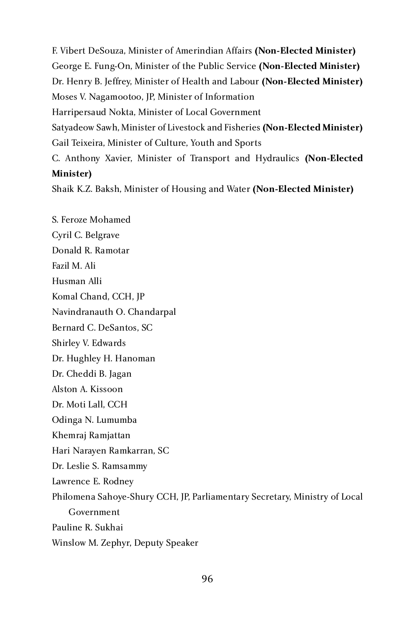F. Vibert DeSouza, Minister of Amerindian Affairs **(Non-Elected Minister)** George E. Fung-On, Minister of the Public Service **(Non-Elected Minister)** Dr. Henry B. Jeffrey, Minister of Health and Labour **(Non-Elected Minister)** Moses V. Nagamootoo, JP, Minister of Information Harripersaud Nokta, Minister of Local Government Satyadeow Sawh, Minister of Livestock and Fisheries **(Non-Elected Minister)** Gail Teixeira, Minister of Culture, Youth and Sports C. Anthony Xavier, Minister of Transport and Hydraulics **(Non-Elected Minister)**

Shaik K.Z. Baksh, Minister of Housing and Water **(Non-Elected Minister)**

S. Feroze Mohamed Cyril C. Belgrave Donald R. Ramotar Fazil M. Ali Husman Alli Komal Chand, CCH, JP Navindranauth O. Chandarpal Bernard C. DeSantos, SC Shirley V. Edwards Dr. Hughley H. Hanoman Dr. Cheddi B. Jagan Alston A. Kissoon Dr. Moti Lall, CCH Odinga N. Lumumba Khemraj Ramjattan Hari Narayen Ramkarran, SC Dr. Leslie S. Ramsammy Lawrence E. Rodney Philomena Sahoye-Shury CCH, JP, Parliamentary Secretary, Ministry of Local Government Pauline R. Sukhai Winslow M. Zephyr, Deputy Speaker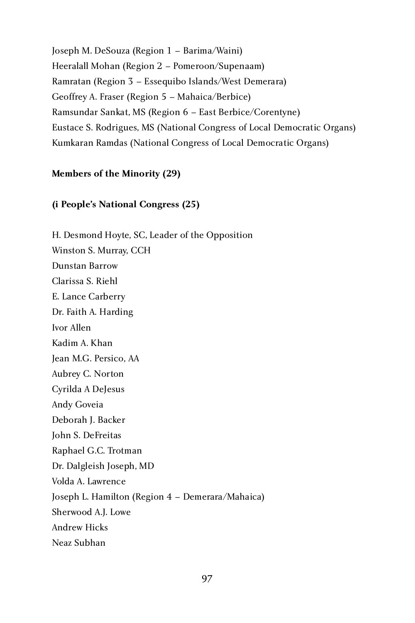Joseph M. DeSouza (Region 1 – Barima/Waini) Heeralall Mohan (Region 2 – Pomeroon/Supenaam) Ramratan (Region 3 – Essequibo Islands/West Demerara) Geoffrey A. Fraser (Region 5 – Mahaica/Berbice) Ramsundar Sankat, MS (Region 6 – East Berbice/Corentyne) Eustace S. Rodrigues, MS (National Congress of Local Democratic Organs) Kumkaran Ramdas (National Congress of Local Democratic Organs)

#### **Members of the Minority (29)**

#### **(i People's National Congress (25)**

H. Desmond Hoyte, SC, Leader of the Opposition Winston S. Murray, CCH Dunstan Barrow Clarissa S. Riehl E. Lance Carberry Dr. Faith A. Harding Ivor Allen Kadim A. Khan Jean M.G. Persico, AA Aubrey C. Norton Cyrilda A DeJesus Andy Goveia Deborah J. Backer John S. DeFreitas Raphael G.C. Trotman Dr. Dalgleish Joseph, MD Volda A. Lawrence Joseph L. Hamilton (Region 4 – Demerara/Mahaica) Sherwood A.J. Lowe Andrew Hicks Neaz Subhan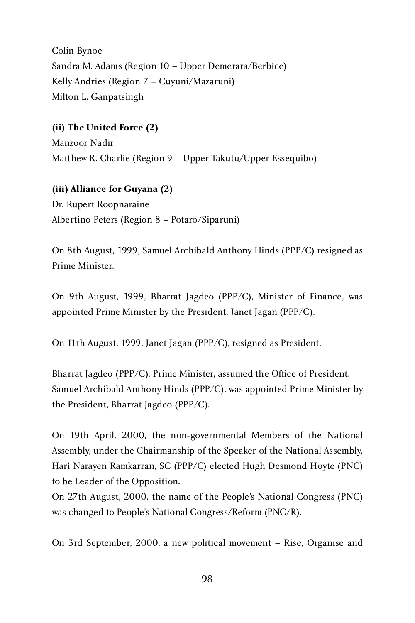Colin Bynoe Sandra M. Adams (Region 10 – Upper Demerara/Berbice) Kelly Andries (Region 7 – Cuyuni/Mazaruni) Milton L. Ganpatsingh

**(ii) The United Force (2)** Manzoor Nadir Matthew R. Charlie (Region 9 – Upper Takutu/Upper Essequibo)

**(iii) Alliance for Guyana (2)** Dr. Rupert Roopnaraine Albertino Peters (Region 8 – Potaro/Siparuni)

On 8th August, 1999, Samuel Archibald Anthony Hinds (PPP/C) resigned as Prime Minister.

On 9th August, 1999, Bharrat Jagdeo (PPP/C), Minister of Finance, was appointed Prime Minister by the President, Janet Jagan (PPP/C).

On 11th August, 1999, Janet Jagan (PPP/C), resigned as President.

Bharrat Jagdeo (PPP/C), Prime Minister, assumed the Office of President. Samuel Archibald Anthony Hinds (PPP/C), was appointed Prime Minister by the President, Bharrat Jagdeo (PPP/C).

On 19th April, 2000, the non-governmental Members of the National Assembly, under the Chairmanship of the Speaker of the National Assembly, Hari Narayen Ramkarran, SC (PPP/C) elected Hugh Desmond Hoyte (PNC) to be Leader of the Opposition.

On 27th August, 2000, the name of the People's National Congress (PNC) was changed to People's National Congress/Reform (PNC/R).

On 3rd September, 2000, a new political movement – Rise, Organise and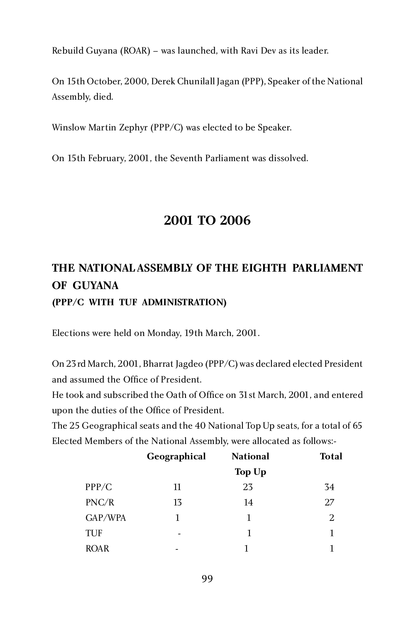Rebuild Guyana (ROAR) – was launched, with Ravi Dev as its leader.

On 15th October, 2000, Derek Chunilall Jagan (PPP), Speaker of the National Assembly, died.

Winslow Martin Zephyr (PPP/C) was elected to be Speaker.

On 15th February, 2001, the Seventh Parliament was dissolved.

# **2001 TO 2006**

# **THE NATIONAL ASSEMBLY OF THE EIGHTH PARLIAMENT OF GUYANA (PPP/C WITH TUF ADMINISTRATION)**

Elections were held on Monday, 19th March, 2001.

On 23rd March, 2001, Bharrat Jagdeo (PPP/C) was declared elected President and assumed the Office of President.

He took and subscribed the Oath of Office on 31st March, 2001, and entered upon the duties of the Office of President.

The 25 Geographical seats and the 40 National Top Up seats, for a total of 65 Elected Members of the National Assembly, were allocated as follows:-

|             | Geographical  | <b>National</b> | <b>Total</b> |  |
|-------------|---------------|-----------------|--------------|--|
|             | <b>Top Up</b> |                 |              |  |
| PPP/C       | 11            | 23              | 34           |  |
| PNC/R       | 13            | 14              | 27           |  |
| GAP/WPA     | 1             | 1               | 2            |  |
| <b>TUF</b>  | -             | 1               | 1            |  |
| <b>ROAR</b> | -             | 1               |              |  |
|             |               |                 |              |  |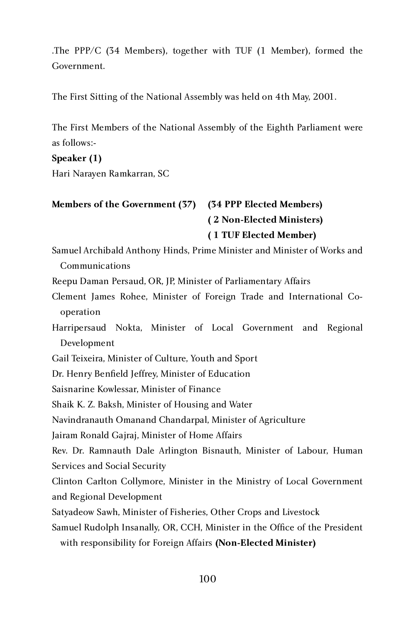.The PPP/C (34 Members), together with TUF (1 Member), formed the Government.

The First Sitting of the National Assembly was held on 4th May, 2001.

The First Members of the National Assembly of the Eighth Parliament were as follows:-

#### **Speaker (1)**

Hari Narayen Ramkarran, SC

# **Members of the Government (37) (34 PPP Elected Members) ( 2 Non-Elected Ministers) ( 1 TUF Elected Member)**

Samuel Archibald Anthony Hinds, Prime Minister and Minister of Works and Communications

Reepu Daman Persaud, OR, JP, Minister of Parliamentary Affairs

Clement James Rohee, Minister of Foreign Trade and International Cooperation

Harripersaud Nokta, Minister of Local Government and Regional Development

Gail Teixeira, Minister of Culture, Youth and Sport

Dr. Henry Benfield Jeffrey, Minister of Education

Saisnarine Kowlessar, Minister of Finance

Shaik K. Z. Baksh, Minister of Housing and Water

Navindranauth Omanand Chandarpal, Minister of Agriculture

Jairam Ronald Gajraj, Minister of Home Affairs

Rev. Dr. Ramnauth Dale Arlington Bisnauth, Minister of Labour, Human Services and Social Security

Clinton Carlton Collymore, Minister in the Ministry of Local Government and Regional Development

Satyadeow Sawh, Minister of Fisheries, Other Crops and Livestock

Samuel Rudolph Insanally, OR, CCH, Minister in the Office of the President

with responsibility for Foreign Affairs **(Non-Elected Minister)**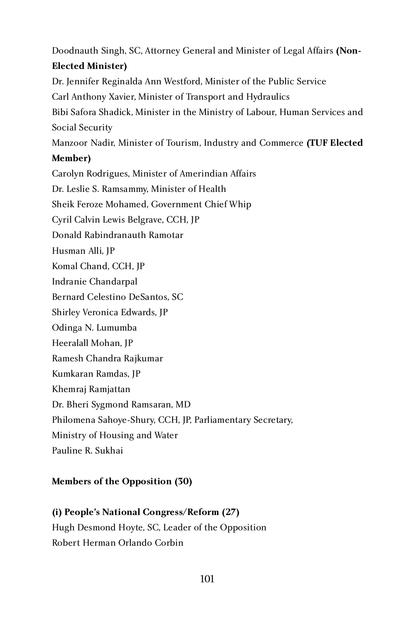Doodnauth Singh, SC, Attorney General and Minister of Legal Affairs **(Non-Elected Minister)** Dr. Jennifer Reginalda Ann Westford, Minister of the Public Service Carl Anthony Xavier, Minister of Transport and Hydraulics Bibi Safora Shadick, Minister in the Ministry of Labour, Human Services and Social Security Manzoor Nadir, Minister of Tourism, Industry and Commerce **(TUF Elected Member)** Carolyn Rodrigues, Minister of Amerindian Affairs Dr. Leslie S. Ramsammy, Minister of Health Sheik Feroze Mohamed, Government Chief Whip Cyril Calvin Lewis Belgrave, CCH, JP Donald Rabindranauth Ramotar Husman Alli, JP Komal Chand, CCH, JP Indranie Chandarpal Bernard Celestino DeSantos, SC Shirley Veronica Edwards, JP Odinga N. Lumumba Heeralall Mohan, JP Ramesh Chandra Rajkumar Kumkaran Ramdas, JP Khemraj Ramjattan Dr. Bheri Sygmond Ramsaran, MD Philomena Sahoye-Shury, CCH, JP, Parliamentary Secretary, Ministry of Housing and Water Pauline R. Sukhai

### **Members of the Opposition (30)**

### **(i) People's National Congress/Reform (27)**

Hugh Desmond Hoyte, SC, Leader of the Opposition Robert Herman Orlando Corbin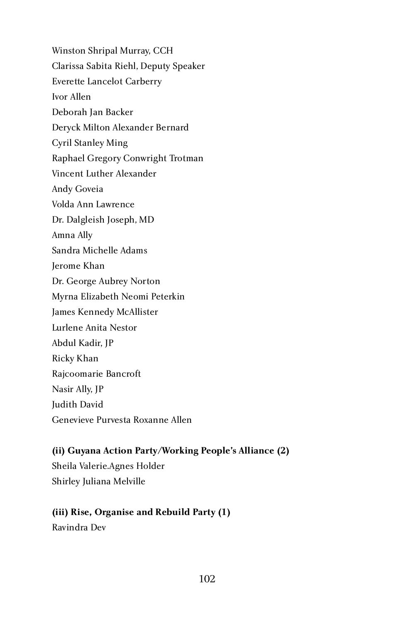Winston Shripal Murray, CCH Clarissa Sabita Riehl, Deputy Speaker Everette Lancelot Carberry Ivor Allen Deborah Jan Backer Deryck Milton Alexander Bernard Cyril Stanley Ming Raphael Gregory Conwright Trotman Vincent Luther Alexander Andy Goveia Volda Ann Lawrence Dr. Dalgleish Joseph, MD Amna Ally Sandra Michelle Adams Jerome Khan Dr. George Aubrey Norton Myrna Elizabeth Neomi Peterkin James Kennedy McAllister Lurlene Anita Nestor Abdul Kadir, JP Ricky Khan Rajcoomarie Bancroft Nasir Ally, JP Judith David Genevieve Purvesta Roxanne Allen

# **(ii) Guyana Action Party/Working People's Alliance (2)**

Sheila Valerie.Agnes Holder Shirley Juliana Melville

### **(iii) Rise, Organise and Rebuild Party (1)**

Ravindra Dev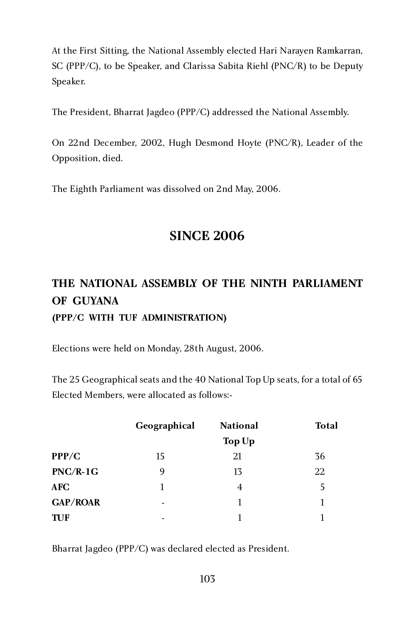At the First Sitting, the National Assembly elected Hari Narayen Ramkarran, SC (PPP/C), to be Speaker, and Clarissa Sabita Riehl (PNC/R) to be Deputy Speaker.

The President, Bharrat Jagdeo (PPP/C) addressed the National Assembly.

On 22nd December, 2002, Hugh Desmond Hoyte (PNC/R), Leader of the Opposition, died.

The Eighth Parliament was dissolved on 2nd May, 2006.

# **SINCE 2006**

# **THE NATIONAL ASSEMBLY OF THE NINTH PARLIAMENT OF GUYANA (PPP/C WITH TUF ADMINISTRATION)**

Elections were held on Monday, 28th August, 2006.

The 25 Geographical seats and the 40 National Top Up seats, for a total of 65 Elected Members, were allocated as follows:-

|                 | Geographical | <b>National</b> | <b>Total</b> |
|-----------------|--------------|-----------------|--------------|
|                 | Top Up       |                 |              |
| PPP/C           | 15           | 21              | 36           |
| $PNC/R-1G$      | 9            | 13              | 22           |
| <b>AFC</b>      | 1            | 4               | 5            |
| <b>GAP/ROAR</b> | -            | 1               | 1            |
| <b>TUF</b>      |              | 1               |              |
|                 |              |                 |              |

Bharrat Jagdeo (PPP/C) was declared elected as President.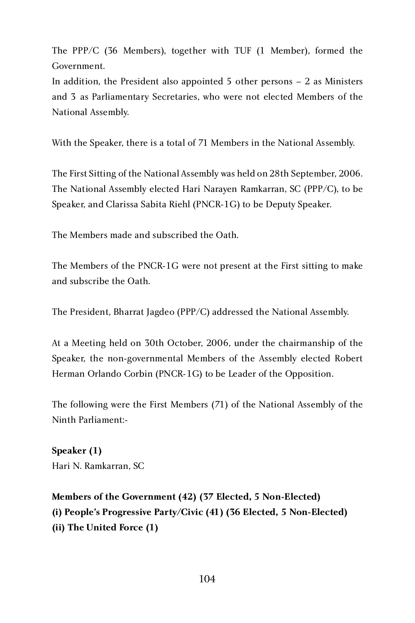The PPP/C (36 Members), together with TUF (1 Member), formed the Government.

In addition, the President also appointed 5 other persons – 2 as Ministers and 3 as Parliamentary Secretaries, who were not elected Members of the National Assembly.

With the Speaker, there is a total of 71 Members in the National Assembly.

The First Sitting of the National Assembly was held on 28th September, 2006. The National Assembly elected Hari Narayen Ramkarran, SC (PPP/C), to be Speaker, and Clarissa Sabita Riehl (PNCR-1G) to be Deputy Speaker.

The Members made and subscribed the Oath.

The Members of the PNCR-1G were not present at the First sitting to make and subscribe the Oath.

The President, Bharrat Jagdeo (PPP/C) addressed the National Assembly.

At a Meeting held on 30th October, 2006, under the chairmanship of the Speaker, the non-governmental Members of the Assembly elected Robert Herman Orlando Corbin (PNCR-1G) to be Leader of the Opposition.

The following were the First Members (71) of the National Assembly of the Ninth Parliament:-

**Speaker (1)** Hari N. Ramkarran, SC

# **Members of the Government (42) (37 Elected, 5 Non-Elected) (i) People's Progressive Party/Civic (41) (36 Elected, 5 Non-Elected) (ii) The United Force (1)**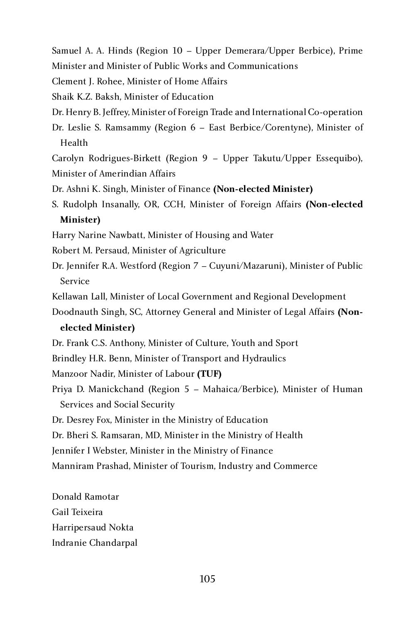Samuel A. A. Hinds (Region 10 – Upper Demerara/Upper Berbice), Prime Minister and Minister of Public Works and Communications

Clement J. Rohee, Minister of Home Affairs

Shaik K.Z. Baksh, Minister of Education

Dr. Henry B. Jeffrey, Minister of Foreign Trade and International Co-operation

Dr. Leslie S. Ramsammy (Region 6 – East Berbice/Corentyne), Minister of Health

Carolyn Rodrigues-Birkett (Region 9 – Upper Takutu/Upper Essequibo), Minister of Amerindian Affairs

Dr. Ashni K. Singh, Minister of Finance **(Non-elected Minister)**

S. Rudolph Insanally, OR, CCH, Minister of Foreign Affairs **(Non-elected Minister)**

Harry Narine Nawbatt, Minister of Housing and Water

Robert M. Persaud, Minister of Agriculture

Dr. Jennifer R.A. Westford (Region 7 – Cuyuni/Mazaruni), Minister of Public Service

Kellawan Lall, Minister of Local Government and Regional Development

Doodnauth Singh, SC, Attorney General and Minister of Legal Affairs **(Non-**

#### **elected Minister)**

Dr. Frank C.S. Anthony, Minister of Culture, Youth and Sport

Brindley H.R. Benn, Minister of Transport and Hydraulics

Manzoor Nadir, Minister of Labour **(TUF)**

Priya D. Manickchand (Region 5 – Mahaica/Berbice), Minister of Human Services and Social Security

Dr. Desrey Fox, Minister in the Ministry of Education

Dr. Bheri S. Ramsaran, MD, Minister in the Ministry of Health

Jennifer I Webster, Minister in the Ministry of Finance

Manniram Prashad, Minister of Tourism, Industry and Commerce

Donald Ramotar Gail Teixeira Harripersaud Nokta Indranie Chandarpal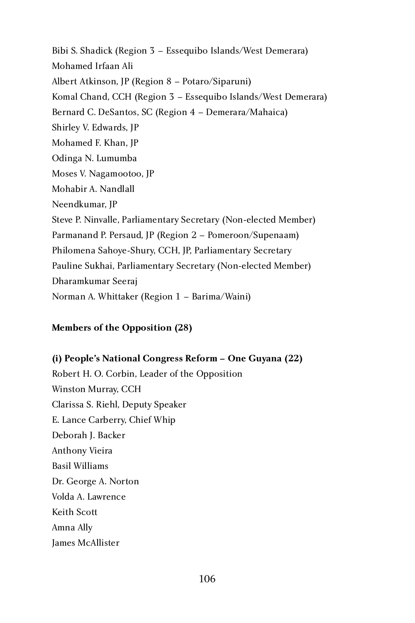Bibi S. Shadick (Region 3 – Essequibo Islands/West Demerara) Mohamed Irfaan Ali Albert Atkinson, JP (Region 8 – Potaro/Siparuni) Komal Chand, CCH (Region 3 – Essequibo Islands/West Demerara) Bernard C. DeSantos, SC (Region 4 – Demerara/Mahaica) Shirley V. Edwards, JP Mohamed F. Khan, JP Odinga N. Lumumba Moses V. Nagamootoo, JP Mohabir A. Nandlall Neendkumar, JP Steve P. Ninvalle, Parliamentary Secretary (Non-elected Member) Parmanand P. Persaud, JP (Region 2 – Pomeroon/Supenaam) Philomena Sahoye-Shury, CCH, JP, Parliamentary Secretary Pauline Sukhai, Parliamentary Secretary (Non-elected Member) Dharamkumar Seeraj Norman A. Whittaker (Region 1 – Barima/Waini)

#### **Members of the Opposition (28)**

# **(i) People's National Congress Reform – One Guyana (22)** Robert H. O. Corbin, Leader of the Opposition Winston Murray, CCH Clarissa S. Riehl, Deputy Speaker E. Lance Carberry, Chief Whip Deborah J. Backer Anthony Vieira Basil Williams Dr. George A. Norton Volda A. Lawrence Keith Scott Amna Ally James McAllister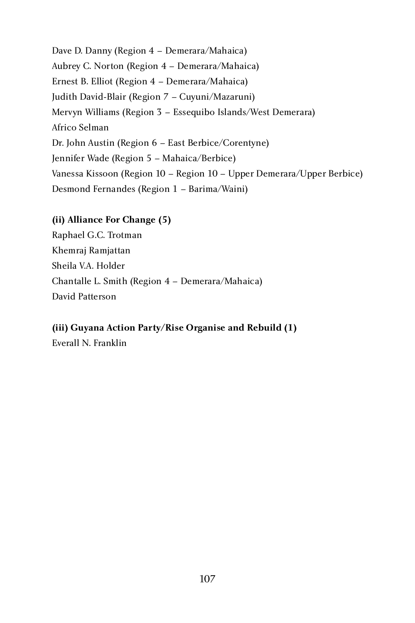Dave D. Danny (Region 4 – Demerara/Mahaica) Aubrey C. Norton (Region 4 – Demerara/Mahaica) Ernest B. Elliot (Region 4 – Demerara/Mahaica) Judith David-Blair (Region 7 – Cuyuni/Mazaruni) Mervyn Williams (Region 3 – Essequibo Islands/West Demerara) Africo Selman Dr. John Austin (Region 6 – East Berbice/Corentyne) Jennifer Wade (Region 5 – Mahaica/Berbice) Vanessa Kissoon (Region 10 – Region 10 – Upper Demerara/Upper Berbice) Desmond Fernandes (Region 1 – Barima/Waini)

#### **(ii) Alliance For Change (5)**

Raphael G.C. Trotman Khemraj Ramjattan<br>Sheila V.A. Holder Sheila V.A. Holder Chantalle L. Smith (Region 4 – Demerara/Mahaica) David Patterson

#### **(iii) Guyana Action Party/Rise Organise and Rebuild (1)**

Everall N. Franklin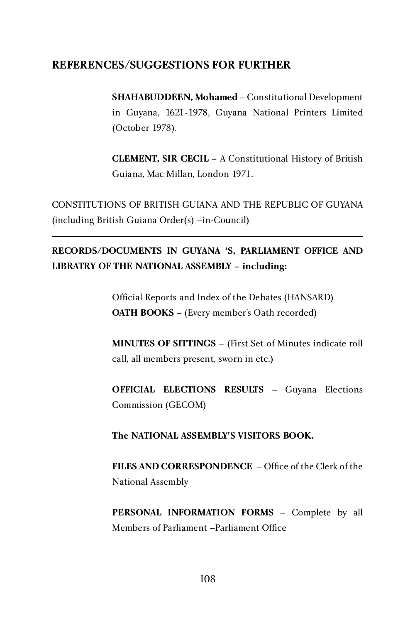#### **REFERENCES/SUGGESTIONS FOR FURTHER**

**SHAHABUDDEEN, Mohamed** – Constitutional Development in Guyana, 1621-1978, Guyana National Printers Limited (October 1978).

**CLEMENT, SIR CECIL** – A Constitutional History of British Guiana, Mac Millan, London 1971.

CONSTITUTIONS OF BRITISH GUIANA AND THE REPUBLIC OF GUYANA (including British Guiana Order(s) –in-Council)

## **RECORDS/DOCUMENTS IN GUYANA 'S, PARLIAMENT OFFICE AND LIBRATRY OF THE NATIONAL ASSEMBLY – including:**

Official Reports and Index of the Debates (HANSARD) **OATH BOOKS** – (Every member's Oath recorded)

**MINUTES OF SITTINGS** – (First Set of Minutes indicate roll call, all members present, sworn in etc.)

**OFFICIAL ELECTIONS RESULTS** – Guyana Elections Commission (GECOM)

**The NATIONAL ASSEMBLY'S VISITORS BOOK.**

**FILES AND CORRESPONDENCE** – Office of the Clerk of the National Assembly

**PERSONAL INFORMATION FORMS – Complete by all Members of Parliament –Parliament Office** Members of Parliament –Parliament Office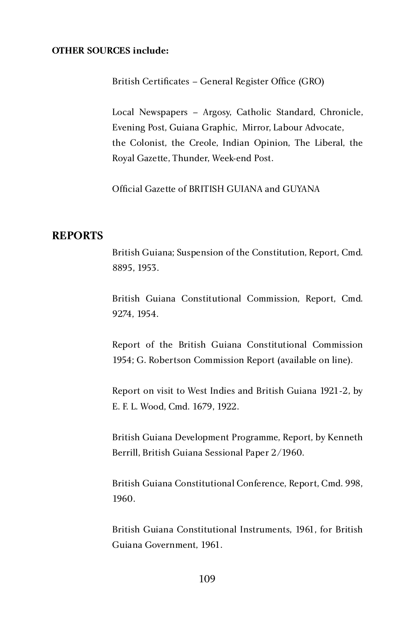#### **OTHER SOURCES include:**

British Certificates – General Register Office (GRO)

Local Newspapers – Argosy, Catholic Standard, Chronicle, Evening Post, Guiana Graphic, Mirror, Labour Advocate, the Colonist, the Creole, Indian Opinion, The Liberal, the Royal Gazette, Thunder, Week-end Post.

Official Gazette of BRITISH GUIANA and GUYANA

#### **REPORTS**

British Guiana; Suspension of the Constitution, Report, Cmd. 8895, 1953.

British Guiana Constitutional Commission, Report, Cmd. 9274, 1954.

Report of the British Guiana Constitutional Commission 1954; G. Robertson Commission Report (available on line).

Report on visit to West Indies and British Guiana 1921-2, by E. F. L. Wood, Cmd. 1679, 1922.

British Guiana Development Programme, Report, by Kenneth Berrill, British Guiana Sessional Paper 2/1960.

British Guiana Constitutional Conference, Report, Cmd. 998, 1960.

British Guiana Constitutional Instruments, 1961, for British Guiana Government, 1961.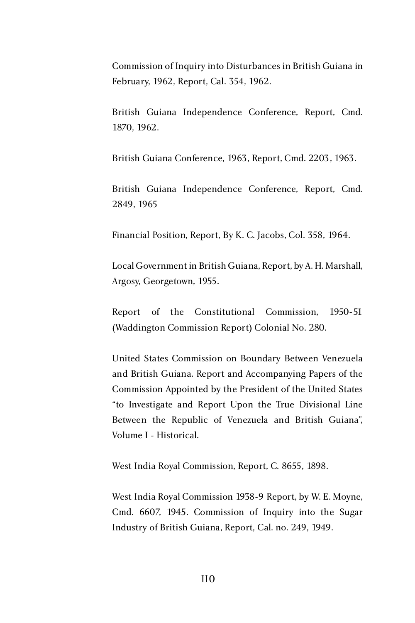Commission of Inquiry into Disturbances in British Guiana in February, 1962, Report, Cal. 354, 1962.

British Guiana Independence Conference, Report, Cmd. 1870, 1962.

British Guiana Conference, 1963, Report, Cmd. 2203, 1963.

British Guiana Independence Conference, Report, Cmd. 2849, 1965

Financial Position, Report, By K. C. Jacobs, Col. 358, 1964.

Local Government in British Guiana, Report, by A. H. Marshall, Argosy, Georgetown, 1955.

Report of the Constitutional Commission, 1950-51 (Waddington Commission Report) Colonial No. 280.

United States Commission on Boundary Between Venezuela and British Guiana. Report and Accompanying Papers of the Commission Appointed by the President of the United States "to Investigate and Report Upon the True Divisional Line Between the Republic of Venezuela and British Guiana", Volume I - Historical.

West India Royal Commission, Report, C. 8655, 1898.

West India Royal Commission 1938-9 Report, by W. E. Moyne, Cmd. 6607, 1945. Commission of Inquiry into the Sugar Industry of British Guiana, Report, Cal. no. 249, 1949.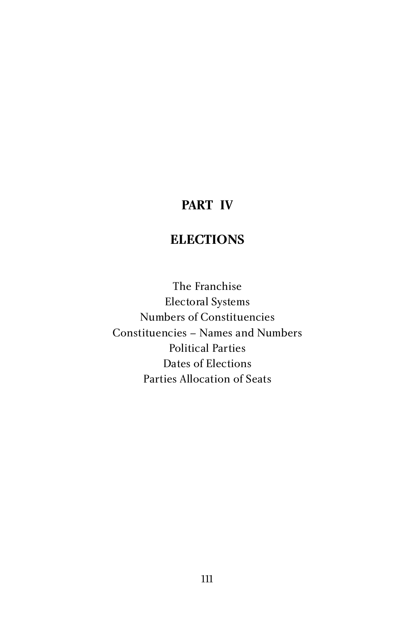# **PART IV**

# **ELECTIONS**

The Franchise<br>Electoral Systems Numbers of Constituencies Numbers of Constituencies Constituencies – Names and Numbers Political Parties<br>Dates of Elections  $D$ ates of Electrons Parties Allocation of Seats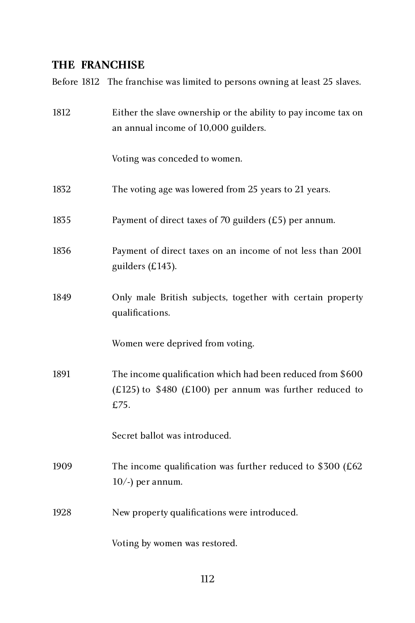## **THE FRANCHISE**

Before 1812 The franchise was limited to persons owning at least 25 slaves.

| 1812 | Either the slave ownership or the ability to pay income tax on<br>an annual income of 10,000 guilders.                          |
|------|---------------------------------------------------------------------------------------------------------------------------------|
|      | Voting was conceded to women.                                                                                                   |
| 1832 | The voting age was lowered from 25 years to 21 years.                                                                           |
| 1835 | Payment of direct taxes of 70 guilders $(E5)$ per annum.                                                                        |
| 1836 | Payment of direct taxes on an income of not less than 2001<br>guilders (£143).                                                  |
| 1849 | Only male British subjects, together with certain property<br>qualifications.                                                   |
|      | Women were deprived from voting.                                                                                                |
| 1891 | The income qualification which had been reduced from \$600<br>$(E125)$ to \$480 (£100) per annum was further reduced to<br>£75. |
|      | Secret ballot was introduced.                                                                                                   |
| 1909 | The income qualification was further reduced to $$300$ (£62<br>$10/-$ ) per annum.                                              |
| 1928 | New property qualifications were introduced.                                                                                    |
|      | Voting by women was restored.                                                                                                   |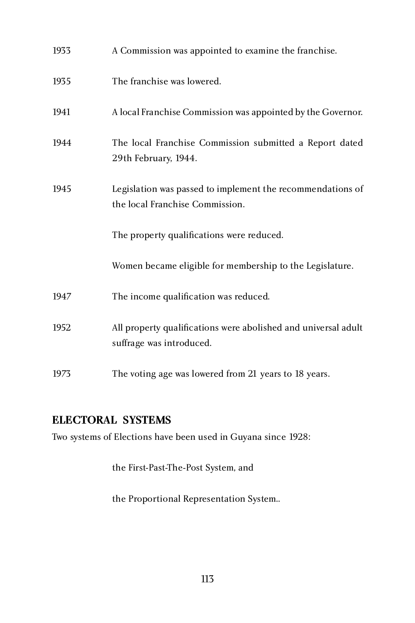| 1933 | A Commission was appointed to examine the franchise.                                          |
|------|-----------------------------------------------------------------------------------------------|
| 1935 | The franchise was lowered.                                                                    |
| 1941 | A local Franchise Commission was appointed by the Governor.                                   |
| 1944 | The local Franchise Commission submitted a Report dated<br>29th February, 1944.               |
| 1945 | Legislation was passed to implement the recommendations of<br>the local Franchise Commission. |
|      | The property qualifications were reduced.                                                     |
|      | Women became eligible for membership to the Legislature.                                      |
| 1947 | The income qualification was reduced.                                                         |
| 1952 | All property qualifications were abolished and universal adult<br>suffrage was introduced.    |
| 1973 | The voting age was lowered from 21 years to 18 years.                                         |

# **ELECTORAL SYSTEMS**

Two systems of Elections have been used in Guyana since 1928:

the First-Past-The-Post System, and

the Proportional Representation System..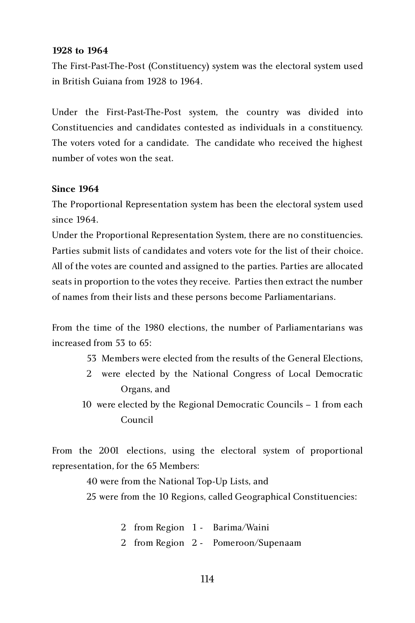#### **1928 to 1964**

The First-Past-The-Post (Constituency) system was the electoral system used<br>in British Guiana from 1928 to 1964 In British Guiana from  $1220$  to  $1704$ .

Under the First-Past-The-Post system, the country was divided into Constituencies and candidates contested as individuals in a constituency. The voters voted for a candidate. The candidate who received the highest number of votes won the seat.

#### **Since 1964**

The Proportional Representation system has been the electoral system used<br>since 1964  $\frac{1}{10}$ .

Under the Proportional Representation System, there are no constituencies. Parties submit lists of candidates and voters vote for the list of their choice. All of the votes are counted and assigned to the parties. Parties are allocated seats in proportion to the votes they receive. Parties then extract the number of names from their lists and these persons become Parliamentarians.

From the time of the 1980 elections, the number of Parliamentarians was increased from 53 to 65:

- 53 Members were elected from the results of the General Elections,
- 2 were elected by the National Congress of Local Democratic Organs, and
- 10 were elected by the Regional Democratic Councils 1 from each **Council**

From the 2001 elections, using the electoral system of proportional representation, for the 65 Members:

40 were from the National Top-Up Lists, and

25 were from the 10 Regions, called Geographical Constituencies:

 2 from Region 1 - Barima/Waini 2 from Region 2 - Pomeroon/Supenaam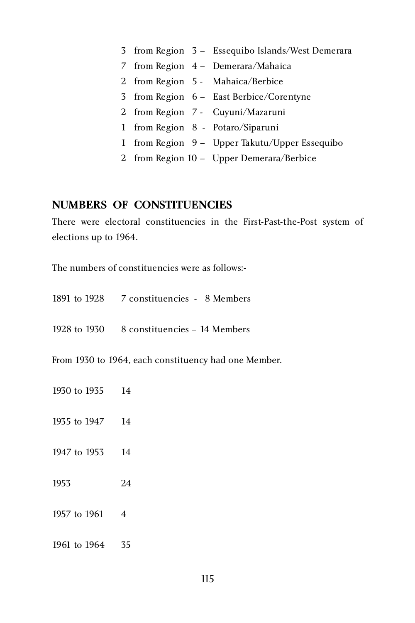- 3 from Region 3 Essequibo Islands/West Demerara
- 7 from Region 4 Demerara/Mahaica
- 2 from Region 5 Mahaica/Berbice
- 3 from Region 6 East Berbice/Corentyne
- 2 from Region 7 Cuyuni/Mazaruni
- 1 from Region 8 Potaro/Siparuni
- 1 from Region 9 Upper Takutu/Upper Essequibo
- 2 from Region 10 Upper Demerara/Berbice

#### **NUMBERS OF CONSTITUENCIES**

There were electoral constituencies in the First-Past-the-Post system of elections up to 1964.

The numbers of constituencies were as follows:-

- 1891 to 1928 7 constituencies 8 Members
- 1928 to 1930 8 constituencies 14 Members

From 1930 to 1964, each constituency had one Member.

- 1930 to 1935 14
- 1935 to 1947 14
- 1947 to 1953 14
- $1733$   $24$
- 1957 to 1961 4
- 1961 to 1964 35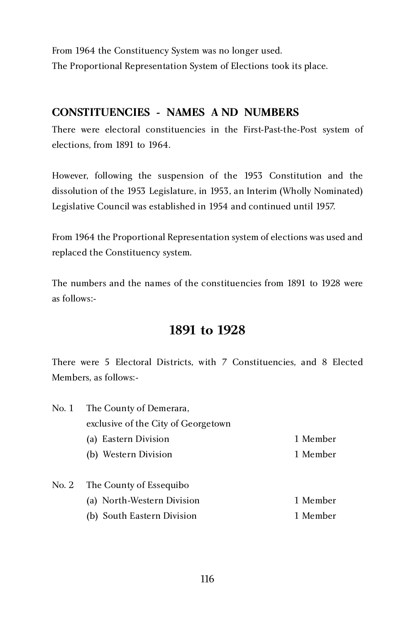From 1964 the Constituency System was no longer used. The Proportional Representation System of Elections took its place.

## **CONSTITUENCIES - NAMES A ND NUMBERS**

There were electoral constituencies in the First-Past-the-Post system of elections, from 1891 to 1964.

However, following the suspension of the 1953 Constitution and the dissolution of the 1953 Legislature, in 1953, an Interim (Wholly Nominated) Legislative Council was established in 1954 and continued until 1957.

From 1964 the Proportional Representation system of elections was used and replaced the Constituency system.

The numbers and the names of the constituencies from 1891 to 1928 were as follows:-

# **1891 to 1928**

There were 5 Electoral Districts, with 7 Constituencies, and 8 Elected Members, as follows:-

| No. 1 | The County of Demerara,             |          |  |
|-------|-------------------------------------|----------|--|
|       | exclusive of the City of Georgetown |          |  |
|       | (a) Eastern Division                | 1 Member |  |
|       | (b) Western Division                | 1 Member |  |
| No. 2 | The County of Essequibo             |          |  |
|       | (a) North-Western Division          | 1 Member |  |
|       | (b) South Eastern Division          | 1 Member |  |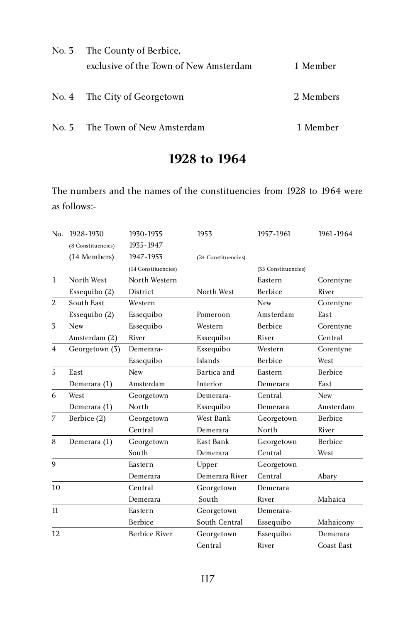| No. 3 The County of Berbice,           |           |
|----------------------------------------|-----------|
| exclusive of the Town of New Amsterdam | 1 Member  |
| No. 4 The City of Georgetown           | 2 Members |
| No. 5 The Town of New Amsterdam        | 1 Member  |

# **1928 to 1964**

The numbers and the names of the constituencies from 1928 to 1964 were as follows:-

| No.            | 1928-1930          | 1930-1935            | 1953                | 1957-1961           | 1961-1964         |
|----------------|--------------------|----------------------|---------------------|---------------------|-------------------|
|                | (8 Constituencies) | 1935-1947            |                     |                     |                   |
|                | (14 Members)       | 1947-1953            | (24 Constituencies) |                     |                   |
|                |                    | (14 Constituencies)  |                     | (35 Constituencies) |                   |
| 1              | North West         | North Western        |                     | Eastern             | Corentyne         |
|                | Essequibo $(2)$    | District             | North West          | Berbice             | River             |
| $\overline{2}$ | South East         | Western              |                     | New                 | Corentyne         |
|                | Essequibo (2)      | Essequibo            | Pomeroon            | Amsterdam           | East              |
| 3              | <b>New</b>         | Essequibo            | Western             | <b>Berbice</b>      | Corentyne         |
|                | Amsterdam (2)      | River                | Essequibo           | River               | Central           |
| $\overline{4}$ | Georgetown (3)     | Demerara-            | Essequibo           | Western             | Corentyne         |
|                |                    | Essequibo            | Islands             | Berbice             | West              |
| 5              | East               | <b>New</b>           | Bartica and         | Eastern             | <b>Berbice</b>    |
|                | Demerara (1)       | Amsterdam            | Interior            | Demerara            | East              |
| 6              | West               | Georgetown           | Demerara-           | Central             | <b>New</b>        |
|                | Demerara (1)       | North                | Essequibo           | Demerara            | Amsterdam         |
| 7              | Berbice (2)        | Georgetown           | West Bank           | Georgetown          | <b>Berbice</b>    |
|                |                    | Central              | Demerara            | North               | River             |
| 8              | Demerara (1)       | Georgetown           | East Bank           | Georgetown          | Berbice           |
|                |                    | South                | Demerara            | Central             | West              |
| 9              |                    | Eastern              | Upper               | Georgetown          |                   |
|                |                    | Demerara             | Demerara River      | Central             | Abary             |
| 10             |                    | Central              | Georgetown          | Demerara            |                   |
|                |                    | Demerara             | South               | River               | Mahaica           |
| 11             |                    | Eastern              | Georgetown          | Demerara-           |                   |
|                |                    | Berbice              | South Central       | Essequibo           | Mahaicony         |
| 12             |                    | <b>Berbice River</b> | Georgetown          | Essequibo           | Demerara          |
|                |                    |                      | Central             | River               | <b>Coast East</b> |
|                |                    |                      |                     |                     |                   |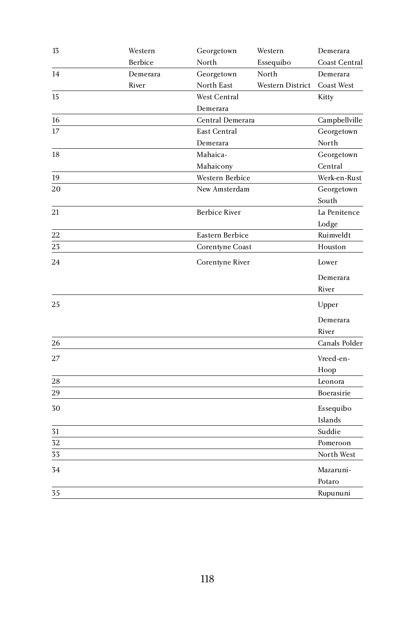| $1\overline{3}$ | Western  | Georgetown           | Western          | Demerara      |
|-----------------|----------|----------------------|------------------|---------------|
|                 | Berbice  | North                | Essequibo        | Coast Central |
| 14              | Demerara | Georgetown           | North            | Demerara      |
|                 | River    | North East           | Western District | Coast West    |
| 15              |          | West Central         |                  | Kitty         |
|                 |          | Demerara             |                  |               |
| 16              |          | Central Demerara     |                  | Campbellville |
| 17              |          | East Central         |                  | Georgetown    |
|                 |          | Demerara             |                  | North         |
| 18              |          | Mahaica-             |                  | Georgetown    |
|                 |          | Mahaicony            |                  | Central       |
| 19              |          | Western Berbice      |                  | Werk-en-Rust  |
| 20              |          | New Amsterdam        |                  | Georgetown    |
|                 |          |                      |                  | South         |
| 21              |          | <b>Berbice River</b> |                  | La Penitence  |
|                 |          |                      |                  | Lodge         |
| 22              |          | Eastern Berbice      |                  | Ruimveldt     |
| 23              |          | Corentyne Coast      |                  | Houston       |
| 24              |          | Corentyne River      |                  | Lower         |
|                 |          |                      |                  | Demerara      |
|                 |          |                      |                  | River         |
| 25              |          |                      |                  | Upper         |
|                 |          |                      |                  | Demerara      |
|                 |          |                      |                  | River         |
| 26              |          |                      |                  | Canals Polder |
| 27              |          |                      |                  | Vreed-en-     |
|                 |          |                      |                  | Hoop          |
| 28              |          |                      |                  | Leonora       |
| 29              |          |                      |                  | Boerasirie    |
| 30              |          |                      |                  | Essequibo     |
|                 |          |                      |                  | Islands       |
| 31              |          |                      |                  | Suddie        |
| 32              |          |                      |                  | Pomeroon      |
| 33              |          |                      |                  | North West    |
| 34              |          |                      |                  | Mazaruni-     |
|                 |          |                      |                  | Potaro        |
| 35              |          |                      |                  | Rupununi      |
|                 |          |                      |                  |               |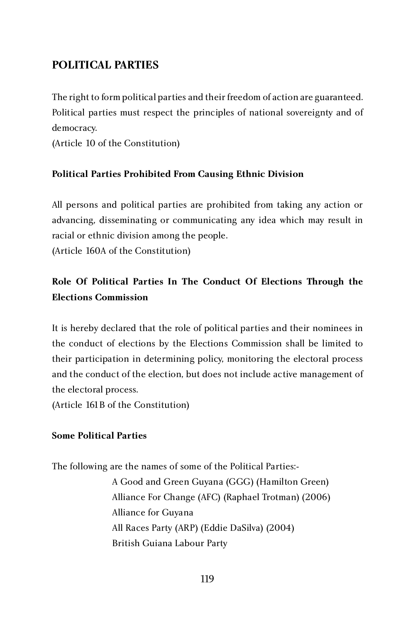## **POLITICAL PARTIES**

The right to form political parties and their freedom of action are guaranteed. Political parties must respect the principles of national sovereignty and of democracy.

(Article 10 of the Constitution)

#### **Political Parties Prohibited From Causing Ethnic Division**

All persons and political parties are prohibited from taking any action or advancing, disseminating or communicating any idea which may result in racial or ethnic division among the people.

(Article 160A of the Constitution)

# **Role Of Political Parties In The Conduct Of Elections Through the Elections Commission**

It is hereby declared that the role of political parties and their nominees in the conduct of elections by the Elections Commission shall be limited to their participation in determining policy, monitoring the electoral process and the conduct of the election, but does not include active management of the electoral process.

(Article 161B of the Constitution)

# **Some Political Parties**

The following are the names of some of the Political Parties:- A Good and Green Guyana (GGG) (Hamilton Green) Alliance For Change (AFC) (Raphael Trotman) (2006) Alliance for Guyana All Races Party (ARP) (Eddie DaSilva) (2004) British Guiana Labour Party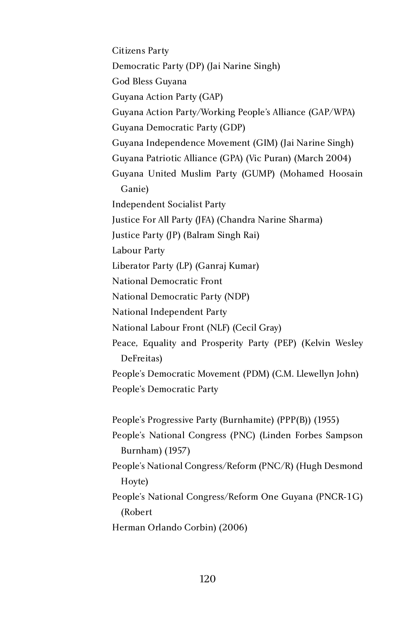Citizens Party Democratic Party (DP) (Jai Narine Singh) God Bless Guyana Guyana Action Party (GAP) Guyana Action Party/Working People's Alliance (GAP/WPA) Guyana Democratic Party (GDP) Guyana Independence Movement (GIM) (Jai Narine Singh) Guyana Patriotic Alliance (GPA) (Vic Puran) (March 2004) Guyana United Muslim Party (GUMP) (Mohamed Hoosain Ganie) Independent Socialist Party Justice For All Party (JFA) (Chandra Narine Sharma) Justice Party (JP) (Balram Singh Rai) Labour Party Liberator Party (LP) (Ganraj Kumar) National Democratic Front National Democratic Party (NDP) National Independent Party National Labour Front (NLF) (Cecil Gray) Peace, Equality and Prosperity Party (PEP) (Kelvin Wesley DeFreitas) People's Democratic Movement (PDM) (C.M. Llewellyn John) People's Democratic Party People's Progressive Party (Burnhamite) (PPP(B)) (1955) People's National Congress (PNC) (Linden Forbes Sampson Burnham) (1957) People's National Congress/Reform (PNC/R) (Hugh Desmond Hoyte) People's National Congress/Reform One Guyana (PNCR-1G) (Robert Herman Orlando Corbin) (2006)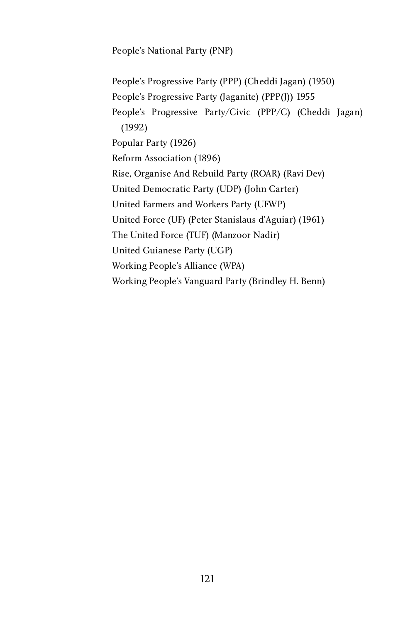People's National Party (PNP)

People's Progressive Party (PPP) (Cheddi Jagan) (1950) People's Progressive Party (Jaganite) (PPP(J)) 1955 People's Progressive Party/Civic (PPP/C) (Cheddi Jagan) (1992) Popular Party (1926) Reform Association (1896) Rise, Organise And Rebuild Party (ROAR) (Ravi Dev) United Democratic Party (UDP) (John Carter) United Farmers and Workers Party (UFWP) United Force (UF) (Peter Stanislaus d'Aguiar) (1961) The United Force (TUF) (Manzoor Nadir) United Guianese Party (UGP) Working People's Alliance (WPA) Working People's Vanguard Party (Brindley H. Benn)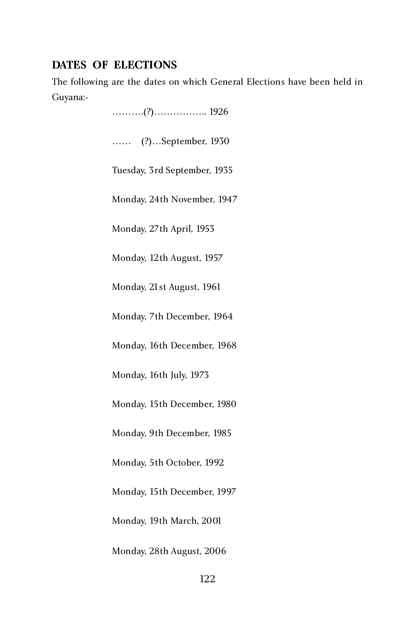#### **DATES OF ELECTIONS**

The following are the dates on which General Elections have been held in Guyana:-

> ……….(?)…………….. 1926 …… (?)…September, 1930 Tuesday, 3rd September, 1935 Monday, 24th November, 1947 Monday, 27th April, 1953 Monday, 12th August, 1957 Monday, 21st August, 1961 Monday, 7th December, 1964 Monday, 16th December, 1968 Monday, 16th July, 1973 Monday, 15th December, 1980 Monday, 9th December, 1985 Monday, 5th October, 1992 Monday, 15th December, 1997 Monday, 19th March, 2001 Monday, 28th August, 2006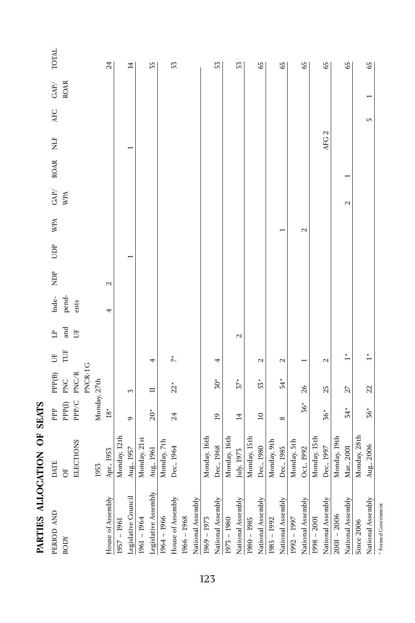| <br> <br> <br> |  |
|----------------|--|
| 5              |  |
| こくにくく          |  |
| י<br>י         |  |

| PERIOD AND           | <b>DATE</b>      | PPP               | PPP(B)      | Ë                    | $\mathbf{H}$ | Inde- | $\overline{P}$    | UDP | WPA          | ${\rm GAP}/$ | <b>ROAR</b> | <b>NLF</b>       | <b>AFC</b> | ${\rm GAP}/$ | <b>TOTAL</b>    |
|----------------------|------------------|-------------------|-------------|----------------------|--------------|-------|-------------------|-----|--------------|--------------|-------------|------------------|------------|--------------|-----------------|
| <b>BODY</b>          | $\overline{O}$   | PPP <sub>()</sub> | PNC         | ΓUF                  | and          | pend- |                   |     |              | WPA          |             |                  |            | <b>ROAR</b>  |                 |
|                      | <b>ELECTIONS</b> |                   | PPP/C PNC/R |                      | Ë            | ents  |                   |     |              |              |             |                  |            |              |                 |
|                      |                  |                   | PNCR-1G     |                      |              |       |                   |     |              |              |             |                  |            |              |                 |
|                      | 1953             | Monday, 27th      |             |                      |              |       |                   |     |              |              |             |                  |            |              |                 |
| House of Assembly    | Apr., 1953       | $18*$             |             |                      |              | 4     | $\mathbf{\Omega}$ |     |              |              |             |                  |            |              | 24              |
| 1957 - 1961          | Monday, 12th     |                   |             |                      |              |       |                   |     |              |              |             |                  |            |              |                 |
| Legislative Council  | Aug., 1957       | $\sigma$          | 3           |                      |              |       |                   |     |              |              |             |                  |            |              | $\overline{14}$ |
| 1961 - 1964          | Monday, 21st     |                   |             |                      |              |       |                   |     |              |              |             |                  |            |              |                 |
| Legislative Assembly | Aug., 1961       | $20*$             | ᄅ           | 4                    |              |       |                   |     |              |              |             |                  |            |              | 55              |
| 1964 - 1966          | Monday, 7th      |                   |             |                      |              |       |                   |     |              |              |             |                  |            |              |                 |
| House of Assembly    | Dec., 1964       | 24                | $22*$       | $\stackrel{*}{\sim}$ |              |       |                   |     |              |              |             |                  |            |              | 53              |
| 1966 - 1968          |                  |                   |             |                      |              |       |                   |     |              |              |             |                  |            |              |                 |
| National Assembly    |                  |                   |             |                      |              |       |                   |     |              |              |             |                  |            |              |                 |
| $1969 - 1973$        | Monday, 16th     |                   |             |                      |              |       |                   |     |              |              |             |                  |            |              |                 |
| National Assembly    | Dec., 1968       | $\mathbf{a}$      | $50*$       | 4                    |              |       |                   |     |              |              |             |                  |            |              | 53              |
| $1973 - 1980$        | Monday, 16th     |                   |             |                      |              |       |                   |     |              |              |             |                  |            |              |                 |
| National Assembly    | July, 1973       | $\overline{14}$   | $57*$       |                      | 2            |       |                   |     |              |              |             |                  |            |              | 53              |
| 1980 - 1985          | Monday, 15th     |                   |             |                      |              |       |                   |     |              |              |             |                  |            |              |                 |
| National Assembly    | Dec., 1980       | $\overline{a}$    | 53*         | $\mathbf{\sim}$      |              |       |                   |     |              |              |             |                  |            |              | 65              |
| 1985 - 1992          | Monday, 9th      |                   |             |                      |              |       |                   |     |              |              |             |                  |            |              |                 |
| National Assembly    | Dec., 1985       | $^{\circ}$        | $54*$       | 2                    |              |       |                   |     |              |              |             |                  |            |              | 65              |
| 1992 - 1997          | Monday, 5th      |                   |             |                      |              |       |                   |     |              |              |             |                  |            |              |                 |
| National Assembly    | Oct., 1992       | $56*$             | 26          |                      |              |       |                   |     | $\mathbf{c}$ |              |             |                  |            |              | 59              |
| $1998 - 2001$        | Monday, 15th     |                   |             |                      |              |       |                   |     |              |              |             |                  |            |              |                 |
| National Assembly    | Dec., 1997       | $56*$             | 25          | $\mathbf{\Omega}$    |              |       |                   |     |              |              |             | AFG <sub>2</sub> |            |              | 65              |
| $200I - 2006$        | Monday, 19th     |                   |             |                      |              |       |                   |     |              |              |             |                  |            |              |                 |
| National Assembly    | Mar., 2001       | $54*$             | 27          | $\tilde{1}$          |              |       |                   |     |              | 2            |             |                  |            |              | 59              |
| Since 2006           | Monday, 28th     |                   |             |                      |              |       |                   |     |              |              |             |                  |            |              |                 |
| National Assembly    | Aug., 2006       | $56*$             | 22          |                      |              |       |                   |     |              |              |             |                  | S          |              | 65              |
| * Formed Government  |                  |                   |             |                      |              |       |                   |     |              |              |             |                  |            |              |                 |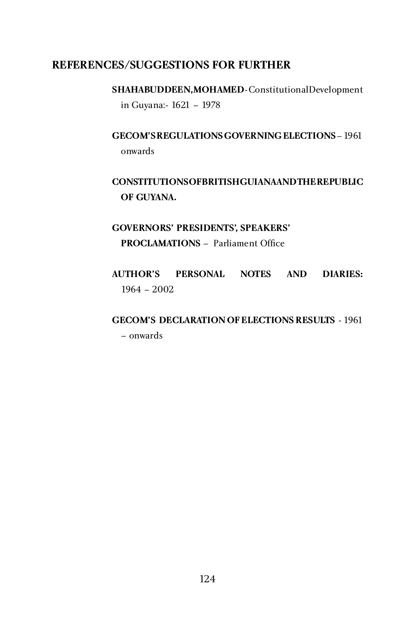## **REFERENCES/SUGGESTIONS FOR FURTHER**

**SHAHABUDDEEN, MOHAMED** - Constitutional Development in Guyana:- 1621 – 1978

## **GECOM'S REGULATIONS GOVERNING ELECTIONS** – 1961 onwards

# **CONSTITUTIONS OF BRITISH GUIANA AND THE REPUBLIC OF GUYANA.**

# **GOVERNORS' PRESIDENTS', SPEAKERS' PROCLAMATIONS** – Parliament Office

## **AUTHOR'S PERSONAL NOTES AND DIARIES:**  1964 – 2002

#### **GECOM'S DECLARATION OF ELECTIONS RESULTS** - 1961 – onwards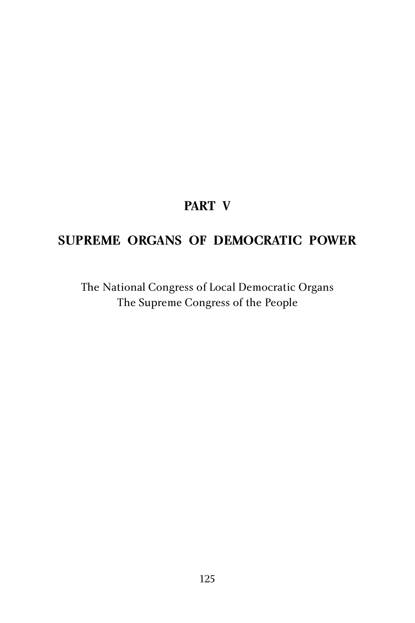# **PART V**

# **SUPREME ORGANS OF DEMOCRATIC POWER**

The National Congress of Local Democratic Organs The Supreme Congress of the People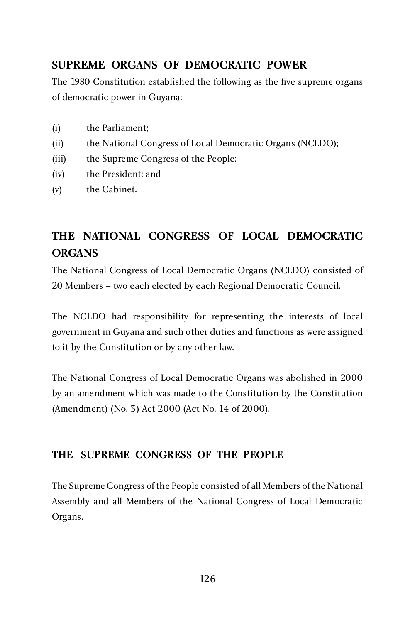## **SUPREME ORGANS OF DEMOCRATIC POWER**

The 1980 Constitution established the following as the five supreme organs of democratic power in Guyana:-

- (i) the Parliament;
- (ii) the National Congress of Local Democratic Organs (NCLDO);
- (iii) the Supreme Congress of the People;<br>(iv) the President; and
- the President; and<br>the Cabinet.
- $(v)$  the Cabinet.

# **THE NATIONAL CONGRESS OF LOCAL DEMOCRATIC ORGANS**

The National Congress of Local Democratic Organs (NCLDO) consisted of 20 Members – two each elected by each Regional Democratic Council.

The NCLDO had responsibility for representing the interests of local government in Guyana and such other duties and functions as were assigned to it by the Constitution or by any other law.

The National Congress of Local Democratic Organs was abolished in 2000 by an amendment which was made to the Constitution by the Constitution (Amendment) (No. 3) Act 2000 (Act No. 14 of 2000).

## **THE SUPREME CONGRESS OF THE PEOPLE**

The Supreme Congress of the People consisted of all Members of the National Assembly and all Members of the National Congress of Local Democratic Organs.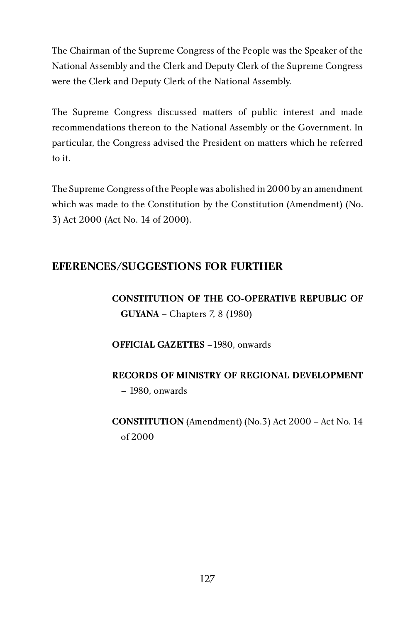The Chairman of the Supreme Congress of the People was the Speaker of the National Assembly and the Clerk and Deputy Clerk of the Supreme Congress were the Clerk and Deputy Clerk of the National Assembly.

The Supreme Congress discussed matters of public interest and made recommendations thereon to the National Assembly or the Government. In particular, the Congress advised the President on matters which he referred to it.

The Supreme Congress of the People was abolished in 2000 by an amendment which was made to the Constitution by the Constitution (Amendment) (No. 3) Act 2000 (Act No. 14 of 2000).

## **EFERENCES/SUGGESTIONS FOR FURTHER**

# **CONSTITUTION OF THE CO-OPERATIVE REPUBLIC OF GUYANA** – Chapters 7, 8 (1980)

#### **OFFICIAL GAZETTES** –1980, onwards

#### **RECORDS OF MINISTRY OF REGIONAL DEVELOPMENT**

– 1980, onwards

**CONSTITUTION** (Amendment) (No.3) Act 2000 – Act No. 14 of 2000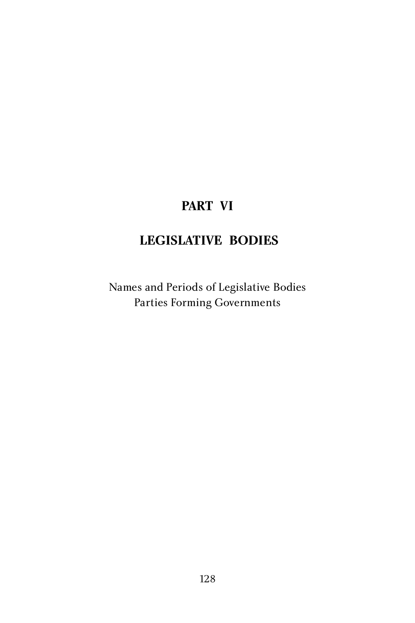# **PART VI**

# **LEGISLATIVE BODIES**

Names and Periods of Legislative Bodies Parties Forming Governments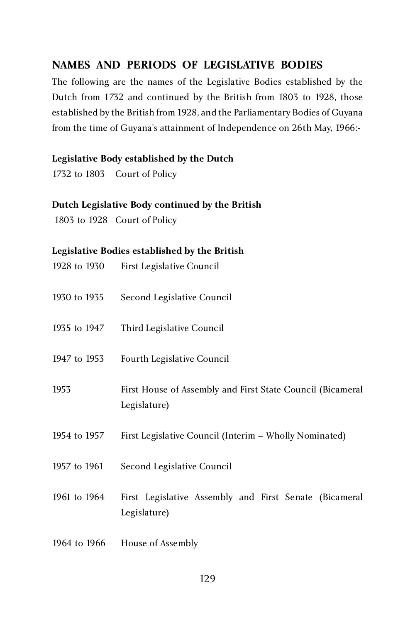## **NAMES AND PERIODS OF LEGISLATIVE BODIES**

The following are the names of the Legislative Bodies established by the Dutch from 1732 and continued by the British from 1803 to 1928, those established by the British from 1928, and the Parliamentary Bodies of Guyana from the time of Guyana's attainment of Independence on 26th May, 1966:-

#### **Legislative Body established by the Dutch**

1732 to 1803 Court of Policy

#### **Dutch Legislative Body continued by the British**

1803 to 1928 Court of Policy

#### **Legislative Bodies established by the British**

| 1928 to 1930 | First Legislative Council                                                  |
|--------------|----------------------------------------------------------------------------|
| 1930 to 1935 | Second Legislative Council                                                 |
| 1935 to 1947 | Third Legislative Council                                                  |
| 1947 to 1953 | <b>Fourth Legislative Council</b>                                          |
| 1953         | First House of Assembly and First State Council (Bicameral<br>Legislature) |
| 1954 to 1957 | First Legislative Council (Interim - Wholly Nominated)                     |
| 1957 to 1961 | Second Legislative Council                                                 |
| 1961 to 1964 | First Legislative Assembly and First Senate (Bicameral<br>Legislature)     |
| 1964 to 1966 | House of Assembly                                                          |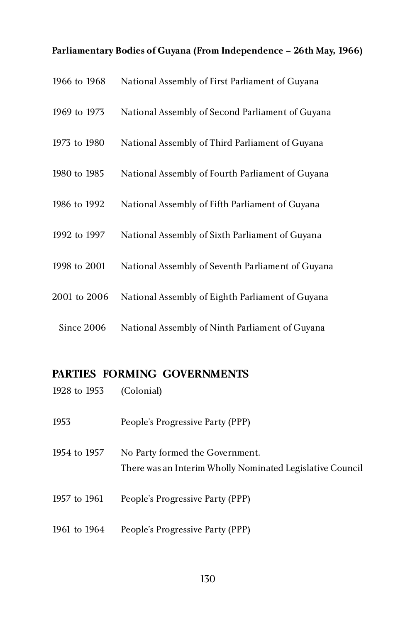#### **Parliamentary Bodies of Guyana (From Independence – 26th May, 1966)**

| 1966 to 1968 | National Assembly of First Parliament of Guyana   |
|--------------|---------------------------------------------------|
| 1969 to 1973 | National Assembly of Second Parliament of Guyana  |
| 1973 to 1980 | National Assembly of Third Parliament of Guyana   |
| 1980 to 1985 | National Assembly of Fourth Parliament of Guyana  |
| 1986 to 1992 | National Assembly of Fifth Parliament of Guyana   |
| 1992 to 1997 | National Assembly of Sixth Parliament of Guyana   |
| 1998 to 2001 | National Assembly of Seventh Parliament of Guyana |
| 2001 to 2006 | National Assembly of Eighth Parliament of Guyana  |
| Since 2006   | National Assembly of Ninth Parliament of Guyana   |

# **PARTIES FORMING GOVERNMENTS**<br>1928 to 1953 (Colonial)

- 1928 to 1953
- 1953 People's Progressive Party (PPP)
- 1954 to 1957 No Party formed the Government. There was an Interim Wholly Nominated Legislative Council
- 1957 to 1961 People's Progressive Party (PPP)
- 1961 to 1964 People's Progressive Party (PPP)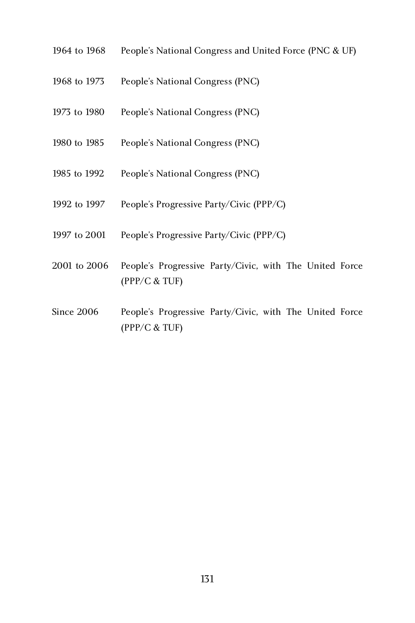- 1964 to 1968 People's National Congress and United Force (PNC & UF)
- 1968 to 1973 People's National Congress (PNC)
- 1973 to 1980 People's National Congress (PNC)
- 1980 to 1985 People's National Congress (PNC)
- 1985 to 1992 People's National Congress (PNC)
- 1992 to 1997 People's Progressive Party/Civic (PPP/C)
- 1997 to 2001 People's Progressive Party/Civic (PPP/C)
- 2001 to 2006 People's Progressive Party/Civic, with The United Force (PPP/C & TUF)
- Since 2006 People's Progressive Party/Civic, with The United Force (PPP/C & TUF)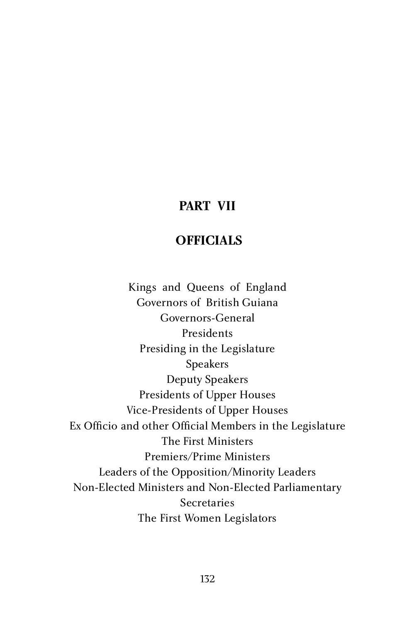# **PART VII**

# **OFFICIALS**

Kings and Queens of England<br>Governors of British Guiana Governors-General Presidents Presidents Presiding in the Legislature Speakers<br>Deputy Speakers Deputy Speakers Presidents of Upper Houses Vice-Presidents of Upper Houses Ex Officio and other Official Members in the Legislature The First Ministers<br>Premiers/Prime Ministers Premiers/Prime Ministers Leaders of the Opposition/Minority Leaders Non-Elected Ministers and Non-Elected Parliamentary Secretaries The First Women Legislators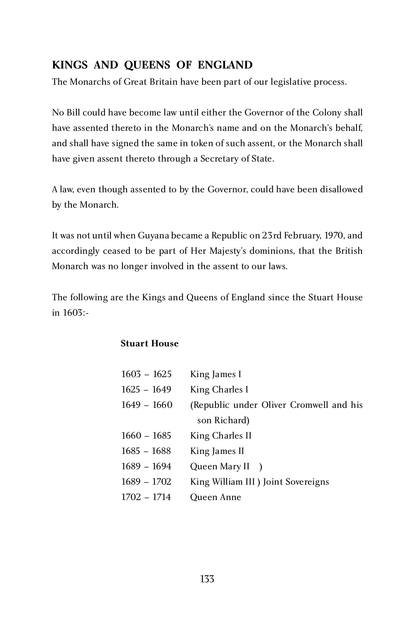## **KINGS AND QUEENS OF ENGLAND**

The Monarchs of Great Britain have been part of our legislative process.

No Bill could have become law until either the Governor of the Colony shall have assented thereto in the Monarch's name and on the Monarch's behalf, and shall have signed the same in token of such assent, or the Monarch shall have given assent thereto through a Secretary of State.

A law, even though assented to by the Governor, could have been disallowed by the Monarch.

It was not until when Guyana became a Republic on 23rd February, 1970, and accordingly ceased to be part of Her Majesty's dominions, that the British Monarch was no longer involved in the assent to our laws.

The following are the Kings and Queens of England since the Stuart House in 1603:-

# **Stuart House**

| $1603 - 1625$ | King James I                            |
|---------------|-----------------------------------------|
| $1625 - 1649$ | King Charles I                          |
| $1649 - 1660$ | (Republic under Oliver Cromwell and his |
|               | son Richard)                            |
| $1660 - 1685$ | King Charles II                         |
| $1685 - 1688$ | King James II                           |
| $1689 - 1694$ | Queen Mary II )                         |
| $1689 - 1702$ | King William III ) Joint Sovereigns     |
| $1702 - 1714$ | Queen Anne                              |
|               |                                         |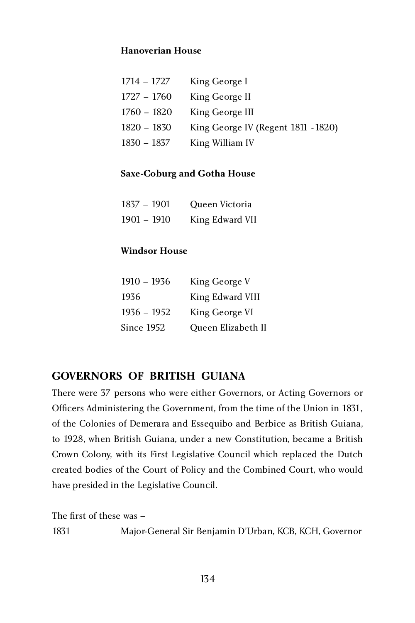# **Hanoverian House**

| 1714 – 1727   | King George I                       |
|---------------|-------------------------------------|
| 1727 – 1760   | King George II                      |
| 1760 – 1820   | King George III                     |
| $1820 - 1830$ | King George IV (Regent 1811 - 1820) |
| 1830 – 1837   | King William IV                     |
|               |                                     |

#### **Saxe-Coburg and Gotha House**

| 1837 – 1901 | - Oueen Victoria |
|-------------|------------------|
| 1901 - 1910 | King Edward VII  |

#### **Windsor House**

| 1910 – 1936       | King George V      |
|-------------------|--------------------|
| 1936              | King Edward VIII   |
| $1936 - 1952$     | King George VI     |
| <b>Since 1952</b> | Queen Elizabeth II |
|                   |                    |

#### **GOVERNORS OF BRITISH GUIANA**

There were 37 persons who were either Governors, or Acting Governors or Officers Administering the Government, from the time of the Union in 1831, of the Colonies of Demerara and Essequibo and Berbice as British Guiana, to 1928, when British Guiana, under a new Constitution, became a British Crown Colony, with its First Legislative Council which replaced the Dutch created bodies of the Court of Policy and the Combined Court, who would have presided in the Legislative Council.

The first of these was –<br>1831 Maior Major-General Sir Benjamin D'Urban, KCB, KCH, Governor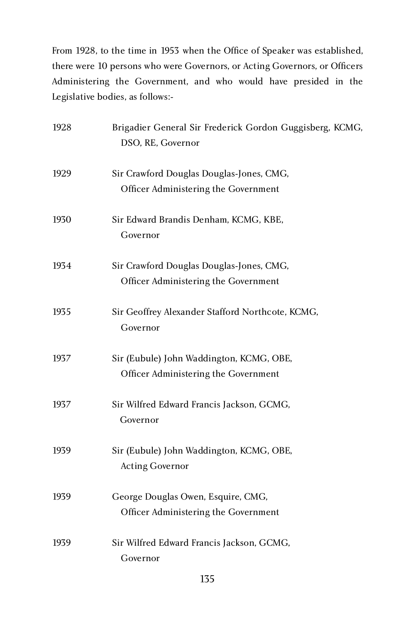From 1928, to the time in 1953 when the Office of Speaker was established, there were 10 persons who were Governors, or Acting Governors, or Officers Administering the Government, and who would have presided in the Legislative bodies, as follows:-

| 1928 | Brigadier General Sir Frederick Gordon Guggisberg, KCMG,<br>DSO, RE, Governor    |
|------|----------------------------------------------------------------------------------|
| 1929 | Sir Crawford Douglas Douglas-Jones, CMG,<br>Officer Administering the Government |
| 1930 | Sir Edward Brandis Denham, KCMG, KBE,<br>Governor                                |
| 1934 | Sir Crawford Douglas Douglas-Jones, CMG,<br>Officer Administering the Government |
| 1935 | Sir Geoffrey Alexander Stafford Northcote, KCMG,<br>Governor                     |
| 1937 | Sir (Eubule) John Waddington, KCMG, OBE,<br>Officer Administering the Government |
| 1937 | Sir Wilfred Edward Francis Jackson, GCMG,<br>Governor                            |
| 1939 | Sir (Eubule) John Waddington, KCMG, OBE,<br><b>Acting Governor</b>               |
| 1939 | George Douglas Owen, Esquire, CMG,<br>Officer Administering the Government       |
| 1939 | Sir Wilfred Edward Francis Jackson, GCMG,<br>Governor                            |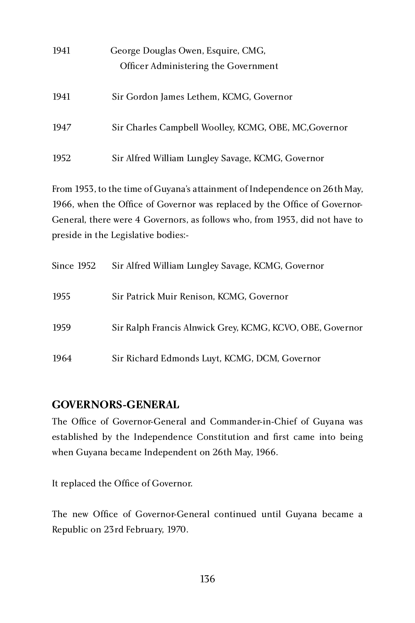| 1941 | George Douglas Owen, Esquire, CMG,                    |  |  |
|------|-------------------------------------------------------|--|--|
|      | Officer Administering the Government                  |  |  |
|      |                                                       |  |  |
| 1941 | Sir Gordon James Lethem, KCMG, Governor               |  |  |
|      |                                                       |  |  |
| 1947 | Sir Charles Campbell Woolley, KCMG, OBE, MC, Governor |  |  |
|      |                                                       |  |  |
| 1952 | Sir Alfred William Lungley Savage, KCMG, Governor     |  |  |
|      |                                                       |  |  |

From 1953, to the time of Guyana's attainment of Independence on 26th May, 1966, when the Office of Governor was replaced by the Office of Governor-General, there were 4 Governors, as follows who, from 1953, did not have to preside in the Legislative bodies:-

| Since 1952 | Sir Alfred William Lungley Savage, KCMG, Governor         |
|------------|-----------------------------------------------------------|
| 1955       | Sir Patrick Muir Renison, KCMG, Governor                  |
| 1959       | Sir Ralph Francis Alnwick Grey, KCMG, KCVO, OBE, Governor |
| 1964       | Sir Richard Edmonds Luyt, KCMG, DCM, Governor             |

## **GOVERNORS-GENERAL**

The Office of Governor-General and Commander-in-Chief of Guyana was established by the Independence Constitution and first came into being when Guyana became Independent on 26th May, 1966.

It replaced the Office of Governor.

The new Office of Governor-General continued until Guyana became a Republic on 23rd February, 1970.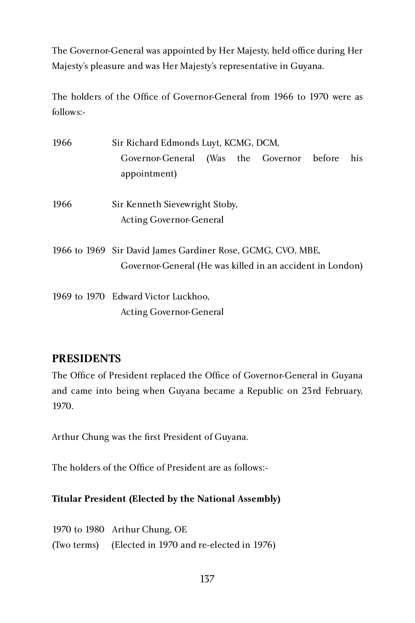The Governor-General was appointed by Her Majesty, held office during Her Majesty's pleasure and was Her Majesty's representative in Guyana.

The holders of the Office of Governor-General from 1966 to 1970 were as follows:-

| 1966 | Sir Richard Edmonds Luyt, KCMG, DCM,                        |  |  |  |     |
|------|-------------------------------------------------------------|--|--|--|-----|
|      | Governor-General (Was the Governor before                   |  |  |  | his |
|      | appointment)                                                |  |  |  |     |
| 1966 | Sir Kenneth Sievewright Stoby,                              |  |  |  |     |
|      | <b>Acting Governor-General</b>                              |  |  |  |     |
|      | 1966 to 1969 Sir David James Gardiner Rose, GCMG, CVO, MBE, |  |  |  |     |
|      | Governor-General (He was killed in an accident in London)   |  |  |  |     |
|      | 1969 to 1970 Edward Victor Luckhoo.                         |  |  |  |     |

Acting Governor-General

## **PRESIDENTS**

The Office of President replaced the Office of Governor-General in Guyana and came into being when Guyana became a Republic on 23rd February, 1970.

Arthur Chung was the first President of Guyana.

The holders of the Office of President are as follows:-

#### **Titular President (Elected by the National Assembly)**

1970 to 1980 Arthur Chung, OE (Elected in 1970 and re-elected in 1976)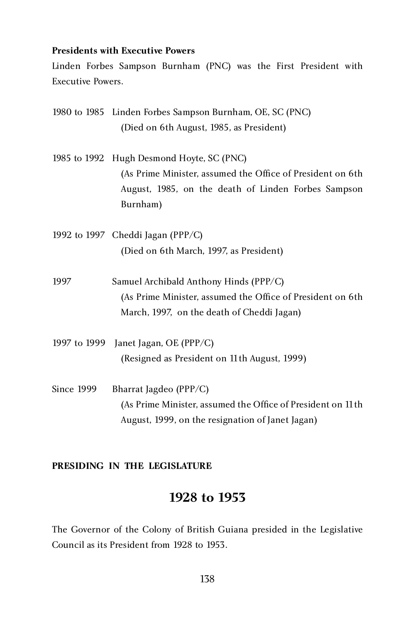#### **Presidents with Executive Powers**

Linden Forbes Sampson Burnham (PNC) was the First President with Executive Powers.

|            | 1980 to 1985 Linden Forbes Sampson Burnham, OE, SC (PNC)<br>(Died on 6th August, 1985, as President)                                                                       |
|------------|----------------------------------------------------------------------------------------------------------------------------------------------------------------------------|
|            | 1985 to 1992 Hugh Desmond Hoyte, SC (PNC)<br>(As Prime Minister, assumed the Office of President on 6th<br>August, 1985, on the death of Linden Forbes Sampson<br>Burnham) |
|            | 1992 to 1997 Cheddi Jagan (PPP/C)<br>(Died on 6th March, 1997, as President)                                                                                               |
| 1997       | Samuel Archibald Anthony Hinds (PPP/C)<br>(As Prime Minister, assumed the Office of President on 6th<br>March, 1997, on the death of Cheddi Jagan)                         |
|            | 1997 to 1999 Janet Jagan, OE (PPP/C)<br>(Resigned as President on 11th August, 1999)                                                                                       |
| Since 1999 | Bharrat Jagdeo (PPP/C)<br>(As Prime Minister, assumed the Office of President on 11th<br>August, 1999, on the resignation of Janet Jagan)                                  |

#### **PRESIDING IN THE LEGISLATURE**

# **1928 to 1953**

The Governor of the Colony of British Guiana presided in the Legislative Council as its President from 1928 to 1953.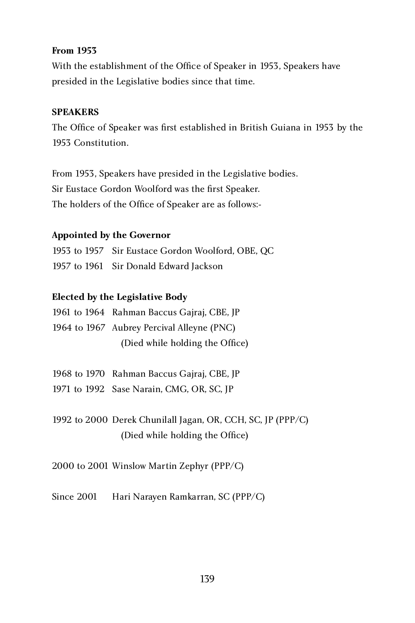#### **From 1953**

With the establishment of the Office of Speaker in 1953, Speakers have presided in the Legislative bodies since that time.

#### **SPEAKERS**

The Office of Speaker was first established in British Guiana in 1953 by the 1953 Constitution.

From 1953, Speakers have presided in the Legislative bodies. Sir Eustace Gordon Woolford was the first Speaker. The holders of the Office of Speaker are as follows:-

#### **Appointed by the Governor**

1953 to 1957 Sir Eustace Gordon Woolford, OBE, QC 1957 to 1961 Sir Donald Edward Jackson

#### **Elected by the Legislative Body**

1961 to 1964 Rahman Baccus Gajraj, CBE, JP 1964 to 1967 Aubrey Percival Alleyne (PNC) (Died while holding the Office)

- 1968 to 1970 Rahman Baccus Gajraj, CBE, JP
- 1971 to 1992 Sase Narain, CMG, OR, SC, JP
- 1992 to 2000 Derek Chunilall Jagan, OR, CCH, SC, JP (PPP/C) (Died while holding the Office)
- 2000 to 2001 Winslow Martin Zephyr (PPP/C)
- Since 2001 Hari Narayen Ramkarran, SC (PPP/C)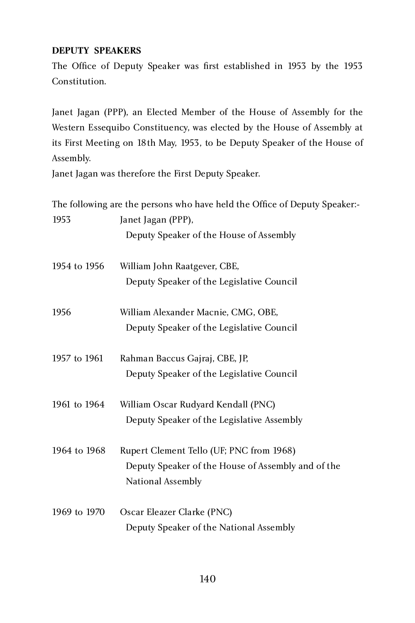#### **DEPUTY SPEAKERS**

The Office of Deputy Speaker was first established in 1953 by the 1953 Constitution.

Janet Jagan (PPP), an Elected Member of the House of Assembly for the Western Essequibo Constituency, was elected by the House of Assembly at its First Meeting on 18th May, 1953, to be Deputy Speaker of the House of Assembly.

Janet Jagan was therefore the First Deputy Speaker.

The following are the persons who have held the Office of Deputy Speaker:-<br>1953 **Langt Lagan (PPP)** Janet Jagan (PPP), Deputy Speaker of the House of Assembly 1954 to 1956 William John Raatgever, CBE, Deputy Speaker of the Legislative Council 1956 William Alexander Macnie, CMG, OBE, Deputy Speaker of the Legislative Council 1957 to 1961 Rahman Baccus Gajraj, CBE, JP, Deputy Speaker of the Legislative Council 1961 to 1964 William Oscar Rudyard Kendall (PNC) Deputy Speaker of the Legislative Assembly 1964 to 1968 Rupert Clement Tello (UF; PNC from 1968) Deputy Speaker of the House of Assembly and of the National Assembly 1969 to 1970 Oscar Eleazer Clarke (PNC) Deputy Speaker of the National Assembly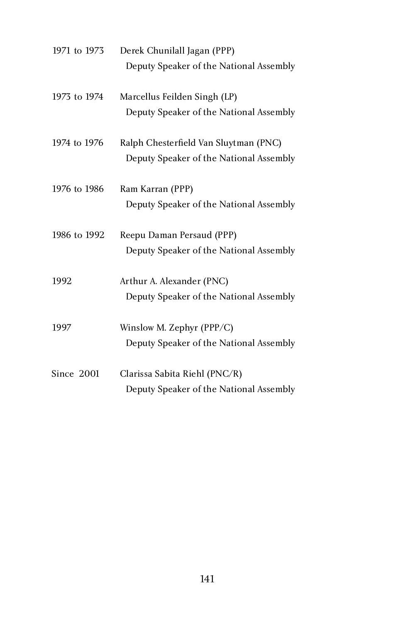| 1971 to 1973 | Derek Chunilall Jagan (PPP)             |
|--------------|-----------------------------------------|
|              | Deputy Speaker of the National Assembly |
| 1973 to 1974 | Marcellus Feilden Singh (LP)            |
|              | Deputy Speaker of the National Assembly |
| 1974 to 1976 | Ralph Chesterfield Van Sluytman (PNC)   |
|              | Deputy Speaker of the National Assembly |
| 1976 to 1986 | Ram Karran (PPP)                        |
|              | Deputy Speaker of the National Assembly |
| 1986 to 1992 | Reepu Daman Persaud (PPP)               |
|              | Deputy Speaker of the National Assembly |
| 1992         | Arthur A. Alexander (PNC)               |
|              | Deputy Speaker of the National Assembly |
| 1997         | Winslow M. Zephyr (PPP/C)               |
|              | Deputy Speaker of the National Assembly |
| Since 2001   | Clarissa Sabita Riehl (PNC/R)           |
|              | Deputy Speaker of the National Assembly |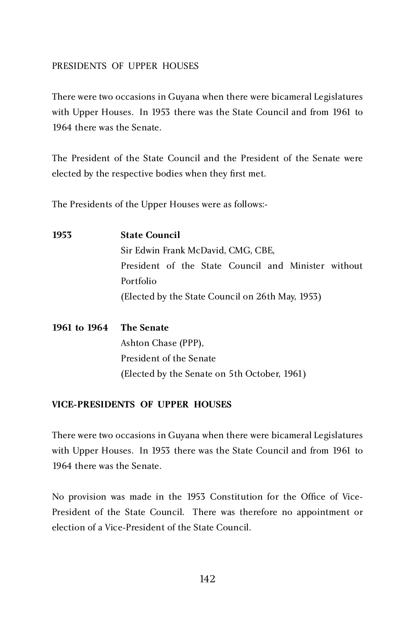#### PRESIDENTS OF UPPER HOUSES

There were two occasions in Guyana when there were bicameral Legislatures with Upper Houses. In 1953 there was the State Council and from 1961 to 1964 there was the Senate.

The President of the State Council and the President of the Senate were elected by the respective bodies when they first met.

The Presidents of the Upper Houses were as follows:-

**1953 State Council** Sir Edwin Frank McDavid, CMG, CBE,<br>President of the State Council and Minister without President of the State Council and Minister without Portfolio (Elected by the State Council on 26th May, 1953)

**1961 to 1964 The Senate** Ashton Chase (PPP), President of the Senate (Elected by the Senate on 5th October, 1961)

#### **VICE-PRESIDENTS OF UPPER HOUSES**

There were two occasions in Guyana when there were bicameral Legislatures with Upper Houses. In 1953 there was the State Council and from 1961 to 1964 there was the Senate.

No provision was made in the 1953 Constitution for the Office of Vice-President of the State Council. There was therefore no appointment or election of a Vice-President of the State Council.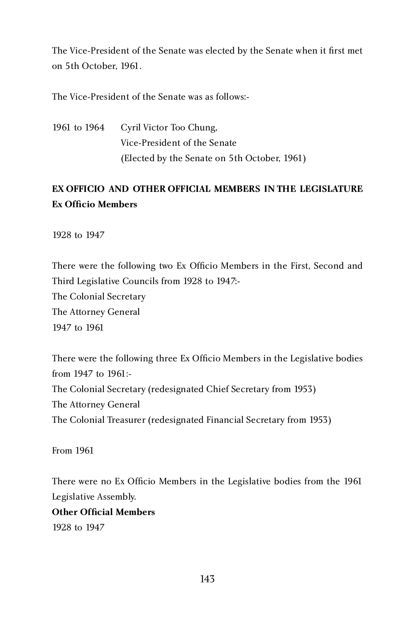The Vice-President of the Senate was elected by the Senate when it first met on 5th October, 1961.

The Vice-President of the Senate was as follows:-

1961 to 1964 Cyril Victor Too Chung, Vice-President of the Senate (Elected by the Senate on 5th October, 1961)

# **EX OFFICIO AND OTHER OFFICIAL MEMBERS IN THE LEGISLATURE Ex Officio Members**

1928 to 1947

There were the following two Ex Officio Members in the First, Second and Third Legislative Councils from 1928 to 1947:- The Colonial Secretary The Attorney General 1947 to 1961

There were the following three Ex Officio Members in the Legislative bodies from 1947 to 1961:- The Colonial Secretary (redesignated Chief Secretary from 1953) The Attorney General The Colonial Treasurer (redesignated Financial Secretary from 1953)

From 1961

There were no Ex Officio Members in the Legislative bodies from the 1961 Legislative Assembly.

**Other Official Members** 1928 to 1947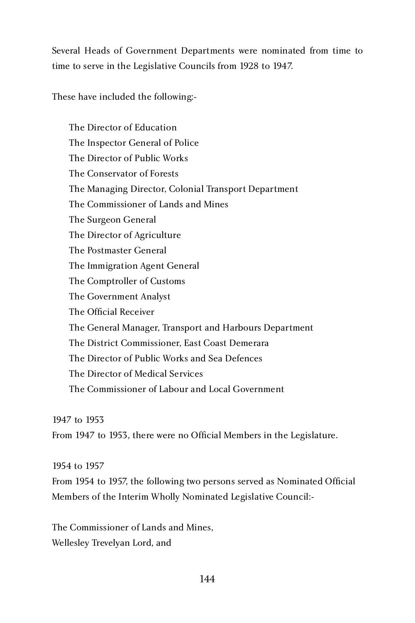Several Heads of Government Departments were nominated from time to time to serve in the Legislative Councils from 1928 to 1947.

These have included the following:-

The Director of Education The Inspector General of Police The Director of Public Works The Conservator of Forests The Managing Director, Colonial Transport Department The Commissioner of Lands and Mines The Surgeon General The Director of Agriculture The Postmaster General The Immigration Agent General The Comptroller of Customs The Government Analyst<br>The Official Receiver The Official Receiver The General Manager, Transport and Harbours Department The District Commissioner, East Coast Demerara<br>The Director of Public Works and Sea Defences The Director of Public Works and Sea Defences The Director of Medical Services The Commissioner of Labour and Local Government

1947 to 1953

From 1947 to 1953, there were no Official Members in the Legislature.

1954 to 1957

From 1954 to 1957, the following two persons served as Nominated Official Members of the Interim Wholly Nominated Legislative Council:-

The Commissioner of Lands and Mines, Wellesley Trevelyan Lord, and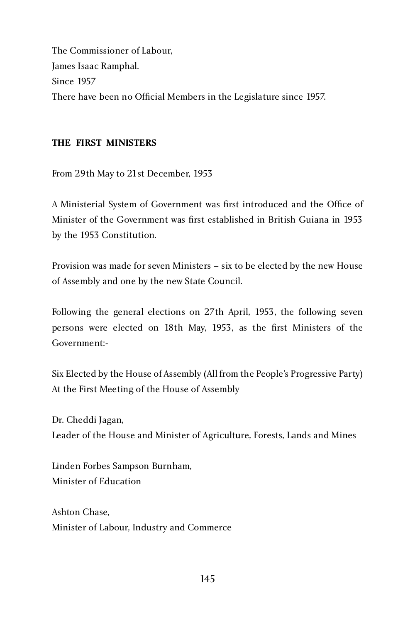The Commissioner of Labour, James Isaac Ramphal. Since 1957 There have been no Official Members in the Legislature since 1957.

#### **THE FIRST MINISTERS**

From 29th May to 21st December, 1953

A Ministerial System of Government was first introduced and the Office of Minister of the Government was first established in British Guiana in 1953 by the 1953 Constitution.

Provision was made for seven Ministers – six to be elected by the new House of Assembly and one by the new State Council.

Following the general elections on 27th April, 1953, the following seven persons were elected on 18th May, 1953, as the first Ministers of the Government:-

Six Elected by the House of Assembly (All from the People's Progressive Party) At the First Meeting of the House of Assembly

Dr. Cheddi Jagan, Leader of the House and Minister of Agriculture, Forests, Lands and Mines

Linden Forbes Sampson Burnham, Minister of Education

Ashton Chase, Minister of Labour, Industry and Commerce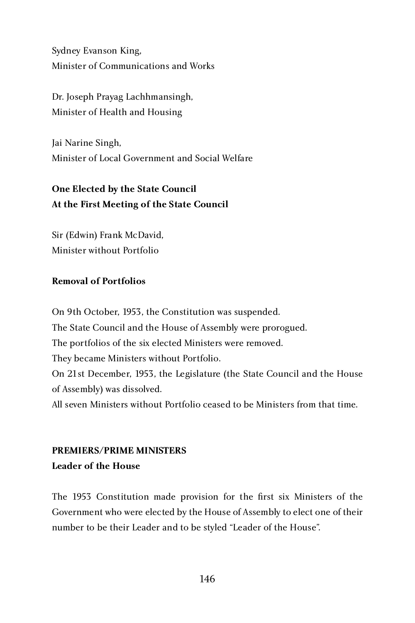Sydney Evanson King, Minister of Communications and Works

Dr. Joseph Prayag Lachhmansingh, Minister of Health and Housing

Jai Narine Singh, Minister of Local Government and Social Welfare

# **One Elected by the State Council At the First Meeting of the State Council**

Sir (Edwin) Frank McDavid, Minister without Portfolio

#### **Removal of Portfolios**

On 9th October, 1953, the Constitution was suspended. The State Council and the House of Assembly were prorogued. The portfolios of the six elected Ministers were removed. They became Ministers without Portfolio. On 21st December, 1953, the Legislature (the State Council and the House of Assembly) was dissolved. All seven Ministers without Portfolio ceased to be Ministers from that time.

# **PREMIERS/PRIME MINISTERS Leader of the House**

The 1953 Constitution made provision for the first six Ministers of the Government who were elected by the House of Assembly to elect one of their number to be their Leader and to be styled "Leader of the House".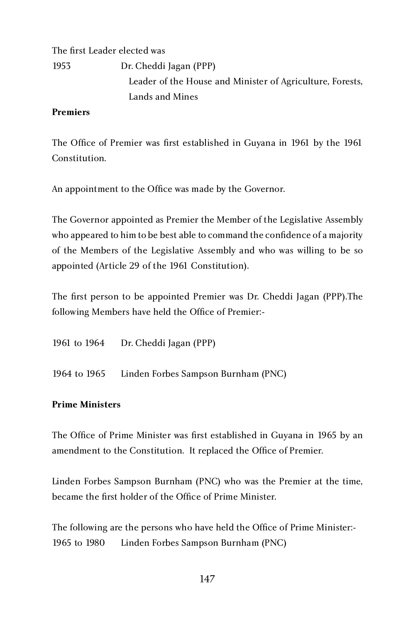The first Leader elected was<br>1953 Dr. Cheddi Dr. Cheddi Jagan (PPP) Leader of the House and Minister of Agriculture, Forests, Lands and Mines

#### **Premiers**

The Office of Premier was first established in Guyana in 1961 by the 1961 Constitution.

An appointment to the Office was made by the Governor.

The Governor appointed as Premier the Member of the Legislative Assembly who appeared to him to be best able to command the confidence of a majority of the Members of the Legislative Assembly and who was willing to be so appointed (Article 29 of the 1961 Constitution).

The first person to be appointed Premier was Dr. Cheddi Jagan (PPP).The following Members have held the Office of Premier:-

1961 to 1964 Dr. Cheddi Jagan (PPP)

1964 to 1965 Linden Forbes Sampson Burnham (PNC)

#### **Prime Ministers**

The Office of Prime Minister was first established in Guyana in 1965 by an amendment to the Constitution. It replaced the Office of Premier.

Linden Forbes Sampson Burnham (PNC) who was the Premier at the time, became the first holder of the Office of Prime Minister.

The following are the persons who have held the Office of Prime Minister:- 1965 to 1980 Linden Forbes Sampson Burnham (PNC)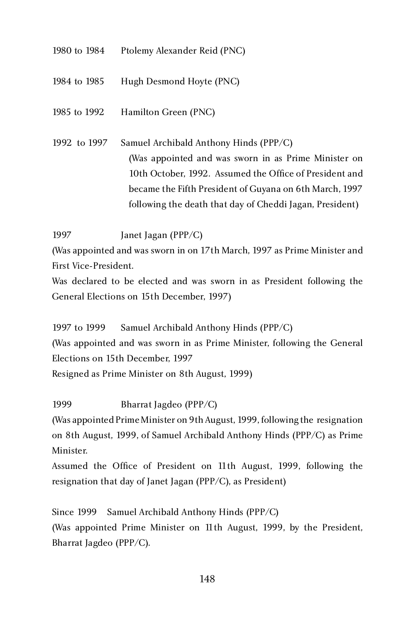| 1980 to 1984 | Ptolemy Alexander Reid (PNC)                                                                                                                                                                                                                                                     |
|--------------|----------------------------------------------------------------------------------------------------------------------------------------------------------------------------------------------------------------------------------------------------------------------------------|
| 1984 to 1985 | Hugh Desmond Hoyte (PNC)                                                                                                                                                                                                                                                         |
| 1985 to 1992 | Hamilton Green (PNC)                                                                                                                                                                                                                                                             |
| 1992 to 1997 | Samuel Archibald Anthony Hinds (PPP/C)<br>(Was appointed and was sworn in as Prime Minister on<br>10th October, 1992. Assumed the Office of President and<br>became the Fifth President of Guyana on 6th March, 1997<br>following the death that day of Cheddi Jagan, President) |

1997 Janet Jagan (PPP/C)

(Was appointed and was sworn in on 17th March, 1997 as Prime Minister and First Vice-President. First Vice-President.

Was declared to be elected and was sworn in as President following the General Elections on 15th December, 1997)

1997 to 1999 Samuel Archibald Anthony Hinds (PPP/C) (Was appointed and was sworn in as Prime Minister, following the General Elections on 15th December, 1997 Resigned as Prime Minister on 8th August, 1999)

1999 Bharrat Jagdeo (PPP/C)

(Was appointed Prime Minister on 9th August, 1999, following the resignation on 8th August, 1999, of Samuel Archibald Anthony Hinds (PPP/C) as Prime Minister.

Assumed the Office of President on 11th August, 1999, following the resignation that day of Janet Jagan (PPP/C), as President)

Since 1999 Samuel Archibald Anthony Hinds (PPP/C) (Was appointed Prime Minister on 11th August, 1999, by the President, Bharrat Jagdeo (PPP/C).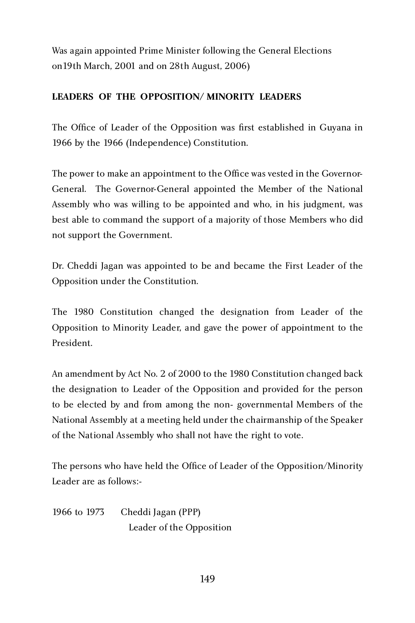Was again appointed Prime Minister following the General Elections on19th March, 2001 and on 28th August, 2006)

#### **LEADERS OF THE OPPOSITION/ MINORITY LEADERS**

The Office of Leader of the Opposition was first established in Guyana in 1966 by the 1966 (Independence) Constitution.

The power to make an appointment to the Office was vested in the Governor-General. The Governor-General appointed the Member of the National Assembly who was willing to be appointed and who, in his judgment, was best able to command the support of a majority of those Members who did not support the Government.

Dr. Cheddi Jagan was appointed to be and became the First Leader of the Opposition under the Constitution.

The 1980 Constitution changed the designation from Leader of the Opposition to Minority Leader, and gave the power of appointment to the President.

An amendment by Act No. 2 of 2000 to the 1980 Constitution changed back the designation to Leader of the Opposition and provided for the person to be elected by and from among the non- governmental Members of the National Assembly at a meeting held under the chairmanship of the Speaker of the National Assembly who shall not have the right to vote.

The persons who have held the Office of Leader of the Opposition/Minority Leader are as follows:-

1966 to 1973 Cheddi Jagan (PPP) Leader of the Opposition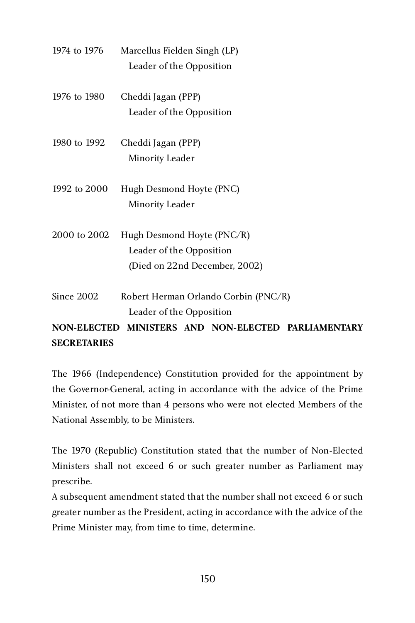| 1974 to 1976 | Marcellus Fielden Singh (LP)<br>Leader of the Opposition                                             |
|--------------|------------------------------------------------------------------------------------------------------|
| 1976 to 1980 | Cheddi Jagan (PPP)<br>Leader of the Opposition                                                       |
| 1980 to 1992 | Cheddi Jagan (PPP)<br><b>Minority Leader</b>                                                         |
| 1992 to 2000 | Hugh Desmond Hoyte (PNC)<br><b>Minority Leader</b>                                                   |
|              | 2000 to 2002 Hugh Desmond Hoyte (PNC/R)<br>Leader of the Opposition<br>(Died on 22nd December, 2002) |
| Since 2002   | Robert Herman Orlando Corbin (PNC/R)<br>Leader of the Opposition                                     |

# **NON-ELECTED MINISTERS AND NON-ELECTED PARLIAMENTARY SECRETARIES**

The 1966 (Independence) Constitution provided for the appointment by the Governor-General, acting in accordance with the advice of the Prime Minister, of not more than 4 persons who were not elected Members of the National Assembly, to be Ministers.

The 1970 (Republic) Constitution stated that the number of Non-Elected Ministers shall not exceed 6 or such greater number as Parliament may prescribe.

A subsequent amendment stated that the number shall not exceed 6 or such greater number as the President, acting in accordance with the advice of the Prime Minister may, from time to time, determine.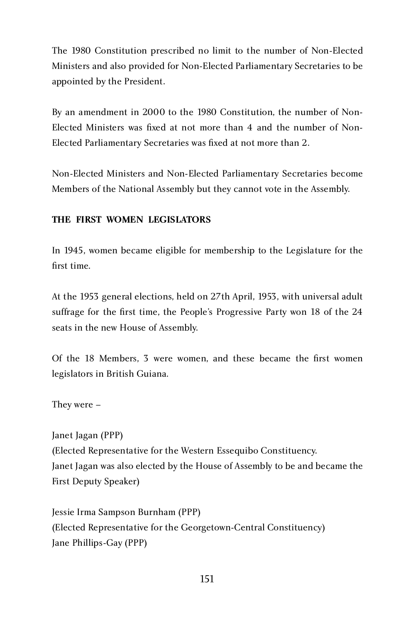The 1980 Constitution prescribed no limit to the number of Non-Elected Ministers and also provided for Non-Elected Parliamentary Secretaries to be appointed by the President.

By an amendment in 2000 to the 1980 Constitution, the number of Non-Elected Ministers was fixed at not more than 4 and the number of Non-Elected Parliamentary Secretaries was fixed at not more than 2.

Non-Elected Ministers and Non-Elected Parliamentary Secretaries become Members of the National Assembly but they cannot vote in the Assembly.

#### **THE FIRST WOMEN LEGISLATORS**

In 1945, women became eligible for membership to the Legislature for the first time.

At the 1953 general elections, held on 27th April, 1953, with universal adult suffrage for the first time, the People's Progressive Party won 18 of the 24 seats in the new House of Assembly.

Of the 18 Members, 3 were women, and these became the first women legislators in British Guiana.

They were –

Janet Jagan (PPP) (Elected Representative for the Western Essequibo Constituency. Janet Jagan was also elected by the House of Assembly to be and became the First Deputy Speaker)

Jessie Irma Sampson Burnham (PPP) (Elected Representative for the Georgetown-Central Constituency) Jane Phillips-Gay (PPP)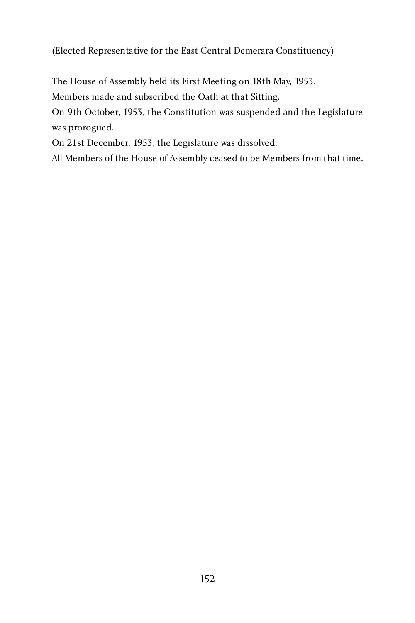(Elected Representative for the East Central Demerara Constituency)

The House of Assembly held its First Meeting on 18th May, 1953.

Members made and subscribed the Oath at that Sitting.

On 9th October, 1953, the Constitution was suspended and the Legislature was prorogued.

On 21st December, 1953, the Legislature was dissolved.

All Members of the House of Assembly ceased to be Members from that time.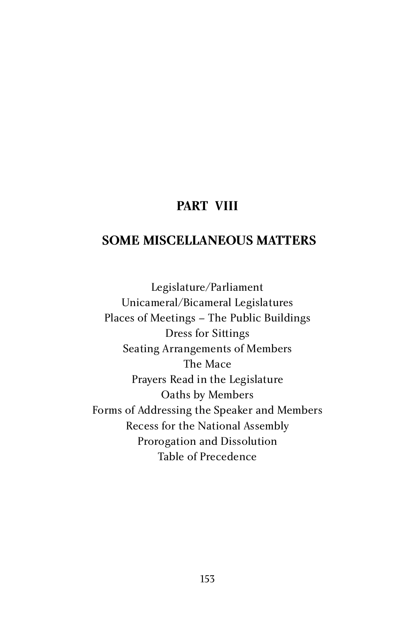# **PART VIII**

# **SOME MISCELLANEOUS MATTERS**

Legislature/Parliament Unicameral/Bicameral Legislatures Places of Meetings – The Public Buildings Dress for Sittings Seating Arrangements of Members  $\frac{1}{1}$  $\frac{1}{1}$  $\frac{1}{1}$ Prayers Read in the Legislature Oaths by Members Forms of Addressing the Speaker and Members Recess for the National Assembly Prorogation and Dissolution Table of Precedence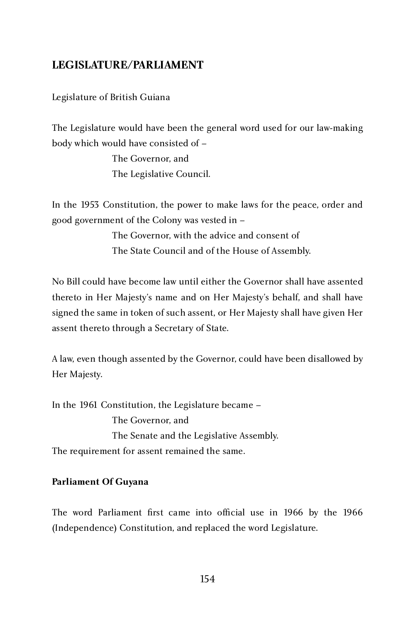### **LEGISLATURE/PARLIAMENT**

Legislature of British Guiana

The Legislature would have been the general word used for our law-making body which would have consisted of –

> The Governor, and The Legislative Council.

In the 1953 Constitution, the power to make laws for the peace, order and good government of the Colony was vested in –

> The Governor, with the advice and consent of The State Council and of the House of Assembly.

No Bill could have become law until either the Governor shall have assented thereto in Her Majesty's name and on Her Majesty's behalf, and shall have signed the same in token of such assent, or Her Majesty shall have given Her assent thereto through a Secretary of State.

A law, even though assented by the Governor, could have been disallowed by Her Majesty.

In the 1961 Constitution, the Legislature became – The Governor, and The Senate and the Legislative Assembly. The requirement for assent remained the same.

#### **Parliament Of Guyana**

The word Parliament first came into official use in 1966 by the 1966 (Independence) Constitution, and replaced the word Legislature.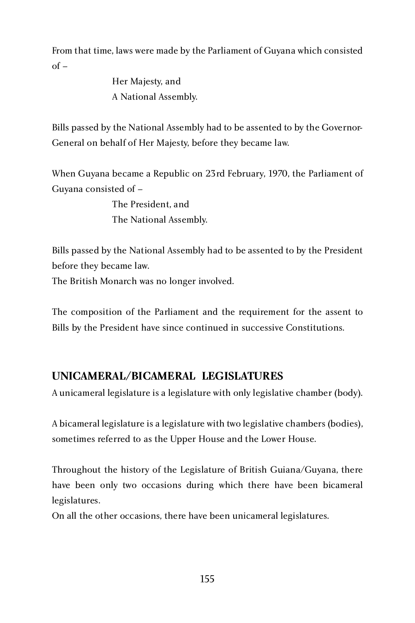From that time, laws were made by the Parliament of Guyana which consisted  $of -$ 

> Her Majesty, and A National Assembly.

Bills passed by the National Assembly had to be assented to by the Governor-General on behalf of Her Majesty, before they became law.

When Guyana became a Republic on 23rd February, 1970, the Parliament of Guyana consisted of –

> The President, and The National Assembly.

Bills passed by the National Assembly had to be assented to by the President before they became law.

The British Monarch was no longer involved.

The composition of the Parliament and the requirement for the assent to Bills by the President have since continued in successive Constitutions.

# **UNICAMERAL/BICAMERAL LEGISLATURES**

A unicameral legislature is a legislature with only legislative chamber (body).

A bicameral legislature is a legislature with two legislative chambers (bodies), sometimes referred to as the Upper House and the Lower House.

Throughout the history of the Legislature of British Guiana/Guyana, there have been only two occasions during which there have been bicameral legislatures.

On all the other occasions, there have been unicameral legislatures.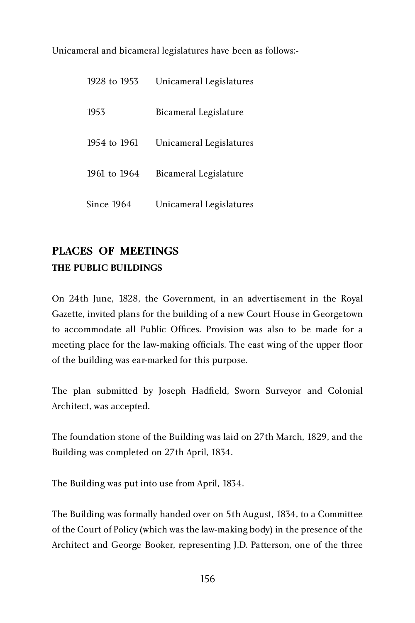Unicameral and bicameral legislatures have been as follows:-

| 1928 to 1953      | Unicameral Legislatures      |
|-------------------|------------------------------|
| 1953              | <b>Bicameral Legislature</b> |
| 1954 to 1961      | Unicameral Legislatures      |
| 1961 to 1964      | <b>Bicameral Legislature</b> |
| <b>Since 1964</b> | Unicameral Legislatures      |

# **PLACES OF MEETINGS THE PUBLIC BUILDINGS**

On 24th June, 1828, the Government, in an advertisement in the Royal Gazette, invited plans for the building of a new Court House in Georgetown to accommodate all Public Offices. Provision was also to be made for a meeting place for the law-making officials. The east wing of the upper floor of the building was ear-marked for this purpose.

The plan submitted by Joseph Hadfield, Sworn Surveyor and Colonial Architect, was accepted.

The foundation stone of the Building was laid on 27th March, 1829, and the Building was completed on 27th April, 1834.

The Building was put into use from April, 1834.

The Building was formally handed over on 5th August, 1834, to a Committee of the Court of Policy (which was the law-making body) in the presence of the Architect and George Booker, representing J.D. Patterson, one of the three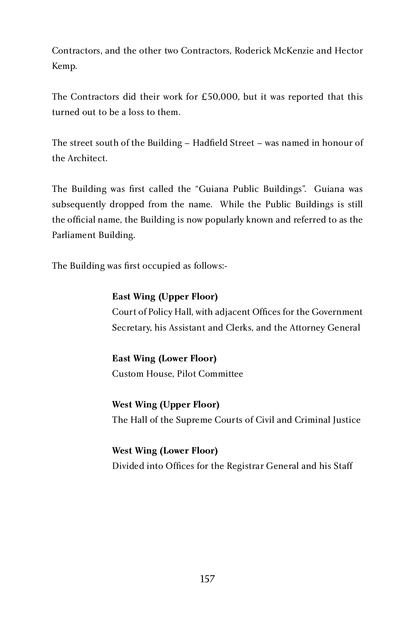Contractors, and the other two Contractors, Roderick McKenzie and Hector Kemp.

The Contractors did their work for £50,000, but it was reported that this turned out to be a loss to them.

The street south of the Building – Hadfield Street – was named in honour of the Architect.

The Building was first called the "Guiana Public Buildings". Guiana was subsequently dropped from the name. While the Public Buildings is still the official name, the Building is now popularly known and referred to as the Parliament Building.

The Building was first occupied as follows:-

#### **East Wing (Upper Floor)**

Court of Policy Hall, with adjacent Offices for the Government Secretary, his Assistant and Clerks, and the Attorney General

**East Wing (Lower Floor)** Custom House, Pilot Committee

**West Wing (Upper Floor)** The Hall of the Supreme Courts of Civil and Criminal Justice

**West Wing (Lower Floor)** Divided into Offices for the Registrar General and his Staff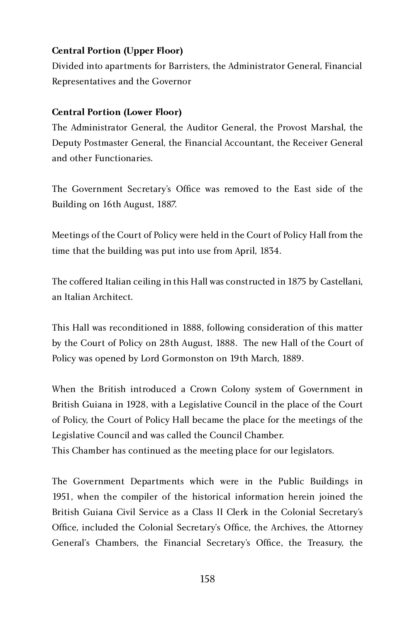#### **Central Portion (Upper Floor)**

Divided into apartments for Barristers, the Administrator General, Financial Representatives and the Governor

#### **Central Portion (Lower Floor)**

The Administrator General, the Auditor General, the Provost Marshal, the Deputy Postmaster General, the Financial Accountant, the Receiver General and other Functionaries.

The Government Secretary's Office was removed to the East side of the Building on 16th August, 1887.

Meetings of the Court of Policy were held in the Court of Policy Hall from the time that the building was put into use from April, 1834.

The coffered Italian ceiling in this Hall was constructed in 1875 by Castellani, an Italian Architect.

This Hall was reconditioned in 1888, following consideration of this matter by the Court of Policy on 28th August, 1888. The new Hall of the Court of Policy was opened by Lord Gormonston on 19th March, 1889.

When the British introduced a Crown Colony system of Government in British Guiana in 1928, with a Legislative Council in the place of the Court of Policy, the Court of Policy Hall became the place for the meetings of the Legislative Council and was called the Council Chamber.

This Chamber has continued as the meeting place for our legislators.

The Government Departments which were in the Public Buildings in 1951, when the compiler of the historical information herein joined the British Guiana Civil Service as a Class II Clerk in the Colonial Secretary's Office, included the Colonial Secretary's Office, the Archives, the Attorney General's Chambers, the Financial Secretary's Office, the Treasury, the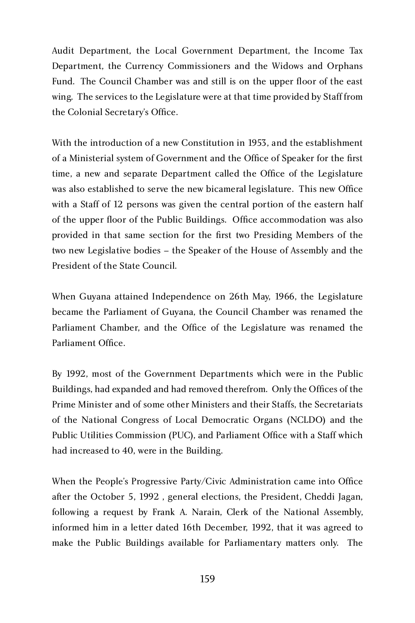Audit Department, the Local Government Department, the Income Tax Department, the Currency Commissioners and the Widows and Orphans Fund. The Council Chamber was and still is on the upper floor of the east wing. The services to the Legislature were at that time provided by Staff from the Colonial Secretary's Office.

With the introduction of a new Constitution in 1953, and the establishment of a Ministerial system of Government and the Office of Speaker for the first time, a new and separate Department called the Office of the Legislature was also established to serve the new bicameral legislature. This new Office with a Staff of 12 persons was given the central portion of the eastern half of the upper floor of the Public Buildings. Office accommodation was also provided in that same section for the first two Presiding Members of the two new Legislative bodies – the Speaker of the House of Assembly and the President of the State Council.

When Guyana attained Independence on 26th May, 1966, the Legislature became the Parliament of Guyana, the Council Chamber was renamed the Parliament Chamber, and the Office of the Legislature was renamed the Parliament Office.

By 1992, most of the Government Departments which were in the Public Buildings, had expanded and had removed therefrom. Only the Offices of the Prime Minister and of some other Ministers and their Staffs, the Secretariats of the National Congress of Local Democratic Organs (NCLDO) and the Public Utilities Commission (PUC), and Parliament Office with a Staff which had increased to 40, were in the Building.

When the People's Progressive Party/Civic Administration came into Office after the October 5, 1992 , general elections, the President, Cheddi Jagan, following a request by Frank A. Narain, Clerk of the National Assembly, informed him in a letter dated 16th December, 1992, that it was agreed to make the Public Buildings available for Parliamentary matters only. The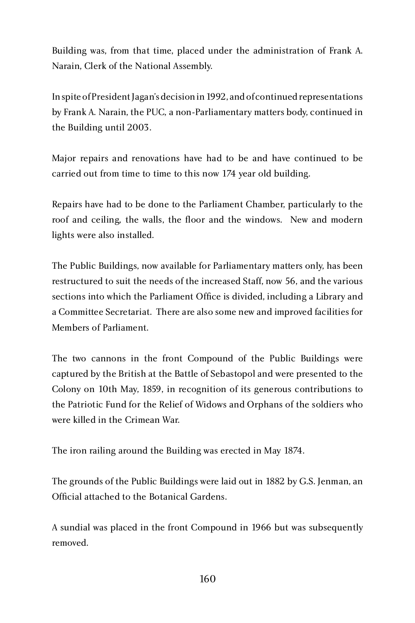Building was, from that time, placed under the administration of Frank A. Narain, Clerk of the National Assembly.

In spite of President Jagan's decision in 1992, and of continued representations by Frank A. Narain, the PUC, a non-Parliamentary matters body, continued in the Building until 2003.

Major repairs and renovations have had to be and have continued to be carried out from time to time to this now 174 year old building.

Repairs have had to be done to the Parliament Chamber, particularly to the roof and ceiling, the walls, the floor and the windows. New and modern lights were also installed.

The Public Buildings, now available for Parliamentary matters only, has been restructured to suit the needs of the increased Staff, now 56, and the various sections into which the Parliament Office is divided, including a Library and a Committee Secretariat. There are also some new and improved facilities for Members of Parliament.

The two cannons in the front Compound of the Public Buildings were captured by the British at the Battle of Sebastopol and were presented to the Colony on 10th May, 1859, in recognition of its generous contributions to the Patriotic Fund for the Relief of Widows and Orphans of the soldiers who were killed in the Crimean War.

The iron railing around the Building was erected in May 1874.

The grounds of the Public Buildings were laid out in 1882 by G.S. Jenman, an Official attached to the Botanical Gardens.

A sundial was placed in the front Compound in 1966 but was subsequently removed.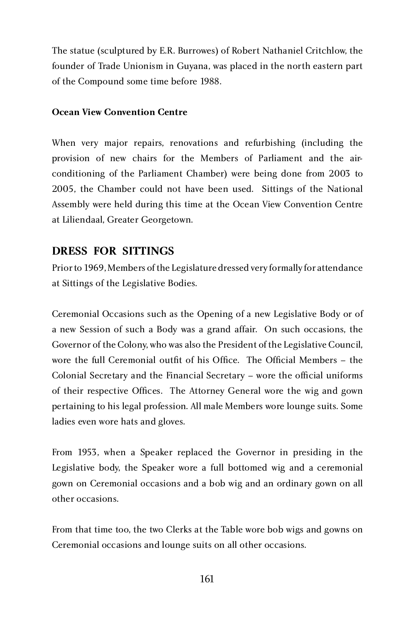The statue (sculptured by E.R. Burrowes) of Robert Nathaniel Critchlow, the founder of Trade Unionism in Guyana, was placed in the north eastern part of the Compound some time before 1988.

#### **Ocean View Convention Centre**

When very major repairs, renovations and refurbishing (including the provision of new chairs for the Members of Parliament and the airconditioning of the Parliament Chamber) were being done from 2003 to 2005, the Chamber could not have been used. Sittings of the National Assembly were held during this time at the Ocean View Convention Centre at Liliendaal, Greater Georgetown.

# **DRESS FOR SITTINGS**

Prior to 1969, Members of the Legislature dressed very formally for attendance at Sittings of the Legislative Bodies.

Ceremonial Occasions such as the Opening of a new Legislative Body or of a new Session of such a Body was a grand affair. On such occasions, the Governor of the Colony, who was also the President of the Legislative Council, wore the full Ceremonial outfit of his Office. The Official Members – the Colonial Secretary and the Financial Secretary – wore the official uniforms of their respective Offices. The Attorney General wore the wig and gown pertaining to his legal profession. All male Members wore lounge suits. Some ladies even wore hats and gloves.

From 1953, when a Speaker replaced the Governor in presiding in the Legislative body, the Speaker wore a full bottomed wig and a ceremonial gown on Ceremonial occasions and a bob wig and an ordinary gown on all other occasions.

From that time too, the two Clerks at the Table wore bob wigs and gowns on Ceremonial occasions and lounge suits on all other occasions.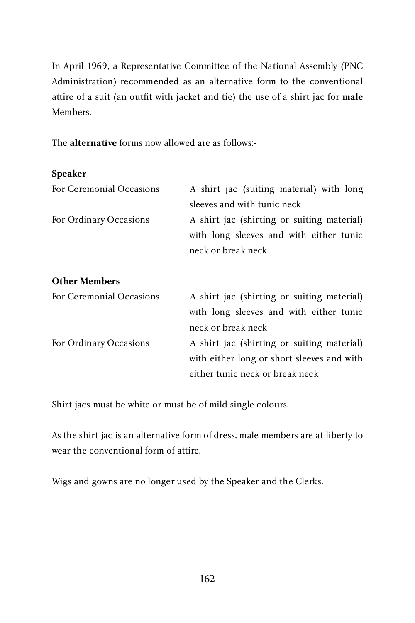In April 1969, a Representative Committee of the National Assembly (PNC Administration) recommended as an alternative form to the conventional attire of a suit (an outfit with jacket and tie) the use of a shirt jac for **male**  Members.

The **alternative** forms now allowed are as follows:-

#### **Speaker**

| For Ceremonial Occasions | A shirt jac (suiting material) with long   |
|--------------------------|--------------------------------------------|
|                          | sleeves and with tunic neck                |
| For Ordinary Occasions   | A shirt jac (shirting or suiting material) |
|                          | with long sleeves and with either tunic    |
|                          | neck or break neck                         |
| <b>Other Members</b>     |                                            |
| For Ceremonial Occasions | A shirt jac (shirting or suiting material) |
|                          | with long sleeves and with either tunic    |
|                          | neck or break neck                         |
| For Ordinary Occasions   | A shirt jac (shirting or suiting material) |
|                          | with either long or short sleeves and with |
|                          | either tunic neck or break neck            |

Shirt jacs must be white or must be of mild single colours.

As the shirt jac is an alternative form of dress, male members are at liberty to wear the conventional form of attire.

Wigs and gowns are no longer used by the Speaker and the Clerks.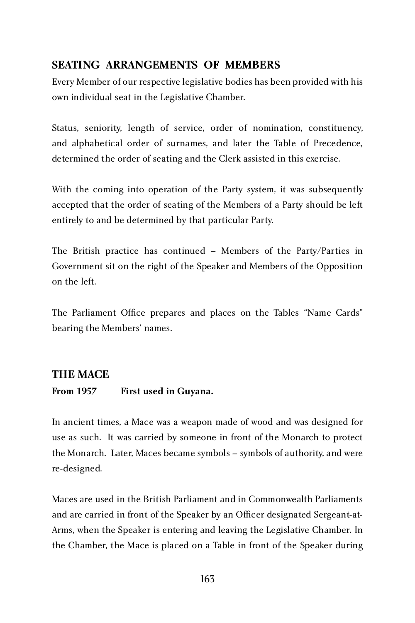# **SEATING ARRANGEMENTS OF MEMBERS**

Every Member of our respective legislative bodies has been provided with his own individual seat in the Legislative Chamber.

Status, seniority, length of service, order of nomination, constituency, and alphabetical order of surnames, and later the Table of Precedence, determined the order of seating and the Clerk assisted in this exercise.

With the coming into operation of the Party system, it was subsequently accepted that the order of seating of the Members of a Party should be left entirely to and be determined by that particular Party.

The British practice has continued – Members of the Party/Parties in Government sit on the right of the Speaker and Members of the Opposition on the left.

The Parliament Office prepares and places on the Tables "Name Cards" bearing the Members' names.

# **THE MACE**<br>From 1957

#### **First used in Guyana.**

In ancient times, a Mace was a weapon made of wood and was designed for use as such. It was carried by someone in front of the Monarch to protect the Monarch. Later, Maces became symbols – symbols of authority, and were re-designed.

Maces are used in the British Parliament and in Commonwealth Parliaments and are carried in front of the Speaker by an Officer designated Sergeant-at-Arms, when the Speaker is entering and leaving the Legislative Chamber. In the Chamber, the Mace is placed on a Table in front of the Speaker during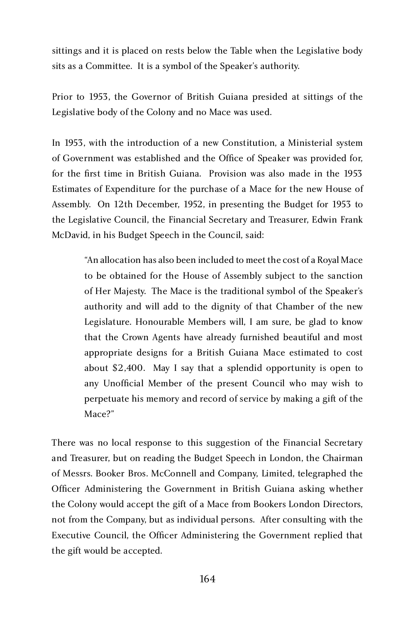sittings and it is placed on rests below the Table when the Legislative body sits as a Committee. It is a symbol of the Speaker's authority.

Prior to 1953, the Governor of British Guiana presided at sittings of the Legislative body of the Colony and no Mace was used.

In 1953, with the introduction of a new Constitution, a Ministerial system of Government was established and the Office of Speaker was provided for, for the first time in British Guiana. Provision was also made in the 1953 Estimates of Expenditure for the purchase of a Mace for the new House of Assembly. On 12th December, 1952, in presenting the Budget for 1953 to the Legislative Council, the Financial Secretary and Treasurer, Edwin Frank McDavid, in his Budget Speech in the Council, said:

> "An allocation has also been included to meet the cost of a Royal Mace to be obtained for the House of Assembly subject to the sanction of Her Majesty. The Mace is the traditional symbol of the Speaker's authority and will add to the dignity of that Chamber of the new Legislature. Honourable Members will, I am sure, be glad to know that the Crown Agents have already furnished beautiful and most appropriate designs for a British Guiana Mace estimated to cost about \$2,400. May I say that a splendid opportunity is open to any Unofficial Member of the present Council who may wish to perpetuate his memory and record of service by making a gift of the Mace?"

There was no local response to this suggestion of the Financial Secretary and Treasurer, but on reading the Budget Speech in London, the Chairman of Messrs. Booker Bros. McConnell and Company, Limited, telegraphed the Officer Administering the Government in British Guiana asking whether the Colony would accept the gift of a Mace from Bookers London Directors, not from the Company, but as individual persons. After consulting with the Executive Council, the Officer Administering the Government replied that the gift would be accepted.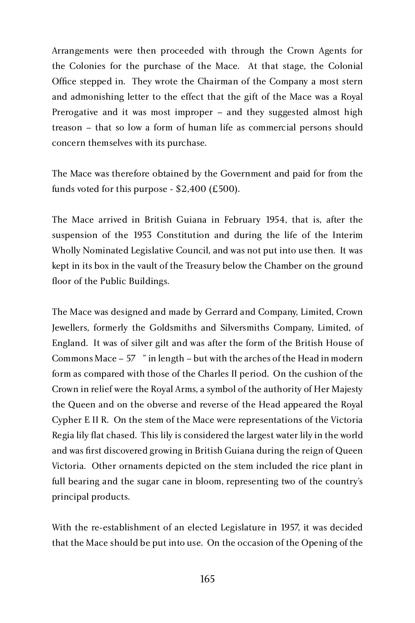Arrangements were then proceeded with through the Crown Agents for the Colonies for the purchase of the Mace. At that stage, the Colonial Office stepped in. They wrote the Chairman of the Company a most stern and admonishing letter to the effect that the gift of the Mace was a Royal Prerogative and it was most improper – and they suggested almost high treason – that so low a form of human life as commercial persons should concern themselves with its purchase.

The Mace was therefore obtained by the Government and paid for from the funds voted for this purpose -  $$2,400$  (£500).

The Mace arrived in British Guiana in February 1954, that is, after the suspension of the 1953 Constitution and during the life of the Interim Wholly Nominated Legislative Council, and was not put into use then. It was kept in its box in the vault of the Treasury below the Chamber on the ground floor of the Public Buildings.

The Mace was designed and made by Gerrard and Company, Limited, Crown Jewellers, formerly the Goldsmiths and Silversmiths Company, Limited, of England. It was of silver gilt and was after the form of the British House of Commons Mace  $-57$  " in length  $-$  but with the arches of the Head in modern form as compared with those of the Charles II period. On the cushion of the Crown in relief were the Royal Arms, a symbol of the authority of Her Majesty the Queen and on the obverse and reverse of the Head appeared the Royal Cypher E II R. On the stem of the Mace were representations of the Victoria Regia lily flat chased. This lily is considered the largest water lily in the world and was first discovered growing in British Guiana during the reign of Queen Victoria. Other ornaments depicted on the stem included the rice plant in full bearing and the sugar cane in bloom, representing two of the country's principal products.

With the re-establishment of an elected Legislature in 1957, it was decided that the Mace should be put into use. On the occasion of the Opening of the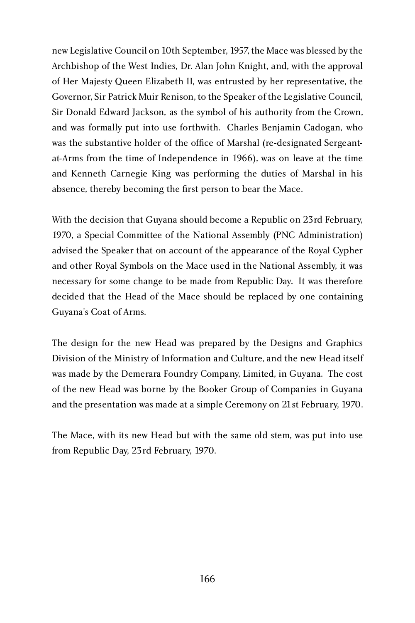new Legislative Council on 10th September, 1957, the Mace was blessed by the Archbishop of the West Indies, Dr. Alan John Knight, and, with the approval of Her Majesty Queen Elizabeth II, was entrusted by her representative, the Governor, Sir Patrick Muir Renison, to the Speaker of the Legislative Council, Sir Donald Edward Jackson, as the symbol of his authority from the Crown, and was formally put into use forthwith. Charles Benjamin Cadogan, who was the substantive holder of the office of Marshal (re-designated Sergeantat-Arms from the time of Independence in 1966), was on leave at the time and Kenneth Carnegie King was performing the duties of Marshal in his absence, thereby becoming the first person to bear the Mace.

With the decision that Guyana should become a Republic on 23rd February, 1970, a Special Committee of the National Assembly (PNC Administration) advised the Speaker that on account of the appearance of the Royal Cypher and other Royal Symbols on the Mace used in the National Assembly, it was necessary for some change to be made from Republic Day. It was therefore decided that the Head of the Mace should be replaced by one containing Guyana's Coat of Arms.

The design for the new Head was prepared by the Designs and Graphics Division of the Ministry of Information and Culture, and the new Head itself was made by the Demerara Foundry Company, Limited, in Guyana. The cost of the new Head was borne by the Booker Group of Companies in Guyana and the presentation was made at a simple Ceremony on 21st February, 1970.

The Mace, with its new Head but with the same old stem, was put into use from Republic Day, 23rd February, 1970.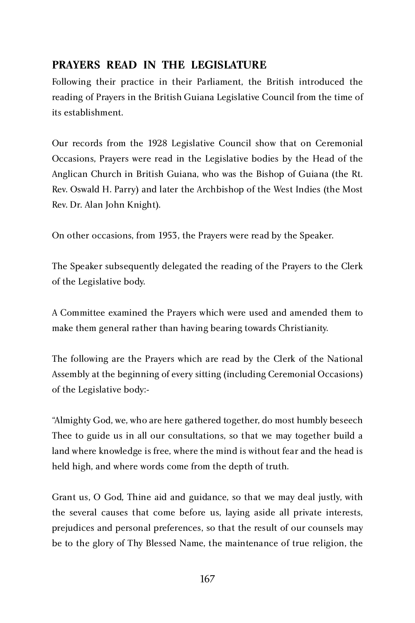# **PRAYERS READ IN THE LEGISLATURE**

Following their practice in their Parliament, the British introduced the reading of Prayers in the British Guiana Legislative Council from the time of its establishment.

Our records from the 1928 Legislative Council show that on Ceremonial Occasions, Prayers were read in the Legislative bodies by the Head of the Anglican Church in British Guiana, who was the Bishop of Guiana (the Rt. Rev. Oswald H. Parry) and later the Archbishop of the West Indies (the Most Rev. Dr. Alan John Knight).

On other occasions, from 1953, the Prayers were read by the Speaker.

The Speaker subsequently delegated the reading of the Prayers to the Clerk of the Legislative body.

A Committee examined the Prayers which were used and amended them to make them general rather than having bearing towards Christianity.

The following are the Prayers which are read by the Clerk of the National Assembly at the beginning of every sitting (including Ceremonial Occasions) of the Legislative body:-

"Almighty God, we, who are here gathered together, do most humbly beseech Thee to guide us in all our consultations, so that we may together build a land where knowledge is free, where the mind is without fear and the head is held high, and where words come from the depth of truth.

Grant us, O God, Thine aid and guidance, so that we may deal justly, with the several causes that come before us, laying aside all private interests, prejudices and personal preferences, so that the result of our counsels may be to the glory of Thy Blessed Name, the maintenance of true religion, the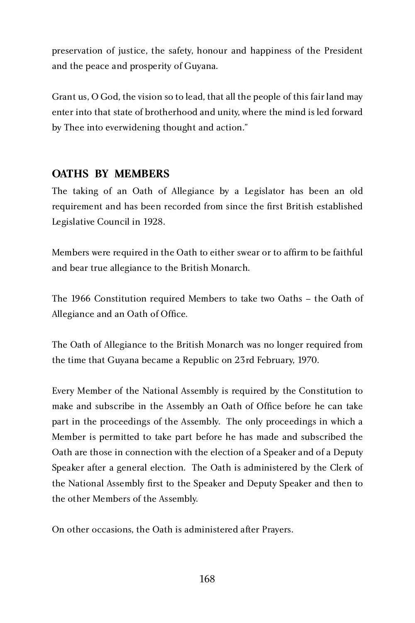preservation of justice, the safety, honour and happiness of the President and the peace and prosperity of Guyana.

Grant us, O God, the vision so to lead, that all the people of this fair land may enter into that state of brotherhood and unity, where the mind is led forward by Thee into everwidening thought and action."

### **OATHS BY MEMBERS**

The taking of an Oath of Allegiance by a Legislator has been an old requirement and has been recorded from since the first British established Legislative Council in 1928.

Members were required in the Oath to either swear or to affirm to be faithful and bear true allegiance to the British Monarch.

The 1966 Constitution required Members to take two Oaths – the Oath of Allegiance and an Oath of Office.

The Oath of Allegiance to the British Monarch was no longer required from the time that Guyana became a Republic on 23rd February, 1970.

Every Member of the National Assembly is required by the Constitution to make and subscribe in the Assembly an Oath of Office before he can take part in the proceedings of the Assembly. The only proceedings in which a Member is permitted to take part before he has made and subscribed the Oath are those in connection with the election of a Speaker and of a Deputy Speaker after a general election. The Oath is administered by the Clerk of the National Assembly first to the Speaker and Deputy Speaker and then to the other Members of the Assembly.

On other occasions, the Oath is administered after Prayers.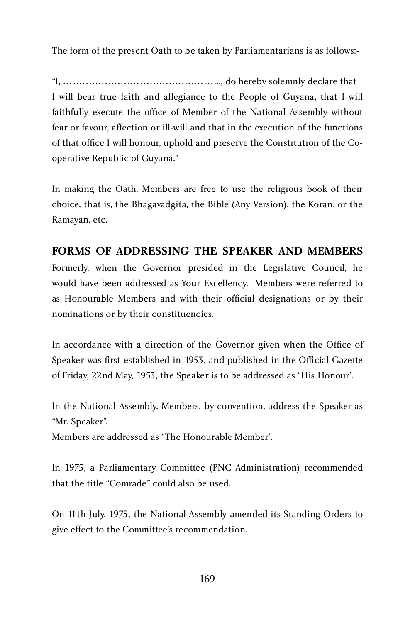The form of the present Oath to be taken by Parliamentarians is as follows:-

"I, ………………………………………….., do hereby solemnly declare that I will bear true faith and allegiance to the People of Guyana, that I will faithfully execute the office of Member of the National Assembly without fear or favour, affection or ill-will and that in the execution of the functions of that office I will honour, uphold and preserve the Constitution of the Cooperative Republic of Guyana."

In making the Oath, Members are free to use the religious book of their choice, that is, the Bhagavadgita, the Bible (Any Version), the Koran, or the Ramayan, etc.

# **FORMS OF ADDRESSING THE SPEAKER AND MEMBERS**

Formerly, when the Governor presided in the Legislative Council, he would have been addressed as Your Excellency. Members were referred to as Honourable Members and with their official designations or by their nominations or by their constituencies.

In accordance with a direction of the Governor given when the Office of Speaker was first established in 1953, and published in the Official Gazette of Friday, 22nd May, 1953, the Speaker is to be addressed as "His Honour".

In the National Assembly, Members, by convention, address the Speaker as "Mr. Speaker".

Members are addressed as "The Honourable Member".

In 1975, a Parliamentary Committee (PNC Administration) recommended that the title "Comrade" could also be used.

On 11th July, 1975, the National Assembly amended its Standing Orders to give effect to the Committee's recommendation.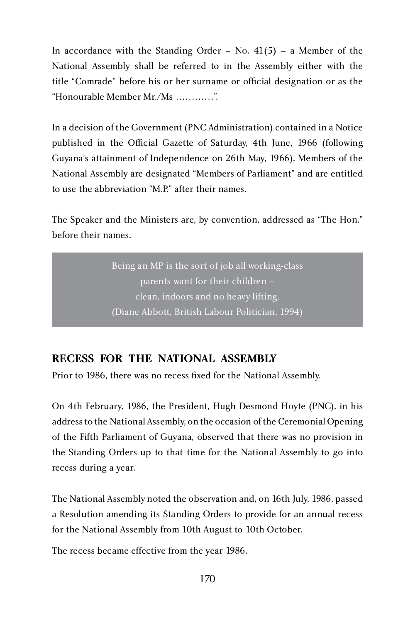In accordance with the Standing Order – No.  $41(5)$  – a Member of the National Assembly shall be referred to in the Assembly either with the title "Comrade" before his or her surname or official designation or as the "Honourable Member Mr./Ms …………".

In a decision of the Government (PNC Administration) contained in a Notice published in the Official Gazette of Saturday, 4th June, 1966 (following Guyana's attainment of Independence on 26th May, 1966), Members of the National Assembly are designated "Members of Parliament" and are entitled to use the abbreviation "M.P." after their names.

The Speaker and the Ministers are, by convention, addressed as "The Hon." before their names.

> Being an MP is the sort of job all working-class parents want for their children – clean, indoors and no heavy lifting. (Diane Abbott, British Labour Politician, 1994)

# **RECESS FOR THE NATIONAL ASSEMBLY**

Prior to 1986, there was no recess fixed for the National Assembly.

On 4th February, 1986, the President, Hugh Desmond Hoyte (PNC), in his address to the National Assembly, on the occasion of the Ceremonial Opening of the Fifth Parliament of Guyana, observed that there was no provision in the Standing Orders up to that time for the National Assembly to go into recess during a year.

The National Assembly noted the observation and, on 16th July, 1986, passed a Resolution amending its Standing Orders to provide for an annual recess for the National Assembly from 10th August to 10th October.

The recess became effective from the year 1986.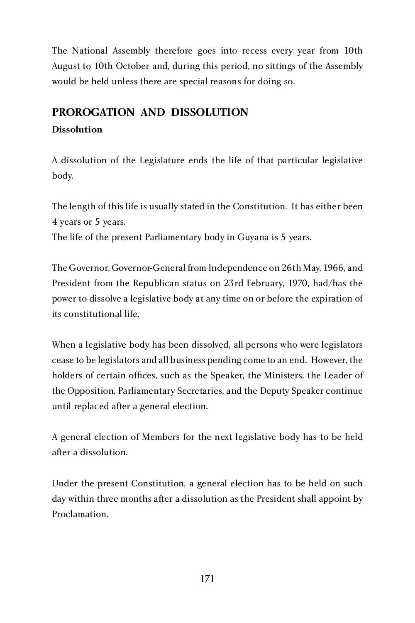The National Assembly therefore goes into recess every year from 10th August to 10th October and, during this period, no sittings of the Assembly would be held unless there are special reasons for doing so.

# **PROROGATION AND DISSOLUTION**

# **Dissolution**

A dissolution of the Legislature ends the life of that particular legislative body.

The length of this life is usually stated in the Constitution. It has either been 4 years or 5 years.

The life of the present Parliamentary body in Guyana is 5 years.

The Governor, Governor-General from Independence on 26th May, 1966, and President from the Republican status on 23rd February, 1970, had/has the power to dissolve a legislative body at any time on or before the expiration of its constitutional life.

When a legislative body has been dissolved, all persons who were legislators cease to be legislators and all business pending come to an end. However, the holders of certain offices, such as the Speaker, the Ministers, the Leader of the Opposition, Parliamentary Secretaries, and the Deputy Speaker continue until replaced after a general election.

A general election of Members for the next legislative body has to be held after a dissolution.

Under the present Constitution, a general election has to be held on such day within three months after a dissolution as the President shall appoint by<br>Proclamation Proclamation.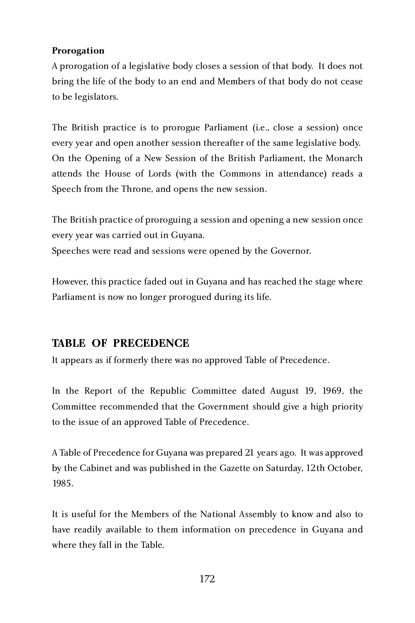#### **Prorogation**

A prorogation of a legislative body closes a session of that body. It does not bring the life of the body to an end and Members of that body do not cease to be legislators.

The British practice is to prorogue Parliament (i.e., close a session) once every year and open another session thereafter of the same legislative body. On the Opening of a New Session of the British Parliament, the Monarch attends the House of Lords (with the Commons in attendance) reads a Speech from the Throne, and opens the new session.

The British practice of proroguing a session and opening a new session once every year was carried out in Guyana.

Speeches were read and sessions were opened by the Governor.

However, this practice faded out in Guyana and has reached the stage where Parliament is now no longer prorogued during its life.

# **TABLE OF PRECEDENCE**

It appears as if formerly there was no approved Table of Precedence.

In the Report of the Republic Committee dated August 19, 1969, the Committee recommended that the Government should give a high priority to the issue of an approved Table of Precedence.

A Table of Precedence for Guyana was prepared 21 years ago. It was approved by the Cabinet and was published in the Gazette on Saturday, 12th October, 1985.

It is useful for the Members of the National Assembly to know and also to have readily available to them information on precedence in Guyana and where they fall in the Table.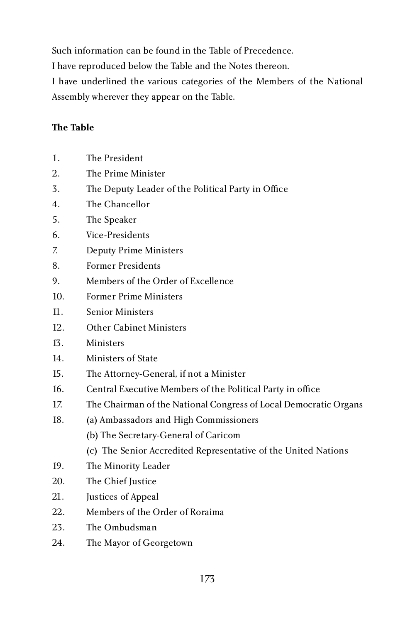Such information can be found in the Table of Precedence.

I have reproduced below the Table and the Notes thereon.

I have underlined the various categories of the Members of the National Assembly wherever they appear on the Table.

#### **The Table**

| 1.  | The President                                                    |
|-----|------------------------------------------------------------------|
| 2.  | The Prime Minister                                               |
| 3.  | The Deputy Leader of the Political Party in Office               |
| 4.  | The Chancellor                                                   |
| 5.  | The Speaker                                                      |
| 6.  | Vice-Presidents                                                  |
| 7.  | <b>Deputy Prime Ministers</b>                                    |
| 8.  | <b>Former Presidents</b>                                         |
| 9.  | Members of the Order of Excellence                               |
| 10. | <b>Former Prime Ministers</b>                                    |
| 11. | <b>Senior Ministers</b>                                          |
| 12. | <b>Other Cabinet Ministers</b>                                   |
| 13. | Ministers                                                        |
| 14. | Ministers of State                                               |
| 15. | The Attorney-General, if not a Minister                          |
| 16. | Central Executive Members of the Political Party in office       |
| 17. | The Chairman of the National Congress of Local Democratic Organs |
| 18. | (a) Ambassadors and High Commissioners                           |
|     | (b) The Secretary-General of Caricom                             |
|     | (c) The Senior Accredited Representative of the United Nations   |
| 19. | The Minority Leader                                              |
| 20. | The Chief Justice                                                |
| 21. | Justices of Appeal                                               |
| 22. | Members of the Order of Roraima                                  |
| 23. | The Ombudsman                                                    |
| 24. | The Mayor of Georgetown                                          |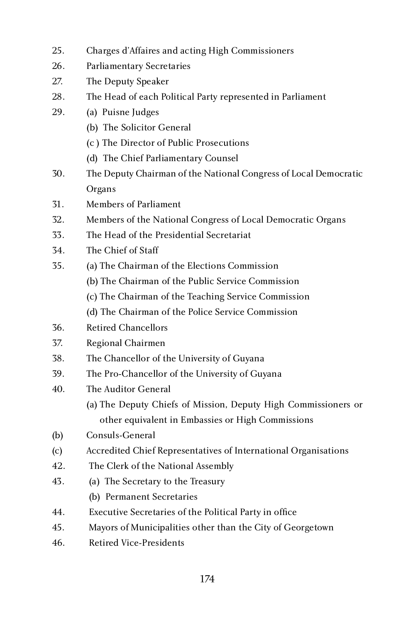- 25. Charges d'Affaires and acting High Commissioners
- 26. Parliamentary Secretaries<br>27. The Deputy Speaker
- 27. The Deputy Speaker<br>28. The Head of each Po
- 28. The Head of each Political Party represented in Parliament<br>29. (a) Puisne Judges
- (a) Puisne Judges
	- (b) The Solicitor General
	- (c ) The Director of Public Prosecutions
	- (d) The Chief Parliamentary Counsel
- 30. The Deputy Chairman of the National Congress of Local Democratic Organs<br>Members of Parliament
- 31. Members of Parliament
- 32. Members of the National Congress of Local Democratic Organs<br>33 The Head of the Presidential Secretariat
- 33. The Head of the Presidential Secretariat
- 34. The Chief of Staff<br>35. (a) The Chairman
- (a) The Chairman of the Elections Commission
	- (b) The Chairman of the Public Service Commission
	- (c) The Chairman of the Teaching Service Commission
- (d) The Chairman of the Police Service Commission<br>36. Retired Chancellors
- 36. Retired Chancellors<br>37. Regional Chairmen
- 37. Regional Chairmen<br>38. The Chancellor of the
- 38. The Chancellor of the University of Guyana<br>39. The Pro-Chancellor of the University of Guy
- 39. The Pro-Chancellor of the University of Guyana<br>40. The Auditor General
- 40. The Auditor General
- (a) The Deputy Chiefs of Mission, Deputy High Commissioners or other equivalent in Embassies or High Commissions<br>(b) Consuls-General
- (b) Consuls-General
- (c) Accredited Chief Representatives of International Organisations
- 42. The Clerk of the National Assembly<br>43. (a) The Secretary to the Treasury
- 43. (a) The Secretary to the Treasury
	- (b) Permanent Secretaries
- 44. Executive Secretaries of the Political Party in office<br>45. Mayors of Municipalities other than the City of Georgia
- 45. Mayors of Municipalities other than the City of Georgetown<br>46. Retired Vice-Presidents
- 10. Retired Vice-Presidents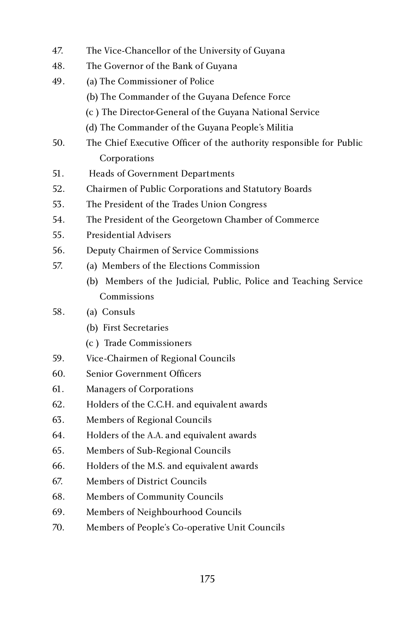- 47. The Vice-Chancellor of the University of Guyana<br>48. The Governor of the Bank of Guyana
- 48. The Governor of the Bank of Guyana<br>49. (a) The Commissioner of Police
- 49. (a) The Commissioner of Police
	- (b) The Commander of the Guyana Defence Force
	- (c ) The Director-General of the Guyana National Service
- (d) The Commander of the Guyana People's Militia<br>50. The Chief Executive Officer of the authority respo
- The Chief Executive Officer of the authority responsible for Public Corporations<br>51. Heads of Govern
- Heads of Government Departments
- 52. Chairmen of Public Corporations and Statutory Boards<br>53. The President of the Trades Union Congress
- 53. The President of the Trades Union Congress<br>54. The President of the Georgetown Chamber of
- The President of the Georgetown Chamber of Commerce
- 55. Presidential Advisers
- 56. Deputy Chairmen of Service Commissions<br>57. (a) Members of the Elections Commission
- (a) Members of the Elections Commission
- (b) Members of the Judicial, Public, Police and Teaching Service Commissions

# 58. (a) Consuls

- (b) First Secretaries
- 
- (c ) Trade Commissioners<br>59. Vice-Chairmen of Regiona 59. Vice-Chairmen of Regional Councils<br>60. Senior Government Officers
- 60. Senior Government Officers<br>61 Managers of Cornorations
- 61. Managers of Corporations<br>62. Holders of the C.C.H. and
- 62. Holders of the C.C.H. and equivalent awards<br>63. Members of Regional Councils
- 63. Members of Regional Councils<br>64. Holders of the A.A. and equival
- 64. Holders of the A.A. and equivalent awards<br>65. Members of Sub-Regional Councils
- 65. Members of Sub-Regional Councils<br>66. Holders of the M.S. and equivalent a
- 66. Holders of the M.S. and equivalent awards<br>67. Members of District Councils
- 67. Members of District Councils
- 68. Members of Community Councils<br>69. Members of Neighbourhood Cour
- 69. Members of Neighbourhood Councils<br>70. Members of People's Co-operative Uni
- Members of People's Co-operative Unit Councils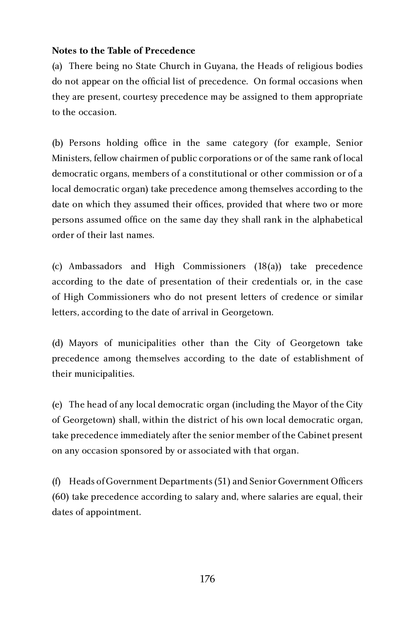#### **Notes to the Table of Precedence**

(a) There being no State Church in Guyana, the Heads of religious bodies do not appear on the official list of precedence. On formal occasions when they are present, courtesy precedence may be assigned to them appropriate to the occasion.

(b) Persons holding office in the same category (for example, Senior Ministers, fellow chairmen of public corporations or of the same rank of local democratic organs, members of a constitutional or other commission or of a local democratic organ) take precedence among themselves according to the date on which they assumed their offices, provided that where two or more persons assumed office on the same day they shall rank in the alphabetical order of their last names.

(c) Ambassadors and High Commissioners (18(a)) take precedence according to the date of presentation of their credentials or, in the case of High Commissioners who do not present letters of credence or similar letters, according to the date of arrival in Georgetown.

(d) Mayors of municipalities other than the City of Georgetown take precedence among themselves according to the date of establishment of their municipalities.

(e) The head of any local democratic organ (including the Mayor of the City of Georgetown) shall, within the district of his own local democratic organ, take precedence immediately after the senior member of the Cabinet present on any occasion sponsored by or associated with that organ.

(f) Heads of Government Departments (51) and Senior Government Officers (60) take precedence according to salary and, where salaries are equal, their dates of appointment.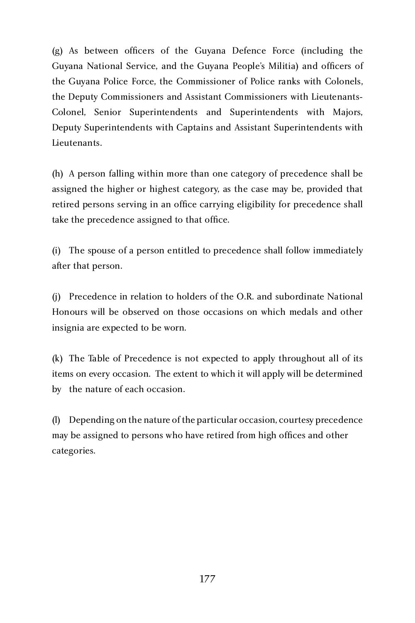(g) As between officers of the Guyana Defence Force (including the Guyana National Service, and the Guyana People's Militia) and officers of the Guyana Police Force, the Commissioner of Police ranks with Colonels, the Deputy Commissioners and Assistant Commissioners with Lieutenants-Colonel, Senior Superintendents and Superintendents with Majors, Deputy Superintendents with Captains and Assistant Superintendents with Lieutenants.

(h) A person falling within more than one category of precedence shall be assigned the higher or highest category, as the case may be, provided that retired persons serving in an office carrying eligibility for precedence shall take the precedence assigned to that office.

(i) The spouse of a person entitled to precedence shall follow immediately after that person.

(j) Precedence in relation to holders of the O.R. and subordinate National Honours will be observed on those occasions on which medals and other insignia are expected to be worn.

(k) The Table of Precedence is not expected to apply throughout all of its items on every occasion. The extent to which it will apply will be determined by the nature of each occasion.

(l) Depending on the nature of the particular occasion, courtesy precedence may be assigned to persons who have retired from high offices and other categories.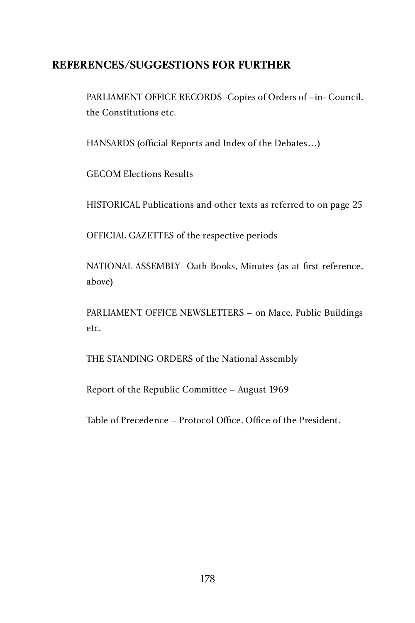# **REFERENCES/SUGGESTIONS FOR FURTHER**

PARLIAMENT OFFICE RECORDS -Copies of Orders of –in- Council,<br>the Constitutions etc the Constitutions etc.

HANSARDS (official Reports and Index of the Debates…)

GECOM Elections Results

HISTORICAL Publications and other texts as referred to on page 25

OFFICIAL GAZETTES of the respective periods

NATIONAL ASSEMBLY Oath Books, Minutes (as at first reference, above)

PARLIAMENT OFFICE NEWSLETTERS – on Mace, Public Buildings etc.

THE STANDING ORDERS of the National Assembly

Report of the Republic Committee – August 1969

Table of Precedence – Protocol Office, Office of the President.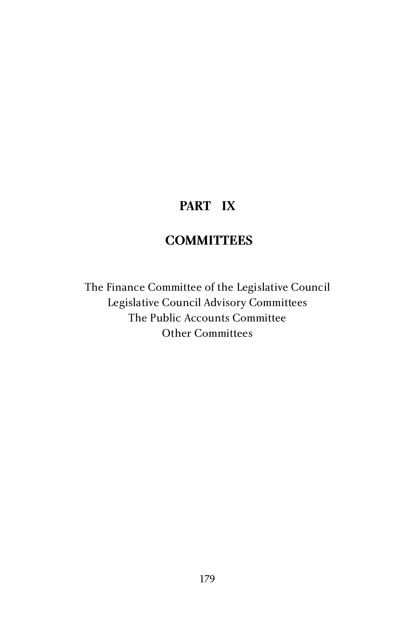# **PART IX**

# **COMMITTEES**

The Finance Committee of the Legislative Council Legislative Council Advisory Committees The Public Accounts Committee Other Committees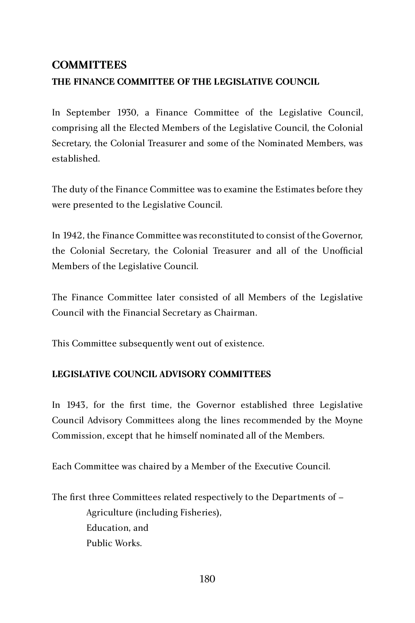#### **COMMITTEES**

#### **THE FINANCE COMMITTEE OF THE LEGISLATIVE COUNCIL**

In September 1930, a Finance Committee of the Legislative Council, comprising all the Elected Members of the Legislative Council, the Colonial Secretary, the Colonial Treasurer and some of the Nominated Members, was established.

The duty of the Finance Committee was to examine the Estimates before they were presented to the Legislative Council.

In 1942, the Finance Committee was reconstituted to consist of the Governor, the Colonial Secretary, the Colonial Treasurer and all of the Unofficial Members of the Legislative Council.

The Finance Committee later consisted of all Members of the Legislative Council with the Financial Secretary as Chairman.

This Committee subsequently went out of existence.

#### **LEGISLATIVE COUNCIL ADVISORY COMMITTEES**

In 1943, for the first time, the Governor established three Legislative Council Advisory Committees along the lines recommended by the Moyne Commission, except that he himself nominated all of the Members.

Each Committee was chaired by a Member of the Executive Council.

The first three Committees related respectively to the Departments of – Agriculture (including Fisheries),<br>Education and Education, and Public Works.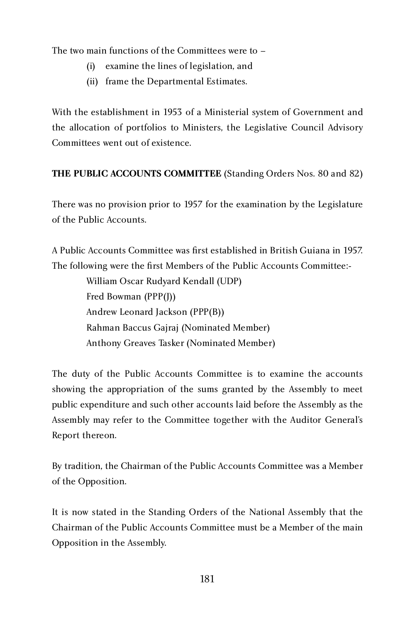The two main functions of the Committees were to –

- (i) examine the lines of legislation, and
- (ii) frame the Departmental Estimates.

With the establishment in 1953 of a Ministerial system of Government and the allocation of portfolios to Ministers, the Legislative Council Advisory Committees went out of existence.

**THE PUBLIC ACCOUNTS COMMITTEE** (Standing Orders Nos. 80 and 82)

There was no provision prior to 1957 for the examination by the Legislature of the Public Accounts.

A Public Accounts Committee was first established in British Guiana in 1957. The following were the first Members of the Public Accounts Committee:-

> William Oscar Rudyard Kendall (UDP) Fred Bowman (PPP(J)) Andrew Leonard Jackson (PPP(B)) Rahman Baccus Gajraj (Nominated Member) Anthony Greaves Tasker (Nominated Member)

The duty of the Public Accounts Committee is to examine the accounts showing the appropriation of the sums granted by the Assembly to meet public expenditure and such other accounts laid before the Assembly as the Assembly may refer to the Committee together with the Auditor General's Report thereon.

By tradition, the Chairman of the Public Accounts Committee was a Member of the Opposition.

It is now stated in the Standing Orders of the National Assembly that the Chairman of the Public Accounts Committee must be a Member of the main Opposition in the Assembly.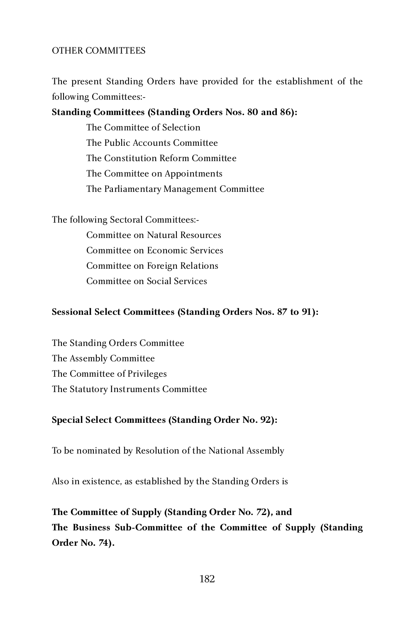#### OTHER COMMITTEES

The present Standing Orders have provided for the establishment of the following Committees:-

**Standing Committees (Standing Orders Nos. 80 and 86):**

The Committee of Selection The Public Accounts Committee The Constitution Reform Committee The Committee on Appointments The Parliamentary Management Committee

The following Sectoral Committees:-

Committee on Natural Resources Committee on Economic Services Committee on Foreign Relations Committee on Social Services

#### **Sessional Select Committees (Standing Orders Nos. 87 to 91):**

The Standing Orders Committee The Assembly Committee The Committee of Privileges The Statutory Instruments Committee

#### **Special Select Committees (Standing Order No. 92):**

To be nominated by Resolution of the National Assembly

Also in existence, as established by the Standing Orders is

**The Committee of Supply (Standing Order No. 72), and The Business Sub-Committee of the Committee of Supply (Standing Order No. 74).**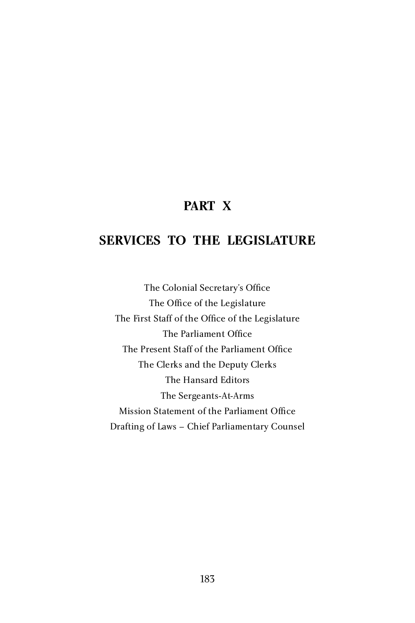# **PART X**

# **SERVICES TO THE LEGISLATURE**

The Colonial Secretary's Office The Office of the Legislature The First Staff of the Office of the Legislature The Parliament Office The Present Staff of the Parliament Office The Clerks and the Deputy Clerks The Hansard Editors The Sergeants-At-Arms Mission Statement of the Parliament Office Drafting of Laws – Chief Parliamentary Counsel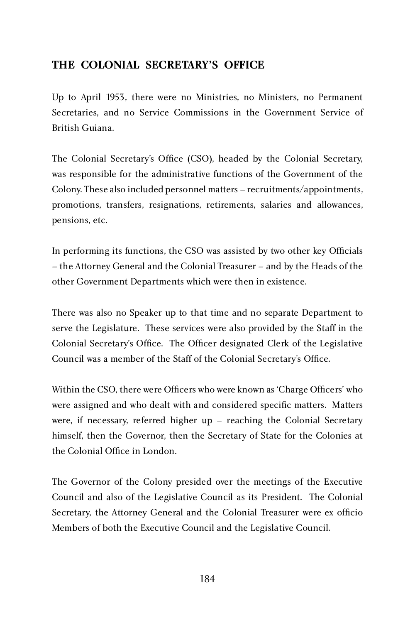## **THE COLONIAL SECRETARY'S OFFICE**

Up to April 1953, there were no Ministries, no Ministers, no Permanent Secretaries, and no Service Commissions in the Government Service of British Guiana.

The Colonial Secretary's Office (CSO), headed by the Colonial Secretary, was responsible for the administrative functions of the Government of the Colony. These also included personnel matters – recruitments/appointments, promotions, transfers, resignations, retirements, salaries and allowances, pensions, etc.

In performing its functions, the CSO was assisted by two other key Officials – the Attorney General and the Colonial Treasurer – and by the Heads of the other Government Departments which were then in existence.

There was also no Speaker up to that time and no separate Department to serve the Legislature. These services were also provided by the Staff in the Colonial Secretary's Office. The Officer designated Clerk of the Legislative Council was a member of the Staff of the Colonial Secretary's Office.

Within the CSO, there were Officers who were known as 'Charge Officers' who were assigned and who dealt with and considered specific matters. Matters were, if necessary, referred higher up – reaching the Colonial Secretary himself, then the Governor, then the Secretary of State for the Colonies at the Colonial Office in London.

The Governor of the Colony presided over the meetings of the Executive Council and also of the Legislative Council as its President. The Colonial Secretary, the Attorney General and the Colonial Treasurer were ex officio Members of both the Executive Council and the Legislative Council.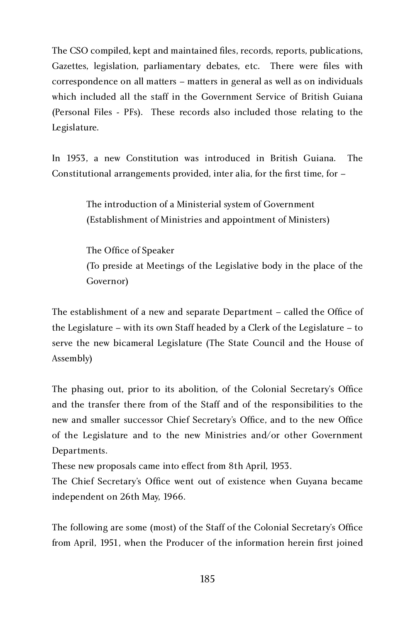The CSO compiled, kept and maintained files, records, reports, publications, Gazettes, legislation, parliamentary debates, etc. There were files with correspondence on all matters – matters in general as well as on individuals which included all the staff in the Government Service of British Guiana (Personal Files - PFs). These records also included those relating to the Legislature.

In 1953, a new Constitution was introduced in British Guiana. The Constitutional arrangements provided, inter alia, for the first time, for –

> The introduction of a Ministerial system of Government (Establishment of Ministries and appointment of Ministers)

The Office of Speaker (To preside at Meetings of the Legislative body in the place of the Governor)

The establishment of a new and separate Department – called the Office of the Legislature – with its own Staff headed by a Clerk of the Legislature – to serve the new bicameral Legislature (The State Council and the House of Assembly)

The phasing out, prior to its abolition, of the Colonial Secretary's Office and the transfer there from of the Staff and of the responsibilities to the new and smaller successor Chief Secretary's Office, and to the new Office of the Legislature and to the new Ministries and/or other Government Departments.

These new proposals came into effect from 8th April, 1953.

The Chief Secretary's Office went out of existence when Guyana became independent on 26th May, 1966.

The following are some (most) of the Staff of the Colonial Secretary's Office from April, 1951, when the Producer of the information herein first joined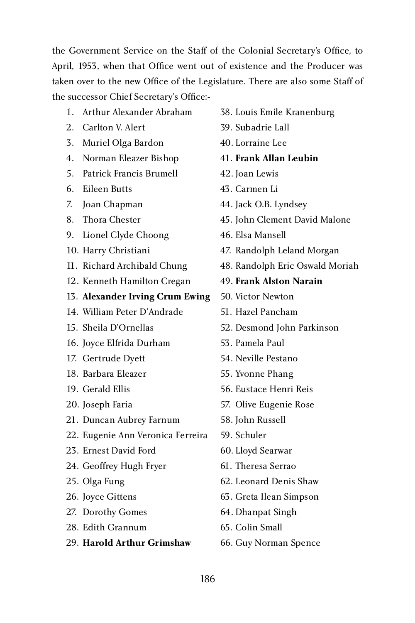the Government Service on the Staff of the Colonial Secretary's Office, to April, 1953, when that Office went out of existence and the Producer was taken over to the new Office of the Legislature. There are also some Staff of the successor Chief Secretary's Office:-<br>1. Arthur Alexander Abraham

- 1. Arthur Alexander Abraham 38. Louis Emile Kranenburg<br>2. Carlton V. Alert 39. Subadrie Lall
- $\omega$ . Carlton V. Alert  $\omega$  39. Subadric Lall
- 3. Muriel Olga Bardon 1994 40. Lorraine Lee<br>1. Norman Eleazer Bishon 1994 41. Frank Allan Leubin
- 4. Norman Eleazer Bishop 41. **Frank Alla**n<br>5. Patrick Francis Brumell 42. Ioan Lewis
- $5.$  Fatrick Francis Brumell  $42.$  Joan Lewis
- $\sigma$ . Eileen butts  $\sigma$   $\sigma$   $\sigma$   $\sigma$   $\sigma$   $\sigma$
- 
- 
- 9. Lionel Clyde Choong 46. Elsa Mansell<br>10. Harry Christiani 47. Randolph Le
- 
- 
- 
- 12. Kenneth Hamilton Cregan 49. **Frank Alston Narain** 13. **Alexander Irving Crum Ewing** 50. Victor Newton
- 14. William Peter D'Andrade 51. Hazel Pancham
- 
- 16. Joyce Elfrida Durham 53. Pamela Paul<br>17. Gertrude Dyett 54. Neville Pestano
- 17. Gertrude Dyett 54. Neville Pestano
- 10. Barbara Eleazer 55. Trollit Phang
- 
- 
- 21. Duncan Aubrey Farnum 58. John Russell<br>22. Eugenie Ann Veronica Ferreira 59. Schuler
- 22. Eugenie Ann Veronica Ferreira 59. Schuler
- 23. Ernest David Ford 60. Lloyd Searwar
- 24. Geoffrey Hugh Fryer 61. Theresa Serrao
- 
- 
- 27. Dorothy Gomes 64. Dhanpat Singh<br>28. Edith Grannum 65. Colin Small
- 20. Edith Grammum 65. Colin Small
- 29. **Harold Arthur Grimshaw** 66. Guy Norman Spence
- 
- 
- 
- 
- 
- 
- 
- 7. Joan Chapman 44. Jack O.B. Lyndsey 8. Thora Chester 45. Thora Chester 45. John Clement David Malone
	-
- 10. Harry Christiani 47. Randolph Leland Morgan
	- 48. Randolph Eric Oswald Moriah
	-
	-
	-
- 15. Sheila D'Ornellas 52. Desmond John Parkinson
	-
	-
	-
- 17. Gerald Ellis 56. Eustace Henri Reis
- 20. Joseph Faria 57. Olive Eugenie Rose
	-
	-
	-
	-
- $25.$  Olga Fung 62. Leonard Denis Shaw
- 26. Joyce Gittens 63. Greta Ilean Simpson
	-
	-
	-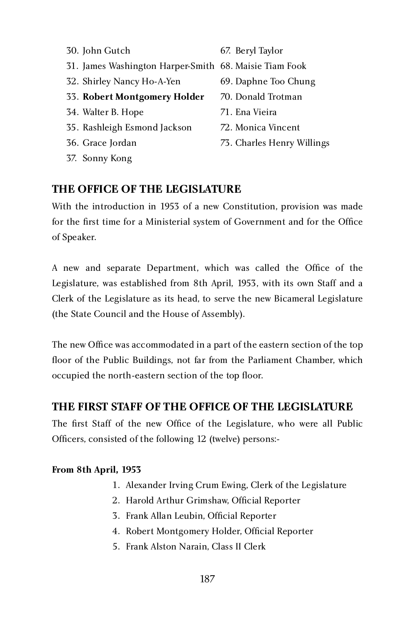- 30. John Gutch 67. Beryl Taylor 31. James Washington Harper-Smith 68. Maisie Tiam Fook 32. Shirley Nancy Ho-A-Yen 33. **Robert Montgomery Holder** 70. Donald Trotman
- 
- 
- 34. Walter B. Hope 71. Ena Vieira 35. Rashleigh Esmond Jackson
- 
- 37. Sonny Kong
- 
- 36. Grace Jordan 73. Charles Henry Willings

## **THE OFFICE OF THE LEGISLATURE**

With the introduction in 1953 of a new Constitution, provision was made for the first time for a Ministerial system of Government and for the Office of Speaker.

A new and separate Department, which was called the Office of the Legislature, was established from 8th April, 1953, with its own Staff and a Clerk of the Legislature as its head, to serve the new Bicameral Legislature (the State Council and the House of Assembly).

The new Office was accommodated in a part of the eastern section of the top floor of the Public Buildings, not far from the Parliament Chamber, which occupied the north-eastern section of the top floor.

## **THE FIRST STAFF OF THE OFFICE OF THE LEGISLATURE**

The first Staff of the new Office of the Legislature, who were all Public Officers, consisted of the following 12 (twelve) persons:-

#### **From 8th April, 1953**

- 1. Alexander Irving Crum Ewing, Clerk of the Legislature
- 2. Harold Arthur Grimshaw, Official Reporter
- 3. Frank Allan Leubin, Official Reporter
- 4. Robert Montgomery Holder, Official Reporter
- 5. Frank Alston Narain, Class II Clerk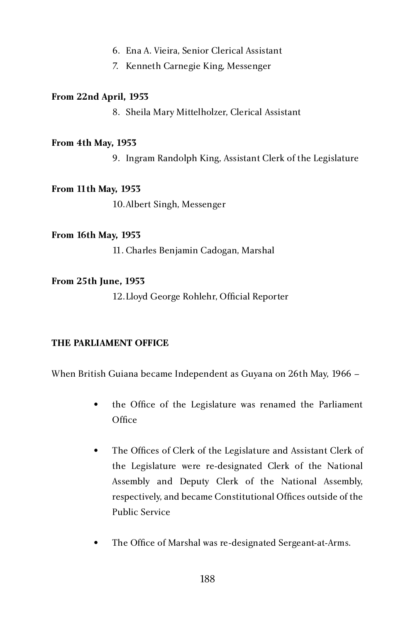- 6. Ena A. Vieira, Senior Clerical Assistant
- 7. Kenneth Carnegie King, Messenger

#### **From 22nd April, 1953**

8. Sheila Mary Mittelholzer, Clerical Assistant

#### **From 4th May, 1953**

9. Ingram Randolph King, Assistant Clerk of the Legislature

#### **From 11th May, 1953**

10.Albert Singh, Messenger

#### **From 16th May, 1953**

11. Charles Benjamin Cadogan, Marshal

#### **From 25th June, 1953**

12.Lloyd George Rohlehr, Official Reporter

#### **THE PARLIAMENT OFFICE**

When British Guiana became Independent as Guyana on 26th May, 1966 –

- the Office of the Legislature was renamed the Parliament **Office**
- • The Offices of Clerk of the Legislature and Assistant Clerk of the Legislature were re-designated Clerk of the National Assembly and Deputy Clerk of the National Assembly, respectively, and became Constitutional Offices outside of the Public Service
- The Office of Marshal was re-designated Sergeant-at-Arms.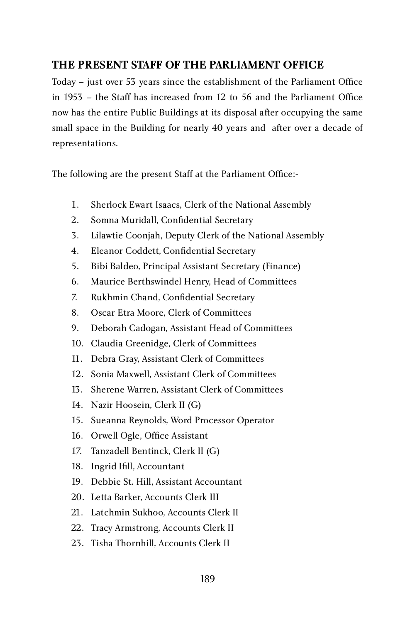## **THE PRESENT STAFF OF THE PARLIAMENT OFFICE**

Today – just over 53 years since the establishment of the Parliament Office in 1953 – the Staff has increased from 12 to 56 and the Parliament Office now has the entire Public Buildings at its disposal after occupying the same small space in the Building for nearly 40 years and after over a decade of representations.

The following are the present Staff at the Parliament Office:-

- 1. Sherlock Ewart Isaacs, Clerk of the National Assembly<br>2. Somna Muridall, Confidential Secretary
- 2. Somna Muridall, Confidential Secretary
- 3. Lilawtie Coonjah, Deputy Clerk of the National Assembly
- 4. Eleanor Coddett, Confidential Secretary<br>5. Bibi Baldeo, Principal Assistant Secretary
- 5. Bibi Baldeo, Principal Assistant Secretary (Finance)
- 6. Maurice Berthswindel Henry, Head of Committees
- 7. Rukhmin Chand, Confidential Secretary
- 8. Oscar Etra Moore, Clerk of Committees<br>9. Deborah Cadogan, Assistant Head of Co
- 9. Deborah Cadogan, Assistant Head of Committees
- 10. Claudia Greenidge, Clerk of Committees
- 11. Debra Gray, Assistant Clerk of Committees
- 12. Sonia Maxwell, Assistant Clerk of Committees
- 13. Sherene Warren, Assistant Clerk of Committees
- 14. Nazir Hoosein, Clerk II (G)
- 15. Sueanna Reynolds, Word Processor Operator
- 16. Orwell Ogle, Office Assistant
- 17. Tanzadell Bentinck, Clerk II (G)
- 18. Ingrid Ifill, Accountant
- 19. Debbie St. Hill, Assistant Accountant
- 20. Letta Barker, Accounts Clerk III
- 21. Latchmin Sukhoo, Accounts Clerk II
- 22. Tracy Armstrong, Accounts Clerk II
- 23. Tisha Thornhill, Accounts Clerk II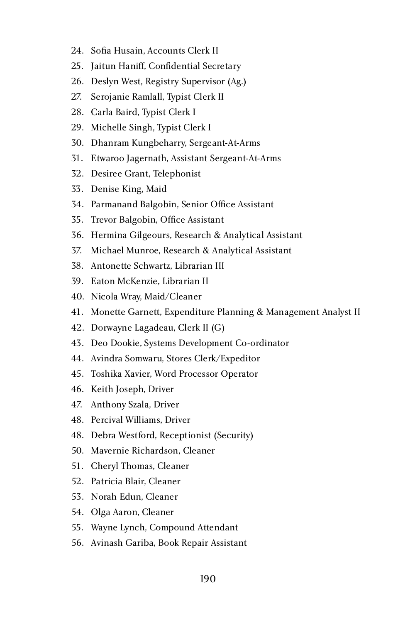- 24. Sofia Husain, Accounts Clerk II
- 25. Jaitun Haniff, Confidential Secretary
- 26. Deslyn West, Registry Supervisor (Ag.)
- 27. Serojanie Ramlall, Typist Clerk II
- 28. Carla Baird, Typist Clerk I
- 29. Michelle Singh, Typist Clerk I
- 30. Dhanram Kungbeharry, Sergeant-At-Arms
- 31. Etwaroo Jagernath, Assistant Sergeant-At-Arms
- 32. Desiree Grant, Telephonist
- 33. Denise King, Maid
- 34. Parmanand Balgobin, Senior Office Assistant
- 35. Trevor Balgobin, Office Assistant
- 36. Hermina Gilgeours, Research & Analytical Assistant
- 37. Michael Munroe, Research & Analytical Assistant
- 38. Antonette Schwartz, Librarian III
- 39. Eaton McKenzie, Librarian II
- 40. Nicola Wray, Maid/Cleaner
- 41. Monette Garnett, Expenditure Planning & Management Analyst II
- 42. Dorwayne Lagadeau, Clerk II (G)
- 43. Deo Dookie, Systems Development Co-ordinator
- 44. Avindra Somwaru, Stores Clerk/Expeditor
- 45. Toshika Xavier, Word Processor Operator
- 46. Keith Joseph, Driver
- 47. Anthony Szala, Driver
- 48. Percival Williams, Driver
- 48. Debra Westford, Receptionist (Security)
- 50. Mavernie Richardson, Cleaner
- 51. Cheryl Thomas, Cleaner
- 52. Patricia Blair, Cleaner
- 53. Norah Edun, Cleaner
- 54. Olga Aaron, Cleaner
- 55. Wayne Lynch, Compound Attendant
- 56. Avinash Gariba, Book Repair Assistant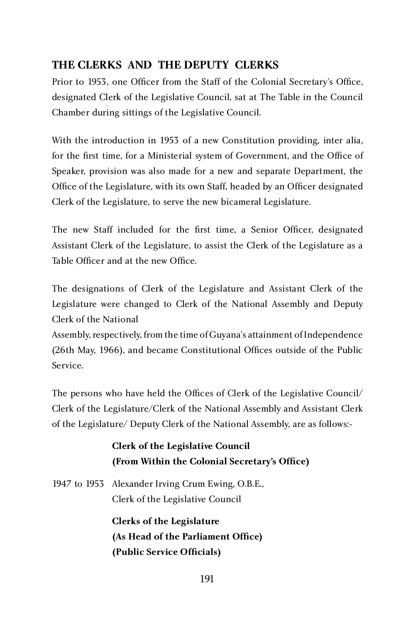# **THE CLERKS AND THE DEPUTY CLERKS**

Prior to 1953, one Officer from the Staff of the Colonial Secretary's Office, designated Clerk of the Legislative Council, sat at The Table in the Council Chamber during sittings of the Legislative Council.

With the introduction in 1953 of a new Constitution providing, inter alia, for the first time, for a Ministerial system of Government, and the Office of Speaker, provision was also made for a new and separate Department, the Office of the Legislature, with its own Staff, headed by an Officer designated Clerk of the Legislature, to serve the new bicameral Legislature.

The new Staff included for the first time, a Senior Officer, designated Assistant Clerk of the Legislature, to assist the Clerk of the Legislature as a Table Officer and at the new Office.

The designations of Clerk of the Legislature and Assistant Clerk of the Legislature were changed to Clerk of the National Assembly and Deputy Clerk of the National

Assembly, respectively, from the time of Guyana's attainment of Independence (26th May, 1966), and became Constitutional Offices outside of the Public Service.

The persons who have held the Offices of Clerk of the Legislative Council/ Clerk of the Legislature/Clerk of the National Assembly and Assistant Clerk of the Legislature/ Deputy Clerk of the National Assembly, are as follows:-

| <b>Clerk of the Legislative Council</b><br>(From Within the Colonial Secretary's Office)             |
|------------------------------------------------------------------------------------------------------|
| 1947 to 1953 Alexander Irving Crum Ewing, O.B.E.,<br>Clerk of the Legislative Council                |
| <b>Clerks of the Legislature</b><br>(As Head of the Parliament Office)<br>(Public Service Officials) |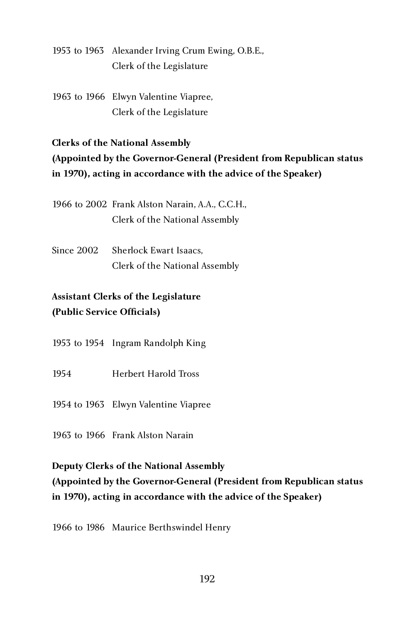- 1953 to 1963 Alexander Irving Crum Ewing, O.B.E., Clerk of the Legislature
- 1963 to 1966 Elwyn Valentine Viapree, Clerk of the Legislature

## **Clerks of the National Assembly (Appointed by the Governor-General (President from Republican status in 1970), acting in accordance with the advice of the Speaker)**

1966 to 2002 Frank Alston Narain, A.A., C.C.H., Clerk of the National Assembly

Since 2002 Sherlock Ewart Isaacs, Clerk of the National Assembly

# **Assistant Clerks of the Legislature (Public Service Officials)**

1953 to 1954 Ingram Randolph King

1954 Herbert Harold Tross

1954 to 1963 Elwyn Valentine Viapree

1963 to 1966 Frank Alston Narain

# **Deputy Clerks of the National Assembly (Appointed by the Governor-General (President from Republican status in 1970), acting in accordance with the advice of the Speaker)**

1966 to 1986 Maurice Berthswindel Henry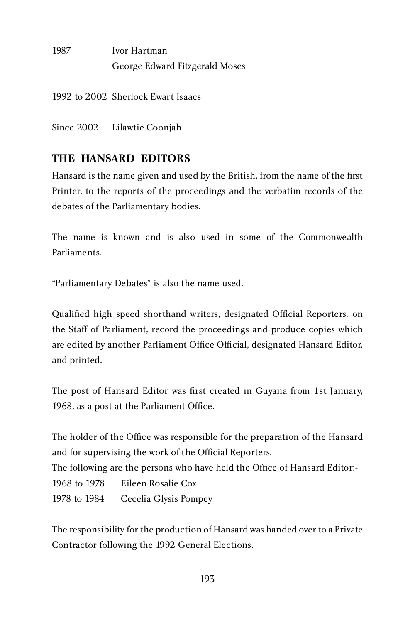# $1707$  IVOI Hartman George Edward Fitzgerald Moses

1992 to 2002 Sherlock Ewart Isaacs

Since 2002 Lilawtie Coonjah

## **THE HANSARD EDITORS**

Hansard is the name given and used by the British, from the name of the first Printer, to the reports of the proceedings and the verbatim records of the debates of the Parliamentary bodies.

The name is known and is also used in some of the Commonwealth Parliaments.

"Parliamentary Debates" is also the name used.

Qualified high speed shorthand writers, designated Official Reporters, on the Staff of Parliament, record the proceedings and produce copies which are edited by another Parliament Office Official, designated Hansard Editor, and printed.

The post of Hansard Editor was first created in Guyana from 1st January, 1968, as a post at the Parliament Office.

The holder of the Office was responsible for the preparation of the Hansard and for supervising the work of the Official Reporters. The following are the persons who have held the Office of Hansard Editor:- 1968 to 1978 Eileen Rosalie Cox Cecelia Glysis Pompey

The responsibility for the production of Hansard was handed over to a Private Contractor following the 1992 General Elections.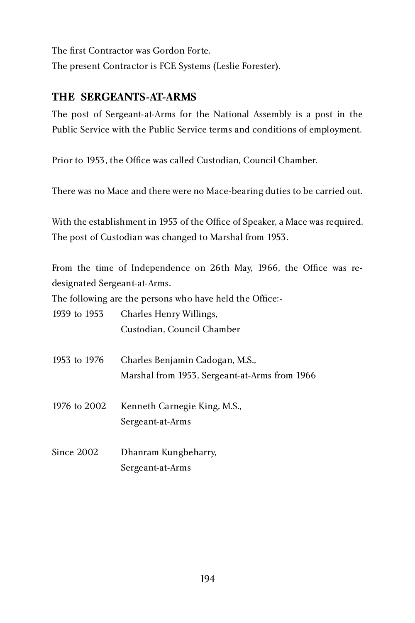The first Contractor was Gordon Forte. The present Contractor is FCE Systems (Leslie Forester).

## **THE SERGEANTS-AT-ARMS**

The post of Sergeant-at-Arms for the National Assembly is a post in the Public Service with the Public Service terms and conditions of employment.

Prior to 1953, the Office was called Custodian, Council Chamber.

There was no Mace and there were no Mace-bearing duties to be carried out.

With the establishment in 1953 of the Office of Speaker, a Mace was required. The post of Custodian was changed to Marshal from 1953.

From the time of Independence on 26th May, 1966, the Office was redesignated Sergeant-at-Arms.

The following are the persons who have held the Office:-

| 1939 to 1953 | Charles Henry Willings,    |
|--------------|----------------------------|
|              | Custodian, Council Chamber |

- 1953 to 1976 Charles Benjamin Cadogan, M.S., Marshal from 1953, Sergeant-at-Arms from 1966
- 1976 to 2002 Kenneth Carnegie King, M.S., Sergeant-at-Arms
- Since 2002 Dhanram Kungbeharry, Sergeant-at-Arms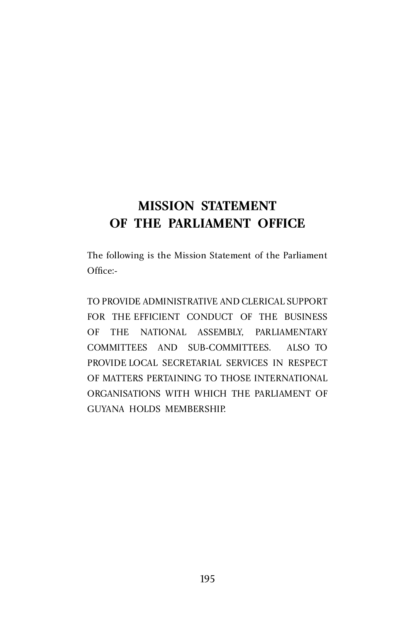# MISSION STATEMENT<br>Hip Diditiikkum opi **OF THE PARLIAMENT OFFICE**

The following is the Mission Statement of the Parliament Office:-

TO PROVIDE ADMINISTRATIVE AND CLERICAL SUPPORT<br>FOR THE EFFICIENT CONDUCT OF THE BUSINESS FOR THE EFFICIENT CONDUCT OF THE BUSINESS OF THE NATIONAL ASSEMBLY, PARLIAMENTARY COMMITTEES AND SUB-COMMITTEES. ALSO TO PROVIDE LOCAL SECRETARIAL SERVICES IN RESPECT OF MATTERS PERTAINING TO THOSE INTERNATIONAL ORGANISATIONS WITH WHICH THE PARLIAMENT OF GUYANA HOLDS MEMBERSHIP.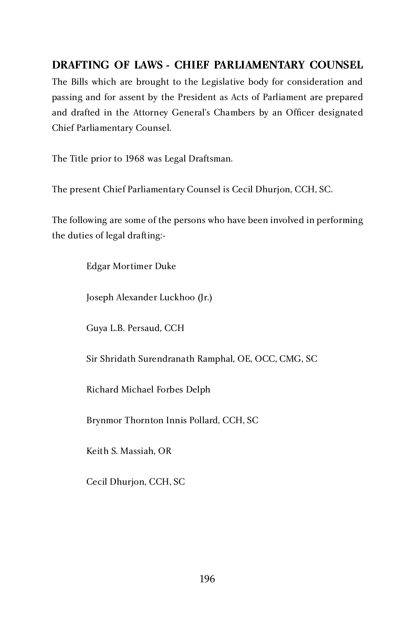## **DRAFTING OF LAWS - CHIEF PARLIAMENTARY COUNSEL**

The Bills which are brought to the Legislative body for consideration and passing and for assent by the President as Acts of Parliament are prepared and drafted in the Attorney General's Chambers by an Officer designated Chief Parliamentary Counsel.

The Title prior to 1968 was Legal Draftsman.

The present Chief Parliamentary Counsel is Cecil Dhurjon, CCH, SC.

The following are some of the persons who have been involved in performing the duties of legal drafting:-

Edgar Mortimer Duke

Joseph Alexander Luckhoo (Jr.)

Guya L.B. Persaud, CCH

Sir Shridath Surendranath Ramphal, OE, OCC, CMG, SC

Richard Michael Forbes Delph

Brynmor Thornton Innis Pollard, CCH, SC

Keith S. Massiah, OR

Cecil Dhurjon, CCH, SC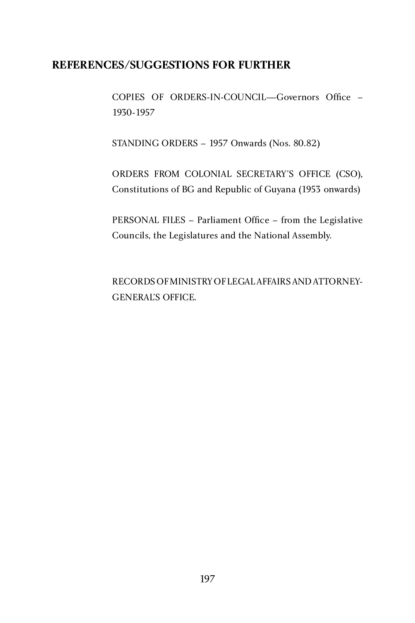#### **REFERENCES/SUGGESTIONS FOR FURTHER**

COPIES OF ORDERS-IN-COUNCIL—Governors Office –  $1930 - 1937$ 

STANDING ORDERS – 1957 Onwards (Nos. 80.82)

ORDERS FROM COLONIAL SECRETARY'S OFFICE (CSO), Constitutions of BG and Republic of Guyana (1953 onwards)

PERSONAL FILES – Parliament Office – from the Legislative Councils, the Legislatures and the National Assembly.

RECORDS OF MINISTRY OF LEGAL AFFAIRS AND ATTORNEY-GENERAL'S OFFICE.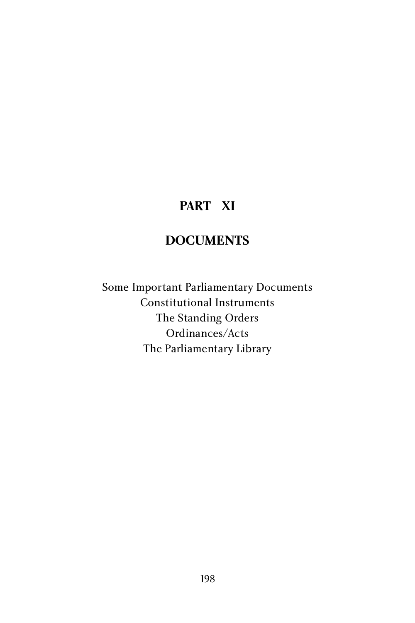# **PART XI**

# **DOCUMENTS**

Some Important Parliamentary Documents Constitutional Instruments The Standing Orders Ordinances/Acts The Parnamentary Library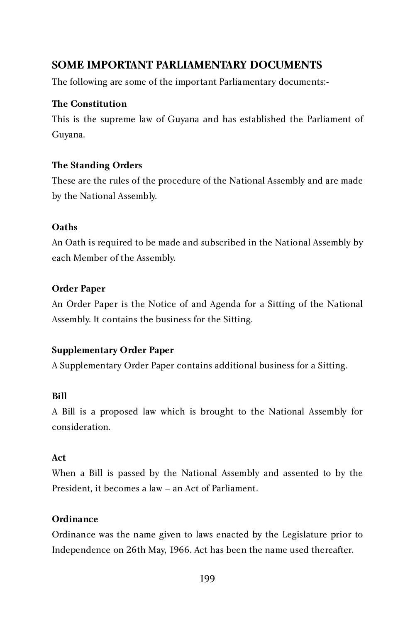# **SOME IMPORTANT PARLIAMENTARY DOCUMENTS**

The following are some of the important Parliamentary documents:-

#### **The Constitution**

This is the supreme law of Guyana and has established the Parliament of Guyana.

#### **The Standing Orders**

These are the rules of the procedure of the National Assembly and are made by the National Assembly.

#### **Oaths**

An Oath is required to be made and subscribed in the National Assembly by each Member of the Assembly.

#### **Order Paper**

An Order Paper is the Notice of and Agenda for a Sitting of the National Assembly. It contains the business for the Sitting.

#### **Supplementary Order Paper**

A Supplementary Order Paper contains additional business for a Sitting.

# **Bill**

A Bill is a proposed law which is brought to the National Assembly for consideration.

#### **Act**

When a Bill is passed by the National Assembly and assented to by the President, it becomes a law – an Act of Parliament.

# **Ordinance**

Ordinance was the name given to laws enacted by the Legislature prior to Independence on 26th May, 1966. Act has been the name used thereafter.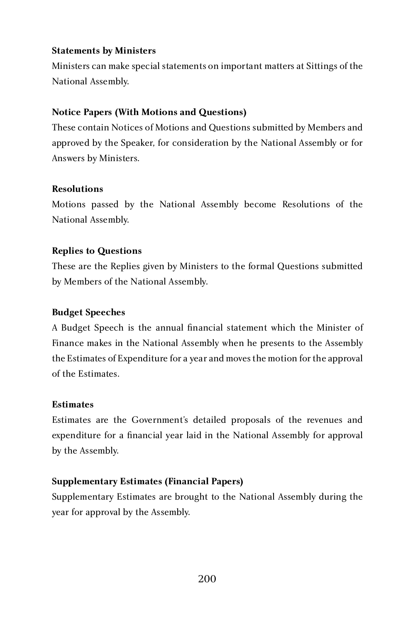#### **Statements by Ministers**

Ministers can make special statements on important matters at Sittings of the National Assembly.

#### **Notice Papers (With Motions and Questions)**

These contain Notices of Motions and Questions submitted by Members and approved by the Speaker, for consideration by the National Assembly or for Answers by Ministers.

#### **Resolutions**

Motions passed by the National Assembly become Resolutions of the National Assembly.

#### **Replies to Questions**

These are the Replies given by Ministers to the formal Questions submitted by Members of the National Assembly.

#### **Budget Speeches**

A Budget Speech is the annual financial statement which the Minister of Finance makes in the National Assembly when he presents to the Assembly the Estimates of Expenditure for a year and moves the motion for the approval of the Estimates.

#### **Estimates**

Estimates are the Government's detailed proposals of the revenues and expenditure for a financial year laid in the National Assembly for approval by the Assembly.

#### **Supplementary Estimates (Financial Papers)**

Supplementary Estimates are brought to the National Assembly during the year for approval by the Assembly.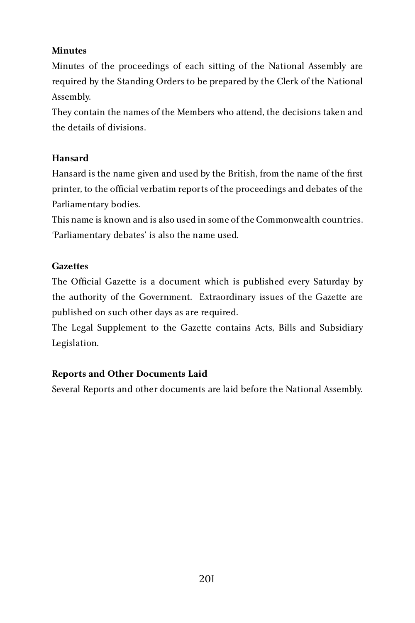#### **Minutes**

Minutes of the proceedings of each sitting of the National Assembly are required by the Standing Orders to be prepared by the Clerk of the National Assembly.

They contain the names of the Members who attend, the decisions taken and the details of divisions the details of divisions.

#### **Hansard**

Hansard is the name given and used by the British, from the name of the first printer, to the official verbatim reports of the proceedings and debates of the Parliamentary bodies.<br>This name is known and is also used in some of the Commonwealth countries.

This name is known and is also used in some of the Commonwealth countries. 'Parliamentary debates' is also the name used.

#### **Gazettes**

The Official Gazette is a document which is published every Saturday by the authority of the Government. Extraordinary issues of the Gazette are published on such other days as are required.

The Legal Supplement to the Gazette contains Acts, Bills and Subsidiary Legislation.

#### **Reports and Other Documents Laid**

Several Reports and other documents are laid before the National Assembly.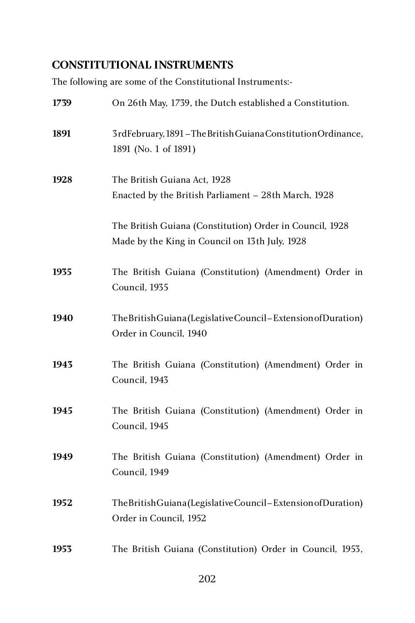# **CONSTITUTIONAL INSTRUMENTS**

The following are some of the Constitutional Instruments:-

| 1739 | On 26th May, 1739, the Dutch established a Constitution.                                                   |
|------|------------------------------------------------------------------------------------------------------------|
| 1891 | 3rdFebruary, 1891 - The British Guiana Constitution Ordinance,<br>1891 (No. 1 of 1891)                     |
| 1928 | The British Guiana Act, 1928<br>Enacted by the British Parliament - 28th March, 1928                       |
|      | The British Guiana (Constitution) Order in Council, 1928<br>Made by the King in Council on 13th July, 1928 |
| 1935 | The British Guiana (Constitution) (Amendment) Order in<br>Council, 1935                                    |
| 1940 | The British Guiana (Legislative Council - Extension of Duration)<br>Order in Council, 1940                 |
| 1943 | The British Guiana (Constitution) (Amendment) Order in<br>Council, 1943                                    |
| 1945 | The British Guiana (Constitution) (Amendment) Order in<br>Council, 1945                                    |
| 1949 | The British Guiana (Constitution) (Amendment) Order in<br>Council, 1949                                    |
| 1952 | The British Guiana (Legislative Council - Extension of Duration)<br>Order in Council, 1952                 |
| 1953 | The British Guiana (Constitution) Order in Council, 1953,                                                  |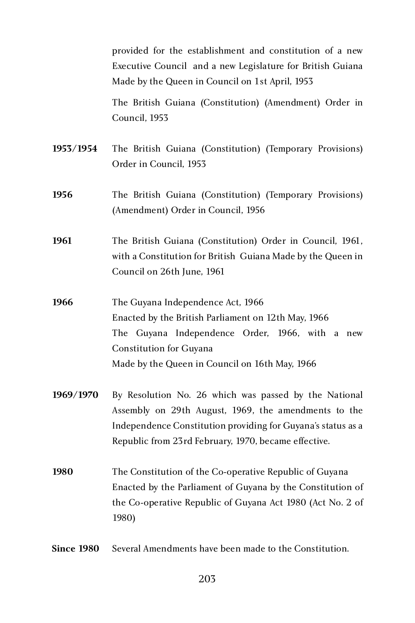provided for the establishment and constitution of a new Executive Council and a new Legislature for British Guiana Made by the Queen in Council on 1st April, 1953

The British Guiana (Constitution) (Amendment) Order in Council, 1953

- **1953/1954** The British Guiana (Constitution) (Temporary Provisions) Order in Council, 1953
- **1956** The British Guiana (Constitution) (Temporary Provisions) (Amendment) Order in Council, 1956
- **1961** The British Guiana (Constitution) Order in Council, 1961, with a Constitution for British Guiana Made by the Queen in Council on 26th June, 1961
- **1966** The Guyana Independence Act, 1966 Enacted by the British Parliament on 12th May, 1966 The Guyana Independence Order, 1966, with a new Constitution for Guyana Made by the Queen in Council on 16th May, 1966
- **1969/1970** By Resolution No. 26 which was passed by the National Assembly on 29th August, 1969, the amendments to the Independence Constitution providing for Guyana's status as a Republic from 23rd February, 1970, became effective.
- **1980** The Constitution of the Co-operative Republic of Guyana Enacted by the Parliament of Guyana by the Constitution of the Co-operative Republic of Guyana Act 1980 (Act No. 2 of 1980)
- **Since 1980** Several Amendments have been made to the Constitution.

#### 203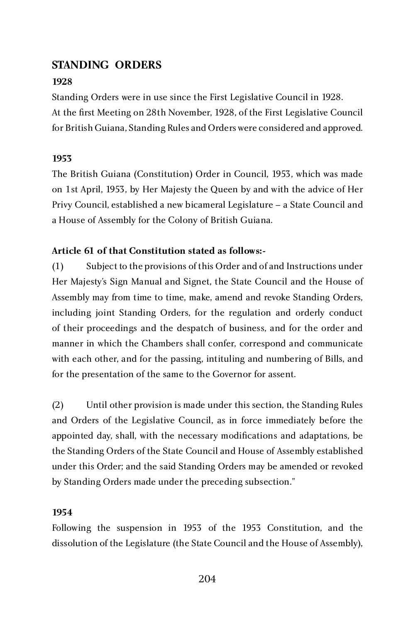# **STANDING ORDERS**<br>1928

# **1928**

Standing Orders were in use since the First Legislative Council in 1928. At the first Meeting on 28th November, 1928, of the First Legislative Council for British Guiana, Standing Rules and Orders were considered and approved.

# **1953**

The British Guiana (Constitution) Order in Council, 1953, which was made on 1st April, 1953, by Her Majesty the Queen by and with the advice of Her Privy Council, established a new bicameral Legislature – a State Council and a House of Assembly for the Colony of British Guiana.

#### **Article 61 of that Constitution stated as follows:-**

(1) Subject to the provisions of this Order and of and Instructions under Her Majesty's Sign Manual and Signet, the State Council and the House of Assembly may from time to time, make, amend and revoke Standing Orders, including joint Standing Orders, for the regulation and orderly conduct of their proceedings and the despatch of business, and for the order and manner in which the Chambers shall confer, correspond and communicate with each other, and for the passing, intituling and numbering of Bills, and for the presentation of the same to the Governor for assent.

(2) Until other provision is made under this section, the Standing Rules and Orders of the Legislative Council, as in force immediately before the appointed day, shall, with the necessary modifications and adaptations, be the Standing Orders of the State Council and House of Assembly established under this Order; and the said Standing Orders may be amended or revoked by Standing Orders made under the preceding subsection."

#### **1954**

Following the suspension in 1953 of the 1953 Constitution, and the dissolution of the Legislature (the State Council and the House of Assembly),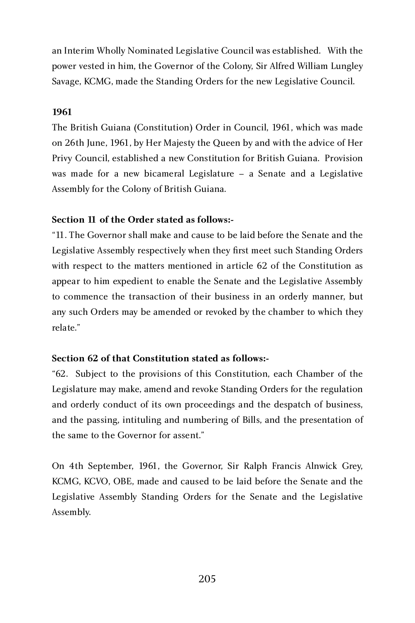an Interim Wholly Nominated Legislative Council was established. With the power vested in him, the Governor of the Colony, Sir Alfred William Lungley Savage, KCMG, made the Standing Orders for the new Legislative Council.

#### **1961**

The British Guiana (Constitution) Order in Council, 1961, which was made on 26th June, 1961, by Her Majesty the Queen by and with the advice of Her Privy Council, established a new Constitution for British Guiana. Provision was made for a new bicameral Legislature – a Senate and a Legislative Assembly for the Colony of British Guiana.

#### **Section 11 of the Order stated as follows:-**

"11. The Governor shall make and cause to be laid before the Senate and the Legislative Assembly respectively when they first meet such Standing Orders with respect to the matters mentioned in article 62 of the Constitution as appear to him expedient to enable the Senate and the Legislative Assembly to commence the transaction of their business in an orderly manner, but any such Orders may be amended or revoked by the chamber to which they relate."

#### **Section 62 of that Constitution stated as follows:-**

"62. Subject to the provisions of this Constitution, each Chamber of the Legislature may make, amend and revoke Standing Orders for the regulation and orderly conduct of its own proceedings and the despatch of business, and the passing, intituling and numbering of Bills, and the presentation of the same to the Governor for assent."

On 4th September, 1961, the Governor, Sir Ralph Francis Alnwick Grey, KCMG, KCVO, OBE, made and caused to be laid before the Senate and the Legislative Assembly Standing Orders for the Senate and the Legislative Assembly.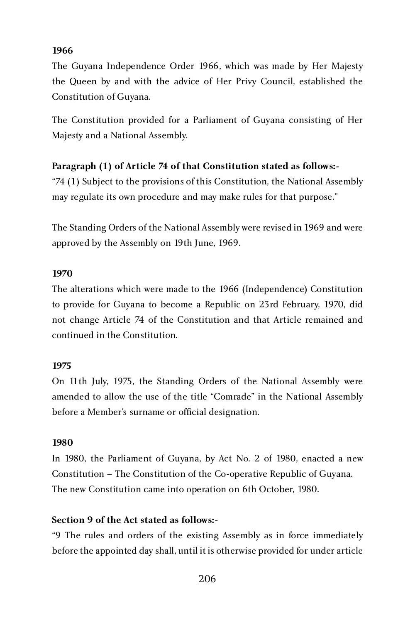#### **1966**

The Guyana Independence Order 1966, which was made by Her Majesty the Queen by and with the advice of Her Privy Council, established the Constitution of Guyana.

The Constitution provided for a Parliament of Guyana consisting of Her Majesty and a National Assembly.

#### **Paragraph (1) of Article 74 of that Constitution stated as follows:-**

"74 (1) Subject to the provisions of this Constitution, the National Assembly may regulate its own procedure and may make rules for that purpose."

The Standing Orders of the National Assembly were revised in 1969 and were approved by the Assembly on 19th June, 1969.

#### **1970**

The alterations which were made to the 1966 (Independence) Constitution to provide for Guyana to become a Republic on 23rd February, 1970, did not change Article 74 of the Constitution and that Article remained and continued in the Constitution.

#### **1975**

On 11th July, 1975, the Standing Orders of the National Assembly were amended to allow the use of the title "Comrade" in the National Assembly before a Member's surname or official designation.

#### **1980**

In 1980, the Parliament of Guyana, by Act No. 2 of 1980, enacted a new Constitution – The Constitution of the Co-operative Republic of Guyana. The new Constitution came into operation on 6th October, 1980.

#### **Section 9 of the Act stated as follows:-**

"9 The rules and orders of the existing Assembly as in force immediately before the appointed day shall, until it is otherwise provided for under article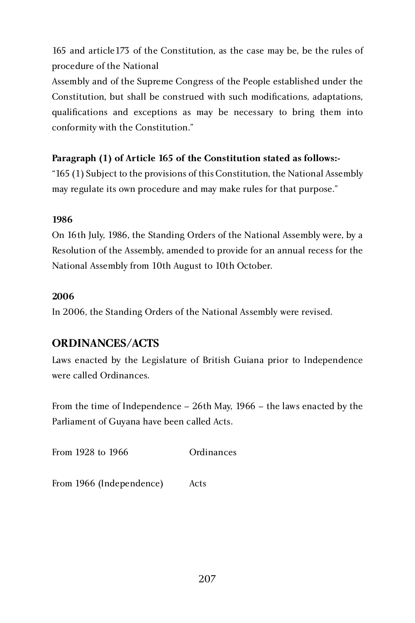165 and article173 of the Constitution, as the case may be, be the rules of procedure of the National

Assembly and of the Supreme Congress of the People established under the Constitution, but shall be construed with such modifications, adaptations, qualifications and exceptions as may be necessary to bring them into conformity with the Constitution."

#### **Paragraph (1) of Article 165 of the Constitution stated as follows:-**

"165 (1) Subject to the provisions of this Constitution, the National Assembly may regulate its own procedure and may make rules for that purpose."

#### **1986**

On 16th July, 1986, the Standing Orders of the National Assembly were, by a Resolution of the Assembly, amended to provide for an annual recess for the National Assembly from 10th August to 10th October.

#### **2006**

In 2006, the Standing Orders of the National Assembly were revised.

## **ORDINANCES/ACTS**

Laws enacted by the Legislature of British Guiana prior to Independence were called Ordinances.

From the time of Independence – 26th May, 1966 – the laws enacted by the Parliament of Guyana have been called Acts.

From 1928 to 1966 Ordinances

From 1966 (Independence) Acts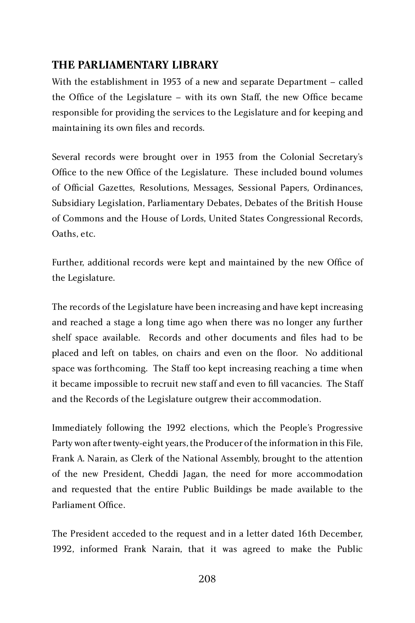## **THE PARLIAMENTARY LIBRARY**

With the establishment in 1953 of a new and separate Department – called the Office of the Legislature – with its own Staff, the new Office became responsible for providing the services to the Legislature and for keeping and maintaining its own files and records.

Several records were brought over in 1953 from the Colonial Secretary's Office to the new Office of the Legislature. These included bound volumes of Official Gazettes, Resolutions, Messages, Sessional Papers, Ordinances, Subsidiary Legislation, Parliamentary Debates, Debates of the British House of Commons and the House of Lords, United States Congressional Records, Oaths etc Oaths, etc.

Further, additional records were kept and maintained by the new Office of the Legislature.

The records of the Legislature have been increasing and have kept increasing and reached a stage a long time ago when there was no longer any further shelf space available. Records and other documents and files had to be placed and left on tables, on chairs and even on the floor. No additional space was forthcoming. The Staff too kept increasing reaching a time when it became impossible to recruit new staff and even to fill vacancies. The Staff and the Records of the Legislature outgrew their accommodation.

Immediately following the 1992 elections, which the People's Progressive Party won after twenty-eight years, the Producer of the information in this File, Frank A. Narain, as Clerk of the National Assembly, brought to the attention of the new President, Cheddi Jagan, the need for more accommodation and requested that the entire Public Buildings be made available to the Parliament Office Parliament Office.

The President acceded to the request and in a letter dated 16th December, 1992, informed Frank Narain, that it was agreed to make the Public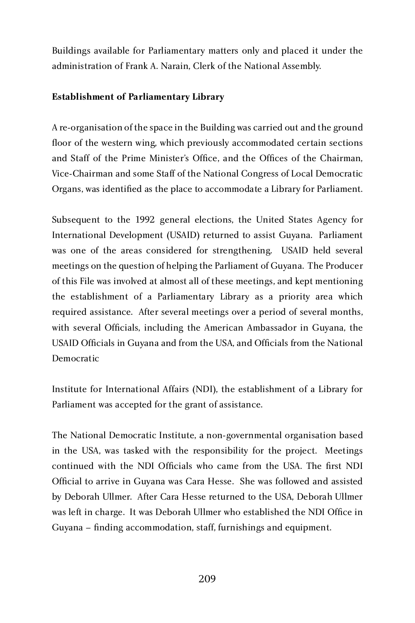Buildings available for Parliamentary matters only and placed it under the administration of Frank A. Narain, Clerk of the National Assembly.

#### **Establishment of Parliamentary Library**

A re-organisation of the space in the Building was carried out and the ground floor of the western wing, which previously accommodated certain sections and Staff of the Prime Minister's Office, and the Offices of the Chairman, Vice-Chairman and some Staff of the National Congress of Local Democratic Organs, was identified as the place to accommodate a Library for Parliament.

Subsequent to the 1992 general elections, the United States Agency for International Development (USAID) returned to assist Guyana. Parliament was one of the areas considered for strengthening. USAID held several meetings on the question of helping the Parliament of Guyana. The Producer of this File was involved at almost all of these meetings, and kept mentioning the establishment of a Parliamentary Library as a priority area which required assistance. After several meetings over a period of several months, with several Officials, including the American Ambassador in Guyana, the USAID Officials in Guyana and from the USA, and Officials from the National Democratic

Institute for International Affairs (NDI), the establishment of a Library for Parliament was accepted for the grant of assistance.

The National Democratic Institute, a non-governmental organisation based in the USA, was tasked with the responsibility for the project. Meetings continued with the NDI Officials who came from the USA. The first NDI Official to arrive in Guyana was Cara Hesse. She was followed and assisted by Deborah Ullmer. After Cara Hesse returned to the USA, Deborah Ullmer was left in charge. It was Deborah Ullmer who established the NDI Office in Guyana – finding accommodation, staff, furnishings and equipment.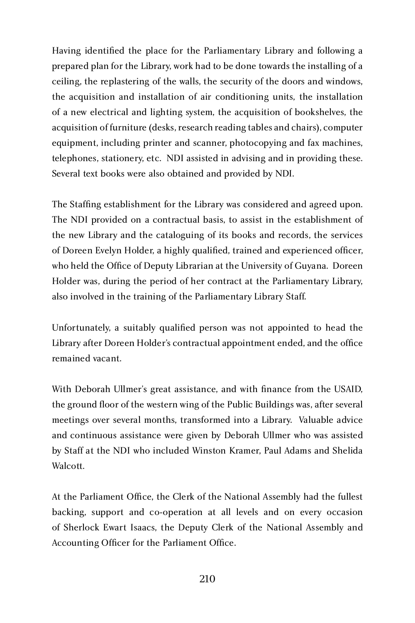Having identified the place for the Parliamentary Library and following a prepared plan for the Library, work had to be done towards the installing of a ceiling, the replastering of the walls, the security of the doors and windows, the acquisition and installation of air conditioning units, the installation of a new electrical and lighting system, the acquisition of bookshelves, the acquisition of furniture (desks, research reading tables and chairs), computer equipment, including printer and scanner, photocopying and fax machines, telephones, stationery, etc. NDI assisted in advising and in providing these. Several text books were also obtained and provided by NDI.

The Staffing establishment for the Library was considered and agreed upon. The NDI provided on a contractual basis, to assist in the establishment of the new Library and the cataloguing of its books and records, the services of Doreen Evelyn Holder, a highly qualified, trained and experienced officer, who held the Office of Deputy Librarian at the University of Guyana. Doreen Holder was, during the period of her contract at the Parliamentary Library, also involved in the training of the Parliamentary Library Staff.

Unfortunately, a suitably qualified person was not appointed to head the Library after Doreen Holder's contractual appointment ended, and the office remained vacant.

With Deborah Ullmer's great assistance, and with finance from the USAID, the ground floor of the western wing of the Public Buildings was, after several meetings over several months, transformed into a Library. Valuable advice and continuous assistance were given by Deborah Ullmer who was assisted by Staff at the NDI who included Winston Kramer, Paul Adams and Shelida Walcott.

At the Parliament Office, the Clerk of the National Assembly had the fullest backing, support and co-operation at all levels and on every occasion of Sherlock Ewart Isaacs, the Deputy Clerk of the National Assembly and Accounting Officer for the Parliament Office.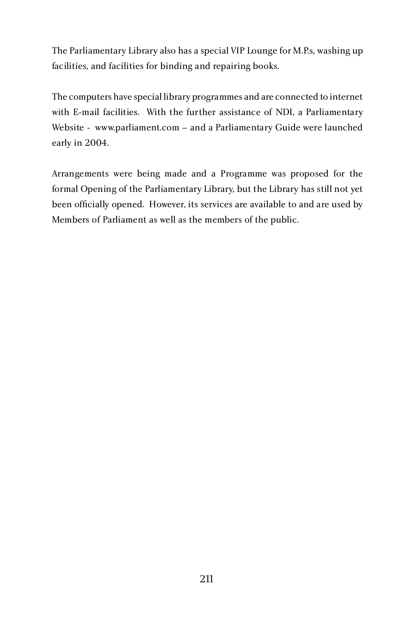The Parliamentary Library also has a special VIP Lounge for M.P.s, washing up facilities, and facilities for binding and repairing books.

The computers have special library programmes and are connected to internet with E-mail facilities. With the further assistance of NDI, a Parliamentary Website - www.parliament.com – and a Parliamentary Guide were launched early in 2004.

Arrangements were being made and a Programme was proposed for the formal Opening of the Parliamentary Library, but the Library has still not yet been officially opened. However, its services are available to and are used by Members of Parliament as well as the members of the public.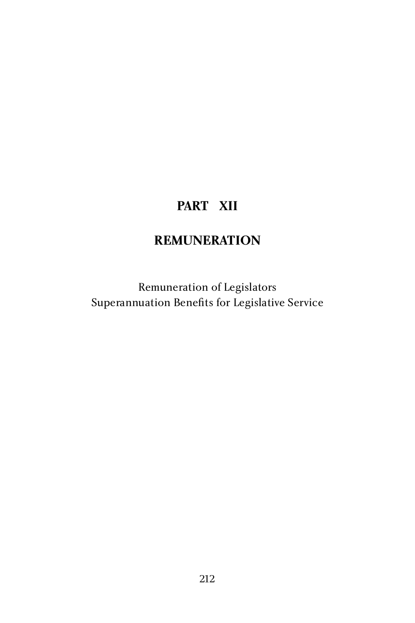# **PART XII**

# **REMUNERATION**

Remuneration of Legislators Superannuation Benefits for Legislative Service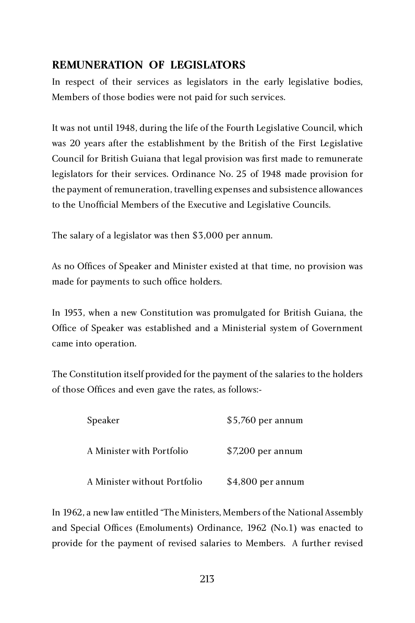## **REMUNERATION OF LEGISLATORS**

In respect of their services as legislators in the early legislative bodies, Members of those bodies were not paid for such services.

It was not until 1948, during the life of the Fourth Legislative Council, which was 20 years after the establishment by the British of the First Legislative Council for British Guiana that legal provision was first made to remunerate legislators for their services. Ordinance No. 25 of 1948 made provision for the payment of remuneration, travelling expenses and subsistence allowances to the Unofficial Members of the Executive and Legislative Councils.

The salary of a legislator was then \$3,000 per annum.

As no Offices of Speaker and Minister existed at that time, no provision was made for payments to such office holders.

In 1953, when a new Constitution was promulgated for British Guiana, the Office of Speaker was established and a Ministerial system of Government came into operation.

The Constitution itself provided for the payment of the salaries to the holders of those Offices and even gave the rates, as follows:-

| Speaker                      | $$5,760$ per annum |
|------------------------------|--------------------|
| A Minister with Portfolio    | $$7,200$ per annum |
| A Minister without Portfolio | \$4,800 per annum  |

In 1962, a new law entitled "The Ministers, Members of the National Assembly and Special Offices (Emoluments) Ordinance, 1962 (No.1) was enacted to provide for the payment of revised salaries to Members. A further revised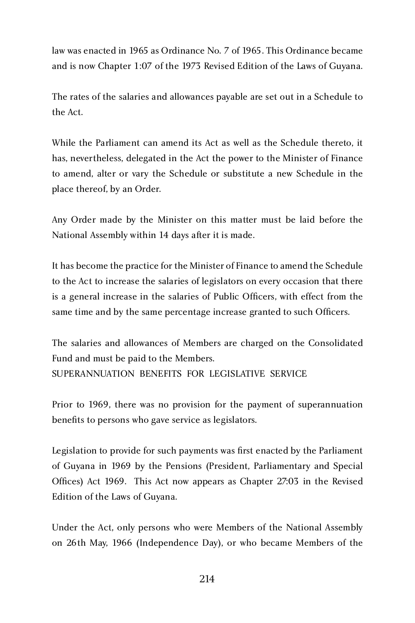law was enacted in 1965 as Ordinance No. 7 of 1965. This Ordinance became and is now Chapter 1:07 of the 1973 Revised Edition of the Laws of Guyana.

The rates of the salaries and allowances payable are set out in a Schedule to the Act.

While the Parliament can amend its Act as well as the Schedule thereto, it has, nevertheless, delegated in the Act the power to the Minister of Finance to amend, alter or vary the Schedule or substitute a new Schedule in the place thereof, by an Order.

Any Order made by the Minister on this matter must be laid before the National Assembly within 14 days after it is made.

It has become the practice for the Minister of Finance to amend the Schedule to the Act to increase the salaries of legislators on every occasion that there is a general increase in the salaries of Public Officers, with effect from the same time and by the same percentage increase granted to such Officers.

The salaries and allowances of Members are charged on the Consolidated Fund and must be paid to the Members. SUPERANNUATION BENEFITS FOR LEGISLATIVE SERVICE

Prior to 1969, there was no provision for the payment of superannuation benefits to persons who gave service as legislators.

Legislation to provide for such payments was first enacted by the Parliament of Guyana in 1969 by the Pensions (President, Parliamentary and Special Offices) Act 1969. This Act now appears as Chapter 27:03 in the Revised Edition of the Laws of Guyana.

Under the Act, only persons who were Members of the National Assembly on 26th May, 1966 (Independence Day), or who became Members of the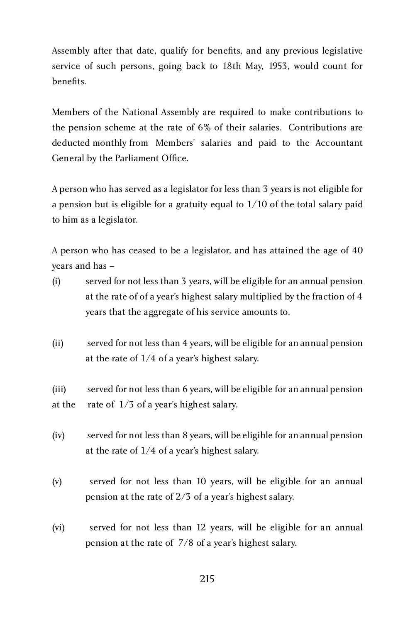Assembly after that date, qualify for benefits, and any previous legislative service of such persons, going back to 18th May, 1953, would count for benefits.

Members of the National Assembly are required to make contributions to the pension scheme at the rate of 6% of their salaries. Contributions are deducted monthly from Members' salaries and paid to the Accountant General by the Parliament Office.

A person who has served as a legislator for less than 3 years is not eligible for a pension but is eligible for a gratuity equal to 1/10 of the total salary paid to him as a legislator.

A person who has ceased to be a legislator, and has attained the age of 40 years and has –

- (i) served for not less than 3 years, will be eligible for an annual pension at the rate of of a year's highest salary multiplied by the fraction of 4 years that the aggregate of his service amounts to.
- (ii) served for not less than 4 years, will be eligible for an annual pension at the rate of 1/4 of a year's highest salary.

(iii) served for not less than 6 years, will be eligible for an annual pension at the rate of  $1/3$  of a vear's highest salary. rate of  $1/3$  of a year's highest salary.

- (iv) served for not less than 8 years, will be eligible for an annual pension at the rate of 1/4 of a year's highest salary.
- (v) served for not less than 10 years, will be eligible for an annual pension at the rate of 2/3 of a year's highest salary.
- (vi) served for not less than 12 years, will be eligible for an annual pension at the rate of 7/8 of a year's highest salary.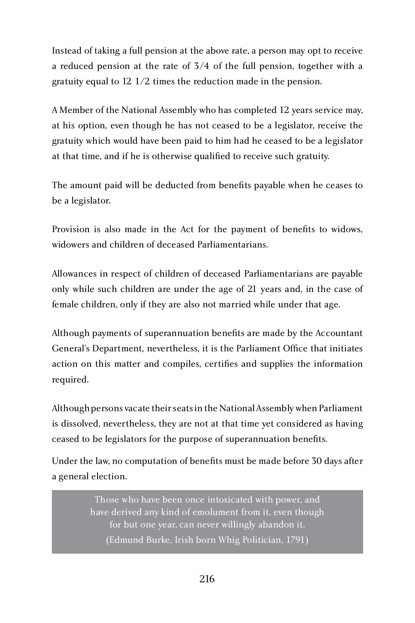Instead of taking a full pension at the above rate, a person may opt to receive a reduced pension at the rate of 3/4 of the full pension, together with a gratuity equal to 12 1/2 times the reduction made in the pension.

A Member of the National Assembly who has completed 12 years service may, at his option, even though he has not ceased to be a legislator, receive the gratuity which would have been paid to him had he ceased to be a legislator at that time, and if he is otherwise qualified to receive such gratuity.

The amount paid will be deducted from benefits payable when he ceases to be a legislator.

Provision is also made in the Act for the payment of benefits to widows, widowers and children of deceased Parliamentarians.

Allowances in respect of children of deceased Parliamentarians are payable only while such children are under the age of 21 years and, in the case of female children, only if they are also not married while under that age.

Although payments of superannuation benefits are made by the Accountant General's Department, nevertheless, it is the Parliament Office that initiates action on this matter and compiles, certifies and supplies the information required.

Although persons vacate their seats in the National Assembly when Parliament is dissolved, nevertheless, they are not at that time yet considered as having ceased to be legislators for the purpose of superannuation benefits.

Under the law, no computation of benefits must be made before 30 days after a general election.

> Those who have been once intoxicated with power, and have derived any kind of emolument from it, even though for but one year, can never willingly abandon it. (Edmund Burke, Irish born Whig Politician, 1791)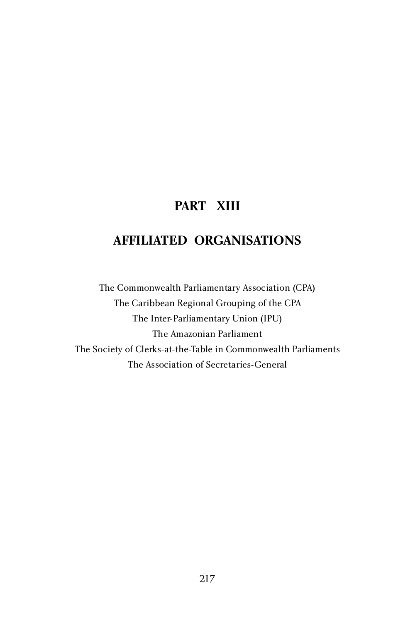# **PART XIII**

# **AFFILIATED ORGANISATIONS**

The Commonwealth Parliamentary Association (CPA) The Caribbean Regional Grouping of the CPA The Inter-Parliamentary Union (IPU) The Amazonian Parliament The Society of Clerks-at-the-Table in Commonwealth Parliaments The Association of Secretaries-General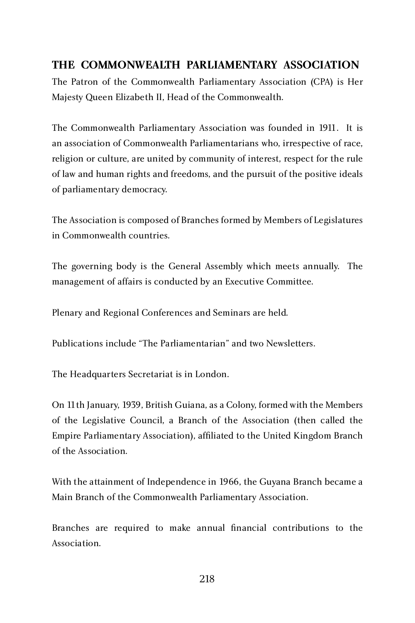### **THE COMMONWEALTH PARLIAMENTARY ASSOCIATION**

The Patron of the Commonwealth Parliamentary Association (CPA) is Her Majesty Queen Elizabeth II, Head of the Commonwealth.

The Commonwealth Parliamentary Association was founded in 1911. It is an association of Commonwealth Parliamentarians who, irrespective of race, religion or culture, are united by community of interest, respect for the rule of law and human rights and freedoms, and the pursuit of the positive ideals of parliamentary democracy.

The Association is composed of Branches formed by Members of Legislatures in Commonwealth countries.

The governing body is the General Assembly which meets annually. The management of affairs is conducted by an Executive Committee.

Plenary and Regional Conferences and Seminars are held.

Publications include "The Parliamentarian" and two Newsletters.

The Headquarters Secretariat is in London.

On 11th January, 1939, British Guiana, as a Colony, formed with the Members of the Legislative Council, a Branch of the Association (then called the Empire Parliamentary Association), affiliated to the United Kingdom Branch of the Association.

With the attainment of Independence in 1966, the Guyana Branch became a Main Branch of the Commonwealth Parliamentary Association.

Branches are required to make annual financial contributions to the Association.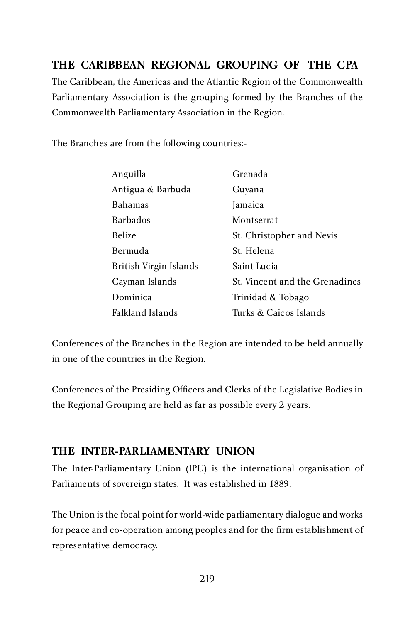### **THE CARIBBEAN REGIONAL GROUPING OF THE CPA**

The Caribbean, the Americas and the Atlantic Region of the Commonwealth Parliamentary Association is the grouping formed by the Branches of the Commonwealth Parliamentary Association in the Region.

The Branches are from the following countries:-

| Anguilla                | Grenada                        |
|-------------------------|--------------------------------|
| Antigua & Barbuda       | Guyana                         |
| <b>Bahamas</b>          | Jamaica                        |
| <b>Barbados</b>         | Montserrat                     |
| Belize                  | St. Christopher and Nevis      |
| Bermuda                 | St. Helena                     |
| British Virgin Islands  | Saint Lucia                    |
| Cayman Islands          | St. Vincent and the Grenadines |
| Dominica                | Trinidad & Tobago              |
| <b>Falkland Islands</b> | Turks & Caicos Islands         |
|                         |                                |

Conferences of the Branches in the Region are intended to be held annually in one of the countries in the Region.

Conferences of the Presiding Officers and Clerks of the Legislative Bodies in the Regional Grouping are held as far as possible every 2 years.

#### **THE INTER-PARLIAMENTARY UNION**

The Inter-Parliamentary Union (IPU) is the international organisation of Parliaments of sovereign states. It was established in 1889.

The Union is the focal point for world-wide parliamentary dialogue and works for peace and co-operation among peoples and for the firm establishment of representative democracy.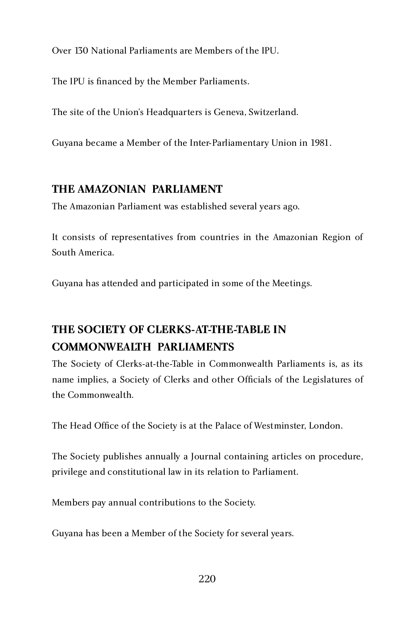Over 130 National Parliaments are Members of the IPU.

The IPU is financed by the Member Parliaments.

The site of the Union's Headquarters is Geneva, Switzerland.

Guyana became a Member of the Inter-Parliamentary Union in 1981.

### **THE AMAZONIAN PARLIAMENT**

The Amazonian Parliament was established several years ago.

It consists of representatives from countries in the Amazonian Region of South America.

Guyana has attended and participated in some of the Meetings.

# **THE SOCIETY OF CLERKS-AT-THE-TABLE IN COMMONWEALTH PARLIAMENTS**

The Society of Clerks-at-the-Table in Commonwealth Parliaments is, as its name implies, a Society of Clerks and other Officials of the Legislatures of the Commonwealth.

The Head Office of the Society is at the Palace of Westminster, London.

The Society publishes annually a Journal containing articles on procedure, privilege and constitutional law in its relation to Parliament.

Members pay annual contributions to the Society.

Guyana has been a Member of the Society for several years.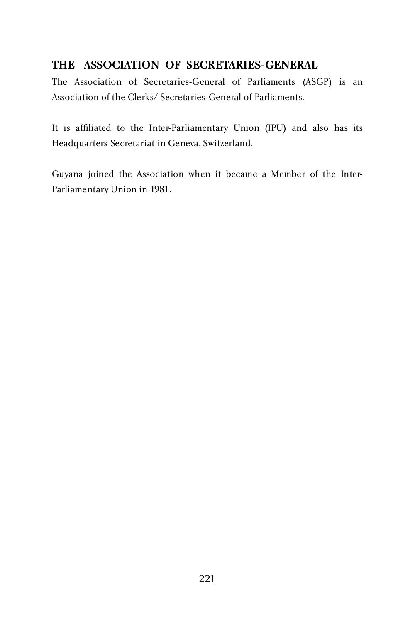# **THE ASSOCIATION OF SECRETARIES-GENERAL**

The Association of Secretaries-General of Farnaments (ASGP) is an Association of the Clerks/ Secretaries-General of Parliaments.

It is affiliated to the Inter-Parliamentary Union (IPU) and also has its Headquarters Secretariat in Geneva, Switzerland.

Guyana joined the Association when it became a Member of the Inter-Parliamentary Union in 1981.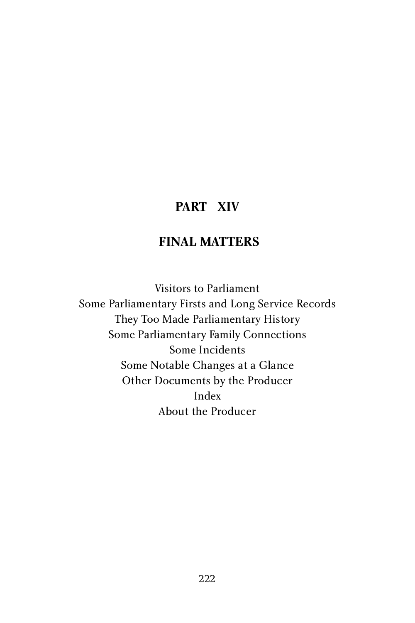# **PART XIV**

## **FINAL MATTERS**

Visitors to Parliament Some Parliamentary Firsts and Long Service Records They Too Made Parliamentary History Some Parliamentary Family Connections Some Notable Changes at a Glance Some Notable Changes at a Glance Other Documents by the Producer Index About the Producer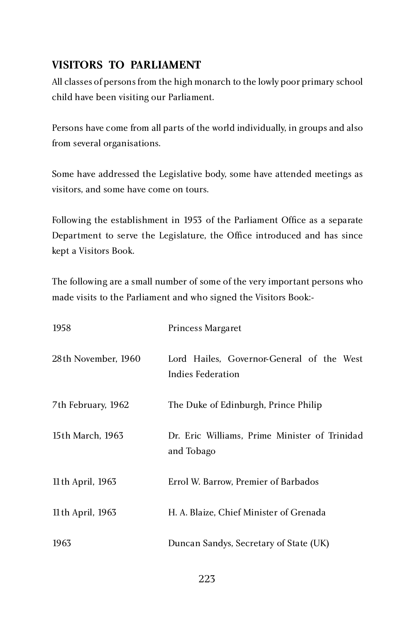### **VISITORS TO PARLIAMENT**

All classes of persons from the high monarch to the lowly poor primary school child have been visiting our Parliament.

Persons have come from all parts of the world individually, in groups and also from several organisations.

Some have addressed the Legislative body, some have attended meetings as visitors, and some have come on tours.

Following the establishment in 1953 of the Parliament Office as a separate Department to serve the Legislature, the Office introduced and has since kept a Visitors Book.

The following are a small number of some of the very important persons who made visits to the Parliament and who signed the Visitors Book:-

| 1958                | Princess Margaret                                              |
|---------------------|----------------------------------------------------------------|
| 28th November, 1960 | Lord Hailes, Governor-General of the West<br>Indies Federation |
| 7th February, 1962  | The Duke of Edinburgh, Prince Philip                           |
| 15th March, 1963    | Dr. Eric Williams, Prime Minister of Trinidad<br>and Tobago    |
| 11th April, 1963    | Errol W. Barrow, Premier of Barbados                           |
| 11th April, 1963    | H. A. Blaize, Chief Minister of Grenada                        |
| 1963                | Duncan Sandys, Secretary of State (UK)                         |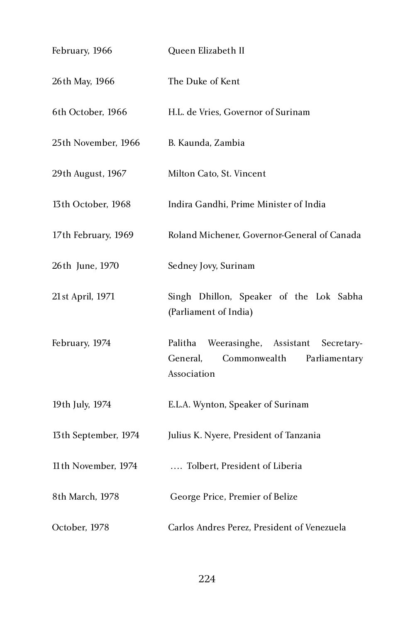| February, 1966       | Queen Elizabeth II                                                                                          |
|----------------------|-------------------------------------------------------------------------------------------------------------|
| 26th May, 1966       | The Duke of Kent                                                                                            |
| 6th October, 1966    | H.L. de Vries, Governor of Surinam                                                                          |
| 25th November, 1966  | B. Kaunda, Zambia                                                                                           |
| 29th August, 1967    | Milton Cato, St. Vincent                                                                                    |
| 13th October, 1968   | Indira Gandhi, Prime Minister of India                                                                      |
| 17th February, 1969  | Roland Michener, Governor-General of Canada                                                                 |
| 26th June, 1970      | Sedney Jovy, Surinam                                                                                        |
| 21st April, 1971     | Singh Dhillon, Speaker of the Lok Sabha<br>(Parliament of India)                                            |
| February, 1974       | Palitha<br>Weerasinghe, Assistant<br>Secretary-<br>General.<br>Commonwealth<br>Parliamentary<br>Association |
| 19th July, 1974      | E.L.A. Wynton, Speaker of Surinam                                                                           |
| 13th September, 1974 | Julius K. Nyere, President of Tanzania                                                                      |
| 11th November, 1974  | Tolbert, President of Liberia                                                                               |
| 8th March, 1978      | George Price, Premier of Belize                                                                             |
| October, 1978        | Carlos Andres Perez, President of Venezuela                                                                 |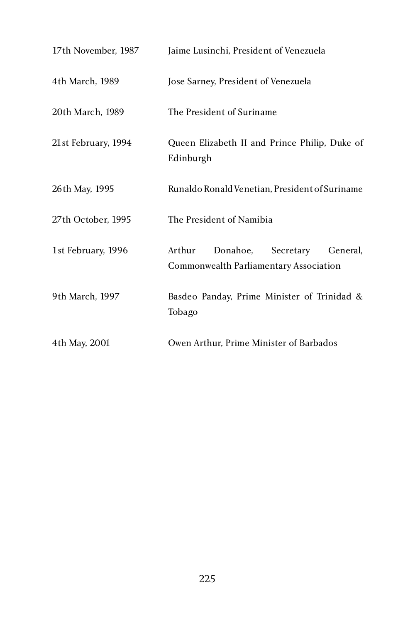| 17th November, 1987 | Jaime Lusinchi, President of Venezuela                                                |
|---------------------|---------------------------------------------------------------------------------------|
| 4th March, 1989     | Jose Sarney, President of Venezuela                                                   |
| 20th March, 1989    | The President of Suriname                                                             |
| 21st February, 1994 | Queen Elizabeth II and Prince Philip, Duke of<br>Edinburgh                            |
| 26th May, 1995      | Runaldo Ronald Venetian, President of Suriname                                        |
| 27th October, 1995  | The President of Namibia                                                              |
| 1st February, 1996  | Arthur<br>Donahoe,<br>Secretary<br>General,<br>Commonwealth Parliamentary Association |
| 9th March, 1997     | Basdeo Panday, Prime Minister of Trinidad &<br>Tobago                                 |
| 4th May, 2001       | Owen Arthur, Prime Minister of Barbados                                               |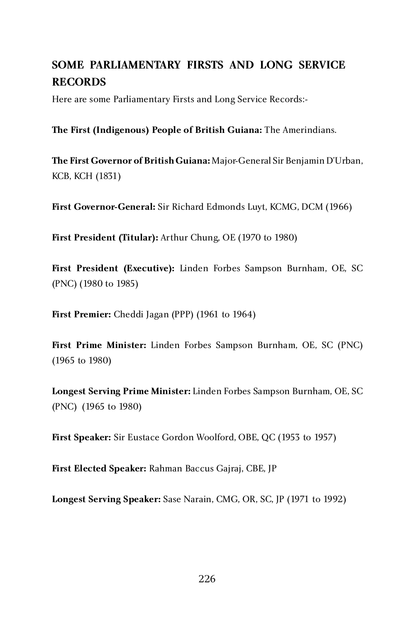# **SOME PARLIAMENTARY FIRSTS AND LONG SERVICE RECORDS**

Here are some Parliamentary Firsts and Long Service Records:-

**The First (Indigenous) People of British Guiana:** The Amerindians.

**The First Governor of British Guiana:** Major-General Sir Benjamin D'Urban, KCB, KCH (1831)

**First Governor-General:** Sir Richard Edmonds Luyt, KCMG, DCM (1966)

**First President (Titular):** Arthur Chung, OE (1970 to 1980)

**First President (Executive):** Linden Forbes Sampson Burnham, OE, SC (PNC) (1980 to 1985)

**First Premier:** Cheddi Jagan (PPP) (1961 to 1964)

**First Prime Minister:** Linden Forbes Sampson Burnham, OE, SC (PNC) (1965 to 1980)

**Longest Serving Prime Minister:** Linden Forbes Sampson Burnham, OE, SC (PNC) (1965 to 1980)

**First Speaker:** Sir Eustace Gordon Woolford, OBE, QC (1953 to 1957)

**First Elected Speaker:** Rahman Baccus Gajraj, CBE, JP

**Longest Serving Speaker:** Sase Narain, CMG, OR, SC, JP (1971 to 1992)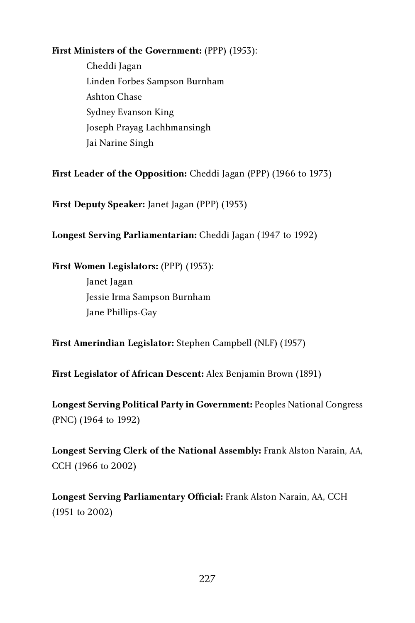#### **First Ministers of the Government:** (PPP) (1953):

Cheddi Jagan Linden Forbes Sampson Burnham Ashton Chase Sydney Evanson King Joseph Prayag Lachhmansingh Jai Narine Singh

**First Leader of the Opposition:** Cheddi Jagan (PPP) (1966 to 1973)

**First Deputy Speaker:** Janet Jagan (PPP) (1953)

**Longest Serving Parliamentarian:** Cheddi Jagan (1947 to 1992)

#### **First Women Legislators:** (PPP) (1953):

Janet Jagan Jessie Irma Sampson Burnham Jane Phillips-Gay

**First Amerindian Legislator:** Stephen Campbell (NLF) (1957)

**First Legislator of African Descent:** Alex Benjamin Brown (1891)

**Longest Serving Political Party in Government:** Peoples National Congress (PNC) (1964 to 1992)

**Longest Serving Clerk of the National Assembly:** Frank Alston Narain, AA, CCH (1966 to 2002)

**Longest Serving Parliamentary Official:** Frank Alston Narain, AA, CCH (1951 to 2002)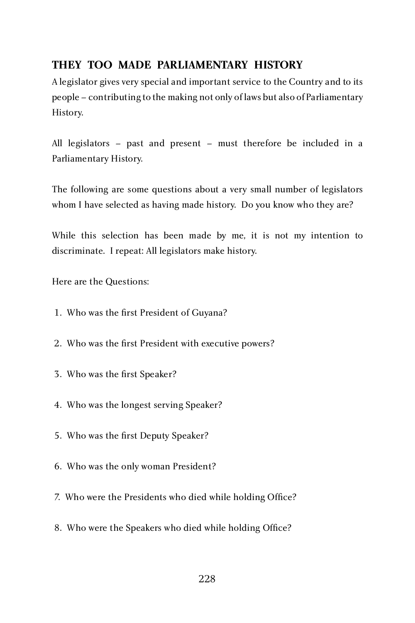### **THEY TOO MADE PARLIAMENTARY HISTORY**

A legislator gives very special and important service to the Country and to its people – contributing to the making not only of laws but also of Parliamentary History.

All legislators – past and present – must therefore be included in a Parliamentary History.

The following are some questions about a very small number of legislators whom I have selected as having made history. Do you know who they are?

While this selection has been made by me, it is not my intention to discriminate. I repeat: All legislators make history.

Here are the Questions:

- 1. Who was the first President of Guyana?
- 2. Who was the first President with executive powers?
- 3. Who was the first Speaker?
- 4. Who was the longest serving Speaker?
- 5. Who was the first Deputy Speaker?
- 6. Who was the only woman President?
- 7. Who were the Presidents who died while holding Office?
- 8. Who were the Speakers who died while holding Office?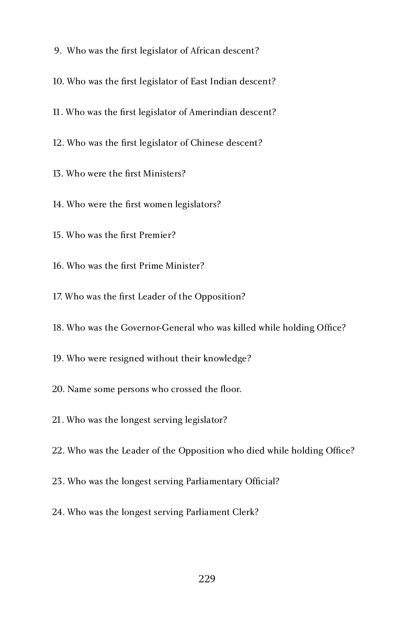- 9. Who was the first legislator of African descent?
- 10. Who was the first legislator of East Indian descent?
- 11. Who was the first legislator of Amerindian descent?
- 12. Who was the first legislator of Chinese descent?
- 13. Who were the first Ministers?
- 14. Who were the first women legislators?
- 15. Who was the first Premier?
- 16. Who was the first Prime Minister?
- 17. Who was the first Leader of the Opposition?
- 18. Who was the Governor-General who was killed while holding Office?
- 19. Who were resigned without their knowledge?
- 20. Name some persons who crossed the floor.
- 21. Who was the longest serving legislator?
- 22. Who was the Leader of the Opposition who died while holding Office?
- 23. Who was the longest serving Parliamentary Official?
- 24. Who was the longest serving Parliament Clerk?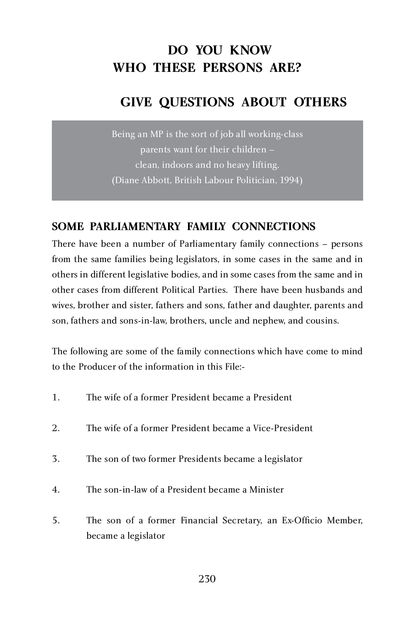# **DO YOU KNOW**  WHO THESE PERSONS ARE.

# **GIVE QUESTIONS ABOUT OTHERS**

Being an MP is the sort of job all working-class parents want for their children – clean, indoors and no heavy lifting. (Diane Abbott, British Labour Politician, 1994)

# **SOME PARLIAMENTARY FAMILY CONNECTIONS**

There have been a number of Parliamentary family connections – persons from the same families being legislators, in some cases in the same and in others in different legislative bodies, and in some cases from the same and in other cases from different Political Parties. There have been husbands and wives, brother and sister, fathers and sons, father and daughter, parents and son, fathers and sons-in-law, brothers, uncle and nephew, and cousins.

The following are some of the family connections which have come to mind to the Producer of the information in this File:-

- 1. The wife of a former President became a President
- 2. The wife of a former President became a Vice-President
- 3. The son of two former Presidents became a legislator
- 4. The son-in-law of a President became a Minister
- 5. The son of a former Financial Secretary, an Ex-Officio Member, became a legislator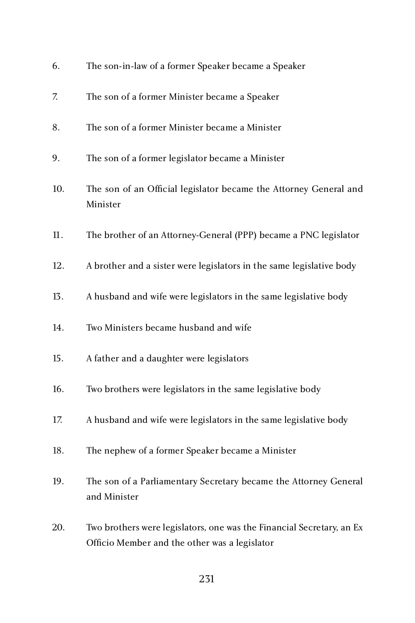| 6.  | The son-in-law of a former Speaker became a Speaker                                                                    |
|-----|------------------------------------------------------------------------------------------------------------------------|
| 7.  | The son of a former Minister became a Speaker                                                                          |
| 8.  | The son of a former Minister became a Minister                                                                         |
| 9.  | The son of a former legislator became a Minister                                                                       |
| 10. | The son of an Official legislator became the Attorney General and<br>Minister                                          |
| 11. | The brother of an Attorney-General (PPP) became a PNC legislator                                                       |
| 12. | A brother and a sister were legislators in the same legislative body                                                   |
| 13. | A husband and wife were legislators in the same legislative body                                                       |
| 14. | Two Ministers became husband and wife                                                                                  |
| 15. | A father and a daughter were legislators                                                                               |
| 16. | Two brothers were legislators in the same legislative body                                                             |
| 17. | A husband and wife were legislators in the same legislative body                                                       |
| 18. | The nephew of a former Speaker became a Minister                                                                       |
| 19. | The son of a Parliamentary Secretary became the Attorney General<br>and Minister                                       |
| 20. | Two brothers were legislators, one was the Financial Secretary, an Ex<br>Officio Member and the other was a legislator |

231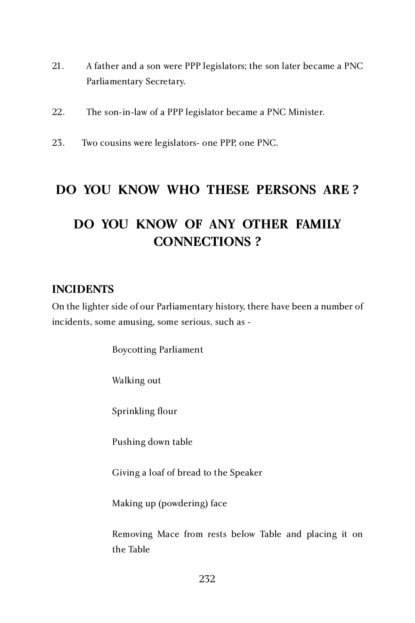- 21. A father and a son were PPP legislators; the son later became a PNC Parliamentary Secretary.
- 22. The son-in-law of a PPP legislator became a PNC Minister.
- 23. Two cousins were legislators- one PPP, one PNC.

## **DO YOU KNOW WHO THESE PERSONS ARE ?**

# **DO YOU KNOW OF ANY OTHER FAMILY CONNECTIONS ?**

#### **INCIDENTS**

On the lighter side of our Parliamentary history, there have been a number of incidents, some amusing, some serious, such as -

Boycotting Parliament

Walking out

Sprinkling flour

Pushing down table

Giving a loaf of bread to the Speaker

Making up (powdering) face

Removing Mace from rests below Table and placing it on the Table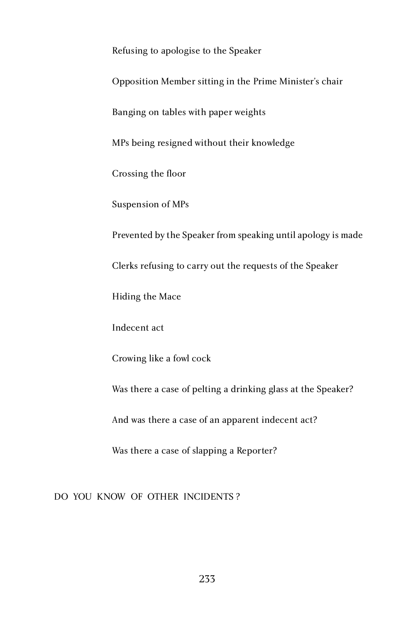Refusing to apologise to the Speaker

Opposition Member sitting in the Prime Minister's chair

Banging on tables with paper weights

MPs being resigned without their knowledge

Crossing the floor

Suspension of MPs

Prevented by the Speaker from speaking until apology is made

Clerks refusing to carry out the requests of the Speaker

Hiding the Mace

Indecent act

Crowing like a fowl cock

Was there a case of pelting a drinking glass at the Speaker?

And was there a case of an apparent indecent act?

Was there a case of slapping a Reporter?

DO YOU KNOW OF OTHER INCIDENTS ?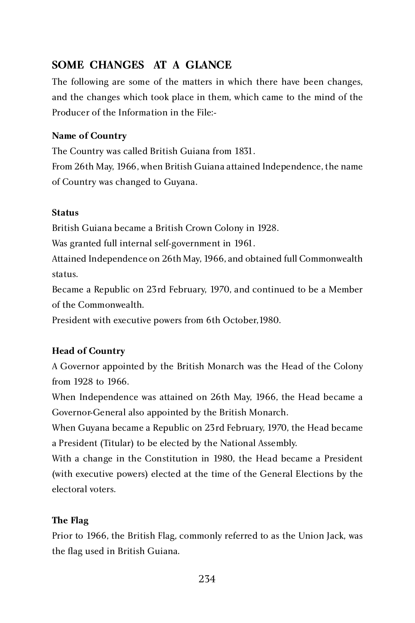### **SOME CHANGES AT A GLANCE**

The following are some of the matters in which there have been changes, and the changes which took place in them, which came to the mind of the<br>Producer of the Information in the File:-Producer of the Information in the File:-

#### **Name of Country**

The Country was called British Guiana from 1831.

From 26th May, 1966, when British Guiana attained Independence, the name of Country was changed to Guyana.

#### **Status**

British Guiana became a British Crown Colony in 1928.

Was granted full internal self-government in 1961.

Attained Independence on 26th May, 1966, and obtained full Commonwealth status.

Became a Republic on 23rd February, 1970, and continued to be a Member of the Commonwealth.

President with executive powers from 6th October,1980.

#### **Head of Country**

A Governor appointed by the British Monarch was the Head of the Colony from 1928 to 1966.

When Independence was attained on 26th May, 1966, the Head became a Governor-General also appointed by the British Monarch.

When Guyana became a Republic on 23rd February, 1970, the Head became a President (Titular) to be elected by the National Assembly.

With a change in the Constitution in 1980, the Head became a President (with executive powers) elected at the time of the General Elections by the electoral voters.

#### **The Flag**

Prior to 1966, the British Flag, commonly referred to as the Union Jack, was the flag used in British Guiana.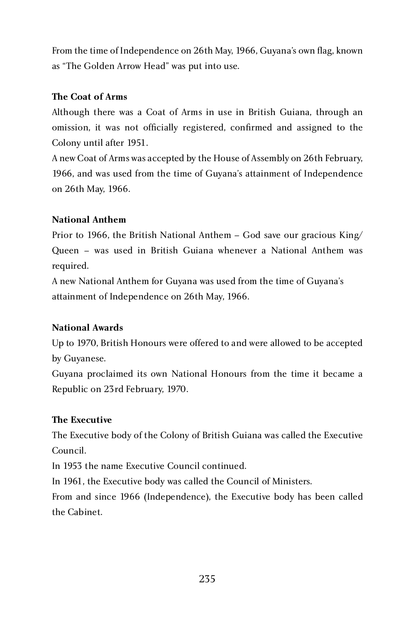From the time of Independence on 26th May, 1966, Guyana's own flag, known as "The Golden Arrow Head" was put into use.

#### **The Coat of Arms**

Although there was a Coat of Arms in use in British Guiana, through an omission, it was not officially registered, confirmed and assigned to the Colony until after 1951.

A new Coat of Arms was accepted by the House of Assembly on 26th February, 1966, and was used from the time of Guyana's attainment of Independence on 26th May, 1966.

#### **National Anthem**

Prior to 1966, the British National Anthem – God save our gracious King/ Queen – was used in British Guiana whenever a National Anthem was required.

A new National Anthem for Guyana was used from the time of Guyana's attainment of Independence on 26th May, 1966.

#### **National Awards**

Up to 1970, British Honours were offered to and were allowed to be accepted by Guyanese.

Guyana proclaimed its own National Honours from the time it became a Republic on 23rd February, 1970.

#### **The Executive**

The Executive body of the Colony of British Guiana was called the Executive Council.

In 1953 the name Executive Council continued.

In 1961, the Executive body was called the Council of Ministers.

From and since 1966 (Independence), the Executive body has been called the Cabinet.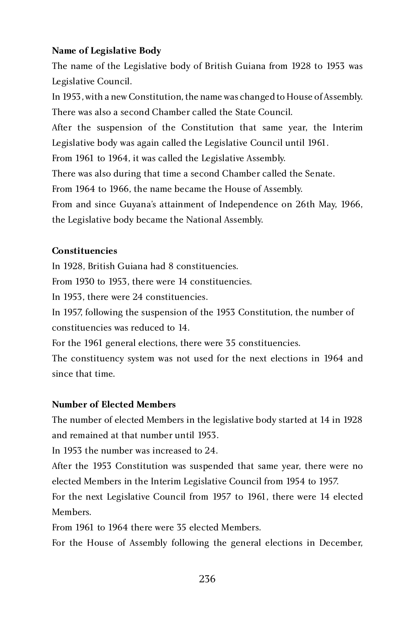#### **Name of Legislative Body**

The name of the Legislative body of British Guiana from 1928 to 1953 was Legislative Council.

In 1953, with a new Constitution, the name was changed to House of Assembly. There was also a second Chamber called the State Council.

After the suspension of the Constitution that same year, the Interim Legislative body was again called the Legislative Council until 1961.

From 1961 to 1964, it was called the Legislative Assembly.

There was also during that time a second Chamber called the Senate.

From 1964 to 1966, the name became the House of Assembly.

From and since Guyana's attainment of Independence on 26th May, 1966, the Legislative body became the National Assembly.

#### **Constituencies**

In 1928, British Guiana had 8 constituencies.

From 1930 to 1953, there were 14 constituencies.

In 1953, there were 24 constituencies.

In 1957, following the suspension of the 1953 Constitution, the number of constituencies was reduced to 14.

For the 1961 general elections, there were 35 constituencies.

The constituency system was not used for the next elections in 1964 and since that time.

#### **Number of Elected Members**

The number of elected Members in the legislative body started at 14 in 1928 and remained at that number until 1953.

In 1953 the number was increased to 24.

After the 1953 Constitution was suspended that same year, there were no elected Members in the Interim Legislative Council from 1954 to 1957.

For the next Legislative Council from 1957 to 1961, there were 14 elected Members.

From 1961 to 1964 there were 35 elected Members.

For the House of Assembly following the general elections in December,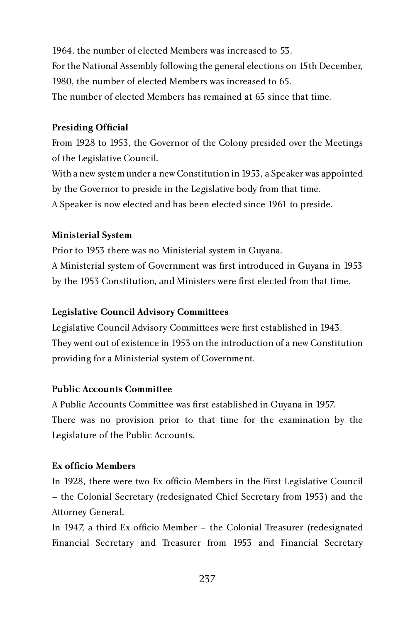1964, the number of elected Members was increased to 53. For the National Assembly following the general elections on 15th December, 1980, the number of elected Members was increased to 65. The number of elected Members has remained at 65 since that time.

#### **Presiding Official**

From 1928 to 1953, the Governor of the Colony presided over the Meetings of the Legislative Council. With a new system under a new Constitution in 1953, a Speaker was appointed by the Governor to preside in the Legislative body from that time. A Speaker is now elected and has been elected since 1961 to preside.

#### **Ministerial System**

Prior to 1953 there was no Ministerial system in Guyana. A Ministerial system of Government was first introduced in Guyana in 1953 by the 1953 Constitution, and Ministers were first elected from that time.

#### **Legislative Council Advisory Committees**

Legislative Council Advisory Committees were first established in 1943. They went out of existence in 1953 on the introduction of a new Constitution providing for a Ministerial system of Government.

#### **Public Accounts Committee**

A Public Accounts Committee was first established in Guyana in 1957. There was no provision prior to that time for the examination by the Legislature of the Public Accounts.

#### **Ex officio Members**

In 1928, there were two Ex officio Members in the First Legislative Council – the Colonial Secretary (redesignated Chief Secretary from 1953) and the Attorney General.

In 1947, a third Ex officio Member – the Colonial Treasurer (redesignated Financial Secretary and Treasurer from 1953 and Financial Secretary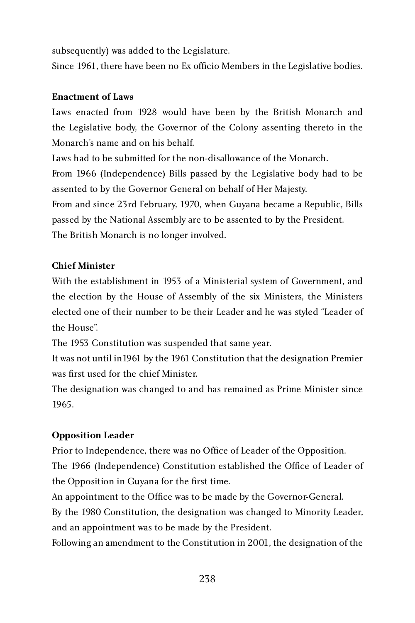subsequently) was added to the Legislature.

Since 1961, there have been no Ex officio Members in the Legislative bodies.

#### **Enactment of Laws**

Laws enacted from 1928 would have been by the British Monarch and the Legislative body, the Governor of the Colony assenting thereto in the Monarch's name and on his behalf.

Laws had to be submitted for the non-disallowance of the Monarch.

From 1966 (Independence) Bills passed by the Legislative body had to be assented to by the Governor General on behalf of Her Majesty.

From and since 23rd February, 1970, when Guyana became a Republic, Bills passed by the National Assembly are to be assented to by the President. The British Monarch is no longer involved.

#### **Chief Minister**

With the establishment in 1953 of a Ministerial system of Government, and the election by the House of Assembly of the six Ministers, the Ministers elected one of their number to be their Leader and he was styled "Leader of the House".

The 1953 Constitution was suspended that same year.

It was not until in1961 by the 1961 Constitution that the designation Premier was first used for the chief Minister.

The designation was changed to and has remained as Prime Minister since 1965.

#### **Opposition Leader**

Prior to Independence, there was no Office of Leader of the Opposition.

The 1966 (Independence) Constitution established the Office of Leader of the Opposition in Guyana for the first time.

An appointment to the Office was to be made by the Governor-General.

By the 1980 Constitution, the designation was changed to Minority Leader, and an appointment was to be made by the President.

Following an amendment to the Constitution in 2001, the designation of the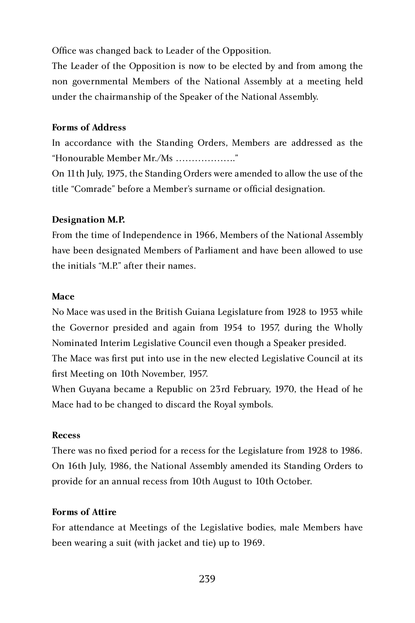Office was changed back to Leader of the Opposition.

The Leader of the Opposition is now to be elected by and from among the non governmental Members of the National Assembly at a meeting held under the chairmanship of the Speaker of the National Assembly.

#### **Forms of Address**

In accordance with the Standing Orders, Members are addressed as the "Honourable Member Mr./Ms ………………."

On 11th July, 1975, the Standing Orders were amended to allow the use of the title "Comrade" before a Member's surname or official designation.

#### **Designation M.P.**

From the time of Independence in 1966, Members of the National Assembly have been designated Members of Parliament and have been allowed to use<br>the initials "M.P." after their names. the initials "M.P." after their names.

#### **Mace**

No Mace was used in the British Guiana Legislature from 1928 to 1953 while the Governor presided and again from 1954 to 1957, during the Wholly Nominated Interim Legislative Council even though a Speaker presided. The Mace was first put into use in the new elected Legislative Council at its first Meeting on 10th November, 1957.

When Guyana became a Republic on 23rd February, 1970, the Head of he Mace had to be changed to discard the Royal symbols.

#### **Recess**

There was no fixed period for a recess for the Legislature from 1928 to 1986. On 16th July, 1986, the National Assembly amended its Standing Orders to provide for an annual recess from 10th August to 10th October.

#### **Forms of Attire**

For attendance at Meetings of the Legislative bodies, male Members have been wearing a suit (with jacket and tie) up to 1969.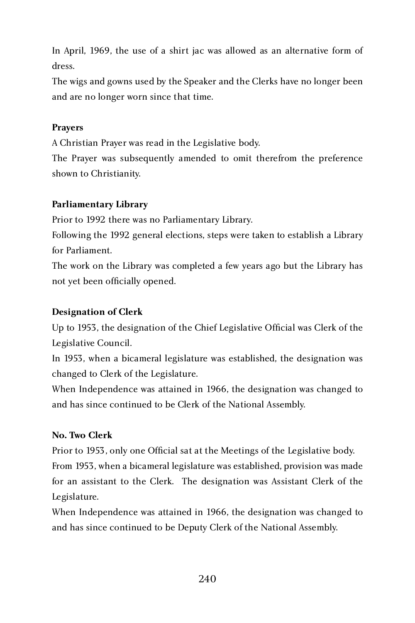In April, 1969, the use of a shirt jac was allowed as an alternative form of dress.

The wigs and gowns used by the Speaker and the Clerks have no longer been and are no longer worn since that time.

#### **Prayers**

A Christian Prayer was read in the Legislative body.

The Prayer was subsequently amended to omit therefrom the preference shown to Christianity.

#### **Parliamentary Library**

Prior to 1992 there was no Parliamentary Library.

Following the 1992 general elections, steps were taken to establish a Library for Parliament.

The work on the Library was completed a few years ago but the Library has not yet been officially opened.

#### **Designation of Clerk**

Up to 1953, the designation of the Chief Legislative Official was Clerk of the Legislative Council.

In 1953, when a bicameral legislature was established, the designation was changed to Clerk of the Legislature.

When Independence was attained in 1966, the designation was changed to and has since continued to be Clerk of the National Assembly.

#### **No. Two Clerk**

Prior to 1953, only one Official sat at the Meetings of the Legislative body. From 1953, when a bicameral legislature was established, provision was made for an assistant to the Clerk. The designation was Assistant Clerk of the Legislature.

When Independence was attained in 1966, the designation was changed to and has since continued to be Deputy Clerk of the National Assembly.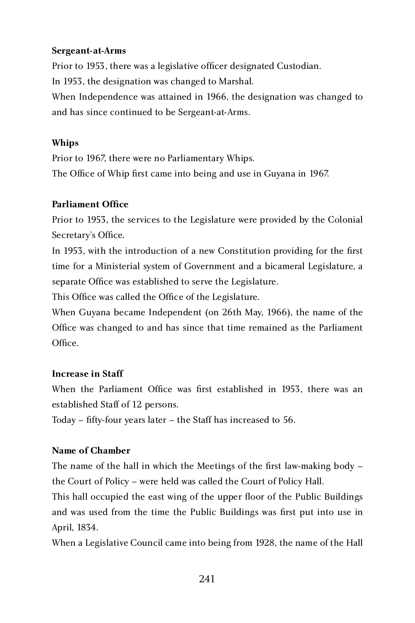#### **Sergeant-at-Arms**

Prior to 1953, there was a legislative officer designated Custodian. In 1953, the designation was changed to Marshal. When Independence was attained in 1966, the designation was changed to and has since continued to be Sergeant-at-Arms.

#### **Whips**

Prior to 1967, there were no Parliamentary Whips. The Office of Whip first came into being and use in Guyana in 1967.

#### **Parliament Office**

Prior to 1953, the services to the Legislature were provided by the Colonial Secretary's Office.

In 1953, with the introduction of a new Constitution providing for the first time for a Ministerial system of Government and a bicameral Legislature, a separate Office was established to serve the Legislature.

This Office was called the Office of the Legislature.

When Guyana became Independent (on 26th May, 1966), the name of the Office was changed to and has since that time remained as the Parliament Office.

#### **Increase in Staff**

When the Parliament Office was first established in 1953, there was an established Staff of 12 persons.

Today – fifty-four years later – the Staff has increased to 56.

#### **Name of Chamber**

The name of the hall in which the Meetings of the first law-making body – the Court of Policy – were held was called the Court of Policy Hall.

This hall occupied the east wing of the upper floor of the Public Buildings and was used from the time the Public Buildings was first put into use in April, 1834.

When a Legislative Council came into being from 1928, the name of the Hall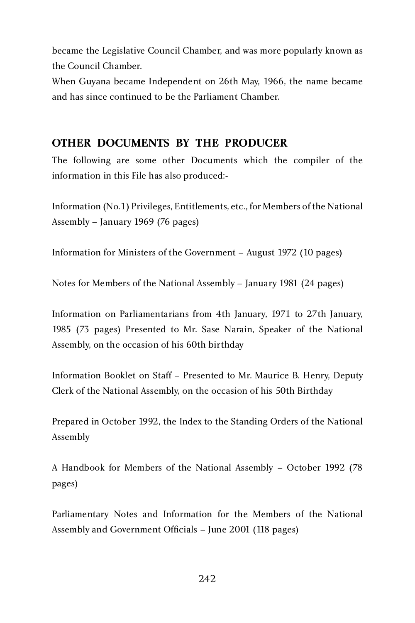became the Legislative Council Chamber, and was more popularly known as the Council Chamber.

When Guyana became Independent on 26th May, 1966, the name became and has since continued to be the Parliament Chamber.

#### **OTHER DOCUMENTS BY THE PRODUCER**

The following are some other Documents which the compiler of the information in this File has also produced:-

Information (No.1) Privileges, Entitlements, etc., for Members of the National Assembly – January 1969 (76 pages)

Information for Ministers of the Government – August 1972 (10 pages)

Notes for Members of the National Assembly – January 1981 (24 pages)

Information on Parliamentarians from 4th January, 1971 to 27th January, 1985 (73 pages) Presented to Mr. Sase Narain, Speaker of the National Assembly, on the occasion of his 60th birthday

Information Booklet on Staff – Presented to Mr. Maurice B. Henry, Deputy Clerk of the National Assembly, on the occasion of his 50th Birthday

Prepared in October 1992, the Index to the Standing Orders of the National Assembly

A Handbook for Members of the National Assembly – October 1992 (78 pages)

Parliamentary Notes and Information for the Members of the National Assembly and Government Officials – June 2001 (118 pages)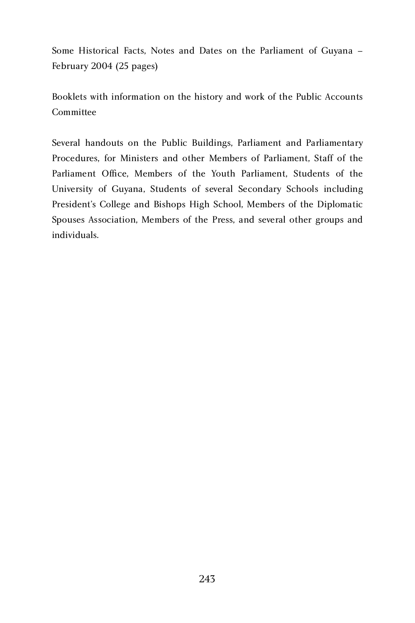Some Historical Facts, Notes and Dates on the Parliament of Guyana – February 2004 (25 pages)

Booklets with information on the history and work of the Public Accounts Committee

Several handouts on the Public Buildings, Parliament and Parliamentary Procedures, for Ministers and other Members of Parliament, Staff of the Parliament Office, Members of the Youth Parliament, Students of the University of Guyana, Students of several Secondary Schools including President's College and Bishops High School, Members of the Diplomatic Spouses Association, Members of the Press, and several other groups and individuals.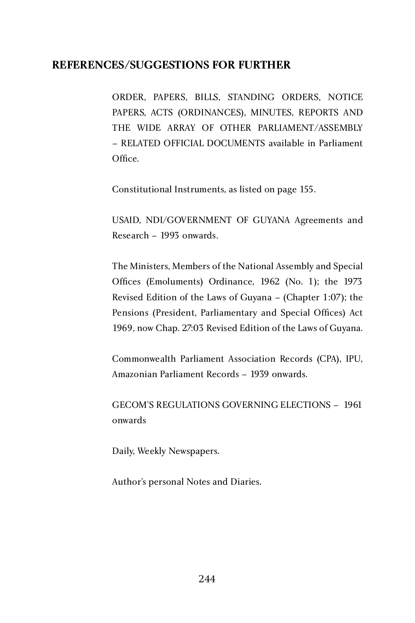#### **REFERENCES/SUGGESTIONS FOR FURTHER**

ORDER, PAPERS, BILLS, STANDING ORDERS, NOTICE PAPERS, ACTS (ORDINANCES), MINUTES, REPORTS AND THE WIDE ARRAY OF OTHER PARLIAMENT/ASSEMBLY – RELATED OFFICIAL DOCUMENTS available in Parliament Office.

Constitutional Instruments, as listed on page 155.

USAID, NDI/GOVERNMENT OF GUYANA Agreements and Research – 1993 onwards.

The Ministers, Members of the National Assembly and Special Offices (Emoluments) Ordinance, 1962 (No. 1); the 1973 Revised Edition of the Laws of Guyana – (Chapter 1:07); the Pensions (President, Parliamentary and Special Offices) Act 1969, now Chap. 27:03 Revised Edition of the Laws of Guyana.

Commonwealth Parliament Association Records (CPA), IPU, Amazonian Parliament Records – 1939 onwards.

GECOM'S REGULATIONS GOVERNING ELECTIONS – 1961 onwards

Daily, Weekly Newspapers.

Author's personal Notes and Diaries.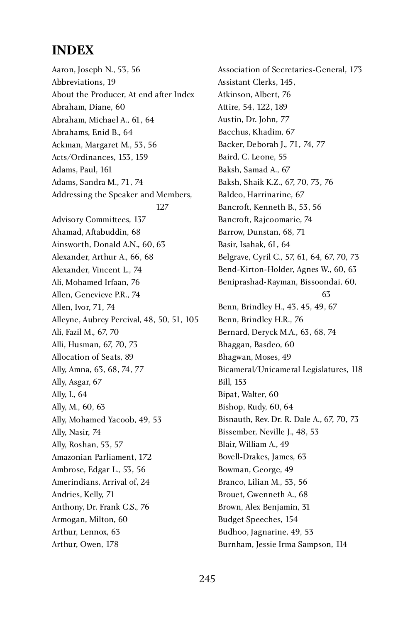## **INDEX**

Aaron, Joseph N., 53, 56 Abbreviations, 19  $A_{\text{D}}$  and the Producer,  $A_{\text{D}}$  end after Index Abraham, Diane, 60  $A$ braham, Michael  $A$ , 61, 64 Abrahams, Enid B., 64  $A$ ckman, Margaret M., 55, 56 Acts/Ordinances, 153, 159  $\frac{1}{4}$ adams, Paul, Pol  $A$  dams, Sandra M.,  $71, 74$ Addressing the Speaker and Members,<br>127  $127$ Advisory Committees, 137 Ahamad, Aftabuddin, 68<br>Ainsworth, Donald A.N., 60, 63  $A_{111}$   $B_{111}$ ,  $C_{111}$ ,  $D_{111}$ ,  $D_{111}$ ,  $D_{111}$ ,  $D_{111}$  $A_n$ Rexander, Arthur A., 66, 66 Alexander, Vincent L., 74  $\sum_{i=1}^{n}$ Allen, Genevieve P.R., 74 Allen, Ivor, 71, 74 Alleyne, Aubrey Percival, 48, 50, 51, 105 Alli, Husman, 67, 70, 73  $\sum_{i=1}^{n} \frac{1}{i} \frac{1}{i} \frac{1}{i} \frac{1}{i} \frac{1}{i} \frac{1}{i} \frac{1}{i} \frac{1}{i} \frac{1}{i} \frac{1}{i} \frac{1}{i} \frac{1}{i} \frac{1}{i} \frac{1}{i} \frac{1}{i} \frac{1}{i} \frac{1}{i} \frac{1}{i} \frac{1}{i} \frac{1}{i} \frac{1}{i} \frac{1}{i} \frac{1}{i} \frac{1}{i} \frac{1}{i} \frac{1}{i} \frac{1}{i} \frac{1}{i} \frac{1}{i} \frac{1}{i}$ Allocation of Seats, 89 Ally, Amna, 63, 68, 74, 77 Ally, Asgar, 67 Ally, I., 64 Ally, M., 60, 63 Ally, Mohamed Yacoob, 49, 53  $\sum_{i=1}^{n}$  $\sum_{i=1}^{n}$ Amazonian Parliament, 172 Ambrose, Edgar L., 53, 56 Amerindians, Arrival of, 24<br>Andries, Kelly, 71  $A_{\text{r}}(x) = -$ Anthony, Dr. Frank C.S., 76 Armogan, Milton, 60  $\mu$ i inii, Lennox, 63 Arthur, Owen, 178

Association of Secretaries-General, 173 Assistant Clerks, 145, Atkinson, Albert, 76 Attire, 54, 122, 189 Austin, Dr. John, 77 Bacchus, Khadim, 67 Backer, Deborah J., 71, 74, 77 Baird, C. Leone, 55<br>Baksh. Samad A., 67  $Bansii, Oamau Ax, O7$  $B^{max,1}, B^{max,1}, B^{max,1}, D^{max,1}, D^{max,1}, D^{max,1}, D^{max,1}, D^{max,1}, D^{max,1}, D^{max,1}, D^{max,1}, D^{max,1}, D^{max,1}, D^{max,1}, D^{max,1}, D^{max,1}, D^{max,1}, D^{max,1}, D^{max,1}, D^{max,1}, D^{max,1}, D^{max,1}, D^{max,1}, D^{max,1}, D^{max,1}, D^{max,1}, D^{max,1}, D^{max,1}, D^{max,1}, D^{max,1}, D^{max,1}, D^{max,1}, D^{max,1}, D^{max,1}, D^{max,1}, D^{max,1}, D^{max,$ Baldeo, Harrinarine, 67 Bancroft, Kenneth B., 53, 56 Bancroft, Rajcoomarie, 74 Barrow, Dunstan, 68, 71 Basir, Isahak, 61, 64 Belgrave, Cyril C., 57, 61, 64, 67, 70, 73 Bend-Kirton-Holder, Agnes W., 60, 63 Beniprashad-Rayman, Bissoondai, 60, 63  $Bem, Bimacy$  H, 43, 43, 47, 67 Benn, Brindley H.R., 76  $Bernata, Beryck M.44, 63, 60, 74$ Bhaggan, Basdeo, 60 Bhagwan, Moses, 49 Bicameral/Unicameral Legislatures, 118 Bill, 153 Bipat, Walter, 60<br>Bishop, Rudy, 60, 64  $Bishop, may, 00, 01$  $Bisnatural, Rex, D1, R. Data 11, 07, 70, 73$ Bissember, Neville J., 48, 53<br>Blair, William A., 49  $B$ lair, william  $A_{1}$ , 49 Bovell-Drakes, James, 63  $B^{\text{symmax}}$ , George, 49  $B$ ranco, Eman M., 33, 36 Brouet, Gwenneth A., 68 Brown, Alex Benjamin, 31 Budget Speeches, 154 Budhoo, Jagnarine, 49, 53 Burnham, Jessie Irma Sampson, 114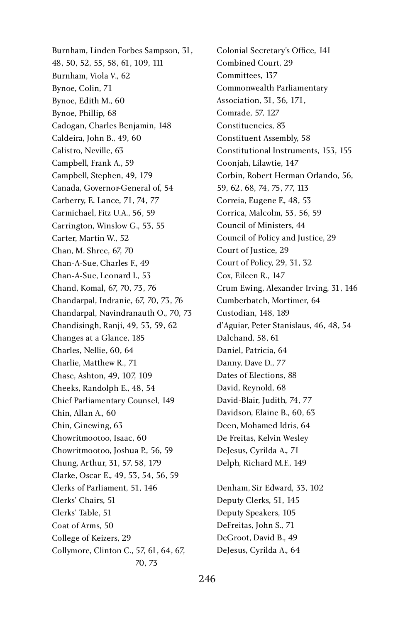Burnham, Linden Forbes Sampson, 31, 48, 50, 52, 55, 58, 61, 109, 111 Burnham, Viola V., 62 Bynoe, Colin, 71 Bynoe, Edith M., 60 Bynoe, Phillip, 68 Cadogan, Charles Benjamin, 148 Caldeira, John B., 49, 60 Calistro, Neville, 63 Campbell, Frank A., 39 Campbell, Stephen, 49, 179 Canada, Governor-General of, 54 Carberry, E. Lance, 71, 74, 77 Carmichael, Fitz U.A., 56, 59 Carrington, Winslow G., 53, 55 Carter, Martin W., 52 Chan, M. Shree, 67, 70 Chan-A-Sue, Charles F., 49 Chan-A-Sue, Leonard I., 53 Chand, Komal, 67, 70, 73, 76 Chandarpal, Indranie, 67, 70, 73, 76 Chandarpal, Navindranauth O., 70, 73 Chandisingh, Ranji, 49, 53, 59, 62 Changes at a Glance, 185 Charles, Nellie, 60, 64 Charlie, Matthew R., 71 Chase, Ashton, 49, 107, 109 Cheeks, Randolph E., 48, 54 Chief Parliamentary Counsel, 149 Chin, Allan A., 60 Chin, Ginewing, 63 Chowritmootoo, Isaac, 60 Chowritmootoo, Joshua P., 56, 59 Chung, Arthur, 31, 57, 58, 179 Clarke, Oscar E., 49, 53, 54, 56, 59 Clerks of Parliament, 51, 146 Clerks' Table, 51 Coat of Arms, 50 Coat of  $\Lambda$  ms, 50 Conce of Relatis,  $29$ Collymore, Clinton C., 57, 61, 64, 67,  $70, 73$ 

Colonial Secretary's Office, 141 Combined Court, 29 Committees, 137 Commonwealth Parliamentary Association, 31, 36, 171, Comrade, 57, 127 Constituencies, 83 Constituent Assembly, 58 Constitutional Instruments, 153, 155 Coonjah, Lilawtie, 147 Corbin, Robert Herman Orlando, 56, 59, 62, 68, 74, 75, 77, 113 Correia, Eugene F., 48, 53 Corrica, Malcolm, 53, 56, 59 Council of Ministers, 44 Council of Policy and Justice, 29 Court of Justice, 29 Court of Policy, 29, 31, 32 Cox, Eileen R., 147 Crum Ewing, Alexander Irving, 31, 146 Cumberbatch, Mortimer, 64 Custodian, 148, 189 d'Aguiar, Peter Stanislaus, 46, 48, 54 Dalchand, 58, 61 Daniel, Patricia, 64 Danny, Dave D., 77 Dates of Elections, 88 David, Reynold, 68 David-Blair, Judith, 74, 77 Davidson, Elaine B., 60, 63 Deen, Mohamed Idris, 64 De Freitas, Kelvin Wesley DeJesus, Cyrilda A., 71 Delph, Richard M.F., 149 Denham, Sir Edward, 33, 102 Deputy Clerks, 51, 145

Deputy Speakers, 105 DeFreitas, John S., 71  $D_{\text{c}}$  DeGroot, David B., 49 DeJesus, Cyrilda A., 64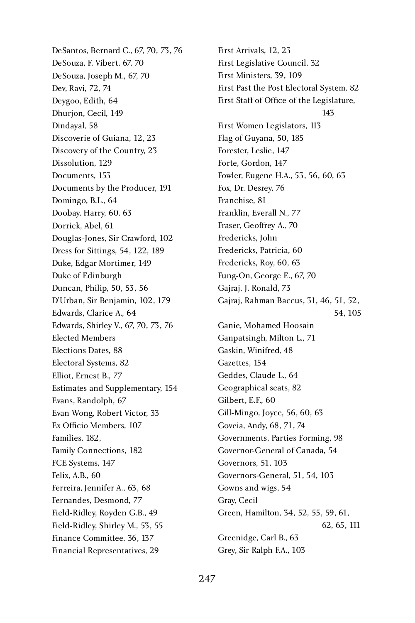DeSantos, Bernard C., 67, 70, 73, 76 DeSouza, F. Vibert, 67, 70 DeSouza, Joseph M., 67, 70 Dev, Ravi, 72, 74 Deygoo, Edith, 64 Dhurjon, Cecil, 149 Dindayal, 58 Discoverie of Guiana, 12, 23 Discovery of the Country, 23 Dissolution, 129 Documents, 153 Documents by the Producer, 191 Domingo, B.L., 64 Doobay, Harry, 60, 63 Dorrick, Abel, 61 Douglas-Jones, Sir Crawford, 102 Dress for Sittings, 54, 122, 189 Duke, Edgar Mortimer, 149 Duke of Edinburgh Duncan, Philip, 50, 53, 56 D'Urban, Sir Benjamin, 102, 179 Edwards, Clarice A., 64 Edwards, Shirley V., 67, 70, 73, 76<br>Elected Members Elections Dates. 88 Elections Dates, 88  $E$ <sup>Elect</sup>oral Systems, 02 Elliot, Ernest B., 77 Estimates and Supplementary, 154 Evans, Randolph, 67 Evan Wong, Robert Victor, 33 Ex Officio Members, 107  $\frac{1}{2}$   $\frac{1}{2}$ Family Connections, 182 FCE Systems, 147 Felix, A.B., 60 Ferreira, Jennifer A., 63, 68 Fernandes, Desmond, 77 Field-Ridley, Royden G.B., 49 Field-Ridley, Shirley M., 53, 55 Finance Committee, 36, 137 Financial Representatives, 29

First Arrivals, 12, 23 First Legislative Council, 32 First Ministers, 39, 109 First Past the Post Electoral System, 82 First Staff of Office of the Legislature,  $143$ First Women Legislators, 113 Flag of Guyana, 50, 185 Forester, Leslie, 147 Forte, Gordon, 147 Fowler, Eugene H.A., 53, 56, 60, 63 Fox, Dr. Desrey, 76  $\frac{1}{1}$   $\frac{1}{1}$  $\frac{1}{2}$  Franklin, Everall 18., 77 Fraser, Geoffrey A., 70 Fredericks, Patricia, 60  $\frac{1}{2}$ Fredericks, Patricia, 60  $F_{\text{reactions}}$ , Roy, 60, 63 Fung-On, George E., 67, 70 Gajraj, J. Ronald, 73 Gajraj, Rahman Baccus, 31, 46, 51, 52,  $54, 105$ Ganie, Mohamed Hoosain Ganpatsingh, Milton L., 71 Gaskin, Winifred, 48 Gazettes, 154 Geddes, Claude L., 64 Geographical seats, 82 Gilbert, E.F., 60 Gill-Mingo, Joyce, 56, 60, 63 Goveia, Andy, 68, 71, 74 Governments, Parties Forming, 98 Governor-General of Canada, 54<br>Governors. 51. 103  $G$ <sup>o</sup>  $\sim$ Governors-General, 51, 54, 103 Gowns and wigs, 54 Gray, Cecil Green, Hamilton, 34, 52, 55, 59, 61, 62, 65, 111  $62, 65, 111$ Greeninge, Carl B., 63 Grey, Sir Ralph F.A., 103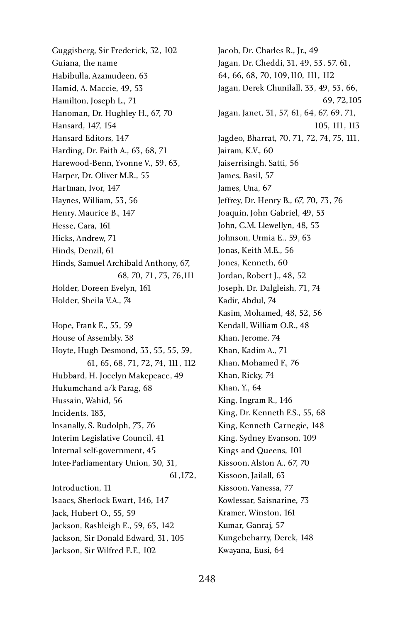Guggisberg, Sir Frederick, 32, 102 Habibulla. Azamudeen. 63  $H$ abibuna, Azamudeen, 63 Hamid, A. Maccie, 49, 53 Hamilton, Joseph L., 71 Hanoman, Dr. Hughley H., 67, 70 Hansard, 147, 154 Hansard Editors, 147 Harding, Dr. Faith A., 63, 68, 71 Harewood-Benn, Yvonne V., 59, 63, Harper, Dr. Oliver M.R., 55 Hartman, Ivor, 147 Haynes, William, 53, 56 Henry, Maurice B., 147 Hesse, Cara, 161 Hicks, Andrew, 71 Hinds, Denzil, 61 Hinds, Samuel Archibald Anthony, 67,  $60, 70, 71, 73, 70, 111$ Holder, Doreen Evelyn, 161 Holder, Sheila V.A., 74 Hope, Frank E., 55, 59 House of Assembly, 38 Hoyte, Hugh Desmond, 33, 53, 55, 59, 61, 65, 68, 71, 72, 74, 111, 112 Hubbard, H. Jocelyn Makepeace, 49 Hukumchand a/k Parag, 68 Hussain, Wahid, 56  $\frac{103}{100}$ , Insanally, S. Rudolph, 73, 76 Interim Legislative Council, 41 Internal self-government, 45 Inter-Parliamentary Union, 30, 31,  $\frac{61}{172}$ , Introduction, 11 Isaacs, Sherlock Ewart, 146, 147 Jack, Hubert O., 55, 59 Jackson, Rashleigh E., 59, 63, 142 Jackson, Sir Donald Edward, 31, 105 Jackson, Sir Wilfred E.F., 102

Jacob, Dr. Charles R., Jr., 49 Jagan, Dr. Cheddi, 31, 49, 53, 57, 61, 64, 66, 68, 70, 109,110, 111, 112 Jagan, Derek Chunilall, 33, 49, 53, 66,  $\frac{6}{5}$ Jagan, Janet, 31, 57, 61, 64, 67, 69, 71, 105, 111, 113 Jagdeo, Bharrat, 70, 71, 72, 74, 75, 111, Jairam, K.V., 60 Jaiserrisingh, Satti, 56 James, Basil, 57 James, Una, 67 Jeffrey, Dr. Henry B., 67, 70, 73, 76 Joaquin, John Gabriel, 49, 53 John, C.M. Llewellyn, 48, 53 Johnson, Urmia E., 59, 63 Jonas, Keith M.E., 56 Jones, Kenneth, 60 Jordan, Robert J., 48, 52 Joseph, Dr. Dalgleish, 71, 74 Kadir, Abdul, 74 Kasim, Mohamed, 48, 52, 56 Kendall, William O.R., 48<br>Khan, Jerome, 74 Khan, Jerome, 74 Khan, Kadim A., 71 Khan, Mohamed F., 76 Khan, Ricky, 74<br>Khan. Y., 64 Khan, 1., 04 King, Ingram R., 146 King, Dr. Kenneth F.S., 55, 68 King, Kenneth Carnegie, 148 King, Sydney Evanson, 109 Kings and Queens, 101 Kissoon, Alston A., 67, 70 Kissoon, Jailall, 63 Kissoon, Vanessa, 77<br>Kowlessar, Saisnarine, 73 Kowlessar, Saisnarine, 73 Kramer, Winston, 161 Kumar, Ganraj, 57 Kungebeharry, Derek, 148 Kwayana, Eusi, 64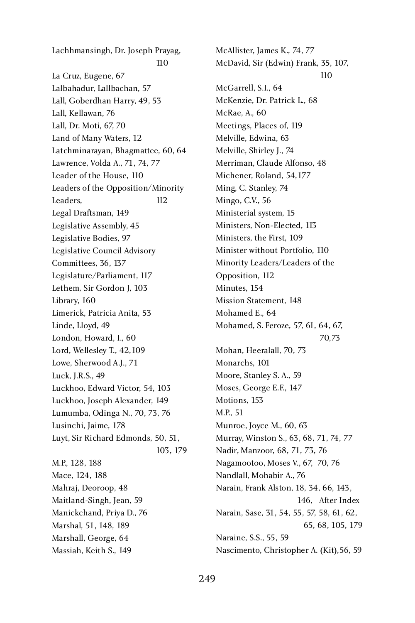Lachhmansingh, Dr. Joseph Prayag, La Cruz, Eugene, 67 Lalbahadur, Lallbachan, 57 Lalbahadur, Lallbachan, 57  $Lan, GODC1$ dhan Harry, 49, 53 Lall, Kellawan, 76 Lall, Dr. Moti, 67, 70 Land of Many Waters, 12 Latchminarayan, Bhagmattee, 60, 64<br>Lawrence, Volda A., 71, 74, 77 Lawrence, *Volda A.*,  $71, 74, 77$ Leader of the House, 110 Leaders of the Opposition/Minority<br>Leaders. 112  $L = 112$ Legal Draftsman, 149 Legislative Assembly, 45 Legislative Bodies, 97 Legislative Council Advisory Committees, 36, 137 Legislature/Parliament, 117 Lethem, Sir Gordon J, 103 Library, 160 Limerick, Patricia Anita, 53 Linde, Lloyd, 49<br>London, Howard, I., 60  $L$ ondon, Howard, I., 60 Lord, Wellesley T., 42,109 Lowe, Sherwood A.J., 71<br>Luck. I.R.S., 49  $L^{\text{ucl}}(N, j, N, \omega, T)$ Luckhoo, Edward Victor, 54, 103 Luckhoo, Joseph Alexander, 149 Lumumba, Odinga N., 70, 73, 76 Lusinchi, Jaime, 178 Luyt, Sir Richard Edmonds, 50, 51,  $103, 179$ m.i., 120, 100  $\frac{1}{2}$   $\frac{1}{2}$   $\frac{1}{2}$   $\frac{1}{2}$   $\frac{1}{2}$   $\frac{1}{2}$   $\frac{1}{2}$   $\frac{1}{2}$   $\frac{1}{2}$   $\frac{1}{2}$   $\frac{1}{2}$   $\frac{1}{2}$   $\frac{1}{2}$   $\frac{1}{2}$   $\frac{1}{2}$   $\frac{1}{2}$   $\frac{1}{2}$   $\frac{1}{2}$   $\frac{1}{2}$   $\frac{1}{2}$   $\frac{1}{2}$   $\frac{1}{2}$  Mahraj, Deoroop, 48 Maitland-Singh, Jean, 59 Manickchand, Priya D., 76 Marshal, 51, 148, 189 Marshall, George, 64 Massiah, Keith S., 149

McAllister, James K., 74, 77 McDavid, Sir (Edwin) Frank, 35, 107, McGarrell, S.I., 64 McGarrell, S.I., 04  $M$ ckenzie, Dr. Patrick L., 68 McRae, A., 60 Meetings, Places of, 119  $M$ Civille, Edwina, 03 Melville, Shirley J., 74 Merriman, Claude Alfonso, 48 Michener, Roland, 54,177 Ming, C. Stanley, 74 Mingo, C.V., 56 Ministerial system, 15 Ministers, Non-Elected, 113<br>Ministers. the First. 109 Ministers, the First, 109 Minister without Portfolio, 110 Minority Leaders/Leaders of the Opposition, 112<br>Minutes, 154 Minutes, 154 Mission Statement, 148 Mohamed E., 64 Mohamed, S. Feroze, 57, 61, 64, 67,  $70,73$ Mohan, Heeralall, 70, 73 Monarchs, 101 Moore, Stanley S. A., 59 Moses, George E.F., 147 Motions, 153 M.P., 51 Munroe, Joyce M., 60, 63 Murray, Winston S., 63, 68, 71, 74, 77 Nadir, Manzoor, 68, 71, 73, 76 Nagamootoo, Moses V., 67, 70, 76 Nandlall, Mohabir A., 76 Narain, Frank Alston, 18, 34, 66, 143,  $146, 4161, 1106$  $N_{\text{A}}$  Narain, base, 31, 34, 55, 57, 50, 61, 62, 65, 68, 105, 179<br>Naraine. S.S., 55, 59  $\frac{1}{2}$  varanne, 0.0., 55, 55 Nascimento, Christopher A. (Kit),56, 59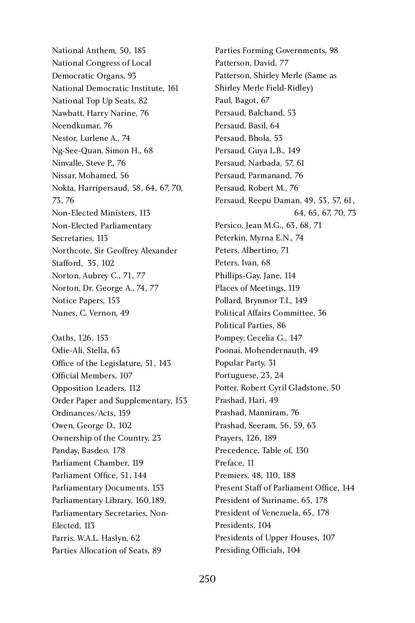National Anthem, 50, 185 National Congress of Local Democratic Organs, 93 National Democratic Institute, 161 National Top Up Seats, 82 Nawbatt, Harry Narine, 76 Neendkumar, 76 Nestor, Lurlene A., 74 Ng-See-Quan, Simon H., 68 Ninvalle, Steve P., 76 Nissar, Mohamed, 56 Nokta, Harripersaud, 58, 64, 67, 70, 73, 76 Non-Elected Ministers, 113 Non-Elected Parliamentary Secretaries, 113 Northcote, Sir Geoffrey Alexander Stafford, 35, 102 Norton, Aubrey C., 71, 77 Norton, Dr. George A., 74, 77 Notice Papers, 153 Nunes, C. Vernon, 49

 $\frac{0.01}{0.01}$   $\frac{120}{0.01}$  $\frac{O(t)}{1 + \epsilon}$ Office of the Legislature, 51, 143<br>Official Members, 107 Official Members, 107 Opposition Leaders, 112 Order Paper and Supplementary, 153<br>Ordinances/Acts. 159 Ordinances/Acts, 159  $Ow$ en, George D., 102 Ownership of the Country, 23 Panday, Basdeo, 178 Parliament Office, 51, 144  $\frac{1}{2}$  and  $\frac{1}{4}$  Office,  $\frac{1}{4}$ ,  $\frac{1}{4}$ Parliamentary Documents, 153 Parliamentary Library, 160,189, Parliamentary Secretaries, Non-Elected, 113  $\frac{1}{2}$  arris, W.A.L. Hasiyii, 02 Parties Allocation of Seats, 89

Parties Forming Governments, 98 Patterson, David, 77 Patterson, Shirley Merle (Same as Shirley Merle Field-Ridley)  $P_{\text{aut}}$ ,  $P_{\text{asym}}$ Persaud, Balchand, 53 Persaud, Basil, 64<br>Persaud, Bhola, 53  $\frac{1}{2}$   $\frac{1}{2}$   $\frac{1}{2}$   $\frac{1}{2}$   $\frac{1}{2}$   $\frac{1}{2}$   $\frac{1}{2}$   $\frac{1}{2}$  $P_{\text{P}}(B_1, B_2, B_3)$ Persaud, Narbada, 57, 61 Persaud, Parmanand, 76<br>Persaud, Robert M., 76  $P_{\text{e}}$  $P(0, 0, 0, 0)$  $64, 65, 67, 70, 75$  $P(0, \text{gen } m, \text{O}, \text{O}, \text{O}, \text{1})$ Peterkin, Myrna E.N., 74 Peters, Albertino, 71 Peters, Ivan, 68 Phillips-Gay, Jane, 114 Places of Meetings, 119 Pollard, Brynmor T.I., 149 Political Parties, 86 Political Parties,  $\frac{6}{3}$  $10 \text{ mpc}$ , Cecelia G.,  $147$ Poonai, Mohendernauth, 49 Popular Party, 31 Portuguese, 23, 24 Potter, Robert Cyril Gladstone, 50 Prashad, Hari, 49 Prashad, Manniram, 76 Prashad, Seeram, 56, 59, 63 Prayers, 126, 189 Precedence, Table of, 130<br>Preface. 11  $P_{\text{rel}}(t)$ Premiers, 40, 110, 188 Present Staff of Parliament Office, 144 President of Suriname, 65, 178 President of Venezuela, 65, 178<br>Presidents, 104 Presidents, 104 Presidents of Opper Houses, 107 Presiding Officials, 104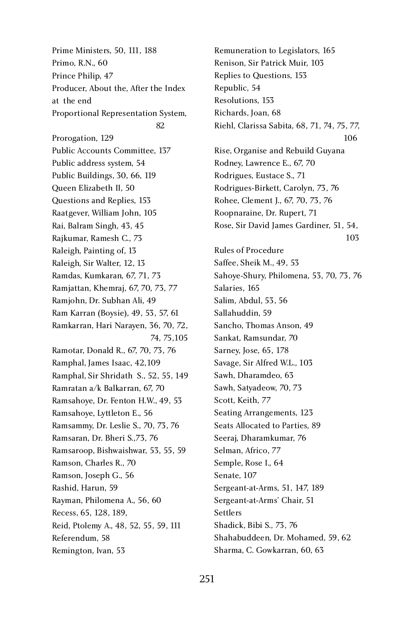Prime Ministers, 50, 111, 188 Primo, R.N., 60  $\frac{1}{2}$  Philip, 47 Producer, About the, After the Index at the end Proportional Representation System,  $822$ Prorogation, 129 Public Accounts Committee, 137 Public address system, 54 Public Buildings, 30, 66, 119 Queen Elizabeth II, 50 Questions and Replies, 153 Raatgever, William John, 105 Rai, Balram Singh, 43, 45 Rajkumar, Ramesh C., 73 Raleigh, Painting of, 13 Raleigh, Sir Walter, 12, 13 Ramdas, Kumkaran, 67, 71, 73 Ramjattan, Khemraj, 67, 70, 73, 77 Ramjohn, Dr. Subhan Ali, 49 Ram Karran (Boysie), 49, 53, 57, 61 Ramkarran, Hari Narayen, 36, 70, 72,  $74, 75,105$ Ramotar, Donald R., 67, 70, 73, 76 Ramphal, James Isaac, 42,109 Ramphal, Sir Shridath S., 52, 55, 149<br>Ramratan a/k Balkarran. 67. 70 Ramratan a/k Balkarran, 67, 70 Ramsahoye, Dr. Fenton H.W., 49, 53 Ramsahoye, Lyttleton E., 56 Ramsammy, Dr. Leslie S., 70, 73, 76<br>Ramsaran, Dr. Bheri S., 73, 76 Ramsaran, Dr. Bheri S.,73, 76 Ramsaroop, Bishwaishwar, 53, 55, 59 Ramson, Charles R., 70 Ramson, Joseph G., 56 Rashid, Harun, 59 Rayman, Philomena A., 56, 60 Recess, 65, 128, 189, Reid, Ptolemy A., 48, 52, 55, 59, 111 Referendum, 50 Remington, Ivan, 53

Remuneration to Legislators, 165 Renison, Sir Patrick Muir, 103 Replies to Questions, 153<br>Republic, 54 Resolutions, 153 Resolutions, 153 Richards, Joan, 68 Riehl, Clarissa Sabita, 68, 71, 74, 75, 77, 100 Rise, Organise and Rebuild Guyana Rodney, Lawrence E., 67, 70 Rodrigues, Eustace S., 71 Rodrigues-Birkett, Carolyn, 73, 76 Rohee, Clement J., 67, 70, 73, 76 Roopnaraine, Dr. Rupert, 71 Rose, Sir David James Gardiner, 51, 54, Rules of Procedure Rules of Procedure  $S$ ance, Sheik M., 49, 53 Sahoye-Shury, Philomena, 53, 70, 73, 76 Salaries, 165  $S$ alim, Abdul, 53, 56 Sallahuddin, 59 Sancho, Thomas Anson, 49 Sankat, Ramsundar, 70 Sarney, Jose, 65, 178 Savage, Sir Alfred W.L., 103 Sawh, Dharamdeo, 63 Sawh, Satyadeow, 70, 73 Scott, Keith, 77 Seating Arrangements, 123 Seats Allocated to Parties, 89 Seeraj, Dharamkumar, 76 Selman, Africo, 77 Semple, Rose I., 64 Senate, 107 Sergeant-at-Arms, 51, 147, 189 Sergeant-at-Arms' Chair, 51 Settlers  $S<sub>1</sub> = 5$ ,  $S<sub>2</sub> = 5$ ,  $S<sub>3</sub> = 5$ Shahabuddeen, Dr. Mohamed, 59, 62 Sharma, C. Gowkarran, 60, 63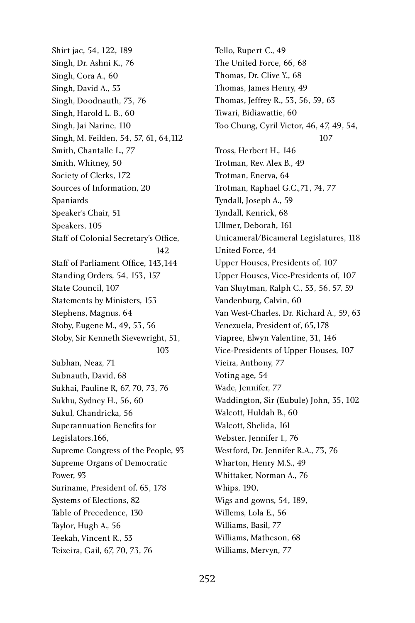Shirt jac, 54, 122, 189 Singh, Dr. Ashni K., 76 Singh, Cora A., 60 Singh, David A., 53 Singh, Doodnauth, 73, 76 Singh, Harold L. B., 60 Singh, Jai Narine, 110 Singh, M. Feilden, 54, 57, 61, 64,112 Smith, Chantalle L., 77 Smith, Whitney, 50 Society of Clerks, 172 Sources of Information, 20 Spaniards Speaker's Chair, 51 Speakers, 105 Staff of Colonial Secretary's Office, 142<br>142 - Paul Barnett, paul Barnett, paul Barnett, paul Barnett, paul Barnett, paul Barnett, paul Barnett, paul<br>142 - Paul Barnett, paul Barnett, paul Barnett, paul Barnett, paul Barnett, paul Barnett, paul Barnett, paul  $\frac{1}{2}$  or Parliament Office, 143,144 Standing Orders, 54, 153, 157 State Council, 107 Statements by Ministers, 153 Stephens, Magnus, 64 Stoby, Eugene M., 49, 53, 56 Stoby, Sir Kenneth Sievewright, 51, Subhan, Neaz, 71 Subnauth, David, 68 Sukhai. Pauline R. 67, 70, 73, 76  $S$ ukhai, Pauline R, 07, 70, 73, 70 Sukhu, Sydney H., 56, 60 Sukul, Chandricka, 56 Superannuation Benefits for  $L_{\rm E}$  $\sim$ Supreme Congress of the People, 93 Supreme Organs of Democratic  $P($  $S$ uriname, President or, 65, 178 Systems of Elections, 82 Table of Precedence, 130 Taylor, Hugh A., 56 Teekah, Vincent R., 53 Teixeira, Gail, 67, 70, 73, 76

Tello, Rupert C., 49 The United Force, 66, 68 Thomas, Dr. Clive Y., 68<br>Thomas, James Henry, 49  $T_{\text{HOMas}}$ , James Heinry,  $T_{\text{HOMas}}$ Thomas, Jeffrey R., 53, 56, 59, 63 Tiwari, Bidiawattie, 60 Too Chung, Cyril Victor, 46, 47, 49, 54, 107<br>- 107 107 107 107 Tross, Herbert H., 146 Trotman, Rev. Alex B., 49 Trotman, Enerva, 64 Trotman, Raphael G.C.,71, 74, 77 Tyndall, Joseph A., 59 Tyndall, Kenrick, 68 Ullmer, Deborah, 161 Unicameral/Bicameral Legislatures, 118  $U(1)$   $U(1)$   $U(2)$   $U(3)$ Upper Houses, Presidents of, 107 Upper Houses, Vice-Presidents of, 107 Van Sluytman, Ralph C., 53, 56, 57, 59 Vandenburg, Calvin, 60 Van West-Charles, Dr. Richard A., 59, 63 Venezuela, President of, 65,178 Viapree, Elwyn Valentine, 31, 146 Vice-Presidents of Upper Houses, 107 Vieira, Anthony, 77 Voting age, 54 Wade, Jennifer, 77 Waddington, Sir (Eubule) John, 35, 102 Walcott, Huldah B., 60 walcott, Shehida,  $101$ Webster, Jennifer I., 76 Westford, Dr. Jennifer R.A., 73, 76 Wharton, Henry M.S., 49 Whittaker, Norman A., 76 Whips, 190, Wigs and gowns, 54, 189, Willems, Lola E., 56<br>Williams, Basil, 77 williams,  $D_{\alpha}$ sil, 77  $W$ iliams, Matheson, 68 Williams, Mervyn, 77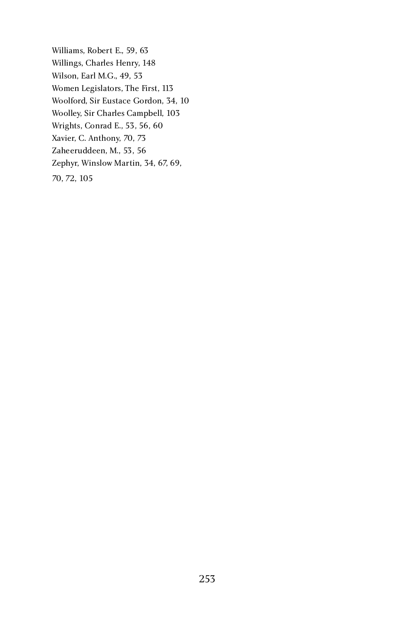Williams, Robert E., 59, 63<br>Willings, Charles Henry, 148 Wilson, Earl M.G., 49, 53 Wilson, Earl M.G., 49, 53 Women Legislators, The First, 113 Woolford, Sir Eustace Gordon, 34, 10 woolley, Sir Charles Campbell, 103 Wrights, Conrad E., 53, 56, 60 Xavier, C. Anthony, 70, 73 Zaheeruddeen, M., 53, 56 Zephyr, Winslow Martin, 34, 67, 69, 70, 72, 105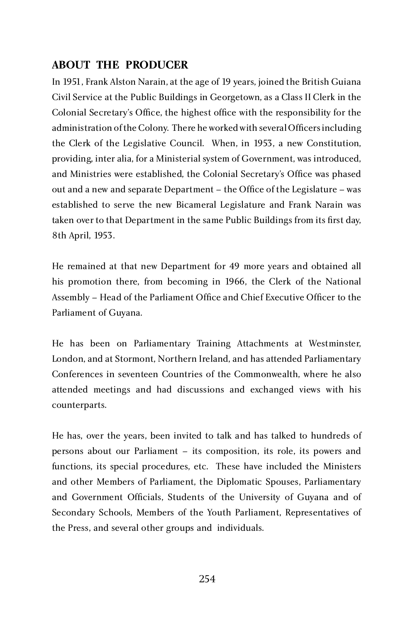## **ABOUT THE PRODUCER**

In 1951, Frank Alston Narain, at the age of 19 years, joined the British Guiana Civil Service at the Public Buildings in Georgetown, as a Class II Clerk in the Colonial Secretary's Office, the highest office with the responsibility for the administration of the Colony. There he worked with several Officers including the Clerk of the Legislative Council. When, in 1953, a new Constitution, providing, inter alia, for a Ministerial system of Government, was introduced, and Ministries were established, the Colonial Secretary's Office was phased out and a new and separate Department – the Office of the Legislature – was established to serve the new Bicameral Legislature and Frank Narain was taken over to that Department in the same Public Buildings from its first day, 8th April, 1953.

He remained at that new Department for 49 more years and obtained all his promotion there, from becoming in 1966, the Clerk of the National Assembly – Head of the Parliament Office and Chief Executive Officer to the Parliament of Guyana.

He has been on Parliamentary Training Attachments at Westminster, London, and at Stormont, Northern Ireland, and has attended Parliamentary Conferences in seventeen Countries of the Commonwealth, where he also attended meetings and had discussions and exchanged views with his counterparts.

He has, over the years, been invited to talk and has talked to hundreds of persons about our Parliament – its composition, its role, its powers and functions, its special procedures, etc. These have included the Ministers and other Members of Parliament, the Diplomatic Spouses, Parliamentary and Government Officials, Students of the University of Guyana and of Secondary Schools, Members of the Youth Parliament, Representatives of the Press, and several other groups and individuals.